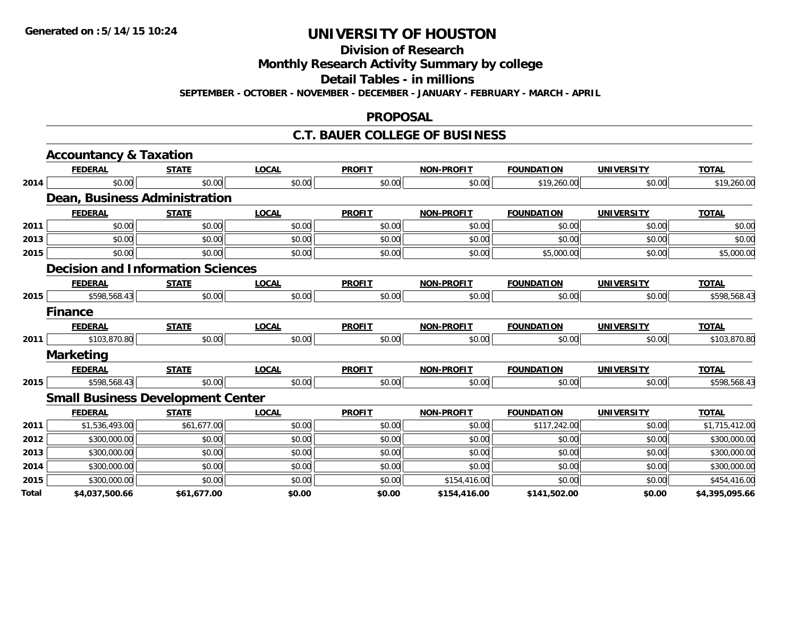**Division of Research**

**Monthly Research Activity Summary by college**

**Detail Tables - in millions**

**SEPTEMBER - OCTOBER - NOVEMBER - DECEMBER - JANUARY - FEBRUARY - MARCH - APRIL**

#### **PROPOSAL**

#### **C.T. BAUER COLLEGE OF BUSINESS**

|       | <b>Accountancy &amp; Taxation</b>        |              |              |               |                   |                   |                   |                |
|-------|------------------------------------------|--------------|--------------|---------------|-------------------|-------------------|-------------------|----------------|
|       | <b>FEDERAL</b>                           | <b>STATE</b> | <b>LOCAL</b> | <b>PROFIT</b> | <b>NON-PROFIT</b> | <b>FOUNDATION</b> | <b>UNIVERSITY</b> | <b>TOTAL</b>   |
| 2014  | \$0.00                                   | \$0.00       | \$0.00       | \$0.00        | \$0.00            | \$19,260.00       | \$0.00            | \$19,260.00    |
|       | Dean, Business Administration            |              |              |               |                   |                   |                   |                |
|       | <b>FEDERAL</b>                           | <b>STATE</b> | <b>LOCAL</b> | <b>PROFIT</b> | <b>NON-PROFIT</b> | <b>FOUNDATION</b> | <b>UNIVERSITY</b> | <b>TOTAL</b>   |
| 2011  | \$0.00                                   | \$0.00       | \$0.00       | \$0.00        | \$0.00            | \$0.00            | \$0.00            | \$0.00         |
| 2013  | \$0.00                                   | \$0.00       | \$0.00       | \$0.00        | \$0.00            | \$0.00            | \$0.00            | \$0.00         |
| 2015  | \$0.00                                   | \$0.00       | \$0.00       | \$0.00        | \$0.00            | \$5,000.00        | \$0.00            | \$5,000.00     |
|       | <b>Decision and Information Sciences</b> |              |              |               |                   |                   |                   |                |
|       | <b>FEDERAL</b>                           | <b>STATE</b> | <b>LOCAL</b> | <b>PROFIT</b> | <b>NON-PROFIT</b> | <b>FOUNDATION</b> | <b>UNIVERSITY</b> | <b>TOTAL</b>   |
| 2015  | \$598,568.43                             | \$0.00       | \$0.00       | \$0.00        | \$0.00            | \$0.00            | \$0.00            | \$598,568.43   |
|       | <b>Finance</b>                           |              |              |               |                   |                   |                   |                |
|       | <b>FEDERAL</b>                           | <b>STATE</b> | <b>LOCAL</b> | <b>PROFIT</b> | <b>NON-PROFIT</b> | <b>FOUNDATION</b> | <b>UNIVERSITY</b> | <b>TOTAL</b>   |
| 2011  | \$103,870.80                             | \$0.00       | \$0.00       | \$0.00        | \$0.00            | \$0.00            | \$0.00            | \$103,870.80   |
|       | <b>Marketing</b>                         |              |              |               |                   |                   |                   |                |
|       | <b>FEDERAL</b>                           | <b>STATE</b> | <b>LOCAL</b> | <b>PROFIT</b> | <b>NON-PROFIT</b> | <b>FOUNDATION</b> | <b>UNIVERSITY</b> | <b>TOTAL</b>   |
| 2015  | \$598,568.43                             | \$0.00       | \$0.00       | \$0.00        | \$0.00            | \$0.00            | \$0.00            | \$598,568.43   |
|       | <b>Small Business Development Center</b> |              |              |               |                   |                   |                   |                |
|       | <b>FEDERAL</b>                           | <b>STATE</b> | <b>LOCAL</b> | <b>PROFIT</b> | <b>NON-PROFIT</b> | <b>FOUNDATION</b> | <b>UNIVERSITY</b> | <b>TOTAL</b>   |
| 2011  | \$1,536,493.00                           | \$61,677.00  | \$0.00       | \$0.00        | \$0.00            | \$117,242.00      | \$0.00            | \$1,715,412.00 |
| 2012  | \$300,000.00                             | \$0.00       | \$0.00       | \$0.00        | \$0.00            | \$0.00            | \$0.00            | \$300,000.00   |
| 2013  | \$300,000.00                             | \$0.00       | \$0.00       | \$0.00        | \$0.00            | \$0.00            | \$0.00            | \$300,000.00   |
| 2014  | \$300,000.00                             | \$0.00       | \$0.00       | \$0.00        | \$0.00            | \$0.00            | \$0.00            | \$300,000.00   |
| 2015  | \$300,000.00                             | \$0.00       | \$0.00       | \$0.00        | \$154,416.00      | \$0.00            | \$0.00            | \$454,416.00   |
| Total | \$4,037,500.66                           | \$61,677.00  | \$0.00       | \$0.00        | \$154,416.00      | \$141,502.00      | \$0.00            | \$4,395,095.66 |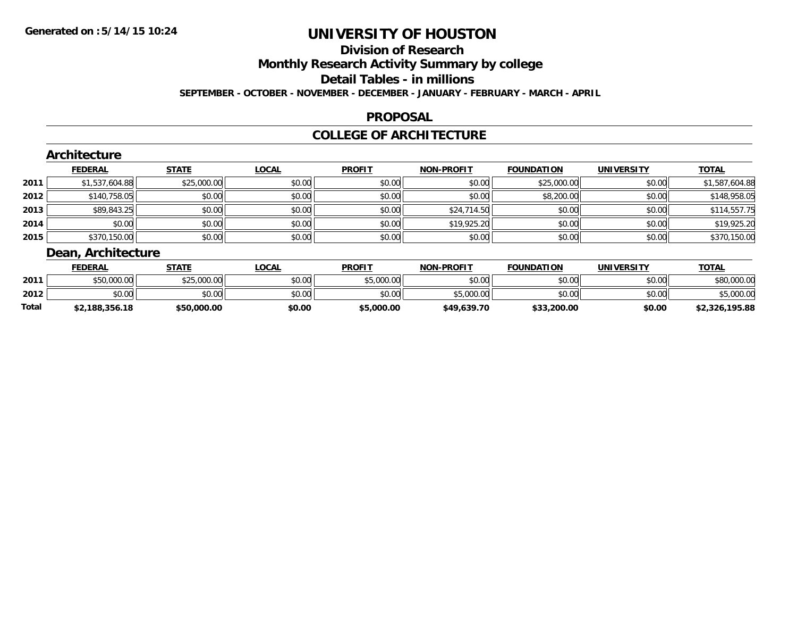#### **Division of Research**

**Monthly Research Activity Summary by college**

**Detail Tables - in millions**

**SEPTEMBER - OCTOBER - NOVEMBER - DECEMBER - JANUARY - FEBRUARY - MARCH - APRIL**

#### **PROPOSAL**

#### **COLLEGE OF ARCHITECTURE**

|      | Architecture                       |              |              |               |                   |                   |                   |                |
|------|------------------------------------|--------------|--------------|---------------|-------------------|-------------------|-------------------|----------------|
|      | <b>FEDERAL</b>                     | <b>STATE</b> | <b>LOCAL</b> | <b>PROFIT</b> | <b>NON-PROFIT</b> | <b>FOUNDATION</b> | <b>UNIVERSITY</b> | <b>TOTAL</b>   |
| 2011 | \$1,537,604.88                     | \$25,000.00  | \$0.00       | \$0.00        | \$0.00            | \$25,000.00       | \$0.00            | \$1,587,604.88 |
| 2012 | \$140,758.05                       | \$0.00       | \$0.00       | \$0.00        | \$0.00            | \$8,200.00        | \$0.00            | \$148,958.05   |
| 2013 | \$89,843.25                        | \$0.00       | \$0.00       | \$0.00        | \$24,714.50       | \$0.00            | \$0.00            | \$114,557.75   |
| 2014 | \$0.00                             | \$0.00       | \$0.00       | \$0.00        | \$19,925.20       | \$0.00            | \$0.00            | \$19,925.20    |
| 2015 | \$370,150.00                       | \$0.00       | \$0.00       | \$0.00        | \$0.00            | \$0.00            | \$0.00            | \$370,150.00   |
|      | December 2005 and 11 and 11 and 12 |              |              |               |                   |                   |                   |                |

#### **Dean, Architecture**

|       | <b>FEDERAL</b> | STATE       | <b>LOCAL</b> | <b>PROFIT</b> | <b>NON-PROFIT</b> | <b>FOUNDATION</b> | UNIVERSITY | <b>TOTAL</b>   |
|-------|----------------|-------------|--------------|---------------|-------------------|-------------------|------------|----------------|
| 2011  | \$50,000.00    | \$25,000.00 | \$0.00       | \$5,000.00    | \$0.00            | \$0.00            | \$0.00     | \$80,000.00    |
| 2012  | \$0.00         | \$0.00      | \$0.00       | \$0.00        | \$5,000.00        | \$0.00            | \$0.00     | ,000.00        |
| Total | \$2,188,356.18 | \$50,000.00 | \$0.00       | \$5,000.00    | \$49,639.70       | \$33,200.00       | \$0.00     | \$2,326,195.88 |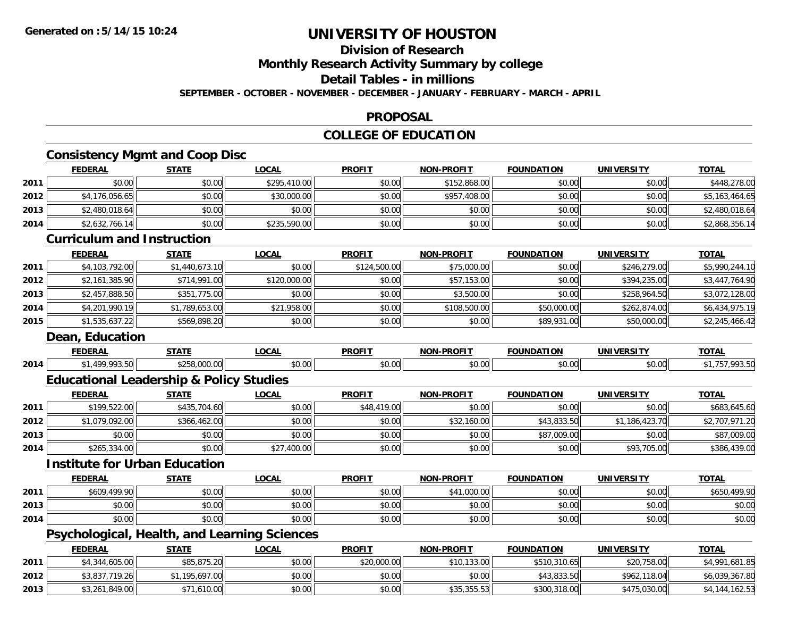# **Division of Research**

**Monthly Research Activity Summary by college**

#### **Detail Tables - in millions**

**SEPTEMBER - OCTOBER - NOVEMBER - DECEMBER - JANUARY - FEBRUARY - MARCH - APRIL**

#### **PROPOSAL**

## **COLLEGE OF EDUCATION**

# **Consistency Mgmt and Coop Disc**

|      | <b>FEDERAL</b>                                      | <b>STATE</b>   | <b>LOCAL</b> | <b>PROFIT</b> | NON-PROFIT        | <b>FOUNDATION</b> | <b>UNIVERSITY</b> | <b>TOTAL</b>   |
|------|-----------------------------------------------------|----------------|--------------|---------------|-------------------|-------------------|-------------------|----------------|
| 2011 | \$0.00                                              | \$0.00         | \$295,410.00 | \$0.00        | \$152,868.00      | \$0.00            | \$0.00            | \$448,278.00   |
| 2012 | \$4,176,056.65                                      | \$0.00         | \$30,000.00  | \$0.00        | \$957,408.00      | \$0.00            | \$0.00            | \$5,163,464.65 |
| 2013 | \$2,480,018.64                                      | \$0.00         | \$0.00       | \$0.00        | \$0.00            | \$0.00            | \$0.00            | \$2,480,018.64 |
| 2014 | \$2,632,766.14                                      | \$0.00         | \$235,590.00 | \$0.00        | \$0.00            | \$0.00            | \$0.00            | \$2,868,356.14 |
|      | <b>Curriculum and Instruction</b>                   |                |              |               |                   |                   |                   |                |
|      | <b>FEDERAL</b>                                      | <b>STATE</b>   | <b>LOCAL</b> | <b>PROFIT</b> | <b>NON-PROFIT</b> | <b>FOUNDATION</b> | <b>UNIVERSITY</b> | <b>TOTAL</b>   |
| 2011 | \$4,103,792.00                                      | \$1,440,673.10 | \$0.00       | \$124,500.00  | \$75,000.00       | \$0.00            | \$246,279.00      | \$5,990,244.10 |
| 2012 | \$2,161,385.90                                      | \$714,991.00   | \$120,000.00 | \$0.00        | \$57,153.00       | \$0.00            | \$394,235.00      | \$3,447,764.90 |
| 2013 | \$2,457,888.50                                      | \$351,775.00   | \$0.00       | \$0.00        | \$3,500.00        | \$0.00            | \$258,964.50      | \$3,072,128.00 |
| 2014 | \$4,201,990.19                                      | \$1,789,653.00 | \$21,958.00  | \$0.00        | \$108,500.00      | \$50,000.00       | \$262,874.00      | \$6,434,975.19 |
| 2015 | \$1,535,637.22                                      | \$569,898.20   | \$0.00       | \$0.00        | \$0.00            | \$89,931.00       | \$50,000.00       | \$2,245,466.42 |
|      | Dean, Education                                     |                |              |               |                   |                   |                   |                |
|      | <b>FEDERAL</b>                                      | <b>STATE</b>   | <b>LOCAL</b> | <b>PROFIT</b> | <b>NON-PROFIT</b> | <b>FOUNDATION</b> | <b>UNIVERSITY</b> | <b>TOTAL</b>   |
| 2014 | \$1,499,993.50                                      | \$258,000.00   | \$0.00       | \$0.00        | \$0.00            | \$0.00            | \$0.00            | \$1,757,993.50 |
|      | <b>Educational Leadership &amp; Policy Studies</b>  |                |              |               |                   |                   |                   |                |
|      | <b>FEDERAL</b>                                      | <b>STATE</b>   | <b>LOCAL</b> | <b>PROFIT</b> | <b>NON-PROFIT</b> | <b>FOUNDATION</b> | <b>UNIVERSITY</b> | <b>TOTAL</b>   |
| 2011 | \$199,522.00                                        | \$435,704.60   | \$0.00       | \$48,419.00   | \$0.00            | \$0.00            | \$0.00            | \$683,645.60   |
| 2012 | \$1,079,092.00                                      | \$366,462.00   | \$0.00       | \$0.00        | \$32,160.00       | \$43,833.50       | \$1,186,423.70    | \$2,707,971.20 |
| 2013 | \$0.00                                              | \$0.00         | \$0.00       | \$0.00        | \$0.00            | \$87,009.00       | \$0.00            | \$87,009.00    |
| 2014 | \$265,334.00                                        | \$0.00         | \$27,400.00  | \$0.00        | \$0.00            | \$0.00            | \$93,705.00       | \$386,439.00   |
|      | <b>Institute for Urban Education</b>                |                |              |               |                   |                   |                   |                |
|      | <b>FEDERAL</b>                                      | <b>STATE</b>   | <b>LOCAL</b> | <b>PROFIT</b> | NON-PROFIT        | <b>FOUNDATION</b> | <b>UNIVERSITY</b> | <b>TOTAL</b>   |
| 2011 | \$609,499.90                                        | \$0.00         | \$0.00       | \$0.00        | \$41,000.00       | \$0.00            | \$0.00            | \$650,499.90   |
| 2013 | \$0.00                                              | \$0.00         | \$0.00       | \$0.00        | \$0.00            | \$0.00            | \$0.00            | \$0.00         |
| 2014 | \$0.00                                              | \$0.00         | \$0.00       | \$0.00        | \$0.00            | \$0.00            | \$0.00            | \$0.00         |
|      | <b>Psychological, Health, and Learning Sciences</b> |                |              |               |                   |                   |                   |                |
|      | <b>FEDERAL</b>                                      | <b>STATE</b>   | <b>LOCAL</b> | <b>PROFIT</b> | <b>NON-PROFIT</b> | <b>FOUNDATION</b> | <b>UNIVERSITY</b> | <b>TOTAL</b>   |
| 2011 | \$4,344,605.00                                      | \$85,875.20    | \$0.00       | \$20,000.00   | \$10,133.00       | \$510,310.65      | \$20,758.00       | \$4,991,681.85 |
| 2012 | \$3,837,719.26                                      | \$1,195,697.00 | \$0.00       | \$0.00        | \$0.00            | \$43,833.50       | \$962,118.04      | \$6,039,367.80 |
| 2013 | \$3,261,849.00                                      | \$71,610.00    | \$0.00       | \$0.00        | \$35,355.53       | \$300,318.00      | \$475,030.00      | \$4,144,162.53 |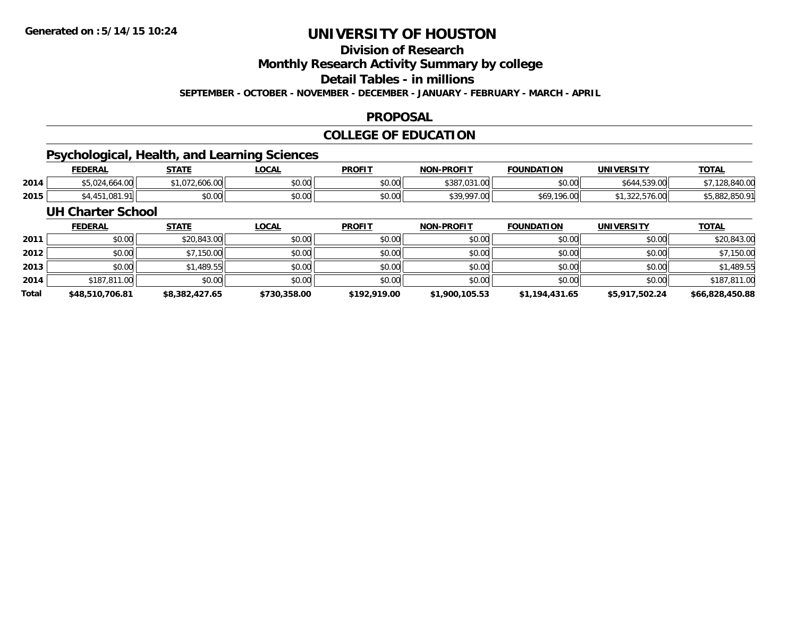# **Division of Research**

**Monthly Research Activity Summary by college**

**Detail Tables - in millions**

**SEPTEMBER - OCTOBER - NOVEMBER - DECEMBER - JANUARY - FEBRUARY - MARCH - APRIL**

#### **PROPOSAL**

## **COLLEGE OF EDUCATION**

## **Psychological, Health, and Learning Sciences**

|      | <b>FEDERAL</b> | <b>STATE</b>         | .OCAL  | <b>PROFIT</b>          | <b>NON</b><br><b>LPROFIT</b>             | <b>FOUNDATION</b>        | <b>UNIVERSITY</b> | <b>TOTAL</b> |
|------|----------------|----------------------|--------|------------------------|------------------------------------------|--------------------------|-------------------|--------------|
| 2014 | $\sim$         | $\sqrt{2}$<br>$\sim$ | \$0.00 | $n \cap \neg$<br>DU.UU | 5007004<br>$\sim$<br>. vv<br>$\cdot$<br> | $\circ$ $\circ$<br>JU.UU | E20.00<br>9.UU    | -3711        |
| 2015 |                | \$0.00               | \$0.00 | $n \cap \neg$<br>PU.UU | <b>\$30,007,00</b>                       | 196.0c<br>১০ሃ            | $\sim$<br>70.UU   | ററ           |

#### **UH Charter School**

|              | <b>FEDERAL</b>  | <u>STATE</u>   | <u>LOCAL</u> | <b>PROFIT</b> | <b>NON-PROFIT</b> | <b>FOUNDATION</b> | <b>UNIVERSITY</b> | <b>TOTAL</b>    |
|--------------|-----------------|----------------|--------------|---------------|-------------------|-------------------|-------------------|-----------------|
| 2011         | \$0.00          | \$20,843.00    | \$0.00       | \$0.00        | \$0.00            | \$0.00            | \$0.00            | \$20,843.00     |
| 2012         | \$0.00          | \$7,150.00     | \$0.00       | \$0.00        | \$0.00            | \$0.00            | \$0.00            | \$7,150.00      |
| 2013         | \$0.00          | \$1,489.55     | \$0.00       | \$0.00        | \$0.00            | \$0.00            | \$0.00            | \$1,489.55      |
| 2014         | \$187,811,00    | \$0.00         | \$0.00       | \$0.00        | \$0.00            | \$0.00            | \$0.00            | \$187,811.00    |
| <b>Total</b> | \$48,510,706.81 | \$8,382,427.65 | \$730,358.00 | \$192,919.00  | \$1,900,105.53    | \$1,194,431.65    | \$5,917,502.24    | \$66,828,450.88 |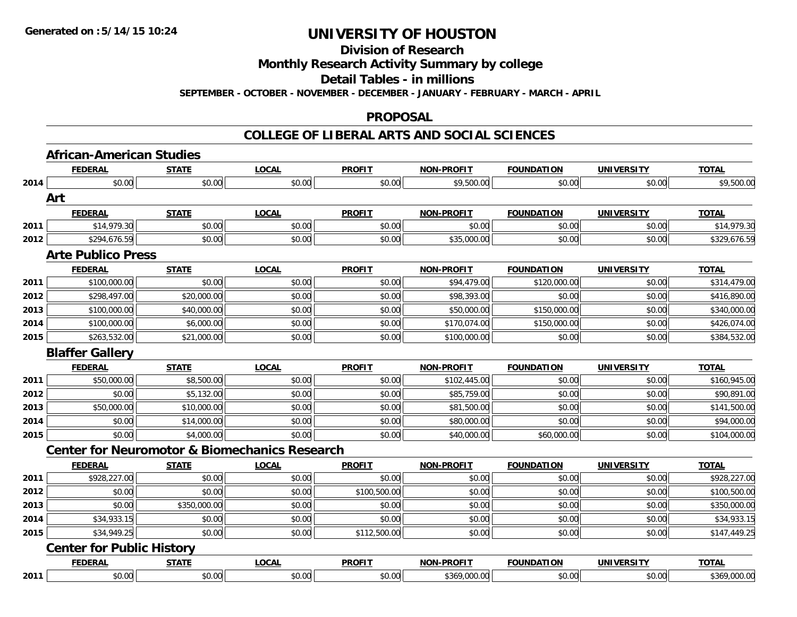**Division of Research**

**Monthly Research Activity Summary by college**

**Detail Tables - in millions**

**SEPTEMBER - OCTOBER - NOVEMBER - DECEMBER - JANUARY - FEBRUARY - MARCH - APRIL**

#### **PROPOSAL**

|      | <b>African-American Studies</b>                          |              |              |               |                   |                   |                   |              |
|------|----------------------------------------------------------|--------------|--------------|---------------|-------------------|-------------------|-------------------|--------------|
|      | <b>FEDERAL</b>                                           | <b>STATE</b> | <b>LOCAL</b> | <b>PROFIT</b> | <b>NON-PROFIT</b> | <b>FOUNDATION</b> | <b>UNIVERSITY</b> | <b>TOTAL</b> |
| 2014 | \$0.00                                                   | \$0.00       | \$0.00       | \$0.00        | \$9,500.00        | \$0.00            | \$0.00            | \$9,500.00   |
|      | Art                                                      |              |              |               |                   |                   |                   |              |
|      | <b>FEDERAL</b>                                           | <b>STATE</b> | <b>LOCAL</b> | <b>PROFIT</b> | <b>NON-PROFIT</b> | <b>FOUNDATION</b> | <b>UNIVERSITY</b> | <b>TOTAL</b> |
| 2011 | \$14,979.30                                              | \$0.00       | \$0.00       | \$0.00        | \$0.00            | \$0.00            | \$0.00            | \$14,979.30  |
| 2012 | \$294,676.59                                             | \$0.00       | \$0.00       | \$0.00        | \$35,000.00       | \$0.00            | \$0.00            | \$329,676.59 |
|      | <b>Arte Publico Press</b>                                |              |              |               |                   |                   |                   |              |
|      | <b>FEDERAL</b>                                           | <b>STATE</b> | <b>LOCAL</b> | <b>PROFIT</b> | <b>NON-PROFIT</b> | <b>FOUNDATION</b> | <b>UNIVERSITY</b> | <b>TOTAL</b> |
| 2011 | \$100,000.00                                             | \$0.00       | \$0.00       | \$0.00        | \$94,479.00       | \$120,000.00      | \$0.00            | \$314,479.00 |
| 2012 | \$298,497.00                                             | \$20,000.00  | \$0.00       | \$0.00        | \$98,393.00       | \$0.00            | \$0.00            | \$416,890.00 |
| 2013 | \$100,000.00                                             | \$40,000.00  | \$0.00       | \$0.00        | \$50,000.00       | \$150,000.00      | \$0.00            | \$340,000.00 |
| 2014 | \$100,000.00                                             | \$6,000.00   | \$0.00       | \$0.00        | \$170,074.00      | \$150,000.00      | \$0.00            | \$426,074.00 |
| 2015 | \$263,532.00                                             | \$21,000.00  | \$0.00       | \$0.00        | \$100,000.00      | \$0.00            | \$0.00            | \$384,532.00 |
|      | <b>Blaffer Gallery</b>                                   |              |              |               |                   |                   |                   |              |
|      | <b>FEDERAL</b>                                           | <b>STATE</b> | <b>LOCAL</b> | <b>PROFIT</b> | <b>NON-PROFIT</b> | <b>FOUNDATION</b> | <b>UNIVERSITY</b> | <b>TOTAL</b> |
| 2011 | \$50,000.00                                              | \$8,500.00   | \$0.00       | \$0.00        | \$102,445.00      | \$0.00            | \$0.00            | \$160,945.00 |
| 2012 | \$0.00                                                   | \$5,132.00   | \$0.00       | \$0.00        | \$85,759.00       | \$0.00            | \$0.00            | \$90,891.00  |
| 2013 | \$50,000.00                                              | \$10,000.00  | \$0.00       | \$0.00        | \$81,500.00       | \$0.00            | \$0.00            | \$141,500.00 |
| 2014 | \$0.00                                                   | \$14,000.00  | \$0.00       | \$0.00        | \$80,000.00       | \$0.00            | \$0.00            | \$94,000.00  |
| 2015 | \$0.00                                                   | \$4,000.00   | \$0.00       | \$0.00        | \$40,000.00       | \$60,000.00       | \$0.00            | \$104,000.00 |
|      | <b>Center for Neuromotor &amp; Biomechanics Research</b> |              |              |               |                   |                   |                   |              |
|      | <b>FEDERAL</b>                                           | <b>STATE</b> | <b>LOCAL</b> | <b>PROFIT</b> | <b>NON-PROFIT</b> | <b>FOUNDATION</b> | <b>UNIVERSITY</b> | <b>TOTAL</b> |
| 2011 | \$928,227.00                                             | \$0.00       | \$0.00       | \$0.00        | \$0.00            | \$0.00            | \$0.00            | \$928,227.00 |
| 2012 | \$0.00                                                   | \$0.00       | \$0.00       | \$100,500.00  | \$0.00            | \$0.00            | \$0.00            | \$100,500.00 |
| 2013 | \$0.00                                                   | \$350,000.00 | \$0.00       | \$0.00        | \$0.00            | \$0.00            | \$0.00            | \$350,000.00 |
| 2014 | \$34,933.15                                              | \$0.00       | \$0.00       | \$0.00        | \$0.00            | \$0.00            | \$0.00            | \$34,933.15  |
| 2015 | \$34,949.25                                              | \$0.00       | \$0.00       | \$112,500.00  | \$0.00            | \$0.00            | \$0.00            | \$147,449.25 |
|      | <b>Center for Public History</b>                         |              |              |               |                   |                   |                   |              |
|      | <b>FEDERAL</b>                                           | <b>STATE</b> | <b>LOCAL</b> | <b>PROFIT</b> | <b>NON-PROFIT</b> | <b>FOUNDATION</b> | <b>UNIVERSITY</b> | <b>TOTAL</b> |
| 2011 | \$0.00                                                   | \$0.00       | \$0.00       | \$0.00        | \$369,000.00      | \$0.00            | \$0.00            | \$369,000.00 |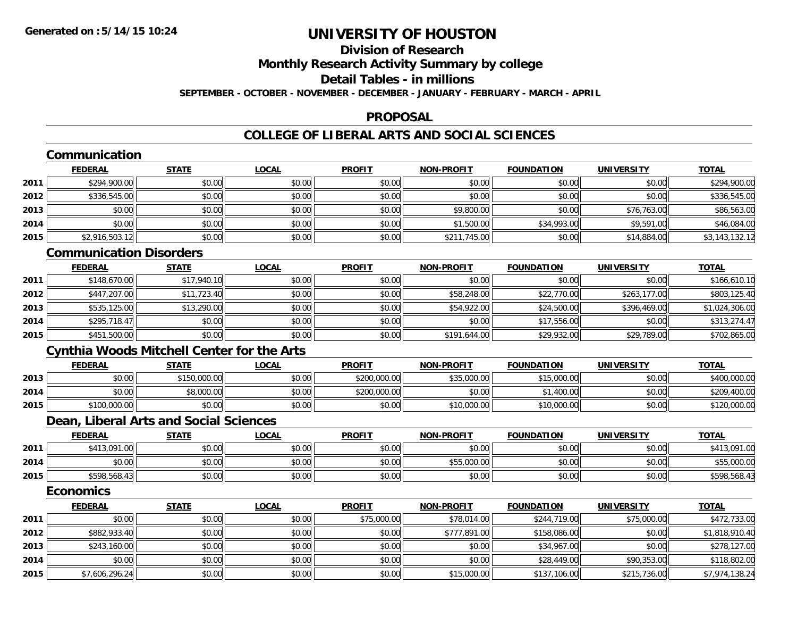# **Division of Research**

# **Monthly Research Activity Summary by college**

#### **Detail Tables - in millions**

**SEPTEMBER - OCTOBER - NOVEMBER - DECEMBER - JANUARY - FEBRUARY - MARCH - APRIL**

#### **PROPOSAL**

#### **COLLEGE OF LIBERAL ARTS AND SOCIAL SCIENCES**

|      | Communication                                     |              |              |               |                   |                   |                   |                |
|------|---------------------------------------------------|--------------|--------------|---------------|-------------------|-------------------|-------------------|----------------|
|      | <b>FEDERAL</b>                                    | <b>STATE</b> | <b>LOCAL</b> | <b>PROFIT</b> | <b>NON-PROFIT</b> | <b>FOUNDATION</b> | <b>UNIVERSITY</b> | <b>TOTAL</b>   |
| 2011 | \$294,900.00                                      | \$0.00       | \$0.00       | \$0.00        | \$0.00            | \$0.00            | \$0.00            | \$294,900.00   |
| 2012 | \$336,545.00                                      | \$0.00       | \$0.00       | \$0.00        | \$0.00            | \$0.00            | \$0.00            | \$336,545.00   |
| 2013 | \$0.00                                            | \$0.00       | \$0.00       | \$0.00        | \$9,800.00        | \$0.00            | \$76,763.00       | \$86,563.00    |
| 2014 | \$0.00                                            | \$0.00       | \$0.00       | \$0.00        | \$1,500.00        | \$34,993.00       | \$9,591.00        | \$46,084.00    |
| 2015 | \$2,916,503.12                                    | \$0.00       | \$0.00       | \$0.00        | \$211,745.00      | \$0.00            | \$14,884.00       | \$3,143,132.12 |
|      | <b>Communication Disorders</b>                    |              |              |               |                   |                   |                   |                |
|      | <b>FEDERAL</b>                                    | <b>STATE</b> | <b>LOCAL</b> | <b>PROFIT</b> | <b>NON-PROFIT</b> | <b>FOUNDATION</b> | <b>UNIVERSITY</b> | <b>TOTAL</b>   |
| 2011 | \$148,670.00                                      | \$17,940.10  | \$0.00       | \$0.00        | \$0.00            | \$0.00            | \$0.00            | \$166,610.10   |
| 2012 | \$447,207.00                                      | \$11,723.40  | \$0.00       | \$0.00        | \$58,248.00       | \$22,770.00       | \$263,177.00      | \$803,125.40   |
| 2013 | \$535,125.00                                      | \$13,290.00  | \$0.00       | \$0.00        | \$54,922.00       | \$24,500.00       | \$396,469.00      | \$1,024,306.00 |
| 2014 | \$295,718.47                                      | \$0.00       | \$0.00       | \$0.00        | \$0.00            | \$17,556.00       | \$0.00            | \$313,274.47   |
| 2015 | \$451,500.00                                      | \$0.00       | \$0.00       | \$0.00        | \$191,644.00      | \$29,932.00       | \$29,789.00       | \$702,865.00   |
|      | <b>Cynthia Woods Mitchell Center for the Arts</b> |              |              |               |                   |                   |                   |                |
|      | <b>FEDERAL</b>                                    | <b>STATE</b> | <b>LOCAL</b> | <b>PROFIT</b> | <b>NON-PROFIT</b> | <b>FOUNDATION</b> | <b>UNIVERSITY</b> | <b>TOTAL</b>   |
| 2013 | \$0.00                                            | \$150,000.00 | \$0.00       | \$200,000.00  | \$35,000.00       | \$15,000.00       | \$0.00            | \$400,000.00   |
| 2014 | \$0.00                                            | \$8,000.00   | \$0.00       | \$200,000.00  | \$0.00            | \$1,400.00        | \$0.00            | \$209,400.00   |
| 2015 | \$100,000.00                                      | \$0.00       | \$0.00       | \$0.00        | \$10,000.00       | \$10,000.00       | \$0.00            | \$120,000.00   |
|      | Dean, Liberal Arts and Social Sciences            |              |              |               |                   |                   |                   |                |
|      | <b>FEDERAL</b>                                    | <b>STATE</b> | <b>LOCAL</b> | <b>PROFIT</b> | <b>NON-PROFIT</b> | <b>FOUNDATION</b> | <b>UNIVERSITY</b> | <b>TOTAL</b>   |
| 2011 | \$413,091.00                                      | \$0.00       | \$0.00       | \$0.00        | \$0.00            | \$0.00            | \$0.00            | \$413,091.00   |
| 2014 | \$0.00                                            | \$0.00       | \$0.00       | \$0.00        | \$55,000.00       | \$0.00            | \$0.00            | \$55,000.00    |
| 2015 | \$598,568.43                                      | \$0.00       | \$0.00       | \$0.00        | \$0.00            | \$0.00            | \$0.00            | \$598,568.43   |
|      | <b>Economics</b>                                  |              |              |               |                   |                   |                   |                |
|      | <b>FEDERAL</b>                                    | <b>STATE</b> | <b>LOCAL</b> | <b>PROFIT</b> | <b>NON-PROFIT</b> | <b>FOUNDATION</b> | <b>UNIVERSITY</b> | <b>TOTAL</b>   |
| 2011 | \$0.00                                            | \$0.00       | \$0.00       | \$75,000.00   | \$78,014.00       | \$244,719.00      | \$75,000.00       | \$472,733.00   |
| 2012 | \$882,933.40                                      | \$0.00       | \$0.00       | \$0.00        | \$777,891.00      | \$158,086.00      | \$0.00            | \$1,818,910.40 |
| 2013 | \$243,160.00                                      | \$0.00       | \$0.00       | \$0.00        | \$0.00            | \$34,967.00       | \$0.00            | \$278,127.00   |
| 2014 | \$0.00                                            | \$0.00       | \$0.00       | \$0.00        | \$0.00            | \$28,449.00       | \$90,353.00       | \$118,802.00   |
| 2015 | \$7,606,296.24                                    | \$0.00       | \$0.00       | \$0.00        | \$15,000.00       | \$137,106.00      | \$215,736.00      | \$7,974,138.24 |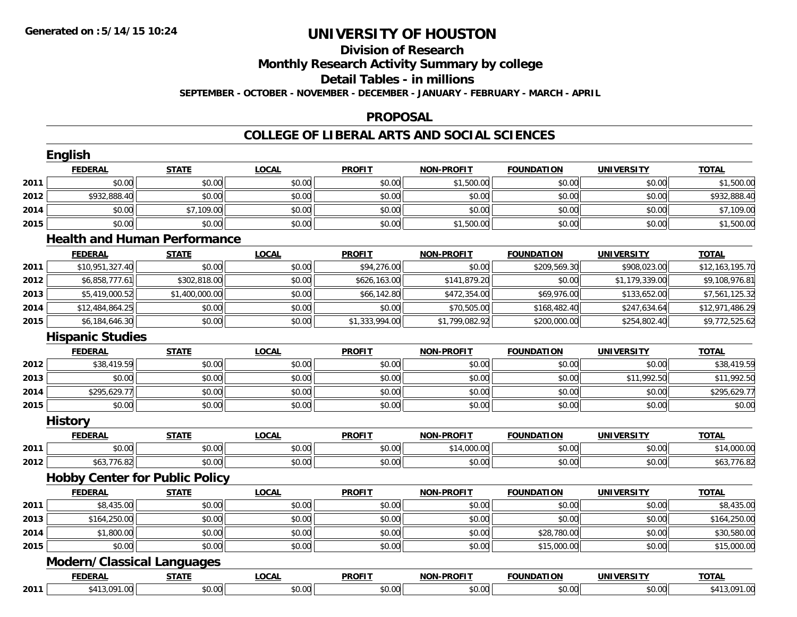# **Division of Research Monthly Research Activity Summary by college Detail Tables - in millions**

**SEPTEMBER - OCTOBER - NOVEMBER - DECEMBER - JANUARY - FEBRUARY - MARCH - APRIL**

#### **PROPOSAL**

|      | <b>English</b>                        |                |              |                |                   |                   |                   |                 |
|------|---------------------------------------|----------------|--------------|----------------|-------------------|-------------------|-------------------|-----------------|
|      | <b>FEDERAL</b>                        | <b>STATE</b>   | <b>LOCAL</b> | <b>PROFIT</b>  | <b>NON-PROFIT</b> | <b>FOUNDATION</b> | <b>UNIVERSITY</b> | <b>TOTAL</b>    |
| 2011 | \$0.00                                | \$0.00         | \$0.00       | \$0.00         | \$1,500.00        | \$0.00            | \$0.00            | \$1,500.00      |
| 2012 | \$932,888.40                          | \$0.00         | \$0.00       | \$0.00         | \$0.00            | \$0.00            | \$0.00            | \$932,888.40    |
| 2014 | \$0.00                                | \$7,109.00     | \$0.00       | \$0.00         | \$0.00            | \$0.00            | \$0.00            | \$7,109.00      |
| 2015 | \$0.00                                | \$0.00         | \$0.00       | \$0.00         | \$1,500.00        | \$0.00            | \$0.00            | \$1,500.00      |
|      | <b>Health and Human Performance</b>   |                |              |                |                   |                   |                   |                 |
|      | <b>FEDERAL</b>                        | <b>STATE</b>   | <b>LOCAL</b> | <b>PROFIT</b>  | <b>NON-PROFIT</b> | <b>FOUNDATION</b> | <b>UNIVERSITY</b> | <b>TOTAL</b>    |
| 2011 | \$10,951,327.40                       | \$0.00         | \$0.00       | \$94,276.00    | \$0.00            | \$209,569.30      | \$908,023.00      | \$12,163,195.70 |
| 2012 | \$6,858,777.61                        | \$302,818.00   | \$0.00       | \$626,163.00   | \$141,879.20      | \$0.00            | \$1,179,339.00    | \$9,108,976.81  |
| 2013 | \$5,419,000.52                        | \$1,400,000.00 | \$0.00       | \$66,142.80    | \$472,354.00      | \$69,976.00       | \$133,652.00      | \$7,561,125.32  |
| 2014 | \$12,484,864.25                       | \$0.00         | \$0.00       | \$0.00         | \$70,505.00       | \$168,482.40      | \$247,634.64      | \$12,971,486.29 |
| 2015 | \$6,184,646.30                        | \$0.00         | \$0.00       | \$1,333,994.00 | \$1,799,082.92    | \$200,000.00      | \$254,802.40      | \$9,772,525.62  |
|      | <b>Hispanic Studies</b>               |                |              |                |                   |                   |                   |                 |
|      | <b>FEDERAL</b>                        | <b>STATE</b>   | <b>LOCAL</b> | <b>PROFIT</b>  | <b>NON-PROFIT</b> | <b>FOUNDATION</b> | <b>UNIVERSITY</b> | <b>TOTAL</b>    |
| 2012 | \$38,419.59                           | \$0.00         | \$0.00       | \$0.00         | \$0.00            | \$0.00            | \$0.00            | \$38,419.59     |
| 2013 | \$0.00                                | \$0.00         | \$0.00       | \$0.00         | \$0.00            | \$0.00            | \$11,992.50       | \$11,992.50     |
| 2014 | \$295,629.77                          | \$0.00         | \$0.00       | \$0.00         | \$0.00            | \$0.00            | \$0.00            | \$295,629.77    |
| 2015 | \$0.00                                | \$0.00         | \$0.00       | \$0.00         | \$0.00            | \$0.00            | \$0.00            | \$0.00          |
|      | <b>History</b>                        |                |              |                |                   |                   |                   |                 |
|      | <b>FEDERAL</b>                        | <b>STATE</b>   | <b>LOCAL</b> | <b>PROFIT</b>  | <b>NON-PROFIT</b> | <b>FOUNDATION</b> | <b>UNIVERSITY</b> | <b>TOTAL</b>    |
| 2011 | \$0.00                                | \$0.00         | \$0.00       | \$0.00         | \$14,000.00       | \$0.00            | \$0.00            | \$14,000.00     |
| 2012 | \$63,776.82                           | \$0.00         | \$0.00       | \$0.00         | \$0.00            | \$0.00            | \$0.00            | \$63,776.82     |
|      | <b>Hobby Center for Public Policy</b> |                |              |                |                   |                   |                   |                 |
|      | <b>FEDERAL</b>                        | <b>STATE</b>   | <b>LOCAL</b> | <b>PROFIT</b>  | <b>NON-PROFIT</b> | <b>FOUNDATION</b> | <b>UNIVERSITY</b> | <b>TOTAL</b>    |
| 2011 | \$8,435.00                            | \$0.00         | \$0.00       | \$0.00         | \$0.00            | \$0.00            | \$0.00            | \$8,435.00      |
| 2013 | \$164,250.00                          | \$0.00         | \$0.00       | \$0.00         | \$0.00            | \$0.00            | \$0.00            | \$164,250.00    |
| 2014 | \$1,800.00                            | \$0.00         | \$0.00       | \$0.00         | \$0.00            | \$28,780.00       | \$0.00            | \$30,580.00     |
| 2015 | \$0.00                                | \$0.00         | \$0.00       | \$0.00         | \$0.00            | \$15,000.00       | \$0.00            | \$15,000.00     |
|      | <b>Modern/Classical Languages</b>     |                |              |                |                   |                   |                   |                 |
|      | <b>FEDERAL</b>                        | <b>STATE</b>   | <b>LOCAL</b> | <b>PROFIT</b>  | <b>NON-PROFIT</b> | <b>FOUNDATION</b> | <b>UNIVERSITY</b> | <b>TOTAL</b>    |
| 2011 | \$413,091.00                          | \$0.00         | \$0.00       | \$0.00         | \$0.00            | \$0.00            | \$0.00            | \$413,091.00    |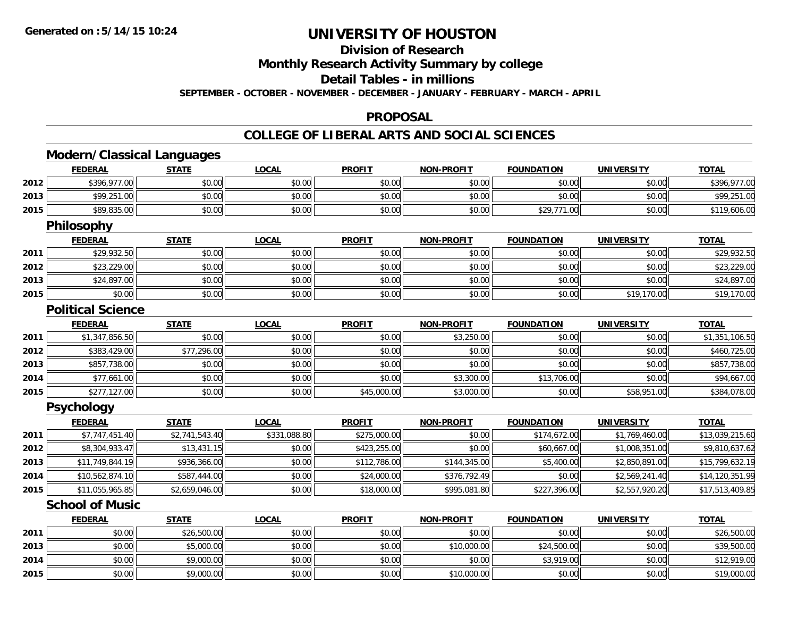# **Division of Research**

**Monthly Research Activity Summary by college**

**Detail Tables - in millions**

**SEPTEMBER - OCTOBER - NOVEMBER - DECEMBER - JANUARY - FEBRUARY - MARCH - APRIL**

#### **PROPOSAL**

|      | <b>Modern/Classical Languages</b> |                |              |               |                   |                   |                   |                 |
|------|-----------------------------------|----------------|--------------|---------------|-------------------|-------------------|-------------------|-----------------|
|      | <b>FEDERAL</b>                    | <b>STATE</b>   | <b>LOCAL</b> | <b>PROFIT</b> | <b>NON-PROFIT</b> | <b>FOUNDATION</b> | <b>UNIVERSITY</b> | <b>TOTAL</b>    |
| 2012 | \$396,977.00                      | \$0.00         | \$0.00       | \$0.00        | \$0.00            | \$0.00            | \$0.00            | \$396,977.00    |
| 2013 | \$99,251.00                       | \$0.00         | \$0.00       | \$0.00        | \$0.00            | \$0.00            | \$0.00            | \$99,251.00     |
| 2015 | \$89,835.00                       | \$0.00         | \$0.00       | \$0.00        | \$0.00            | \$29,771.00       | \$0.00            | \$119,606.00    |
|      | Philosophy                        |                |              |               |                   |                   |                   |                 |
|      | <b>FEDERAL</b>                    | <b>STATE</b>   | <b>LOCAL</b> | <b>PROFIT</b> | <b>NON-PROFIT</b> | <b>FOUNDATION</b> | <b>UNIVERSITY</b> | <b>TOTAL</b>    |
| 2011 | \$29,932.50                       | \$0.00         | \$0.00       | \$0.00        | \$0.00            | \$0.00            | \$0.00            | \$29,932.50     |
| 2012 | \$23,229.00                       | \$0.00         | \$0.00       | \$0.00        | \$0.00            | \$0.00            | \$0.00            | \$23,229.00     |
| 2013 | \$24,897.00                       | \$0.00         | \$0.00       | \$0.00        | \$0.00            | \$0.00            | \$0.00            | \$24,897.00     |
| 2015 | \$0.00                            | \$0.00         | \$0.00       | \$0.00        | \$0.00            | \$0.00            | \$19,170.00       | \$19,170.00     |
|      | <b>Political Science</b>          |                |              |               |                   |                   |                   |                 |
|      | <b>FEDERAL</b>                    | <b>STATE</b>   | <b>LOCAL</b> | <b>PROFIT</b> | <b>NON-PROFIT</b> | <b>FOUNDATION</b> | <b>UNIVERSITY</b> | <b>TOTAL</b>    |
| 2011 | \$1,347,856.50                    | \$0.00         | \$0.00       | \$0.00        | \$3,250.00        | \$0.00            | \$0.00            | \$1,351,106.50  |
| 2012 | \$383,429.00                      | \$77,296.00    | \$0.00       | \$0.00        | \$0.00            | \$0.00            | \$0.00            | \$460,725.00    |
| 2013 | \$857,738.00                      | \$0.00         | \$0.00       | \$0.00        | \$0.00            | \$0.00            | \$0.00            | \$857,738.00    |
| 2014 | \$77,661.00                       | \$0.00         | \$0.00       | \$0.00        | \$3,300.00        | \$13,706.00       | \$0.00            | \$94,667.00     |
| 2015 | \$277,127.00                      | \$0.00         | \$0.00       | \$45,000.00   | \$3,000.00        | \$0.00            | \$58,951.00       | \$384,078.00    |
|      | <b>Psychology</b>                 |                |              |               |                   |                   |                   |                 |
|      | <b>FEDERAL</b>                    | <b>STATE</b>   | <b>LOCAL</b> | <b>PROFIT</b> | <b>NON-PROFIT</b> | <b>FOUNDATION</b> | <b>UNIVERSITY</b> | <b>TOTAL</b>    |
| 2011 | \$7,747,451.40                    | \$2,741,543.40 | \$331,088.80 | \$275,000.00  | \$0.00            | \$174,672.00      | \$1,769,460.00    | \$13,039,215.60 |
| 2012 | \$8,304,933.47                    | \$13,431.15    | \$0.00       | \$423,255.00  | \$0.00            | \$60,667.00       | \$1,008,351.00    | \$9,810,637.62  |
| 2013 | \$11,749,844.19                   | \$936,366.00   | \$0.00       | \$112,786.00  | \$144,345.00      | \$5,400.00        | \$2,850,891.00    | \$15,799,632.19 |
| 2014 | \$10,562,874.10                   | \$587,444.00   | \$0.00       | \$24,000.00   | \$376,792.49      | \$0.00            | \$2,569,241.40    | \$14,120,351.99 |
| 2015 | \$11,055,965.85                   | \$2,659,046.00 | \$0.00       | \$18,000.00   | \$995,081.80      | \$227,396.00      | \$2,557,920.20    | \$17,513,409.85 |
|      | <b>School of Music</b>            |                |              |               |                   |                   |                   |                 |
|      | <b>FEDERAL</b>                    | <b>STATE</b>   | <b>LOCAL</b> | <b>PROFIT</b> | <b>NON-PROFIT</b> | <b>FOUNDATION</b> | <b>UNIVERSITY</b> | <b>TOTAL</b>    |
| 2011 | \$0.00                            | \$26,500.00    | \$0.00       | \$0.00        | \$0.00            | \$0.00            | \$0.00            | \$26,500.00     |
| 2013 | \$0.00                            | \$5,000.00     | \$0.00       | \$0.00        | \$10,000.00       | \$24,500.00       | \$0.00            | \$39,500.00     |
| 2014 | \$0.00                            | \$9,000.00     | \$0.00       | \$0.00        | \$0.00            | \$3,919.00        | \$0.00            | \$12,919.00     |
| 2015 | \$0.00                            | \$9,000.00     | \$0.00       | \$0.00        | \$10,000.00       | \$0.00            | \$0.00            | \$19,000.00     |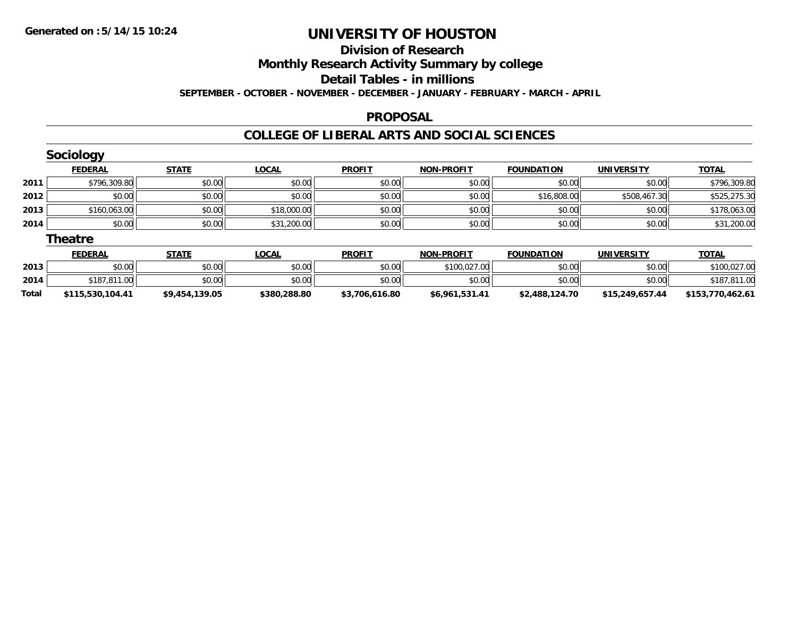#### **Division of Research**

**Monthly Research Activity Summary by college**

**Detail Tables - in millions**

**SEPTEMBER - OCTOBER - NOVEMBER - DECEMBER - JANUARY - FEBRUARY - MARCH - APRIL**

#### **PROPOSAL**

|       | <b>Sociology</b> |                |              |                |                   |                   |                   |                  |
|-------|------------------|----------------|--------------|----------------|-------------------|-------------------|-------------------|------------------|
|       | <b>FEDERAL</b>   | <b>STATE</b>   | <b>LOCAL</b> | <b>PROFIT</b>  | <b>NON-PROFIT</b> | <b>FOUNDATION</b> | <b>UNIVERSITY</b> | <b>TOTAL</b>     |
| 2011  | \$796,309.80     | \$0.00         | \$0.00       | \$0.00         | \$0.00            | \$0.00            | \$0.00            | \$796,309.80     |
| 2012  | \$0.00           | \$0.00         | \$0.00       | \$0.00         | \$0.00            | \$16,808.00       | \$508,467.30      | \$525,275.30     |
| 2013  | \$160,063.00     | \$0.00         | \$18,000.00  | \$0.00         | \$0.00            | \$0.00            | \$0.00            | \$178,063.00     |
| 2014  | \$0.00           | \$0.00         | \$31,200.00  | \$0.00         | \$0.00            | \$0.00            | \$0.00            | \$31,200.00      |
|       | <b>Theatre</b>   |                |              |                |                   |                   |                   |                  |
|       | <b>FEDERAL</b>   | <b>STATE</b>   | <b>LOCAL</b> | <b>PROFIT</b>  | <b>NON-PROFIT</b> | <b>FOUNDATION</b> | <b>UNIVERSITY</b> | <b>TOTAL</b>     |
| 2013  | \$0.00           | \$0.00         | \$0.00       | \$0.00         | \$100,027.00      | \$0.00            | \$0.00            | \$100,027.00     |
| 2014  | \$187,811.00     | \$0.00         | \$0.00       | \$0.00         | \$0.00            | \$0.00            | \$0.00            | \$187,811.00     |
| Total | \$115,530,104.41 | \$9,454,139.05 | \$380,288.80 | \$3,706,616.80 | \$6,961,531.41    | \$2,488,124.70    | \$15,249,657.44   | \$153,770,462.61 |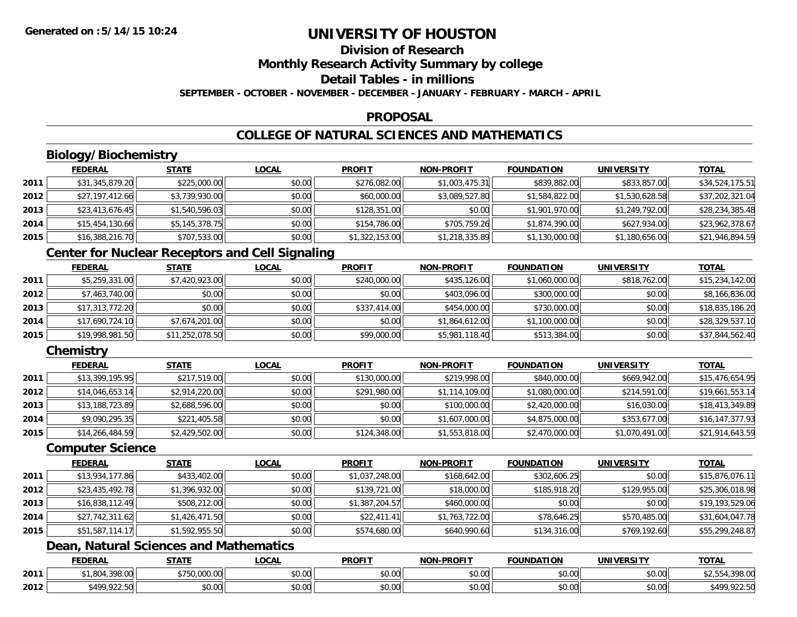# **Division of Research**

**Monthly Research Activity Summary by college**

## **Detail Tables - in millions**

**SEPTEMBER - OCTOBER - NOVEMBER - DECEMBER - JANUARY - FEBRUARY - MARCH - APRIL**

#### **PROPOSAL**

## **COLLEGE OF NATURAL SCIENCES AND MATHEMATICS**

## **Biology/Biochemistry**

|      | <b>FEDERAL</b>  | <b>STATE</b>   | <u>LOCAL</u> | <b>PROFIT</b>  | <b>NON-PROFIT</b> | <b>FOUNDATION</b> | <b>UNIVERSITY</b> | <b>TOTAL</b>    |
|------|-----------------|----------------|--------------|----------------|-------------------|-------------------|-------------------|-----------------|
| 2011 | \$31,345,879.20 | \$225,000.00   | \$0.00       | \$276,082.00   | \$1,003,475.31    | \$839,882.00      | \$833,857.00      | \$34,524,175.51 |
| 2012 | \$27,197,412.66 | \$3,739,930.00 | \$0.00       | \$60,000.00    | \$3,089,527.80    | \$1,584,822.00    | \$1,530,628.58    | \$37,202,321.04 |
| 2013 | \$23,413,676.45 | \$1,540,596.03 | \$0.00       | \$128,351.00   | \$0.00            | \$1,901,970.00    | \$1,249,792.00    | \$28,234,385.48 |
| 2014 | \$15,454,130.66 | \$5,145,378.75 | \$0.00       | \$154,786.00   | \$705,759.26      | \$1,874,390.00    | \$627,934.00      | \$23,962,378.67 |
| 2015 | \$16,388,216.70 | \$707,533.00   | \$0.00       | \$1,322,153.00 | \$1,218,335.89    | \$1,130,000.00    | \$1,180,656.00    | \$21,946,894.59 |

## **Center for Nuclear Receptors and Cell Signaling**

|      | <b>FEDERAL</b>  | <b>STATE</b>    | <b>LOCAL</b> | <b>PROFIT</b> | <b>NON-PROFIT</b> | <b>FOUNDATION</b> | <b>UNIVERSITY</b> | <b>TOTAL</b>    |
|------|-----------------|-----------------|--------------|---------------|-------------------|-------------------|-------------------|-----------------|
| 2011 | \$5,259,331.00  | \$7,420,923.00  | \$0.00       | \$240,000.00  | \$435,126.00      | \$1,060,000.00    | \$818,762.00      | \$15,234,142.00 |
| 2012 | \$7,463,740.00  | \$0.00          | \$0.00       | \$0.00        | \$403,096.00      | \$300,000.00      | \$0.00            | \$8,166,836.00  |
| 2013 | \$17,313,772.20 | \$0.00          | \$0.00       | \$337,414.00  | \$454,000.00      | \$730,000.00      | \$0.00            | \$18,835,186.20 |
| 2014 | \$17,690,724.10 | \$7,674,201.00  | \$0.00       | \$0.00        | \$1,864,612.00    | \$1,100,000.00    | \$0.00            | \$28,329,537.10 |
| 2015 | \$19,998,981.50 | \$11,252,078.50 | \$0.00       | \$99,000.00   | \$5,981,118.40    | \$513,384.00      | \$0.00            | \$37,844,562.40 |

## **Chemistry**

|      | <b>FEDERAL</b>  | <b>STATE</b>   | <b>LOCAL</b> | <b>PROFIT</b> | <b>NON-PROFIT</b> | <b>FOUNDATION</b> | <b>UNIVERSITY</b> | <b>TOTAL</b>    |
|------|-----------------|----------------|--------------|---------------|-------------------|-------------------|-------------------|-----------------|
| 2011 | \$13,399,195.95 | \$217,519.00   | \$0.00       | \$130,000.00  | \$219,998.00      | \$840,000.00      | \$669,942.00      | \$15,476,654.95 |
| 2012 | \$14,046,653.14 | \$2,914,220.00 | \$0.00       | \$291,980.00  | \$1,114,109.00    | \$1,080,000.00    | \$214,591.00      | \$19,661,553.14 |
| 2013 | \$13,188,723.89 | \$2,688,596.00 | \$0.00       | \$0.00        | \$100,000.00      | \$2,420,000.00    | \$16,030.00       | \$18,413,349.89 |
| 2014 | \$9,090,295.35  | \$221,405.58   | \$0.00       | \$0.00        | \$1,607,000.00    | \$4,875,000.00    | \$353,677.00      | \$16,147,377.93 |
| 2015 | \$14,266,484.59 | \$2,429,502.00 | \$0.00       | \$124,348.00  | \$1,553,818.00    | \$2,470,000.00    | \$1,070,491.00    | \$21,914,643.59 |

#### **Computer Science**

|      | <b>FEDERAL</b>  | <b>STATE</b>   | <u>LOCAL</u> | <b>PROFIT</b>  | <b>NON-PROFIT</b> | <b>FOUNDATION</b> | <b>UNIVERSITY</b> | <b>TOTAL</b>    |
|------|-----------------|----------------|--------------|----------------|-------------------|-------------------|-------------------|-----------------|
| 2011 | \$13,934,177.86 | \$433,402.00   | \$0.00       | \$1,037,248.00 | \$168,642.00      | \$302,606.25      | \$0.00            | \$15,876,076.11 |
| 2012 | \$23,435,492.78 | \$1,396,932.00 | \$0.00       | \$139,721.00   | \$18,000.00       | \$185,918.20      | \$129,955.00      | \$25,306,018.98 |
| 2013 | \$16,838,112.49 | \$508,212.00   | \$0.00       | \$1,387,204.57 | \$460,000.00      | \$0.00            | \$0.00            | \$19,193,529.06 |
| 2014 | \$27,742,311.62 | \$1,426,471.50 | \$0.00       | \$22,411.41    | \$1,763,722.00    | \$78,646.25       | \$570,485.00      | \$31,604,047.78 |
| 2015 | \$51,587,114.17 | \$1,592,955.50 | \$0.00       | \$574,680.00   | \$640,990.60      | \$134,316.00      | \$769,192.60      | \$55,299,248.87 |

## **Dean, Natural Sciences and Mathematics**

|      | <b>FEDERAL</b>               | <b>CTATE</b><br>3 I A I I | .OCAL              | <b>PROFIT</b> | <b>LPROFIT</b><br><b>NIONI</b>          | <b>FOUNDATION</b> | UNIVERSITY           | <b>TOTAL</b>                   |
|------|------------------------------|---------------------------|--------------------|---------------|-----------------------------------------|-------------------|----------------------|--------------------------------|
| 2011 | 1.2222<br>78.UU              | 00000<br>™.∪∪∪.∪∪         | $\sim$ 00<br>vv.vv | 0000<br>DU.UG | 0.00<br>DU.UU                           | \$0.00            | 0000<br>\$U.UU       | , J 70. UL                     |
| 2012 | <b>CAOO 022 50</b><br>722.JU | \$0.00                    | ሖ ∩<br>PU.UU       | 0000<br>DU.UG | $\circ$ $\circ$ $\circ$<br><b>DU.UU</b> | \$0.00            | 0000<br><b>DU.UU</b> | 0.225<br><b>¢100</b><br>722.JV |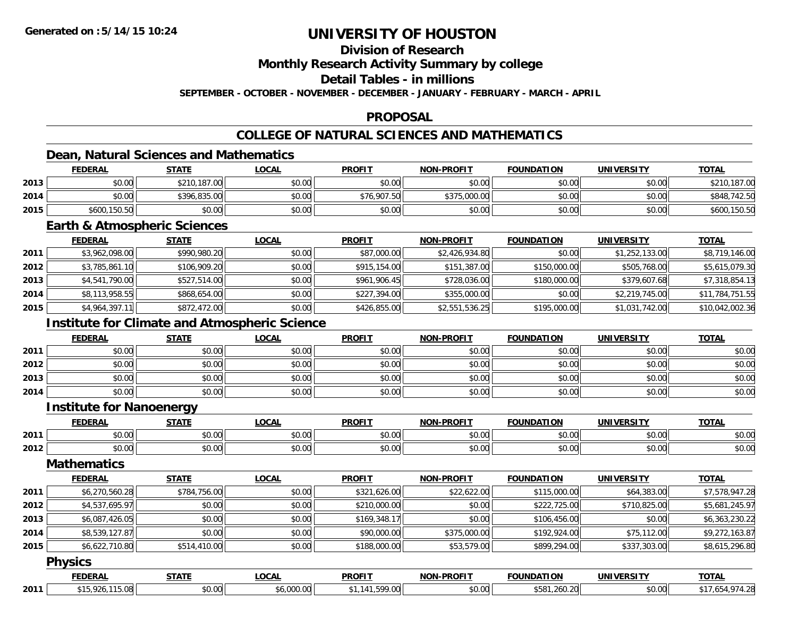## **Division of Research**

**Monthly Research Activity Summary by college**

**Detail Tables - in millions**

**SEPTEMBER - OCTOBER - NOVEMBER - DECEMBER - JANUARY - FEBRUARY - MARCH - APRIL**

#### **PROPOSAL**

## **COLLEGE OF NATURAL SCIENCES AND MATHEMATICS**

## **Dean, Natural Sciences and Mathematics**

|      | <b>FEDERAL</b> | <b>STATE</b> | <u>LOCAL</u> | <b>PROFIT</b> | <b>NON-PROFIT</b> | <b>FOUNDATION</b> | <b>UNIVERSITY</b> | <b>TOTAL</b> |
|------|----------------|--------------|--------------|---------------|-------------------|-------------------|-------------------|--------------|
| 2013 | \$0.00         | \$210,187.00 | \$0.00       | \$0.00        | \$0.00            | \$0.00            | \$0.00            | \$210,187.00 |
| 2014 | \$0.00         | \$396,835,00 | \$0.00       | \$76,907.50   | \$375,000.00      | \$0.00            | \$0.00            | \$848,742.50 |
| 2015 | \$600,150.50   | \$0.00       | \$0.00       | \$0.00        | \$0.00            | \$0.00            | \$0.00            | \$600,150.50 |

#### **Earth & Atmospheric Sciences**

|      | <b>FEDERAL</b> | <b>STATE</b> | <b>LOCAL</b> | <b>PROFIT</b> | <b>NON-PROFIT</b> | <b>FOUNDATION</b> | <b>UNIVERSITY</b> | <b>TOTAL</b>    |
|------|----------------|--------------|--------------|---------------|-------------------|-------------------|-------------------|-----------------|
| 2011 | \$3,962,098.00 | \$990,980.20 | \$0.00       | \$87,000.00   | \$2,426,934.80    | \$0.00            | \$1,252,133.00    | \$8,719,146.00  |
| 2012 | \$3,785,861.10 | \$106,909.20 | \$0.00       | \$915,154.00  | \$151,387.00      | \$150,000.00      | \$505,768.00      | \$5,615,079.30  |
| 2013 | \$4,541,790.00 | \$527,514.00 | \$0.00       | \$961,906.45  | \$728,036.00      | \$180,000.00      | \$379,607.68      | \$7,318,854.13  |
| 2014 | \$8,113,958.55 | \$868,654.00 | \$0.00       | \$227,394.00  | \$355,000.00      | \$0.00            | \$2,219,745.00    | \$11,784,751.55 |
| 2015 | \$4,964,397.11 | \$872,472.00 | \$0.00       | \$426,855.00  | \$2,551,536.25    | \$195,000.00      | \$1,031,742.00    | \$10,042,002.36 |

## **Institute for Climate and Atmospheric Science**

|      | <b>FEDERAL</b> | <b>STATE</b> | <b>LOCAL</b> | <b>PROFIT</b> | <b>NON-PROFIT</b> | FOUNDATION | <b>UNIVERSITY</b> | <b>TOTAL</b> |
|------|----------------|--------------|--------------|---------------|-------------------|------------|-------------------|--------------|
| 2011 | \$0.00         | \$0.00       | \$0.00       | \$0.00        | \$0.00            | \$0.00     | \$0.00            | \$0.00       |
| 2012 | \$0.00         | \$0.00       | \$0.00       | \$0.00        | \$0.00            | \$0.00     | \$0.00            | \$0.00       |
| 2013 | \$0.00         | \$0.00       | \$0.00       | \$0.00        | \$0.00            | \$0.00     | \$0.00            | \$0.00       |
| 2014 | \$0.00         | \$0.00       | \$0.00       | \$0.00        | \$0.00            | \$0.00     | \$0.00            | \$0.00       |

#### **Institute for Nanoenergy**

|      | <b>FEDERAL</b> | <b>STATE</b> | $\sim$<br>.UUAL | <b>PROFIT</b> | -PROFIT<br>NON- | <b>FOUNDATION</b> | <b>IINIVERSITY</b> | $T$ $T$       |
|------|----------------|--------------|-----------------|---------------|-----------------|-------------------|--------------------|---------------|
| 2011 | 0000           | ტი იი        | 0.00            | $\sim$ $\sim$ | 0.00            | $\sim$ $\sim$     | $\sim$ 00          | $\sim$ $\sim$ |
|      | DU.UU          | JU.UU        | וטטוע           | JU.UU         | JU.UU           | JU.UU             | JU.UU              | DU.UU         |
|      | 0000           | \$0.00       | $\sim$ 00       | 0.00          | 0.00            | 0.00              | ልስ ሀህ              | $\sim$ $\sim$ |
| 2012 | DU.UG          |              | pu.uu           | vv.vv         | JU.UU           | J∪.∪∪             | JU.UU              | ง∪.∪บ         |

#### **Mathematics**

|      | <b>FEDERAL</b> | <b>STATE</b> | LOCAL  | <b>PROFIT</b> | <b>NON-PROFIT</b> | <b>FOUNDATION</b> | <b>UNIVERSITY</b> | <b>TOTAL</b>   |
|------|----------------|--------------|--------|---------------|-------------------|-------------------|-------------------|----------------|
| 2011 | \$6,270,560.28 | \$784,756.00 | \$0.00 | \$321,626.00  | \$22,622.00       | \$115,000.00      | \$64,383.00       | \$7,578,947.28 |
| 2012 | \$4,537,695.97 | \$0.00       | \$0.00 | \$210,000.00  | \$0.00            | \$222,725.00      | \$710,825.00      | \$5,681,245.97 |
| 2013 | \$6,087,426.05 | \$0.00       | \$0.00 | \$169,348.17  | \$0.00            | \$106,456.00      | \$0.00            | \$6,363,230.22 |
| 2014 | \$8,539,127.87 | \$0.00       | \$0.00 | \$90,000.00   | \$375,000.00      | \$192,924.00      | \$75,112.00       | \$9,272,163.87 |
| 2015 | \$6,622,710.80 | \$514,410.00 | \$0.00 | \$188,000.00  | \$53,579.00       | \$899,294.00      | \$337,303.00      | \$8,615,296.80 |

#### **Physics**

|      | <b>FEDERAI</b> | CTATL<br>$\cdots$ | $\sim$<br>.uuni | <b>PROFIT</b> | <b>PROFIT</b><br>៶៲៱៲ | <b>FOUNDAT</b><br>----<br>. I OP    | <b>UNIVERSITY</b>  | <b>TOTAL</b> |
|------|----------------|-------------------|-----------------|---------------|-----------------------|-------------------------------------|--------------------|--------------|
| 2011 | 0.08<br>ີດາ⊾   | 0000<br>ง∪.∪บ     | $\sim$          | $\sim$<br>.   | nn nn<br><b>DU.UU</b> | $\sim$ $\sim$ $\sim$<br>260.<br>ነጋŏ | $\sim$ 00<br>JU.UU | ╶╌           |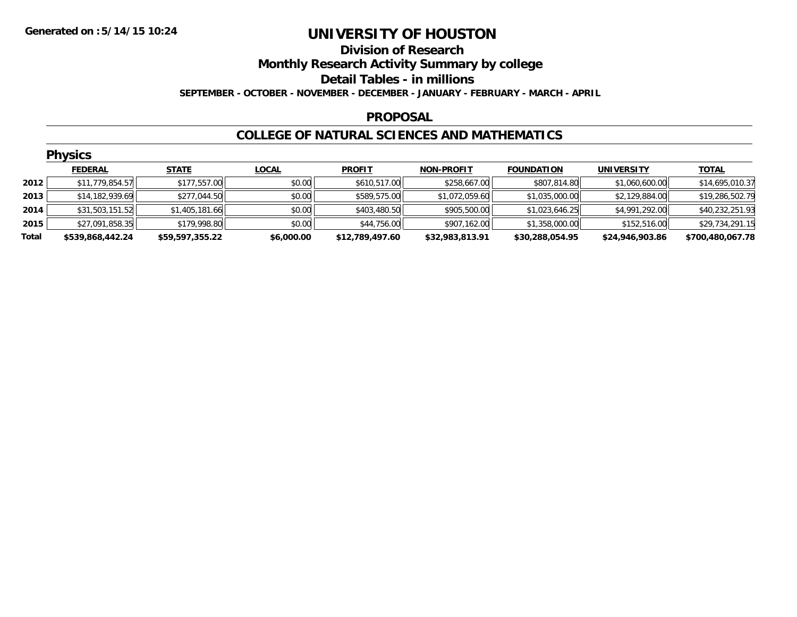#### **Division of Research Monthly Research Activity Summary by college Detail Tables - in millions SEPTEMBER - OCTOBER - NOVEMBER - DECEMBER - JANUARY - FEBRUARY - MARCH - APRIL**

#### **PROPOSAL**

#### **COLLEGE OF NATURAL SCIENCES AND MATHEMATICS**

|       | <b>Physics</b>   |                 |              |                 |                   |                   |                   |                  |  |  |  |  |
|-------|------------------|-----------------|--------------|-----------------|-------------------|-------------------|-------------------|------------------|--|--|--|--|
|       | <b>FEDERAL</b>   | <b>STATE</b>    | <b>LOCAL</b> | <b>PROFIT</b>   | <b>NON-PROFIT</b> | <b>FOUNDATION</b> | <b>UNIVERSITY</b> | <b>TOTAL</b>     |  |  |  |  |
| 2012  | \$11,779,854.57  | \$177,557.00    | \$0.00       | \$610,517.00    | \$258,667.00      | \$807,814.80      | \$1,060,600.00    | \$14,695,010.37  |  |  |  |  |
| 2013  | \$14,182,939.69  | \$277,044.50    | \$0.00       | \$589,575.00    | \$1,072,059.60    | \$1,035,000.00    | \$2,129,884.00    | \$19,286,502.79  |  |  |  |  |
| 2014  | \$31,503,151.52  | \$1,405,181.66  | \$0.00       | \$403,480.50    | \$905,500.00      | \$1,023,646.25    | \$4,991,292.00    | \$40,232,251.93  |  |  |  |  |
| 2015  | \$27,091,858.35  | \$179,998.80    | \$0.00       | \$44,756.00     | \$907,162.00      | \$1,358,000.00    | \$152,516.00      | \$29,734,291.15  |  |  |  |  |
| Total | \$539,868,442.24 | \$59,597,355.22 | \$6,000.00   | \$12,789,497.60 | \$32,983,813.91   | \$30,288,054.95   | \$24,946,903.86   | \$700,480,067.78 |  |  |  |  |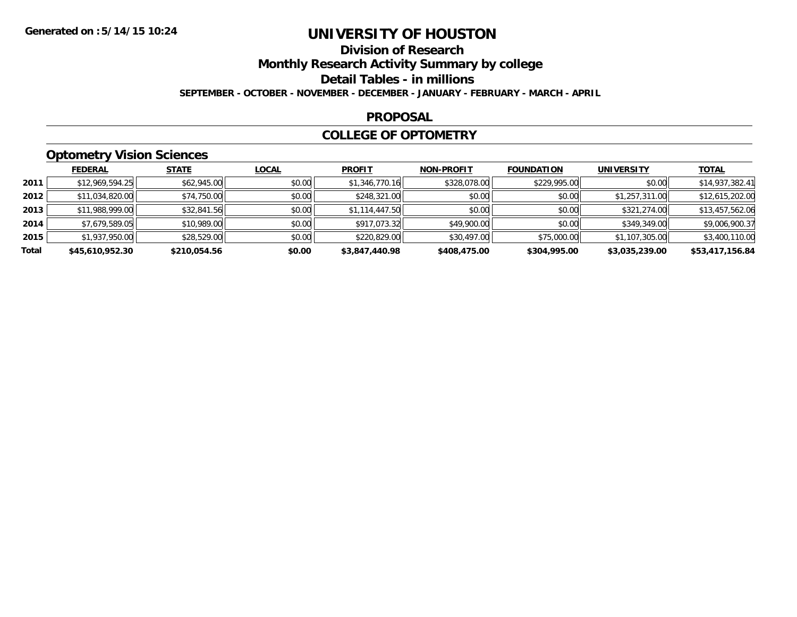# **Division of Research**

**Monthly Research Activity Summary by college**

**Detail Tables - in millions**

**SEPTEMBER - OCTOBER - NOVEMBER - DECEMBER - JANUARY - FEBRUARY - MARCH - APRIL**

#### **PROPOSAL**

#### **COLLEGE OF OPTOMETRY**

## **Optometry Vision Sciences**

|       | <b>FEDERAL</b>  | <b>STATE</b> | <u>LOCAL</u> | <b>PROFIT</b>  | <b>NON-PROFIT</b> | <b>FOUNDATION</b> | <b>UNIVERSITY</b> | <u>TOTAL</u>    |
|-------|-----------------|--------------|--------------|----------------|-------------------|-------------------|-------------------|-----------------|
| 2011  | \$12,969,594.25 | \$62,945.00  | \$0.00       | \$1,346,770.16 | \$328,078.00      | \$229,995.00      | \$0.00            | \$14,937,382.41 |
| 2012  | \$11,034,820.00 | \$74,750.00  | \$0.00       | \$248,321.00   | \$0.00            | \$0.00            | \$1,257,311.00    | \$12,615,202.00 |
| 2013  | \$11,988,999.00 | \$32,841.56  | \$0.00       | \$1,114,447.50 | \$0.00            | \$0.00            | \$321,274.00      | \$13,457,562.06 |
| 2014  | \$7,679,589.05  | \$10,989.00  | \$0.00       | \$917,073.32   | \$49,900.00       | \$0.00            | \$349,349.00      | \$9,006,900.37  |
| 2015  | \$1,937,950.00  | \$28,529.00  | \$0.00       | \$220,829.00   | \$30,497.00       | \$75,000.00       | \$1,107,305.00    | \$3,400,110.00  |
| Total | \$45,610,952.30 | \$210,054.56 | \$0.00       | \$3,847,440.98 | \$408,475.00      | \$304,995.00      | \$3,035,239.00    | \$53,417,156.84 |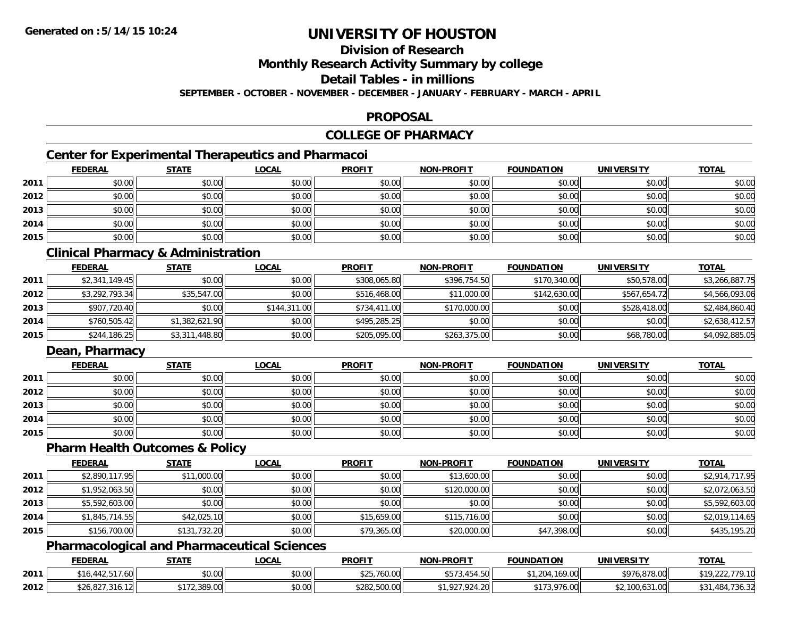## **Division of Research**

**Monthly Research Activity Summary by college**

**Detail Tables - in millions**

**SEPTEMBER - OCTOBER - NOVEMBER - DECEMBER - JANUARY - FEBRUARY - MARCH - APRIL**

#### **PROPOSAL**

# **COLLEGE OF PHARMACY**

## **Center for Experimental Therapeutics and Pharmacoi**

|      | <b>FEDERAL</b> | <b>STATE</b> | <b>LOCAL</b> | <b>PROFIT</b> | <b>NON-PROFIT</b> | <b>FOUNDATION</b> | <b>UNIVERSITY</b> | <b>TOTAL</b> |
|------|----------------|--------------|--------------|---------------|-------------------|-------------------|-------------------|--------------|
| 2011 | \$0.00         | \$0.00       | \$0.00       | \$0.00        | \$0.00            | \$0.00            | \$0.00            | \$0.00       |
| 2012 | \$0.00         | \$0.00       | \$0.00       | \$0.00        | \$0.00            | \$0.00            | \$0.00            | \$0.00       |
| 2013 | \$0.00         | \$0.00       | \$0.00       | \$0.00        | \$0.00            | \$0.00            | \$0.00            | \$0.00       |
| 2014 | \$0.00         | \$0.00       | \$0.00       | \$0.00        | \$0.00            | \$0.00            | \$0.00            | \$0.00       |
| 2015 | \$0.00         | \$0.00       | \$0.00       | \$0.00        | \$0.00            | \$0.00            | \$0.00            | \$0.00       |

## **Clinical Pharmacy & Administration**

|      | <u>FEDERAL</u> | <u>STATE</u>   | <b>LOCAL</b> | <b>PROFIT</b> | <b>NON-PROFIT</b> | <b>FOUNDATION</b> | <b>UNIVERSITY</b> | <b>TOTAL</b>   |
|------|----------------|----------------|--------------|---------------|-------------------|-------------------|-------------------|----------------|
| 2011 | \$2,341,149.45 | \$0.00         | \$0.00       | \$308,065.80  | \$396,754.50      | \$170,340.00      | \$50,578.00       | \$3,266,887.75 |
| 2012 | \$3,292,793.34 | \$35,547.00    | \$0.00       | \$516,468.00  | \$11,000.00       | \$142,630.00      | \$567,654.72      | \$4,566,093.06 |
| 2013 | \$907,720.40   | \$0.00         | \$144,311.00 | \$734,411.00  | \$170,000.00      | \$0.00            | \$528,418.00      | \$2,484,860.40 |
| 2014 | \$760,505.42   | \$1,382,621.90 | \$0.00       | \$495,285.25  | \$0.00            | \$0.00            | \$0.00            | \$2,638,412.57 |
| 2015 | \$244,186.25   | \$3,311,448.80 | \$0.00       | \$205,095.00  | \$263,375.00      | \$0.00            | \$68,780.00       | \$4,092,885.05 |

## **Dean, Pharmacy**

|      | <b>FEDERAL</b> | <b>STATE</b> | <u>LOCAL</u> | <b>PROFIT</b> | <b>NON-PROFIT</b> | <b>FOUNDATION</b> | <b>UNIVERSITY</b> | <b>TOTAL</b> |
|------|----------------|--------------|--------------|---------------|-------------------|-------------------|-------------------|--------------|
| 2011 | \$0.00         | \$0.00       | \$0.00       | \$0.00        | \$0.00            | \$0.00            | \$0.00            | \$0.00       |
| 2012 | \$0.00         | \$0.00       | \$0.00       | \$0.00        | \$0.00            | \$0.00            | \$0.00            | \$0.00       |
| 2013 | \$0.00         | \$0.00       | \$0.00       | \$0.00        | \$0.00            | \$0.00            | \$0.00            | \$0.00       |
| 2014 | \$0.00         | \$0.00       | \$0.00       | \$0.00        | \$0.00            | \$0.00            | \$0.00            | \$0.00       |
| 2015 | \$0.00         | \$0.00       | \$0.00       | \$0.00        | \$0.00            | \$0.00            | \$0.00            | \$0.00       |

#### **Pharm Health Outcomes & Policy**

|      | <b>FEDERAL</b> | <b>STATE</b> | <b>LOCAL</b> | <b>PROFIT</b> | <b>NON-PROFIT</b> | <b>FOUNDATION</b> | <b>UNIVERSITY</b> | <b>TOTAL</b>   |
|------|----------------|--------------|--------------|---------------|-------------------|-------------------|-------------------|----------------|
| 2011 | \$2,890,117.95 | \$11,000.00  | \$0.00       | \$0.00        | \$13,600.00       | \$0.00            | \$0.00            | \$2,914,717.95 |
| 2012 | \$1,952,063.50 | \$0.00       | \$0.00       | \$0.00        | \$120,000.00      | \$0.00            | \$0.00            | \$2,072,063.50 |
| 2013 | \$5,592,603.00 | \$0.00       | \$0.00       | \$0.00        | \$0.00            | \$0.00            | \$0.00            | \$5,592,603.00 |
| 2014 | \$1,845,714.55 | \$42,025.10  | \$0.00       | \$15,659.00   | \$115,716.00      | \$0.00            | \$0.00            | \$2,019,114.65 |
| 2015 | \$156,700.00   | \$131,732.20 | \$0.00       | \$79,365.00   | \$20,000.00       | \$47,398.00       | \$0.00            | \$435,195.20   |

#### **Pharmacological and Pharmaceutical Sciences**

|      | <b>FEDERAL</b>                   | <b>STATE</b> | _OCAL          | <b>PROFIT</b>                         | <b>NON-PROFIT</b>                     | <b>FOUNDATION</b> | UNIVERSITY             | <b>TOTAL</b>      |
|------|----------------------------------|--------------|----------------|---------------------------------------|---------------------------------------|-------------------|------------------------|-------------------|
| 2011 | 442.5<br>$\sqrt{ }$<br>Ιt<br>.ou | \$0.00       | nn no<br>pu.uu | $A \cap F$ $\exists t$<br>\$25,760.00 | $+ - - -$<br>l.50<br>$\sim$<br>DI J.4 | ,169.00           | \$976,878.00           | .779.10           |
| 2012 | ა.827<br>ا ا∠ا 5، اک، .          | 2.389.00     | \$0.00         | \$282,500.00                          | $\sim$ $\sim$ $\sim$<br>$+.20$        | 3.976.00          | 1210<br>\$2,100,631.00 | \$31,484,<br>∠טטי |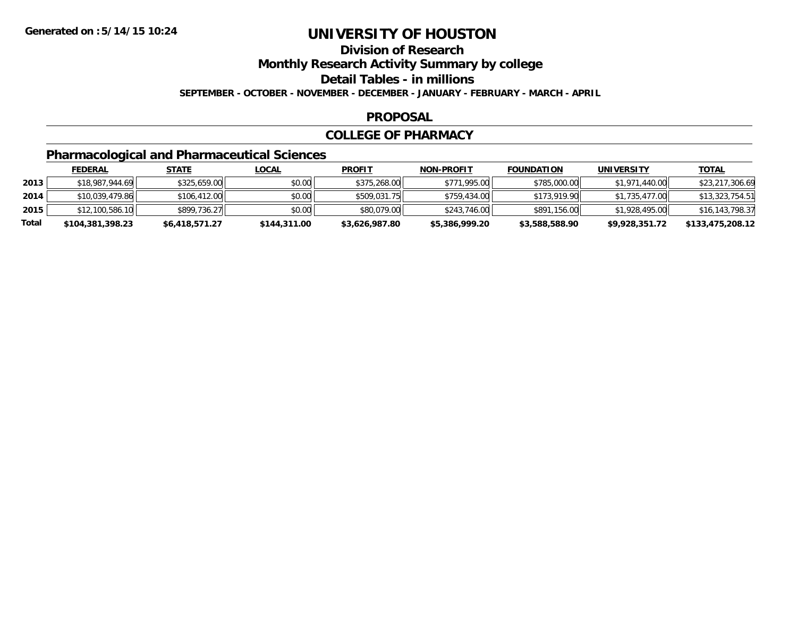**Division of Research**

**Monthly Research Activity Summary by college**

**Detail Tables - in millions**

**SEPTEMBER - OCTOBER - NOVEMBER - DECEMBER - JANUARY - FEBRUARY - MARCH - APRIL**

#### **PROPOSAL**

#### **COLLEGE OF PHARMACY**

## **Pharmacological and Pharmaceutical Sciences**

|       | <u>FEDERAL</u>   | <u>STATE</u>   | <u>LOCAL</u> | <b>PROFIT</b>  | <b>NON-PROFIT</b> | <b>FOUNDATION</b> | UNIVERSITY     | <u>TOTAL</u>     |
|-------|------------------|----------------|--------------|----------------|-------------------|-------------------|----------------|------------------|
| 2013  | \$18,987,944.69  | \$325,659.00   | \$0.00       | \$375,268,00   | \$771,995.00      | \$785,000.00      | \$1,971,440.00 | \$23,217,306.69  |
| 2014  | \$10,039,479.86  | \$106,412.00   | \$0.00       | \$509,031.75   | \$759,434.00      | \$173,919.90      | \$1,735,477,00 | \$13,323,754.51  |
| 2015  | \$12,100,586.10  | \$899,736.27   | \$0.00       | \$80,079,00    | \$243,746,00      | \$891,156,00      | \$1,928,495.00 | \$16,143,798.37  |
| Total | \$104,381,398.23 | \$6,418,571.27 | \$144,311.00 | \$3,626,987.80 | \$5,386,999.20    | \$3,588,588.90    | \$9,928,351.72 | \$133,475,208.12 |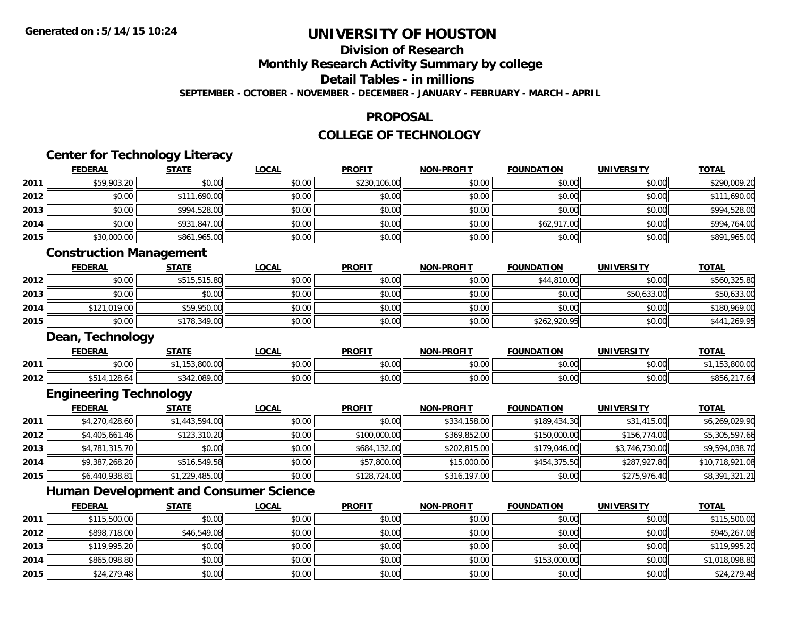**2015**

# **UNIVERSITY OF HOUSTON**

# **Division of Research**

**Monthly Research Activity Summary by college**

**Detail Tables - in millions**

**SEPTEMBER - OCTOBER - NOVEMBER - DECEMBER - JANUARY - FEBRUARY - MARCH - APRIL**

#### **PROPOSAL**

#### **COLLEGE OF TECHNOLOGY**

|      | <b>Center for Technology Literacy</b><br><b>FEDERAL</b> | <b>STATE</b>   | <b>LOCAL</b> | <b>PROFIT</b> | <b>NON-PROFIT</b> | <b>FOUNDATION</b> | <b>UNIVERSITY</b> | <b>TOTAL</b>    |
|------|---------------------------------------------------------|----------------|--------------|---------------|-------------------|-------------------|-------------------|-----------------|
| 2011 | \$59,903.20                                             | \$0.00         | \$0.00       | \$230,106.00  | \$0.00            | \$0.00            | \$0.00            | \$290,009.20    |
| 2012 | \$0.00                                                  | \$111,690.00   | \$0.00       | \$0.00        | \$0.00            | \$0.00            | \$0.00            |                 |
|      |                                                         |                |              |               |                   |                   |                   | \$111,690.00    |
| 2013 | \$0.00                                                  | \$994,528.00   | \$0.00       | \$0.00        | \$0.00            | \$0.00            | \$0.00            | \$994,528.00    |
| 2014 | \$0.00                                                  | \$931,847.00   | \$0.00       | \$0.00        | \$0.00            | \$62,917.00       | \$0.00            | \$994,764.00    |
| 2015 | \$30,000.00                                             | \$861,965.00   | \$0.00       | \$0.00        | \$0.00            | \$0.00            | \$0.00            | \$891,965.00    |
|      | <b>Construction Management</b>                          |                |              |               |                   |                   |                   |                 |
|      | <b>FEDERAL</b>                                          | <b>STATE</b>   | <b>LOCAL</b> | <b>PROFIT</b> | <b>NON-PROFIT</b> | <b>FOUNDATION</b> | <b>UNIVERSITY</b> | <b>TOTAL</b>    |
| 2012 | \$0.00                                                  | \$515,515.80   | \$0.00       | \$0.00        | \$0.00            | \$44,810.00       | \$0.00            | \$560,325.80    |
| 2013 | \$0.00                                                  | \$0.00         | \$0.00       | \$0.00        | \$0.00            | \$0.00            | \$50,633.00       | \$50,633.00     |
| 2014 | \$121,019.00                                            | \$59,950.00    | \$0.00       | \$0.00        | \$0.00            | \$0.00            | \$0.00            | \$180,969.00    |
| 2015 | \$0.00                                                  | \$178,349.00   | \$0.00       | \$0.00        | \$0.00            | \$262,920.95      | \$0.00            | \$441,269.95    |
|      | Dean, Technology                                        |                |              |               |                   |                   |                   |                 |
|      | <b>FEDERAL</b>                                          | <b>STATE</b>   | <b>LOCAL</b> | <b>PROFIT</b> | <b>NON-PROFIT</b> | <b>FOUNDATION</b> | <b>UNIVERSITY</b> | <b>TOTAL</b>    |
| 2011 | \$0.00                                                  | \$1,153,800.00 | \$0.00       | \$0.00        | \$0.00            | \$0.00            | \$0.00            | \$1,153,800.00  |
| 2012 | \$514,128.64                                            | \$342,089.00   | \$0.00       | \$0.00        | \$0.00            | \$0.00            | \$0.00            | \$856,217.64    |
|      | <b>Engineering Technology</b>                           |                |              |               |                   |                   |                   |                 |
|      | <b>FEDERAL</b>                                          | <b>STATE</b>   | <b>LOCAL</b> | <b>PROFIT</b> | <b>NON-PROFIT</b> | <b>FOUNDATION</b> | <b>UNIVERSITY</b> | <b>TOTAL</b>    |
| 2011 | \$4,270,428.60                                          | \$1,443,594.00 | \$0.00       | \$0.00        | \$334,158.00      | \$189,434.30      | \$31,415.00       | \$6,269,029.90  |
| 2012 | \$4,405,661.46                                          | \$123,310.20   | \$0.00       | \$100,000.00  | \$369,852.00      | \$150,000.00      | \$156,774.00      | \$5,305,597.66  |
| 2013 | \$4,781,315.70                                          | \$0.00         | \$0.00       | \$684,132.00  | \$202,815.00      | \$179,046.00      | \$3,746,730.00    | \$9,594,038.70  |
| 2014 | \$9,387,268.20                                          | \$516,549.58   | \$0.00       | \$57,800.00   | \$15,000.00       | \$454,375.50      | \$287,927.80      | \$10,718,921.08 |
| 2015 | \$6,440,938.81                                          | \$1,229,485.00 | \$0.00       | \$128,724.00  | \$316,197.00      | \$0.00            | \$275,976.40      | \$8,391,321.21  |
|      | <b>Human Development and Consumer Science</b>           |                |              |               |                   |                   |                   |                 |
|      | <b>FEDERAL</b>                                          | <b>STATE</b>   | <b>LOCAL</b> | <b>PROFIT</b> | <b>NON-PROFIT</b> | <b>FOUNDATION</b> | <b>UNIVERSITY</b> | <b>TOTAL</b>    |
| 2011 | \$115,500.00                                            | \$0.00         | \$0.00       | \$0.00        | \$0.00            | \$0.00            | \$0.00            | \$115,500.00    |
| 2012 | \$898,718.00                                            | \$46,549.08    | \$0.00       | \$0.00        | \$0.00            | \$0.00            | \$0.00            | \$945,267.08    |
| 2013 | \$119,995.20                                            | \$0.00         | \$0.00       | \$0.00        | \$0.00            | \$0.00            | \$0.00            | \$119,995.20    |
|      |                                                         |                |              |               |                   |                   |                   |                 |

\$24,279.48 \$0.00 \$0.00 \$0.00 \$0.00 \$0.00 \$0.00 \$24,279.48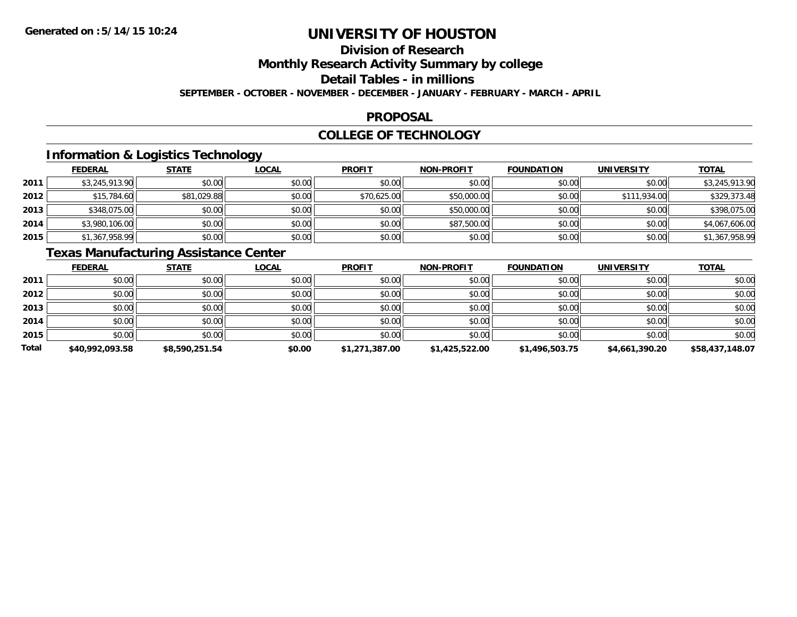# **Division of Research**

**Monthly Research Activity Summary by college**

**Detail Tables - in millions**

**SEPTEMBER - OCTOBER - NOVEMBER - DECEMBER - JANUARY - FEBRUARY - MARCH - APRIL**

#### **PROPOSAL**

#### **COLLEGE OF TECHNOLOGY**

## **Information & Logistics Technology**

|      | <b>FEDERAL</b> | <b>STATE</b> | <b>LOCAL</b> | <b>PROFIT</b> | <b>NON-PROFIT</b> | <b>FOUNDATION</b> | <b>UNIVERSITY</b> | <b>TOTAL</b>   |
|------|----------------|--------------|--------------|---------------|-------------------|-------------------|-------------------|----------------|
| 2011 | \$3,245,913.90 | \$0.00       | \$0.00       | \$0.00        | \$0.00            | \$0.00            | \$0.00            | \$3,245,913.90 |
| 2012 | \$15,784.60    | \$81,029.88  | \$0.00       | \$70,625.00   | \$50,000.00       | \$0.00            | \$111,934,00      | \$329,373.48   |
| 2013 | \$348,075.00   | \$0.00       | \$0.00       | \$0.00        | \$50,000.00       | \$0.00            | \$0.00            | \$398,075.00   |
| 2014 | \$3,980,106.00 | \$0.00       | \$0.00       | \$0.00        | \$87,500.00       | \$0.00            | \$0.00            | \$4,067,606.00 |
| 2015 | \$1,367,958.99 | \$0.00       | \$0.00       | \$0.00        | \$0.00            | \$0.00            | \$0.00            | \$1,367,958.99 |

# **Texas Manufacturing Assistance Center**

|              | <b>FEDERAL</b>  | <b>STATE</b>   | <u>LOCAL</u> | <b>PROFIT</b>  | <b>NON-PROFIT</b> | <b>FOUNDATION</b> | <b>UNIVERSITY</b> | <b>TOTAL</b>    |
|--------------|-----------------|----------------|--------------|----------------|-------------------|-------------------|-------------------|-----------------|
| 2011         | \$0.00          | \$0.00         | \$0.00       | \$0.00         | \$0.00            | \$0.00            | \$0.00            | \$0.00          |
| 2012         | \$0.00          | \$0.00         | \$0.00       | \$0.00         | \$0.00            | \$0.00            | \$0.00            | \$0.00          |
| 2013         | \$0.00          | \$0.00         | \$0.00       | \$0.00         | \$0.00            | \$0.00            | \$0.00            | \$0.00          |
| 2014         | \$0.00          | \$0.00         | \$0.00       | \$0.00         | \$0.00            | \$0.00            | \$0.00            | \$0.00          |
| 2015         | \$0.00          | \$0.00         | \$0.00       | \$0.00         | \$0.00            | \$0.00            | \$0.00            | \$0.00          |
| <b>Total</b> | \$40,992,093.58 | \$8,590,251.54 | \$0.00       | \$1,271,387.00 | \$1,425,522.00    | \$1,496,503.75    | \$4,661,390.20    | \$58,437,148.07 |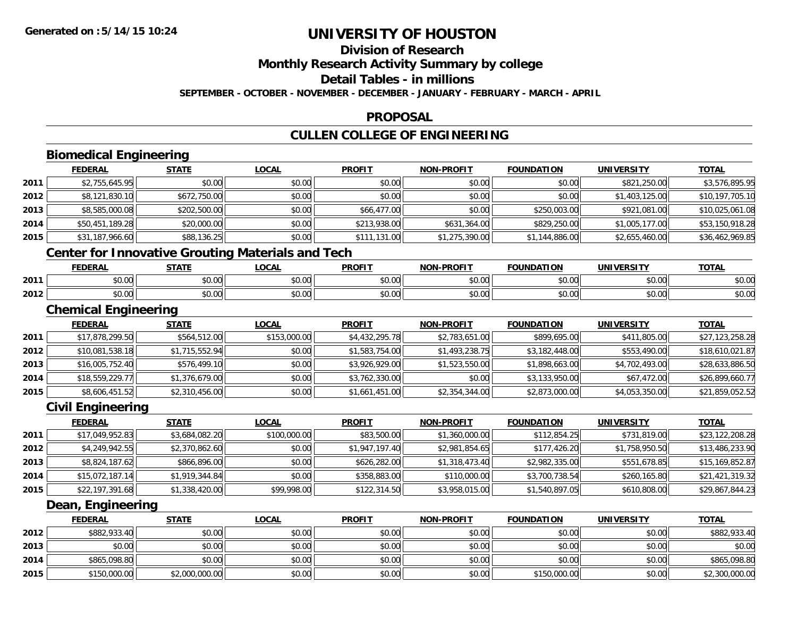## **Division of Research**

**Monthly Research Activity Summary by college**

**Detail Tables - in millions**

**SEPTEMBER - OCTOBER - NOVEMBER - DECEMBER - JANUARY - FEBRUARY - MARCH - APRIL**

#### **PROPOSAL**

## **CULLEN COLLEGE OF ENGINEERING**

|      | <b>Biomedical Engineering</b>                            |                |              |                |                   |                   |                   |                 |
|------|----------------------------------------------------------|----------------|--------------|----------------|-------------------|-------------------|-------------------|-----------------|
|      | <b>FEDERAL</b>                                           | <b>STATE</b>   | <b>LOCAL</b> | <b>PROFIT</b>  | <b>NON-PROFIT</b> | <b>FOUNDATION</b> | <b>UNIVERSITY</b> | <b>TOTAL</b>    |
| 2011 | \$2,755,645.95                                           | \$0.00         | \$0.00       | \$0.00         | \$0.00            | \$0.00            | \$821,250.00      | \$3,576,895.95  |
| 2012 | \$8,121,830.10                                           | \$672,750.00   | \$0.00       | \$0.00         | \$0.00            | \$0.00            | \$1,403,125.00    | \$10,197,705.10 |
| 2013 | \$8,585,000.08                                           | \$202,500.00   | \$0.00       | \$66,477.00    | \$0.00            | \$250,003.00      | \$921,081.00      | \$10,025,061.08 |
| 2014 | \$50,451,189.28                                          | \$20,000.00    | \$0.00       | \$213,938.00   | \$631,364.00      | \$829,250.00      | \$1,005,177.00    | \$53,150,918.28 |
| 2015 | \$31,187,966.60                                          | \$88,136.25    | \$0.00       | \$111,131.00   | \$1,275,390.00    | \$1,144,886.00    | \$2,655,460.00    | \$36,462,969.85 |
|      | <b>Center for Innovative Grouting Materials and Tech</b> |                |              |                |                   |                   |                   |                 |
|      | <b>FEDERAL</b>                                           | <b>STATE</b>   | <b>LOCAL</b> | <b>PROFIT</b>  | <b>NON-PROFIT</b> | <b>FOUNDATION</b> | <b>UNIVERSITY</b> | <b>TOTAL</b>    |
| 2011 | \$0.00                                                   | \$0.00         | \$0.00       | \$0.00         | \$0.00            | \$0.00            | \$0.00            | \$0.00          |
| 2012 | \$0.00                                                   | \$0.00         | \$0.00       | \$0.00         | \$0.00            | \$0.00            | \$0.00            | \$0.00          |
|      | <b>Chemical Engineering</b>                              |                |              |                |                   |                   |                   |                 |
|      | <b>FEDERAL</b>                                           | <b>STATE</b>   | <b>LOCAL</b> | <b>PROFIT</b>  | <b>NON-PROFIT</b> | <b>FOUNDATION</b> | <b>UNIVERSITY</b> | <b>TOTAL</b>    |
| 2011 | \$17,878,299.50                                          | \$564,512.00   | \$153,000.00 | \$4,432,295.78 | \$2,783,651.00    | \$899,695.00      | \$411,805.00      | \$27,123,258.28 |
| 2012 | \$10,081,538.18                                          | \$1,715,552.94 | \$0.00       | \$1,583,754.00 | \$1,493,238.75    | \$3,182,448.00    | \$553,490.00      | \$18,610,021.87 |
| 2013 | \$16,005,752.40                                          | \$576,499.10   | \$0.00       | \$3,926,929.00 | \$1,523,550.00    | \$1,898,663.00    | \$4,702,493.00    | \$28,633,886.50 |
| 2014 | \$18,559,229.77                                          | \$1,376,679.00 | \$0.00       | \$3,762,330.00 | \$0.00            | \$3,133,950.00    | \$67,472.00       | \$26,899,660.77 |
| 2015 | \$8,606,451.52                                           | \$2,310,456.00 | \$0.00       | \$1,661,451.00 | \$2,354,344.00    | \$2,873,000.00    | \$4,053,350.00    | \$21,859,052.52 |
|      | <b>Civil Engineering</b>                                 |                |              |                |                   |                   |                   |                 |
|      | <b>FEDERAL</b>                                           | <b>STATE</b>   | <b>LOCAL</b> | <b>PROFIT</b>  | <b>NON-PROFIT</b> | <b>FOUNDATION</b> | <b>UNIVERSITY</b> | <b>TOTAL</b>    |
| 2011 | \$17,049,952.83                                          | \$3,684,082.20 | \$100,000.00 | \$83,500.00    | \$1,360,000.00    | \$112,854.25      | \$731,819.00      | \$23,122,208.28 |
| 2012 | \$4,249,942.55                                           | \$2,370,862.60 | \$0.00       | \$1,947,197.40 | \$2,981,854.65    | \$177,426.20      | \$1,758,950.50    | \$13,486,233.90 |
| 2013 | \$8,824,187.62                                           | \$866,896.00   | \$0.00       | \$626,282.00   | \$1,318,473.40    | \$2,982,335.00    | \$551,678.85      | \$15,169,852.87 |
| 2014 | \$15,072,187.14                                          | \$1,919,344.84 | \$0.00       | \$358,883.00   | \$110,000.00      | \$3,700,738.54    | \$260,165.80      | \$21,421,319.32 |
| 2015 | \$22,197,391.68                                          | \$1,338,420.00 | \$99,998.00  | \$122,314.50   | \$3,958,015.00    | \$1,540,897.05    | \$610,808.00      | \$29,867,844.23 |
|      | Dean, Engineering                                        |                |              |                |                   |                   |                   |                 |
|      | <b>FEDERAL</b>                                           | <b>STATE</b>   | <b>LOCAL</b> | <b>PROFIT</b>  | <b>NON-PROFIT</b> | <b>FOUNDATION</b> | <b>UNIVERSITY</b> | <b>TOTAL</b>    |
| 2012 | \$882,933.40                                             | \$0.00         | \$0.00       | \$0.00         | \$0.00            | \$0.00            | \$0.00            | \$882,933.40    |
| 2013 | \$0.00                                                   | \$0.00         | \$0.00       | \$0.00         | \$0.00            | \$0.00            | \$0.00            | \$0.00          |
| 2014 | \$865,098.80                                             | \$0.00         | \$0.00       | \$0.00         | \$0.00            | \$0.00            | \$0.00            | \$865,098.80    |
| 2015 | \$150,000.00                                             | \$2,000,000.00 | \$0.00       | \$0.00         | \$0.00            | \$150,000.00      | \$0.00            | \$2,300,000.00  |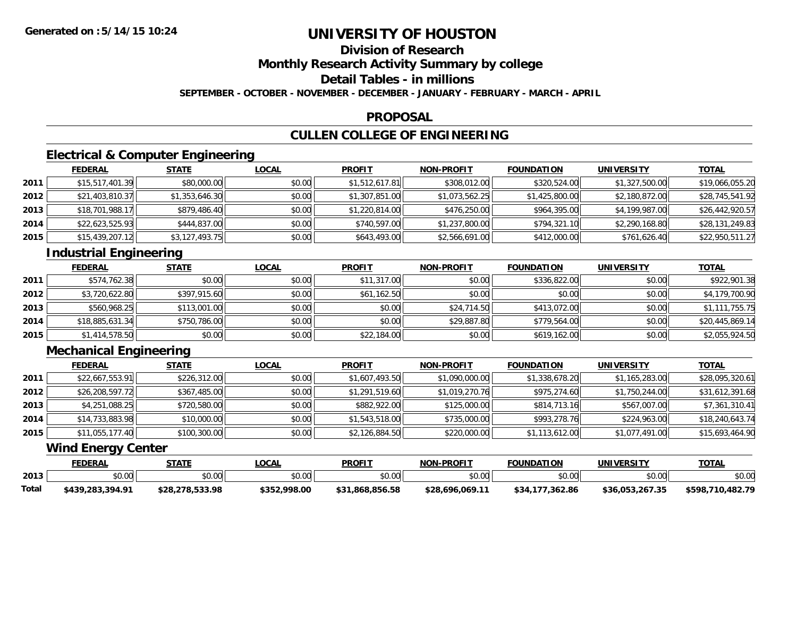## **Division of Research**

**Monthly Research Activity Summary by college**

**Detail Tables - in millions**

**SEPTEMBER - OCTOBER - NOVEMBER - DECEMBER - JANUARY - FEBRUARY - MARCH - APRIL**

#### **PROPOSAL**

## **CULLEN COLLEGE OF ENGINEERING**

## **Electrical & Computer Engineering**

|      | <b>FEDERAL</b>  | <u>STATE</u>   | <u>LOCAL</u> | <b>PROFIT</b>  | <b>NON-PROFIT</b> | <b>FOUNDATION</b> | UNIVERSITY     | <b>TOTAL</b>    |
|------|-----------------|----------------|--------------|----------------|-------------------|-------------------|----------------|-----------------|
| 2011 | \$15,517,401.39 | \$80,000.00    | \$0.00       | \$1,512,617.81 | \$308,012.00      | \$320,524.00      | \$1,327,500.00 | \$19,066,055.20 |
| 2012 | \$21,403,810.37 | \$1,353,646.30 | \$0.00       | \$1,307,851.00 | \$1,073,562.25    | \$1,425,800.00    | \$2,180,872.00 | \$28,745,541.92 |
| 2013 | \$18,701,988.17 | \$879,486.40   | \$0.00       | \$1,220,814.00 | \$476,250.00      | \$964,395.00      | \$4,199,987.00 | \$26,442,920.57 |
| 2014 | \$22,623,525.93 | \$444,837.00   | \$0.00       | \$740,597.00   | \$1,237,800.00    | \$794,321.10      | \$2,290,168.80 | \$28,131,249.83 |
| 2015 | \$15,439,207.12 | \$3,127,493.75 | \$0.00       | \$643,493.00   | \$2,566,691.00    | \$412,000.00      | \$761,626.40   | \$22,950,511.27 |

# **Industrial Engineering**

|      | <b>FEDERAL</b>  | <u>STATE</u> | <b>LOCAL</b> | <b>PROFIT</b> | <b>NON-PROFIT</b> | <b>FOUNDATION</b> | <b>UNIVERSITY</b> | <b>TOTAL</b>    |
|------|-----------------|--------------|--------------|---------------|-------------------|-------------------|-------------------|-----------------|
| 2011 | \$574,762.38    | \$0.00       | \$0.00       | \$11,317.00   | \$0.00            | \$336,822.00      | \$0.00            | \$922,901.38    |
| 2012 | \$3,720,622.80  | \$397,915.60 | \$0.00       | \$61,162.50   | \$0.00            | \$0.00            | \$0.00            | \$4,179,700.90  |
| 2013 | \$560,968.25    | \$113,001.00 | \$0.00       | \$0.00        | \$24,714.50       | \$413,072.00      | \$0.00            | \$1,111,755.75  |
| 2014 | \$18,885,631.34 | \$750,786.00 | \$0.00       | \$0.00        | \$29,887.80       | \$779.564.00      | \$0.00            | \$20,445,869.14 |
| 2015 | \$1,414,578.50  | \$0.00       | \$0.00       | \$22,184.00   | \$0.00            | \$619,162.00      | \$0.00            | \$2,055,924.50  |

## **Mechanical Engineering**

|      | <b>FEDERAL</b>  | <b>STATE</b> | <u>LOCAL</u> | <b>PROFIT</b>  | <b>NON-PROFIT</b> | <b>FOUNDATION</b> | <b>UNIVERSITY</b> | <b>TOTAL</b>    |
|------|-----------------|--------------|--------------|----------------|-------------------|-------------------|-------------------|-----------------|
| 2011 | \$22,667,553.91 | \$226,312.00 | \$0.00       | \$1,607,493.50 | \$1,090,000.00    | \$1,338,678.20    | \$1,165,283.00    | \$28,095,320.61 |
| 2012 | \$26,208,597.72 | \$367,485.00 | \$0.00       | \$1,291,519.60 | \$1,019,270.76    | \$975,274.60      | \$1,750,244.00    | \$31,612,391.68 |
| 2013 | \$4,251,088.25  | \$720,580.00 | \$0.00       | \$882,922.00   | \$125,000.00      | \$814,713.16      | \$567,007.00      | \$7,361,310.41  |
| 2014 | \$14,733,883.98 | \$10,000.00  | \$0.00       | \$1,543,518.00 | \$735,000.00      | \$993,278.76      | \$224,963.00      | \$18,240,643.74 |
| 2015 | \$11,055,177.40 | \$100,300.00 | \$0.00       | \$2,126,884.50 | \$220,000.00      | \$1,113,612.00    | \$1,077,491.00    | \$15,693,464.90 |

#### **Wind Energy Center**

|       | <b>FEDERAL</b>   | STATE           | .OCAL        | <b>PROFIT</b>   | <b>NON-PROFIT</b> | <b>FOUNDATION</b> | UNIVERSITY      | <b>TOTAL</b>          |
|-------|------------------|-----------------|--------------|-----------------|-------------------|-------------------|-----------------|-----------------------|
| 2013  | \$0.00           | \$0.00          | \$0.00       | 0000<br>JU.U    | \$0.00            | \$0.00            | \$0.00          | \$0.00                |
| Total | \$439,283,394.91 | \$28,278,533.98 | \$352,998.00 | \$31,868,856.58 | \$28,696,069.11   | 362.86<br>\$34.   | \$36,053,267.35 | .710.482.79<br>\$598, |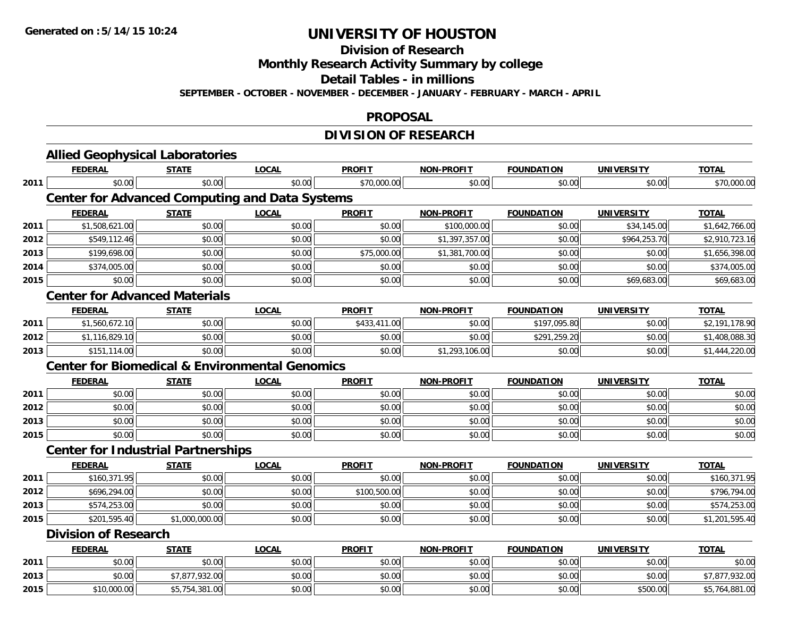**Division of Research**

**Monthly Research Activity Summary by college**

**Detail Tables - in millions**

**SEPTEMBER - OCTOBER - NOVEMBER - DECEMBER - JANUARY - FEBRUARY - MARCH - APRIL**

#### **PROPOSAL**

## **DIVISION OF RESEARCH**

|      | <b>Allied Geophysical Laboratories</b><br><b>FEDERAL</b>  | <b>STATE</b>   | <b>LOCAL</b> | <b>PROFIT</b> | <b>NON-PROFIT</b> | <b>FOUNDATION</b> | <b>UNIVERSITY</b> | <b>TOTAL</b>                                                                                                                       |
|------|-----------------------------------------------------------|----------------|--------------|---------------|-------------------|-------------------|-------------------|------------------------------------------------------------------------------------------------------------------------------------|
| 2011 | \$0.00                                                    | \$0.00         | \$0.00       | \$70,000.00   | \$0.00            | \$0.00            | \$0.00            | \$70,000.00                                                                                                                        |
|      |                                                           |                |              |               |                   |                   |                   |                                                                                                                                    |
|      | <b>Center for Advanced Computing and Data Systems</b>     |                |              |               |                   |                   |                   |                                                                                                                                    |
|      | <b>FEDERAL</b>                                            | <b>STATE</b>   | <b>LOCAL</b> | <b>PROFIT</b> | <b>NON-PROFIT</b> | <b>FOUNDATION</b> | <b>UNIVERSITY</b> | <b>TOTAL</b>                                                                                                                       |
| 2011 | \$1,508,621.00                                            | \$0.00         | \$0.00       | \$0.00        | \$100,000.00      | \$0.00            | \$34,145.00       | \$1,642,766.00                                                                                                                     |
| 2012 | \$549,112.46                                              | \$0.00         | \$0.00       | \$0.00        | \$1,397,357.00    | \$0.00            | \$964,253.70      | \$2,910,723.16                                                                                                                     |
| 2013 | \$199,698.00                                              | \$0.00         | \$0.00       | \$75,000.00   | \$1,381,700.00    | \$0.00            | \$0.00            | \$1,656,398.00                                                                                                                     |
| 2014 | \$374,005.00                                              | \$0.00         | \$0.00       | \$0.00        | \$0.00            | \$0.00            | \$0.00            | \$374,005.00                                                                                                                       |
| 2015 | \$0.00                                                    | \$0.00         | \$0.00       | \$0.00        | \$0.00            | \$0.00            | \$69,683.00       | \$69,683.00                                                                                                                        |
|      | <b>Center for Advanced Materials</b>                      |                |              |               |                   |                   |                   |                                                                                                                                    |
|      | <b>FEDERAL</b>                                            | <b>STATE</b>   | <b>LOCAL</b> | <b>PROFIT</b> | <b>NON-PROFIT</b> | <b>FOUNDATION</b> | <b>UNIVERSITY</b> | <b>TOTAL</b>                                                                                                                       |
| 2011 | \$1,560,672.10                                            | \$0.00         | \$0.00       | \$433,411.00  | \$0.00            | \$197,095.80      | \$0.00            | \$2,191,178.90                                                                                                                     |
| 2012 | \$1,116,829.10                                            | \$0.00         | \$0.00       | \$0.00        | \$0.00            | \$291,259.20      | \$0.00            | \$1,408,088.30                                                                                                                     |
| 2013 | \$151,114.00                                              | \$0.00         | \$0.00       | \$0.00        | \$1,293,106.00    | \$0.00            | \$0.00            | \$1,444,220.00                                                                                                                     |
|      | <b>Center for Biomedical &amp; Environmental Genomics</b> |                |              |               |                   |                   |                   |                                                                                                                                    |
|      | <b>FEDERAL</b>                                            | <b>STATE</b>   | <b>LOCAL</b> | <b>PROFIT</b> | <b>NON-PROFIT</b> | <b>FOUNDATION</b> | <b>UNIVERSITY</b> | <b>TOTAL</b>                                                                                                                       |
| 2011 |                                                           |                |              |               |                   |                   |                   |                                                                                                                                    |
|      | \$0.00                                                    | \$0.00         | \$0.00       | \$0.00        | \$0.00            | \$0.00            | \$0.00            |                                                                                                                                    |
| 2012 | \$0.00                                                    | \$0.00         | \$0.00       | \$0.00        | \$0.00            | \$0.00            | \$0.00            |                                                                                                                                    |
| 2013 | \$0.00                                                    | \$0.00         | \$0.00       | \$0.00        | \$0.00            | \$0.00            | \$0.00            |                                                                                                                                    |
| 2015 | \$0.00                                                    | \$0.00         | \$0.00       | \$0.00        | \$0.00            | \$0.00            | \$0.00            |                                                                                                                                    |
|      | <b>Center for Industrial Partnerships</b>                 |                |              |               |                   |                   |                   |                                                                                                                                    |
|      | <b>FEDERAL</b>                                            | <b>STATE</b>   | <b>LOCAL</b> | <b>PROFIT</b> | <b>NON-PROFIT</b> | <b>FOUNDATION</b> | <b>UNIVERSITY</b> | <b>TOTAL</b>                                                                                                                       |
| 2011 | \$160,371.95                                              | \$0.00         | \$0.00       | \$0.00        | \$0.00            | \$0.00            | \$0.00            |                                                                                                                                    |
| 2012 | \$696,294.00                                              | \$0.00         | \$0.00       | \$100,500.00  | \$0.00            | \$0.00            | \$0.00            |                                                                                                                                    |
| 2013 | \$574,253.00                                              | \$0.00         | \$0.00       | \$0.00        | \$0.00            | \$0.00            | \$0.00            |                                                                                                                                    |
| 2015 | \$201,595.40                                              | \$1,000,000.00 | \$0.00       | \$0.00        | \$0.00            | \$0.00            | \$0.00            |                                                                                                                                    |
|      | <b>Division of Research</b>                               |                |              |               |                   |                   |                   |                                                                                                                                    |
|      | <b>FEDERAL</b>                                            | <b>STATE</b>   | <b>LOCAL</b> | <b>PROFIT</b> | <b>NON-PROFIT</b> | <b>FOUNDATION</b> | <b>UNIVERSITY</b> | <b>TOTAL</b>                                                                                                                       |
| 2011 | \$0.00                                                    | \$0.00         | \$0.00       | \$0.00        | \$0.00            | \$0.00            | \$0.00            |                                                                                                                                    |
| 2013 | \$0.00                                                    | \$7,877,932.00 | \$0.00       | \$0.00        | \$0.00            | \$0.00            | \$0.00            | \$0.00<br>\$0.00<br>\$0.00<br>\$0.00<br>\$160,371.95<br>\$796,794.00<br>\$574,253.00<br>\$1,201,595.40<br>\$0.00<br>\$7,877,932.00 |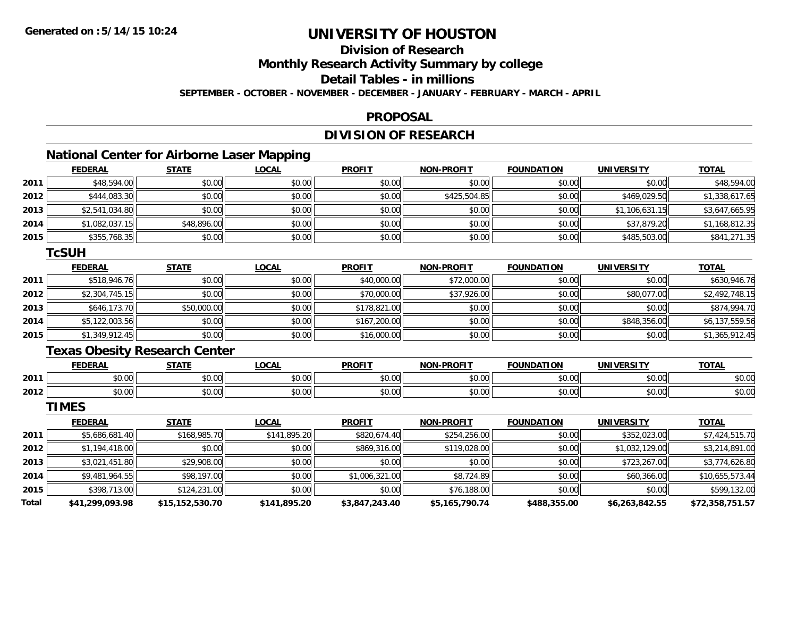## **Division of Research**

**Monthly Research Activity Summary by college**

**Detail Tables - in millions**

**SEPTEMBER - OCTOBER - NOVEMBER - DECEMBER - JANUARY - FEBRUARY - MARCH - APRIL**

#### **PROPOSAL**

## **DIVISION OF RESEARCH**

## **National Center for Airborne Laser Mapping**

|      | <b>FEDERAL</b> | <b>STATE</b> | <u>LOCAL</u> | <b>PROFIT</b> | <b>NON-PROFIT</b> | <b>FOUNDATION</b> | <b>UNIVERSITY</b> | <b>TOTAL</b>   |
|------|----------------|--------------|--------------|---------------|-------------------|-------------------|-------------------|----------------|
| 2011 | \$48,594.00    | \$0.00       | \$0.00       | \$0.00        | \$0.00            | \$0.00            | \$0.00            | \$48,594.00    |
| 2012 | \$444,083.30   | \$0.00       | \$0.00       | \$0.00        | \$425,504.85      | \$0.00            | \$469,029.50      | \$1,338,617.65 |
| 2013 | \$2,541,034.80 | \$0.00       | \$0.00       | \$0.00        | \$0.00            | \$0.00            | \$1,106,631.15    | \$3,647,665.95 |
| 2014 | \$1,082,037.15 | \$48,896.00  | \$0.00       | \$0.00        | \$0.00            | \$0.00            | \$37,879.20       | \$1,168,812.35 |
| 2015 | \$355,768.35   | \$0.00       | \$0.00       | \$0.00        | \$0.00            | \$0.00            | \$485,503.00      | \$841,271.35   |

#### **TcSUH**

|      | <b>FEDERAL</b> | <b>STATE</b> | <u>LOCAL</u> | <b>PROFIT</b> | <b>NON-PROFIT</b> | <b>FOUNDATION</b> | <b>UNIVERSITY</b> | <b>TOTAL</b>   |
|------|----------------|--------------|--------------|---------------|-------------------|-------------------|-------------------|----------------|
| 2011 | \$518,946.76   | \$0.00       | \$0.00       | \$40,000.00   | \$72,000.00       | \$0.00            | \$0.00            | \$630,946.76   |
| 2012 | \$2,304,745.15 | \$0.00       | \$0.00       | \$70,000.00   | \$37,926.00       | \$0.00            | \$80,077.00       | \$2,492,748.15 |
| 2013 | \$646,173.70   | \$50,000.00  | \$0.00       | \$178,821.00  | \$0.00            | \$0.00            | \$0.00            | \$874,994.70   |
| 2014 | \$5,122,003.56 | \$0.00       | \$0.00       | \$167,200.00  | \$0.00            | \$0.00            | \$848,356.00      | \$6,137,559.56 |
| 2015 | \$1,349,912.45 | \$0.00       | \$0.00       | \$16,000.00   | \$0.00            | \$0.00            | \$0.00            | \$1,365,912.45 |

## **Texas Obesity Research Center**

|      | <b>FEDERAL</b>                  | стлті                                    | $\sim$ $\sim$ $\sim$<br>$\cdot$ uun. | <b>PROFIT</b> | <b>.PROFIT</b><br>៱ោស   | <b>TOLINDATI</b><br>ΓΙΟΝ      | UNIVERSITY    | <b>TOTAL</b>   |
|------|---------------------------------|------------------------------------------|--------------------------------------|---------------|-------------------------|-------------------------------|---------------|----------------|
| 2011 | $\triangle$ $\triangle$<br>ט.טי | $\uparrow$ $\uparrow$<br>$\sim$<br>י טיש | $\sim$ 00<br>PU.UU                   | 0000<br>JU.UU | 0 <sup>0</sup><br>vv.vv | $\sim$ $\sim$ $\sim$<br>,u.uu | 0000<br>⊸∪∪∪⊪ | nn nn<br>DU.UU |
| 2012 | 0000<br>DU.UU                   | ሖ ∩<br>טט.טע                             | 0.00<br>JU.UU                        | 0.00<br>JU.UU | 0000<br>งบ.บบ           | $+ - - -$<br>JU.UU            | \$0.00        | ሶስ ስር<br>JU.UU |

**TIMES**

|       | <b>FEDERAL</b>  | <b>STATE</b>    | <u>LOCAL</u> | <b>PROFIT</b>  | <b>NON-PROFIT</b> | <b>FOUNDATION</b> | <b>UNIVERSITY</b> | <b>TOTAL</b>    |
|-------|-----------------|-----------------|--------------|----------------|-------------------|-------------------|-------------------|-----------------|
| 2011  | \$5,686,681.40  | \$168,985.70    | \$141,895.20 | \$820,674.40   | \$254,256.00      | \$0.00            | \$352,023.00      | \$7,424,515.70  |
| 2012  | \$1,194,418.00  | \$0.00          | \$0.00       | \$869,316.00   | \$119,028.00      | \$0.00            | \$1,032,129.00    | \$3,214,891.00  |
| 2013  | \$3,021,451.80  | \$29,908.00     | \$0.00       | \$0.00         | \$0.00            | \$0.00            | \$723,267.00      | \$3,774,626.80  |
| 2014  | \$9,481,964.55  | \$98,197.00     | \$0.00       | \$1,006,321.00 | \$8,724.89        | \$0.00            | \$60,366.00       | \$10,655,573.44 |
| 2015  | \$398,713.00    | \$124,231.00    | \$0.00       | \$0.00         | \$76,188.00       | \$0.00            | \$0.00            | \$599,132.00    |
| Total | \$41,299,093.98 | \$15,152,530.70 | \$141,895.20 | \$3,847,243.40 | \$5,165,790.74    | \$488,355.00      | \$6,263,842.55    | \$72,358,751.57 |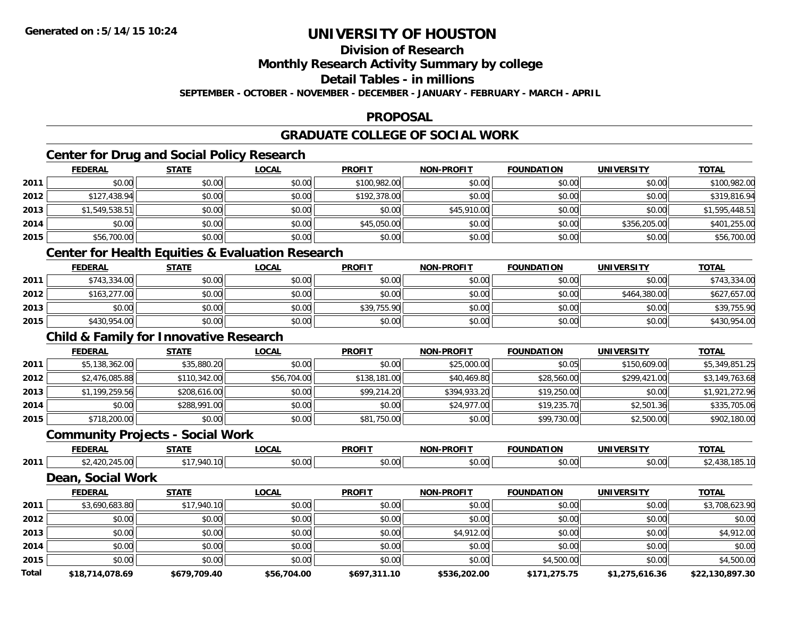**Division of Research**

**Monthly Research Activity Summary by college**

**Detail Tables - in millions**

**SEPTEMBER - OCTOBER - NOVEMBER - DECEMBER - JANUARY - FEBRUARY - MARCH - APRIL**

## **PROPOSAL**

## **GRADUATE COLLEGE OF SOCIAL WORK**

## **Center for Drug and Social Policy Research**

|      | <b>FEDERAL</b> | <b>STATE</b> | <b>LOCAL</b> | <b>PROFIT</b> | <b>NON-PROFIT</b> | <b>FOUNDATION</b> | <b>UNIVERSITY</b> | <b>TOTAL</b>   |
|------|----------------|--------------|--------------|---------------|-------------------|-------------------|-------------------|----------------|
| 2011 | \$0.00         | \$0.00       | \$0.00       | \$100,982.00  | \$0.00            | \$0.00            | \$0.00            | \$100,982.00   |
| 2012 | \$127,438.94   | \$0.00       | \$0.00       | \$192,378.00  | \$0.00            | \$0.00            | \$0.00            | \$319,816.94   |
| 2013 | \$1,549,538.51 | \$0.00       | \$0.00       | \$0.00        | \$45,910.00       | \$0.00            | \$0.00            | \$1,595,448.51 |
| 2014 | \$0.00         | \$0.00       | \$0.00       | \$45,050.00   | \$0.00            | \$0.00            | \$356,205.00      | \$401,255.00   |
| 2015 | \$56,700.00    | \$0.00       | \$0.00       | \$0.00        | \$0.00            | \$0.00            | \$0.00            | \$56,700.00    |
|      |                |              |              |               |                   |                   |                   |                |

#### **Center for Health Equities & Evaluation Research**

|      | <b>FEDERAL</b> | <b>STATE</b> | <u>LOCAL</u> | <b>PROFIT</b> | <b>NON-PROFIT</b> | <b>FOUNDATION</b> | <b>UNIVERSITY</b> | <b>TOTAL</b> |
|------|----------------|--------------|--------------|---------------|-------------------|-------------------|-------------------|--------------|
| 2011 | \$743,334,00   | \$0.00       | \$0.00       | \$0.00        | \$0.00            | \$0.00            | \$0.00            | \$743,334.00 |
| 2012 | \$163,277.00   | \$0.00       | \$0.00       | \$0.00        | \$0.00            | \$0.00            | \$464,380.00      | \$627,657.00 |
| 2013 | \$0.00         | \$0.00       | \$0.00       | \$39,755.90   | \$0.00            | \$0.00            | \$0.00            | \$39,755.90  |
| 2015 | \$430,954.00   | \$0.00       | \$0.00       | \$0.00        | \$0.00            | \$0.00            | \$0.00            | \$430,954.00 |

#### **Child & Family for Innovative Research**

|      | <b>FEDERAL</b> | <b>STATE</b> | <b>LOCAL</b> | <b>PROFIT</b> | <b>NON-PROFIT</b> | <b>FOUNDATION</b> | <b>UNIVERSITY</b> | <b>TOTAL</b>   |
|------|----------------|--------------|--------------|---------------|-------------------|-------------------|-------------------|----------------|
| 2011 | \$5,138,362.00 | \$35,880.20  | \$0.00       | \$0.00        | \$25,000.00       | \$0.05            | \$150,609.00      | \$5,349,851.25 |
| 2012 | \$2,476,085.88 | \$110,342.00 | \$56,704.00  | \$138,181.00  | \$40,469.80       | \$28,560.00       | \$299,421.00      | \$3,149,763.68 |
| 2013 | \$1,199,259.56 | \$208,616.00 | \$0.00       | \$99,214.20   | \$394,933.20      | \$19,250.00       | \$0.00            | \$1,921,272.96 |
| 2014 | \$0.00         | \$288,991.00 | \$0.00       | \$0.00        | \$24,977.00       | \$19,235.70       | \$2,501.36        | \$335,705.06   |
| 2015 | \$718,200.00   | \$0.00       | \$0.00       | \$81,750.00   | \$0.00            | \$99,730.00       | \$2,500.00        | \$902,180.00   |

# **Community Projects - Social Work**

|      | <b>FEDERAL</b> | <b>CTATE</b> | <b>OCAL</b>              | <b>PROFIT</b>  | <b>PROFIT</b><br><b>NON</b> | <b>FOUNDATION</b><br>пок | <b>UNIVERSITY</b>  | <b>TOTA</b><br>ıАı |
|------|----------------|--------------|--------------------------|----------------|-----------------------------|--------------------------|--------------------|--------------------|
| 2011 | $-$<br>tu.ul   |              | $\sim$ 00 $\sim$<br>ט.טע | nn nn<br>,u.uu | 50.00<br>- JU.UU            | \$0.00                   | $\sim$ 00<br>50.UU |                    |

#### **Dean, Social Work**

|       | <b>FEDERAL</b>  | <b>STATE</b> | <b>LOCAL</b> | <b>PROFIT</b> | <b>NON-PROFIT</b> | <b>FOUNDATION</b> | <b>UNIVERSITY</b> | <b>TOTAL</b>    |
|-------|-----------------|--------------|--------------|---------------|-------------------|-------------------|-------------------|-----------------|
| 2011  | \$3,690,683.80  | \$17,940.10  | \$0.00       | \$0.00        | \$0.00            | \$0.00            | \$0.00            | \$3,708,623.90  |
| 2012  | \$0.00          | \$0.00       | \$0.00       | \$0.00        | \$0.00            | \$0.00            | \$0.00            | \$0.00          |
| 2013  | \$0.00          | \$0.00       | \$0.00       | \$0.00        | \$4,912.00        | \$0.00            | \$0.00            | \$4,912.00      |
| 2014  | \$0.00          | \$0.00       | \$0.00       | \$0.00        | \$0.00            | \$0.00            | \$0.00            | \$0.00          |
| 2015  | \$0.00          | \$0.00       | \$0.00       | \$0.00        | \$0.00            | \$4,500.00        | \$0.00            | \$4,500.00      |
| Total | \$18,714,078.69 | \$679,709.40 | \$56,704.00  | \$697,311.10  | \$536,202.00      | \$171,275.75      | \$1,275,616.36    | \$22,130,897.30 |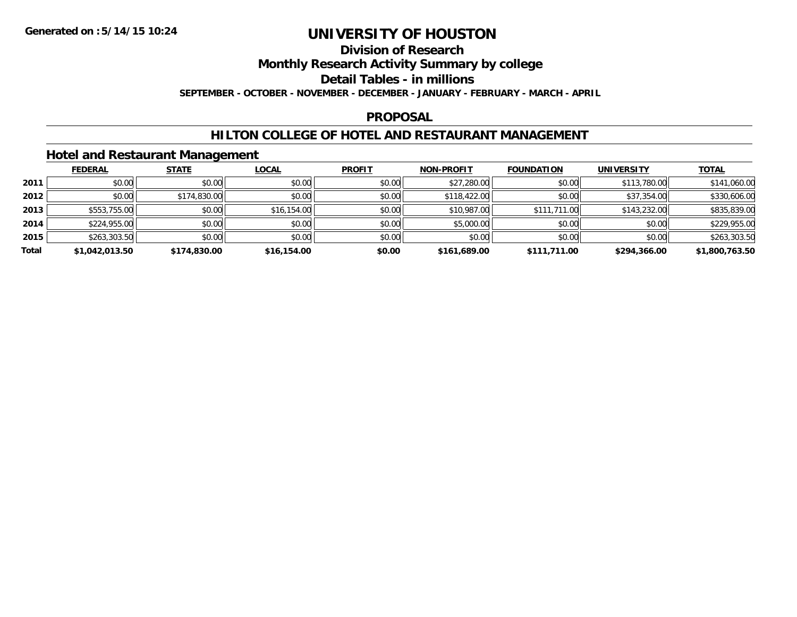## **Division of Research**

**Monthly Research Activity Summary by college**

**Detail Tables - in millions**

**SEPTEMBER - OCTOBER - NOVEMBER - DECEMBER - JANUARY - FEBRUARY - MARCH - APRIL**

#### **PROPOSAL**

#### **HILTON COLLEGE OF HOTEL AND RESTAURANT MANAGEMENT**

#### **Hotel and Restaurant Management**

|       | <b>FEDERAL</b> | <b>STATE</b> | <u>LOCAL</u> | <b>PROFIT</b> | <b>NON-PROFIT</b> | <b>FOUNDATION</b> | <b>UNIVERSITY</b> | <b>TOTAL</b>   |
|-------|----------------|--------------|--------------|---------------|-------------------|-------------------|-------------------|----------------|
| 2011  | \$0.00         | \$0.00       | \$0.00       | \$0.00        | \$27,280.00       | \$0.00            | \$113,780.00      | \$141,060.00   |
| 2012  | \$0.00         | \$174,830.00 | \$0.00       | \$0.00        | \$118,422.00      | \$0.00            | \$37,354.00       | \$330,606.00   |
| 2013  | \$553,755.00   | \$0.00       | \$16,154.00  | \$0.00        | \$10,987.00       | \$111,711.00      | \$143,232.00      | \$835,839.00   |
| 2014  | \$224,955.00   | \$0.00       | \$0.00       | \$0.00        | \$5,000.00        | \$0.00            | \$0.00            | \$229,955.00   |
| 2015  | \$263,303.50   | \$0.00       | \$0.00       | \$0.00        | \$0.00            | \$0.00            | \$0.00            | \$263,303.50   |
| Total | \$1,042,013.50 | \$174,830.00 | \$16,154.00  | \$0.00        | \$161,689.00      | \$111,711.00      | \$294,366.00      | \$1,800,763.50 |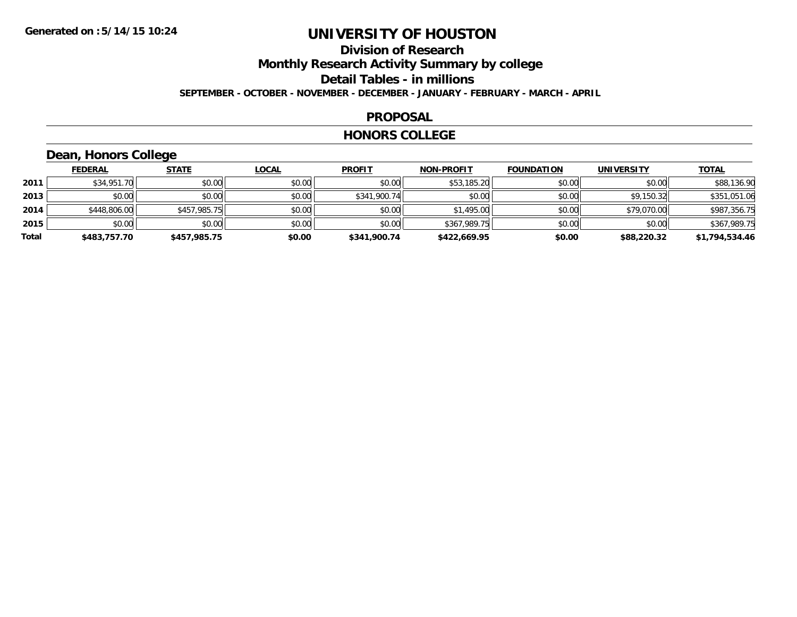#### **Division of Research Monthly Research Activity Summary by college Detail Tables - in millions SEPTEMBER - OCTOBER - NOVEMBER - DECEMBER - JANUARY - FEBRUARY - MARCH - APRIL**

#### **PROPOSAL**

#### **HONORS COLLEGE**

## **Dean, Honors College**

|       | <b>FEDERAL</b> | <b>STATE</b> | <b>LOCAL</b> | <b>PROFIT</b> | <b>NON-PROFIT</b> | <b>FOUNDATION</b> | <b>UNIVERSITY</b> | <b>TOTAL</b>   |
|-------|----------------|--------------|--------------|---------------|-------------------|-------------------|-------------------|----------------|
| 2011  | \$34,951.70    | \$0.00       | \$0.00       | \$0.00        | \$53,185.20       | \$0.00            | \$0.00            | \$88,136.90    |
| 2013  | \$0.00         | \$0.00       | \$0.00       | \$341,900.74  | \$0.00            | \$0.00            | \$9,150.32        | \$351,051.06   |
| 2014  | \$448,806.00   | \$457,985.75 | \$0.00       | \$0.00        | \$1,495.00        | \$0.00            | \$79,070.00       | \$987,356.75   |
| 2015  | \$0.00         | \$0.00       | \$0.00       | \$0.00        | \$367,989.75      | \$0.00            | \$0.00            | \$367,989.75   |
| Total | \$483,757.70   | \$457,985.75 | \$0.00       | \$341,900.74  | \$422,669.95      | \$0.00            | \$88,220.32       | \$1,794,534.46 |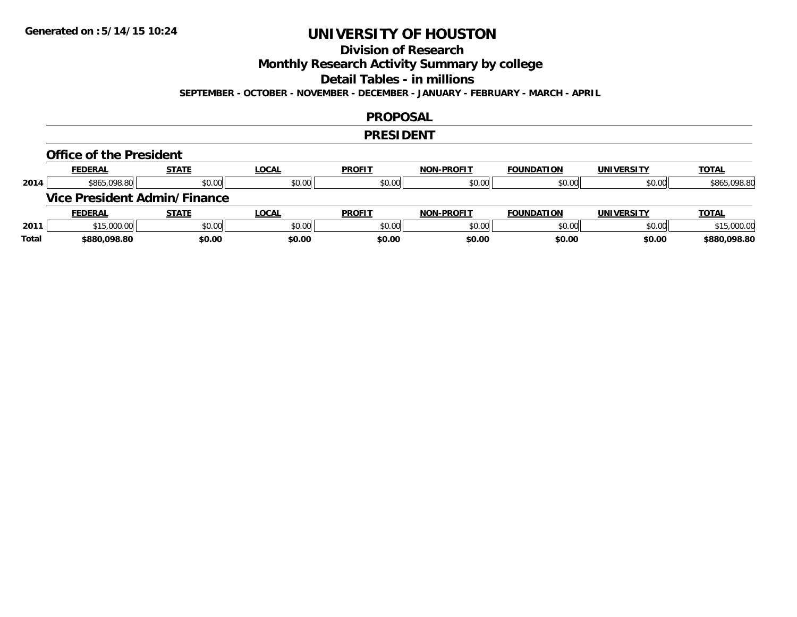## **Division of Research**

**Monthly Research Activity Summary by college**

**Detail Tables - in millions**

**SEPTEMBER - OCTOBER - NOVEMBER - DECEMBER - JANUARY - FEBRUARY - MARCH - APRIL**

#### **PROPOSAL**

#### **PRESIDENT**

#### **Office of the President**

|      | <b>FEDERAL</b> | <b>STATE</b>                 | <b>LOCAL</b> | <b>PROFIT</b> | <b>NON-PROFIT</b> | <b>FOUNDATION</b> | <b>UNIVERSITY</b> | <b>TOTAL</b> |
|------|----------------|------------------------------|--------------|---------------|-------------------|-------------------|-------------------|--------------|
| 2014 | \$865,098.80   | \$0.00                       | \$0.00       | \$0.00        | \$0.00            | \$0.00            | \$0.00            | \$865,098.80 |
|      |                | Vice President Admin/Finance |              |               |                   |                   |                   |              |
|      |                |                              |              |               |                   |                   |                   |              |
|      | <b>FEDERAL</b> | <b>STATE</b>                 | <u>LOCAL</u> | <b>PROFIT</b> | <b>NON-PROFIT</b> | <b>FOUNDATION</b> | <b>UNIVERSITY</b> | <b>TOTAL</b> |
| 2011 | \$15,000.00    | \$0.00                       | \$0.00       | \$0.00        | \$0.00            | \$0.00            | \$0.00            | \$15,000.00  |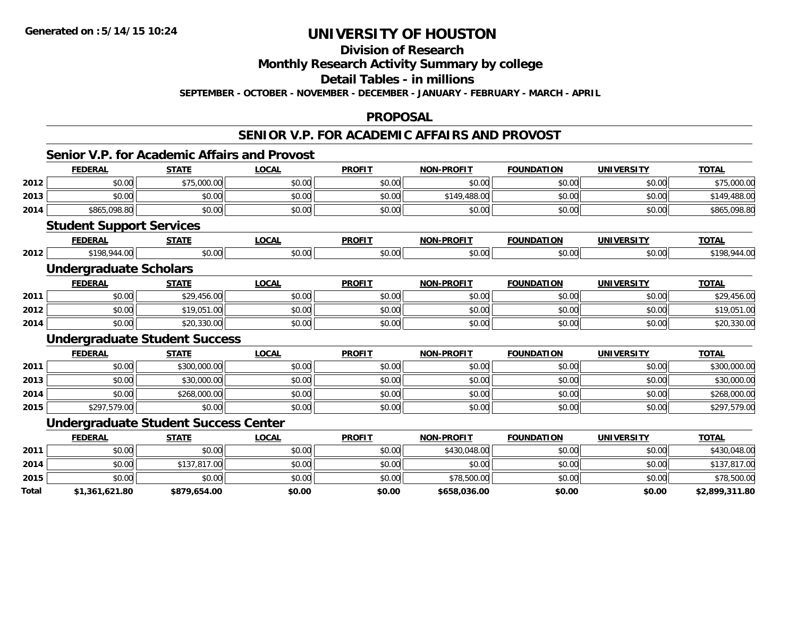**2014**

**2015**

**Total**

# **UNIVERSITY OF HOUSTON**

#### **Division of Research**

**Monthly Research Activity Summary by college**

**Detail Tables - in millions**

**SEPTEMBER - OCTOBER - NOVEMBER - DECEMBER - JANUARY - FEBRUARY - MARCH - APRIL**

#### **PROPOSAL**

#### **SENIOR V.P. FOR ACADEMIC AFFAIRS AND PROVOST**

#### **Senior V.P. for Academic Affairs and ProvostFEDERAL STATE LOCAL PROFIT NON-PROFIT FOUNDATION UNIVERSITY TOTALTOTAL 2012**2 | \$0.00| \$75,000.00| \$0.00| \$0.00| \$0.00| \$0.00| \$0.00| \$0.00| \$0.00| \$0.00| \$0.00| \$75,000.00 **2013** $\textbf{3} \mid \textbf{3} \mid \textbf{5} \mid \textbf{5} \mid \textbf{6} \mid \textbf{7} \mid \textbf{8} \mid \textbf{1} \mid \textbf{1} \mid \textbf{1} \mid \textbf{1} \mid \textbf{1} \mid \textbf{1} \mid \textbf{1} \mid \textbf{1} \mid \textbf{1} \mid \textbf{1} \mid \textbf{1} \mid \textbf{1} \mid \textbf{1} \mid \textbf{1} \mid \textbf{1} \mid \textbf{1} \mid \textbf{1} \mid \textbf{1} \mid \textbf{1} \mid \textbf{1} \mid \textbf{$ **2014**4 \$865,098.80 \$0.00 \$0.00 \$0.00 \$0.00 \$0.00 \$0.00 \$0.00 \$0.00 \$0.00 \$0.00 \$0.00 \$0.00 \$0.00 \$865,098.80 **Student Support Services FEDERAL STATE LOCAL PROFIT NON-PROFIT FOUNDATION UNIVERSITY TOTALTOTAL 2012**2 | \$198,944.00| \$0.00| \$0.00| \$0.00| \$0.00| \$0.00| \$0.00| \$0.00| \$0.00| \$198,944.00 **Undergraduate Scholars FEDERAL STATE LOCAL PROFIT NON-PROFIT FOUNDATION UNIVERSITY TOTALTOTAL 2011** \$0.00 \$29,456.00 \$0.00 \$0.00 \$0.00 \$0.00 \$0.00 \$29,456.00 **2012**2 | \$0.00| \$19,051.00| \$19,051.00 \$0.00| \$0.00| \$0.00| \$0.00| \$0.00| \$0.00| \$0.00| \$0.00| \$19,051.00 **2014**4 \$0.00 \$0.00 \$20,330.00 \$0.00 \$0.00 \$0.00 \$0.00 \$0.00 \$0.00 \$0.00 \$0.00 \$0.00 \$0.00 \$0.00 \$20,330.00 **Undergraduate Student Success FEDERAL STATE LOCAL PROFIT NON-PROFIT FOUNDATION UNIVERSITY TOTAL2011** \$0.00 \$300,000.00 \$0.00 \$0.00 \$0.00 \$0.00 \$0.00 \$300,000.00 **2013** \$0.00 \$30,000.00 \$0.00 \$0.00 \$0.00 \$0.00 \$0.00 \$30,000.00 **2014**4 \$0.00 \$0.00 \$268,000.00 \$0.00 \$0.00 \$0.00 \$0.00 \$0.00 \$0.00 \$0.00 \$0.00 \$0.00 \$0.00 \$268,000.00 **2015** \$297,579.00 \$0.00 \$0.00 \$0.00 \$0.00 \$0.00 \$0.00 \$297,579.00 **Undergraduate Student Success Center FEDERAL STATE LOCAL PROFIT NON-PROFIT FOUNDATION UNIVERSITY TOTAL2011**1 \$0.00 \$0.00 \$0.00 \$0.00 \$0.00 \$0.00 \$0.00 \$0.00 \$0.00 \$430,048.00 \$430,048.00 \$0.00 \$0.00 \$430,048.00

4 \$0.00 \$0.00 \$137,817.00 \$0.00 \$0.00 \$0.00 \$0.00 \$0.00 \$0.00 \$0.00 \$0.00 \$0.00 \$0.00 \$137,817.00

\$0.00 \$0.00 \$0.00 \$0.00 \$78,500.00 \$0.00 \$0.00 \$78,500.00

**\$1,361,621.80 \$879,654.00 \$0.00 \$0.00 \$658,036.00 \$0.00 \$0.00 \$2,899,311.80**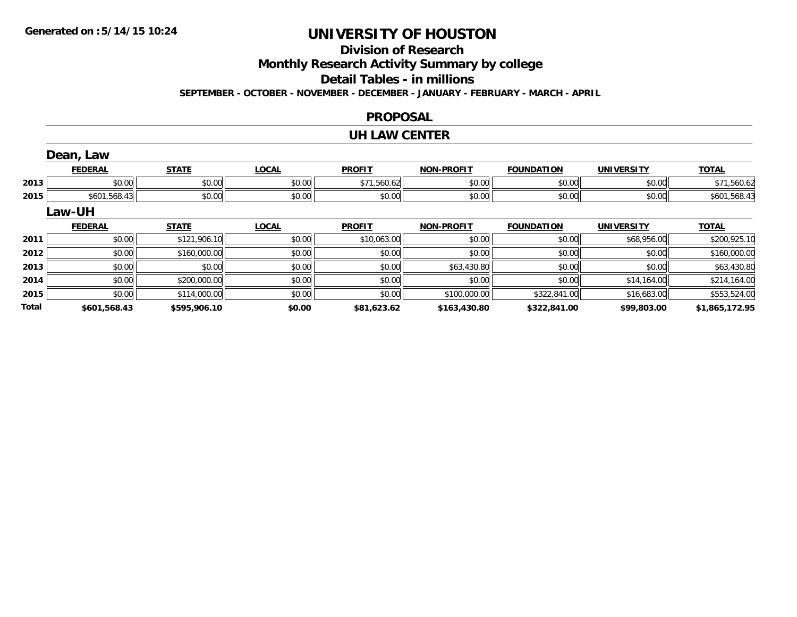**Total**

# **UNIVERSITY OF HOUSTON**

# **Division of Research**

**Monthly Research Activity Summary by college**

**Detail Tables - in millions**

**SEPTEMBER - OCTOBER - NOVEMBER - DECEMBER - JANUARY - FEBRUARY - MARCH - APRIL**

#### **PROPOSAL**

#### **UH LAW CENTER**

|      | Dean, Law      |              |              |               |                   |                   |                   |              |
|------|----------------|--------------|--------------|---------------|-------------------|-------------------|-------------------|--------------|
|      | <b>FEDERAL</b> | <b>STATE</b> | <b>LOCAL</b> | <b>PROFIT</b> | <b>NON-PROFIT</b> | <b>FOUNDATION</b> | <b>UNIVERSITY</b> | <b>TOTAL</b> |
| 2013 | \$0.00         | \$0.00       | \$0.00       | \$71,560.62   | \$0.00            | \$0.00            | \$0.00            | \$71,560.62  |
| 2015 | \$601,568.43   | \$0.00       | \$0.00       | \$0.00        | \$0.00            | \$0.00            | \$0.00            | \$601,568.43 |
|      | Law-UH         |              |              |               |                   |                   |                   |              |
|      |                |              |              |               |                   |                   |                   |              |
|      | <b>FEDERAL</b> | <b>STATE</b> | <b>LOCAL</b> | <b>PROFIT</b> | <b>NON-PROFIT</b> | <b>FOUNDATION</b> | <b>UNIVERSITY</b> | <b>TOTAL</b> |
| 2011 | \$0.00         | \$121,906.10 | \$0.00       | \$10,063.00   | \$0.00            | \$0.00            | \$68,956.00       | \$200,925.10 |
| 2012 | \$0.00         | \$160,000.00 | \$0.00       | \$0.00        | \$0.00            | \$0.00            | \$0.00            | \$160,000.00 |
| 2013 | \$0.00         | \$0.00       | \$0.00       | \$0.00        | \$63,430.80       | \$0.00            | \$0.00            | \$63,430.80  |
| 2014 | \$0.00         | \$200,000.00 | \$0.00       | \$0.00        | \$0.00            | \$0.00            | \$14,164.00       | \$214,164.00 |

**\$601,568.43 \$595,906.10 \$0.00 \$81,623.62 \$163,430.80 \$322,841.00 \$99,803.00 \$1,865,172.95**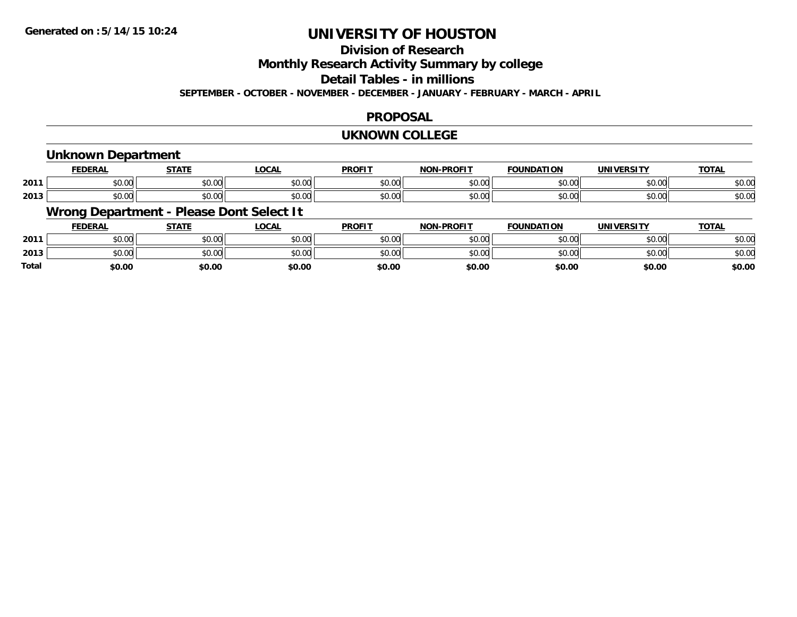## **Division of Research**

**Monthly Research Activity Summary by college**

**Detail Tables - in millions**

**SEPTEMBER - OCTOBER - NOVEMBER - DECEMBER - JANUARY - FEBRUARY - MARCH - APRIL**

#### **PROPOSAL**

#### **UKNOWN COLLEGE**

#### **Unknown Department**

|      | <b>FEDERAL</b>     | <b>STATE</b>         | 00N<br>. UUA.          | <b>PROFIT</b> | <b>DDAEIT</b><br><b>MONE</b> | <b>FOUNDATION</b> | <b>UNIVERSITY</b><br>- R.JI | <b>TOTAL</b> |
|------|--------------------|----------------------|------------------------|---------------|------------------------------|-------------------|-----------------------------|--------------|
| 2011 | 0000<br>PU.UU      | 0.00<br>PO.OO        | $\sim$ $\sim$<br>vv.vv | 0000<br>JU.UU | 0.00<br>pu.uu                | 0000<br>DU.UU     | \$0.00                      | \$0.00       |
| 2013 | $\sim$ 00<br>DU.UG | 0.00<br><b>DU.UU</b> | vu.vu                  | 0000<br>งบ.บบ | 0 <sup>n</sup><br>pu.uu      | 0000<br>ึง∪.∪∪    | \$0.00                      | \$0.00       |

# **Wrong Department - Please Dont Select It**

|              | <b>FEDERAL</b> | <b>STATE</b> | _OCAL  | <b>PROFIT</b>  | <b>NON-PROFIT</b> | <b>FOUNDATION</b> | UNIVERSITY | <u>TOTAL</u> |
|--------------|----------------|--------------|--------|----------------|-------------------|-------------------|------------|--------------|
| 2011         | 0000<br>JU.UU  | \$0.00       | \$0.00 | \$0.00         | \$0.00            | en uu<br>JU.UU    | \$0.00     | \$0.00       |
| 2013         | 0000<br>JU.UU  | \$0.00       | \$0.00 | ≮∩ ∩∩<br>JU.UU | \$0.00            | ሶስ ሰሰ             | \$0.00     | \$0.00       |
| <b>Total</b> | \$0.00         | \$0.00       | \$0.00 | \$0.00         | \$0.00            | \$0.00            | \$0.00     | \$0.00       |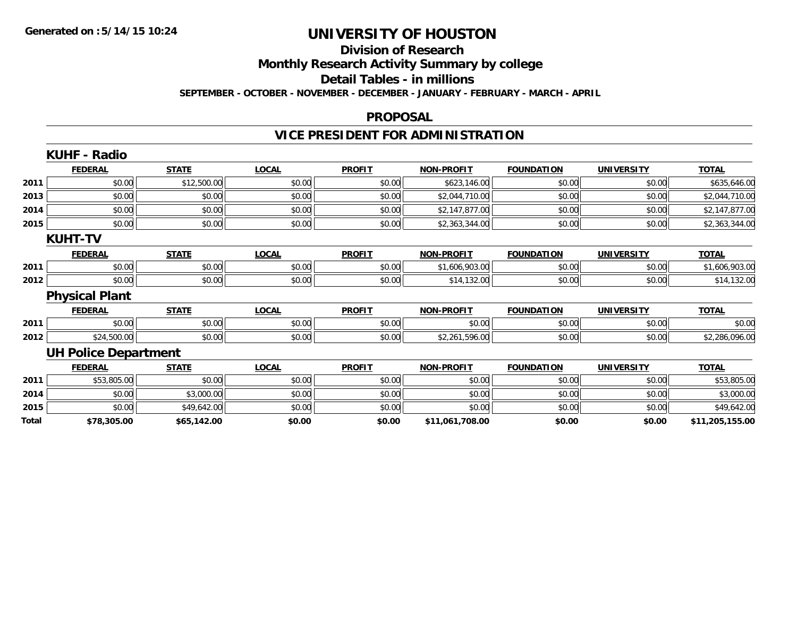#### **Division of Research**

**Monthly Research Activity Summary by college**

**Detail Tables - in millions**

**SEPTEMBER - OCTOBER - NOVEMBER - DECEMBER - JANUARY - FEBRUARY - MARCH - APRIL**

#### **PROPOSAL**

# **VICE PRESIDENT FOR ADMINISTRATION**

|       | <b>KUHF - Radio</b>         |              |              |               |                   |                   |                   |                 |
|-------|-----------------------------|--------------|--------------|---------------|-------------------|-------------------|-------------------|-----------------|
|       | <b>FEDERAL</b>              | <b>STATE</b> | <b>LOCAL</b> | <b>PROFIT</b> | <b>NON-PROFIT</b> | <b>FOUNDATION</b> | <b>UNIVERSITY</b> | <b>TOTAL</b>    |
| 2011  | \$0.00                      | \$12,500.00  | \$0.00       | \$0.00        | \$623,146.00      | \$0.00            | \$0.00            | \$635,646.00    |
| 2013  | \$0.00                      | \$0.00       | \$0.00       | \$0.00        | \$2,044,710.00    | \$0.00            | \$0.00            | \$2,044,710.00  |
| 2014  | \$0.00                      | \$0.00       | \$0.00       | \$0.00        | \$2,147,877.00    | \$0.00            | \$0.00            | \$2,147,877.00  |
| 2015  | \$0.00                      | \$0.00       | \$0.00       | \$0.00        | \$2,363,344.00    | \$0.00            | \$0.00            | \$2,363,344.00  |
|       | <b>KUHT-TV</b>              |              |              |               |                   |                   |                   |                 |
|       | <b>FEDERAL</b>              | <b>STATE</b> | <b>LOCAL</b> | <b>PROFIT</b> | <b>NON-PROFIT</b> | <b>FOUNDATION</b> | <b>UNIVERSITY</b> | <b>TOTAL</b>    |
| 2011  | \$0.00                      | \$0.00       | \$0.00       | \$0.00        | \$1,606,903.00    | \$0.00            | \$0.00            | \$1,606,903.00  |
| 2012  | \$0.00                      | \$0.00       | \$0.00       | \$0.00        | \$14,132.00       | \$0.00            | \$0.00            | \$14,132.00     |
|       | <b>Physical Plant</b>       |              |              |               |                   |                   |                   |                 |
|       | <b>FEDERAL</b>              | <b>STATE</b> | <b>LOCAL</b> | <b>PROFIT</b> | <b>NON-PROFIT</b> | <b>FOUNDATION</b> | <b>UNIVERSITY</b> | <b>TOTAL</b>    |
| 2011  | \$0.00                      | \$0.00       | \$0.00       | \$0.00        | \$0.00            | \$0.00            | \$0.00            | \$0.00          |
| 2012  | \$24,500.00                 | \$0.00       | \$0.00       | \$0.00        | \$2,261,596.00    | \$0.00            | \$0.00            | \$2,286,096.00  |
|       | <b>UH Police Department</b> |              |              |               |                   |                   |                   |                 |
|       | <b>FEDERAL</b>              | <b>STATE</b> | <b>LOCAL</b> | <b>PROFIT</b> | <b>NON-PROFIT</b> | <b>FOUNDATION</b> | <b>UNIVERSITY</b> | <b>TOTAL</b>    |
| 2011  | \$53,805.00                 | \$0.00       | \$0.00       | \$0.00        | \$0.00            | \$0.00            | \$0.00            | \$53,805.00     |
| 2014  | \$0.00                      | \$3,000.00   | \$0.00       | \$0.00        | \$0.00            | \$0.00            | \$0.00            | \$3,000.00      |
| 2015  | \$0.00                      | \$49,642.00  | \$0.00       | \$0.00        | \$0.00            | \$0.00            | \$0.00            | \$49,642.00     |
| Total | \$78,305.00                 | \$65,142.00  | \$0.00       | \$0.00        | \$11,061,708.00   | \$0.00            | \$0.00            | \$11,205,155.00 |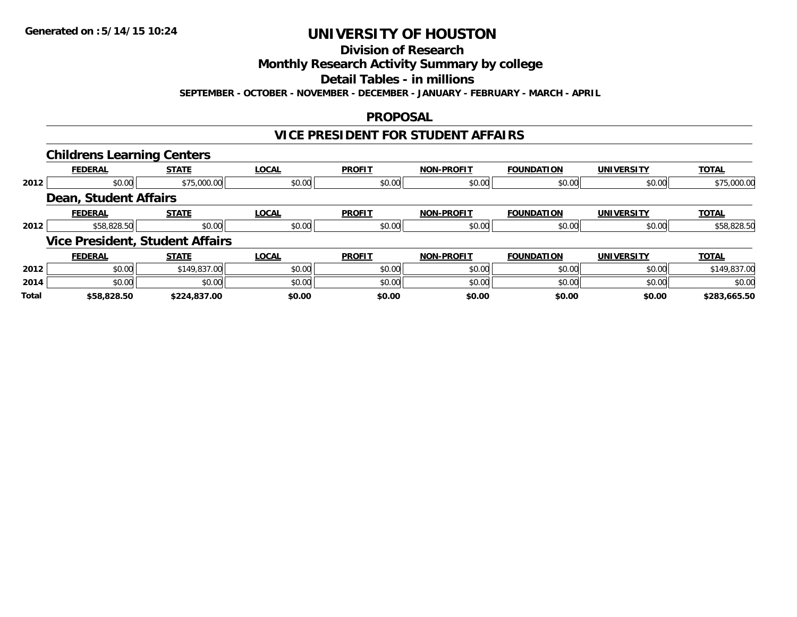**Division of Research**

**Monthly Research Activity Summary by college**

**Detail Tables - in millions**

**SEPTEMBER - OCTOBER - NOVEMBER - DECEMBER - JANUARY - FEBRUARY - MARCH - APRIL**

#### **PROPOSAL**

#### **VICE PRESIDENT FOR STUDENT AFFAIRS**

|              | <b>Childrens Learning Centers</b>      |              |              |               |                   |                   |                   |              |
|--------------|----------------------------------------|--------------|--------------|---------------|-------------------|-------------------|-------------------|--------------|
|              | <b>FEDERAL</b>                         | <b>STATE</b> | <b>LOCAL</b> | <b>PROFIT</b> | <b>NON-PROFIT</b> | <b>FOUNDATION</b> | <b>UNIVERSITY</b> | <b>TOTAL</b> |
| 2012         | \$0.00                                 | \$75,000.00  | \$0.00       | \$0.00        | \$0.00            | \$0.00            | \$0.00            | \$75,000.00  |
|              | Dean, Student Affairs                  |              |              |               |                   |                   |                   |              |
|              | <b>FEDERAL</b>                         | <b>STATE</b> | <b>LOCAL</b> | <b>PROFIT</b> | <b>NON-PROFIT</b> | <b>FOUNDATION</b> | <b>UNIVERSITY</b> | <b>TOTAL</b> |
| 2012         | \$58,828.50                            | \$0.00       | \$0.00       | \$0.00        | \$0.00            | \$0.00            | \$0.00            | \$58,828.50  |
|              | <b>Vice President, Student Affairs</b> |              |              |               |                   |                   |                   |              |
|              | <b>FEDERAL</b>                         | <b>STATE</b> | <b>LOCAL</b> | <b>PROFIT</b> | <b>NON-PROFIT</b> | <b>FOUNDATION</b> | <b>UNIVERSITY</b> | <b>TOTAL</b> |
| 2012         | \$0.00                                 | \$149,837.00 | \$0.00       | \$0.00        | \$0.00            | \$0.00            | \$0.00            | \$149,837.00 |
| 2014         | \$0.00                                 | \$0.00       | \$0.00       | \$0.00        | \$0.00            | \$0.00            | \$0.00            | \$0.00       |
| <b>Total</b> | \$58,828.50                            | \$224.837.00 | \$0.00       | \$0.00        | \$0.00            | \$0.00            | \$0.00            | \$283.665.50 |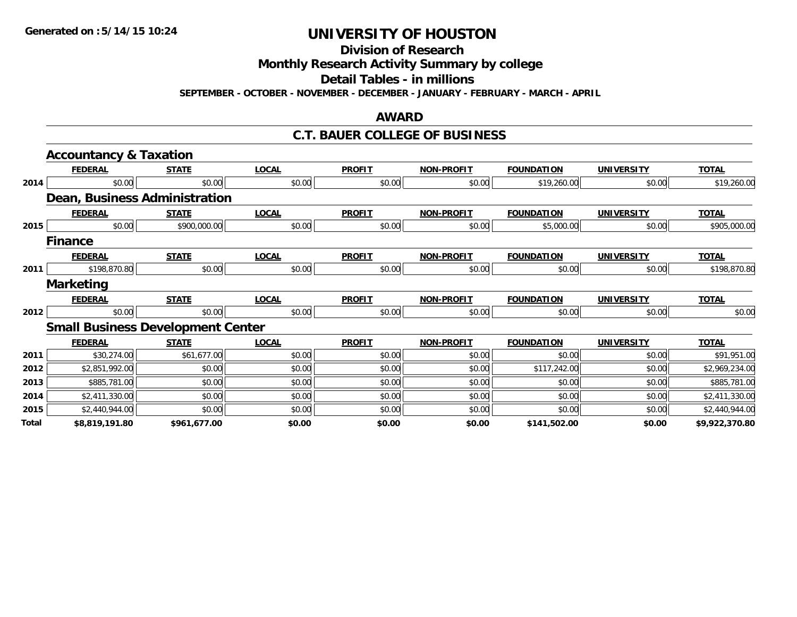**Division of Research**

**Monthly Research Activity Summary by college**

**Detail Tables - in millions**

**SEPTEMBER - OCTOBER - NOVEMBER - DECEMBER - JANUARY - FEBRUARY - MARCH - APRIL**

#### **AWARD**

#### **C.T. BAUER COLLEGE OF BUSINESS**

|       | <b>Accountancy &amp; Taxation</b>        |              |              |               |                   |                   |                   |                |
|-------|------------------------------------------|--------------|--------------|---------------|-------------------|-------------------|-------------------|----------------|
|       | <b>FEDERAL</b>                           | <b>STATE</b> | <b>LOCAL</b> | <b>PROFIT</b> | <b>NON-PROFIT</b> | <b>FOUNDATION</b> | <b>UNIVERSITY</b> | <b>TOTAL</b>   |
| 2014  | \$0.00                                   | \$0.00       | \$0.00       | \$0.00        | \$0.00            | \$19,260.00       | \$0.00            | \$19,260.00    |
|       | Dean, Business Administration            |              |              |               |                   |                   |                   |                |
|       | <b>FEDERAL</b>                           | <b>STATE</b> | <b>LOCAL</b> | <b>PROFIT</b> | <b>NON-PROFIT</b> | <b>FOUNDATION</b> | <b>UNIVERSITY</b> | <b>TOTAL</b>   |
| 2015  | \$0.00                                   | \$900,000.00 | \$0.00       | \$0.00        | \$0.00            | \$5,000.00        | \$0.00            | \$905,000.00   |
|       | <b>Finance</b>                           |              |              |               |                   |                   |                   |                |
|       | <b>FEDERAL</b>                           | <b>STATE</b> | <b>LOCAL</b> | <b>PROFIT</b> | <b>NON-PROFIT</b> | <b>FOUNDATION</b> | <b>UNIVERSITY</b> | <b>TOTAL</b>   |
| 2011  | \$198,870.80                             | \$0.00       | \$0.00       | \$0.00        | \$0.00            | \$0.00            | \$0.00            | \$198,870.80   |
|       | <b>Marketing</b>                         |              |              |               |                   |                   |                   |                |
|       | <b>FEDERAL</b>                           | <b>STATE</b> | <b>LOCAL</b> | <b>PROFIT</b> | <b>NON-PROFIT</b> | <b>FOUNDATION</b> | <b>UNIVERSITY</b> | <b>TOTAL</b>   |
| 2012  | \$0.00                                   | \$0.00       | \$0.00       | \$0.00        | \$0.00            | \$0.00            | \$0.00            | \$0.00         |
|       | <b>Small Business Development Center</b> |              |              |               |                   |                   |                   |                |
|       | <b>FEDERAL</b>                           | <b>STATE</b> | <b>LOCAL</b> | <b>PROFIT</b> | <b>NON-PROFIT</b> | <b>FOUNDATION</b> | <b>UNIVERSITY</b> | <b>TOTAL</b>   |
| 2011  | \$30,274.00                              | \$61,677.00  | \$0.00       | \$0.00        | \$0.00            | \$0.00            | \$0.00            | \$91,951.00    |
| 2012  | \$2,851,992.00                           | \$0.00       | \$0.00       | \$0.00        | \$0.00            | \$117,242.00      | \$0.00            | \$2,969,234.00 |
| 2013  | \$885,781.00                             | \$0.00       | \$0.00       | \$0.00        | \$0.00            | \$0.00            | \$0.00            | \$885,781.00   |
| 2014  | \$2,411,330.00                           | \$0.00       | \$0.00       | \$0.00        | \$0.00            | \$0.00            | \$0.00            | \$2,411,330.00 |
| 2015  | \$2,440,944.00                           | \$0.00       | \$0.00       | \$0.00        | \$0.00            | \$0.00            | \$0.00            | \$2,440,944.00 |
| Total | \$8,819,191.80                           | \$961,677.00 | \$0.00       | \$0.00        | \$0.00            | \$141,502.00      | \$0.00            | \$9,922,370.80 |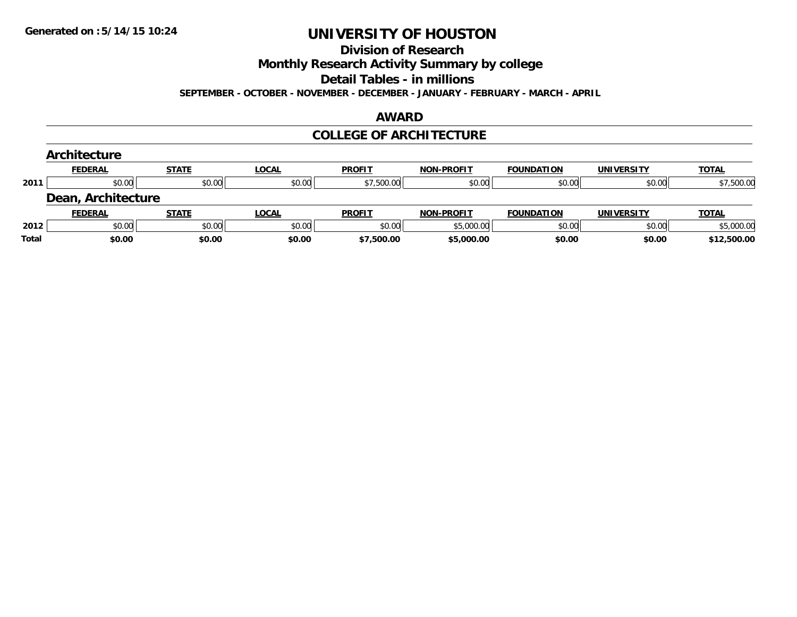**Division of Research**

**Monthly Research Activity Summary by college**

**Detail Tables - in millions**

**SEPTEMBER - OCTOBER - NOVEMBER - DECEMBER - JANUARY - FEBRUARY - MARCH - APRIL**

#### **AWARD**

#### **COLLEGE OF ARCHITECTURE**

|       | Architecture       |              |              |               |                   |                   |                   |              |
|-------|--------------------|--------------|--------------|---------------|-------------------|-------------------|-------------------|--------------|
|       | <b>FEDERAL</b>     | <b>STATE</b> | <b>LOCAL</b> | <b>PROFIT</b> | <b>NON-PROFIT</b> | <b>FOUNDATION</b> | <b>UNIVERSITY</b> | <b>TOTAL</b> |
| 2011  | \$0.00             | \$0.00       | \$0.00       | \$7,500.00    | \$0.00            | \$0.00            | \$0.00            | \$7,500.00   |
|       | Dean, Architecture |              |              |               |                   |                   |                   |              |
|       | <b>FEDERAL</b>     | <b>STATE</b> | <b>LOCAL</b> | <b>PROFIT</b> | <b>NON-PROFIT</b> | <b>FOUNDATION</b> | <b>UNIVERSITY</b> | <b>TOTAL</b> |
| 2012  | \$0.00             | \$0.00       | \$0.00       | \$0.00        | \$5,000.00        | \$0.00            | \$0.00            | \$5,000.00   |
| Total | \$0.00             | \$0.00       | \$0.00       | \$7,500.00    | \$5,000.00        | \$0.00            | \$0.00            | \$12,500.00  |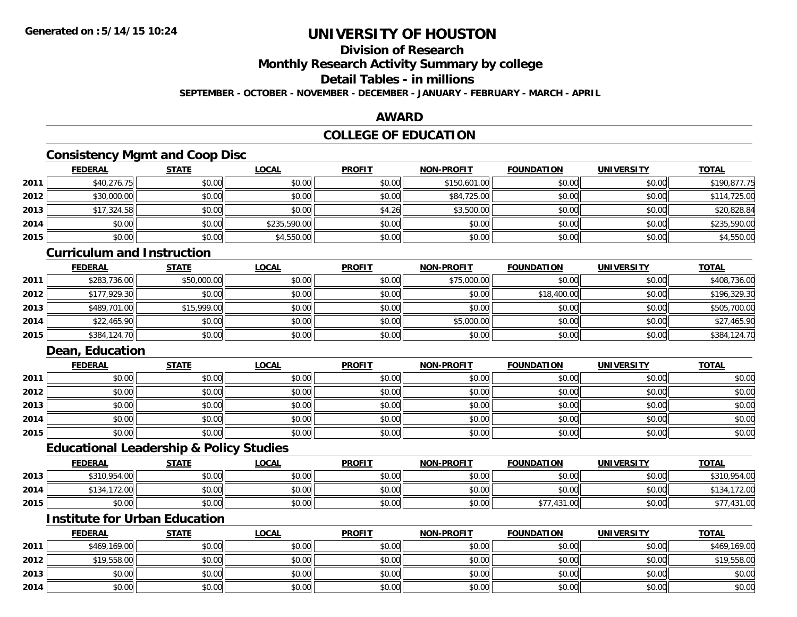## **Division of Research**

**Monthly Research Activity Summary by college**

## **Detail Tables - in millions**

**SEPTEMBER - OCTOBER - NOVEMBER - DECEMBER - JANUARY - FEBRUARY - MARCH - APRIL**

#### **AWARD**

## **COLLEGE OF EDUCATION**

## **Consistency Mgmt and Coop Disc**

|      | <b>FEDERAL</b> | <b>STATE</b> | <u>LOCAL</u> | <b>PROFIT</b> | <b>NON-PROFIT</b> | <b>FOUNDATION</b> | <b>UNIVERSITY</b> | <b>TOTAL</b> |
|------|----------------|--------------|--------------|---------------|-------------------|-------------------|-------------------|--------------|
| 2011 | \$40,276.75    | \$0.00       | \$0.00       | \$0.00        | \$150,601.00      | \$0.00            | \$0.00            | \$190,877.75 |
| 2012 | \$30,000.00    | \$0.00       | \$0.00       | \$0.00        | \$84,725.00       | \$0.00            | \$0.00            | \$114,725.00 |
| 2013 | \$17,324.58    | \$0.00       | \$0.00       | \$4.26        | \$3,500.00        | \$0.00            | \$0.00            | \$20,828.84  |
| 2014 | \$0.00         | \$0.00       | \$235,590.00 | \$0.00        | \$0.00            | \$0.00            | \$0.00            | \$235,590.00 |
| 2015 | \$0.00         | \$0.00       | \$4,550.00   | \$0.00        | \$0.00            | \$0.00            | \$0.00            | \$4,550.00   |

#### **Curriculum and Instruction**

|      | <b>FEDERAL</b> | <b>STATE</b> | <b>LOCAL</b> | <b>PROFIT</b> | <b>NON-PROFIT</b> | <b>FOUNDATION</b> | <b>UNIVERSITY</b> | <b>TOTAL</b> |
|------|----------------|--------------|--------------|---------------|-------------------|-------------------|-------------------|--------------|
| 2011 | \$283,736.00   | \$50,000.00  | \$0.00       | \$0.00        | \$75,000.00       | \$0.00            | \$0.00            | \$408,736.00 |
| 2012 | \$177,929.30   | \$0.00       | \$0.00       | \$0.00        | \$0.00            | \$18,400.00       | \$0.00            | \$196,329.30 |
| 2013 | \$489,701.00   | \$15,999.00  | \$0.00       | \$0.00        | \$0.00            | \$0.00            | \$0.00            | \$505,700.00 |
| 2014 | \$22,465.90    | \$0.00       | \$0.00       | \$0.00        | \$5,000.00        | \$0.00            | \$0.00            | \$27,465.90  |
| 2015 | \$384,124.70   | \$0.00       | \$0.00       | \$0.00        | \$0.00            | \$0.00            | \$0.00            | \$384,124.70 |

## **Dean, Education**

|      | <b>FEDERAL</b> | <b>STATE</b> | <u>LOCAL</u> | <b>PROFIT</b> | <b>NON-PROFIT</b> | <b>FOUNDATION</b> | <b>UNIVERSITY</b> | <b>TOTAL</b> |
|------|----------------|--------------|--------------|---------------|-------------------|-------------------|-------------------|--------------|
| 2011 | \$0.00         | \$0.00       | \$0.00       | \$0.00        | \$0.00            | \$0.00            | \$0.00            | \$0.00       |
| 2012 | \$0.00         | \$0.00       | \$0.00       | \$0.00        | \$0.00            | \$0.00            | \$0.00            | \$0.00       |
| 2013 | \$0.00         | \$0.00       | \$0.00       | \$0.00        | \$0.00            | \$0.00            | \$0.00            | \$0.00       |
| 2014 | \$0.00         | \$0.00       | \$0.00       | \$0.00        | \$0.00            | \$0.00            | \$0.00            | \$0.00       |
| 2015 | \$0.00         | \$0.00       | \$0.00       | \$0.00        | \$0.00            | \$0.00            | \$0.00            | \$0.00       |

#### **Educational Leadership & Policy Studies**

|      | <b>FEDERAL</b>   | <b>STATE</b> | <u>LOCAL</u> | <b>PROFIT</b> | <b>NON-PROFIT</b> | <b>FOUNDATION</b> | <b>UNIVERSITY</b> | <b>TOTAL</b> |
|------|------------------|--------------|--------------|---------------|-------------------|-------------------|-------------------|--------------|
| 2013 | \$310,954.00     | \$0.00       | \$0.00       | \$0.00        | \$0.00            | \$0.00            | \$0.00            | \$310,954.00 |
| 2014 | 172.00<br>- 34 / | \$0.00       | \$0.00       | \$0.00        | \$0.00            | \$0.00            | \$0.00            |              |
| 2015 | \$0.00           | \$0.00       | \$0.00       | \$0.00        | \$0.00            | \$77,431.00       | \$0.00            | \$77,431.00  |

# **Institute for Urban Education**

|      | <b>FEDERAL</b> | STATE  | <b>LOCAL</b> | <b>PROFIT</b> | <b>NON-PROFIT</b> | <b>FOUNDATION</b> | <b>UNIVERSITY</b> | <b>TOTAL</b> |
|------|----------------|--------|--------------|---------------|-------------------|-------------------|-------------------|--------------|
| 2011 | \$469,169.00   | \$0.00 | \$0.00       | \$0.00        | \$0.00            | \$0.00            | \$0.00            | \$469,169.00 |
| 2012 | \$19,558.00    | \$0.00 | \$0.00       | \$0.00        | \$0.00            | \$0.00            | \$0.00            | \$19,558.00  |
| 2013 | \$0.00         | \$0.00 | \$0.00       | \$0.00        | \$0.00            | \$0.00            | \$0.00            | \$0.00       |
| 2014 | \$0.00         | \$0.00 | \$0.00       | \$0.00        | \$0.00            | \$0.00            | \$0.00            | \$0.00       |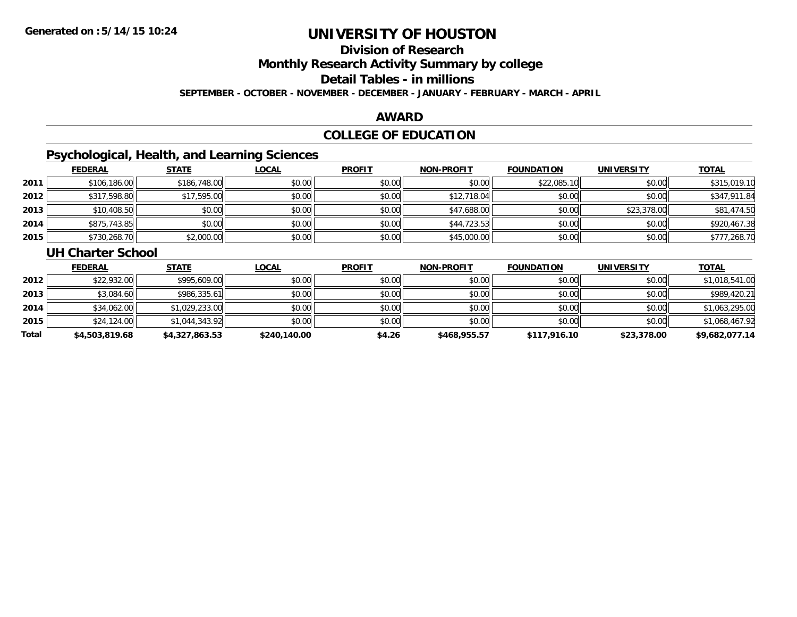# **Division of Research**

**Monthly Research Activity Summary by college**

**Detail Tables - in millions**

**SEPTEMBER - OCTOBER - NOVEMBER - DECEMBER - JANUARY - FEBRUARY - MARCH - APRIL**

#### **AWARD**

## **COLLEGE OF EDUCATION**

## **Psychological, Health, and Learning Sciences**

|      | <b>FEDERAL</b> | <b>STATE</b> | <u>LOCAL</u> | <b>PROFIT</b> | <b>NON-PROFIT</b> | <b>FOUNDATION</b> | <b>UNIVERSITY</b> | <b>TOTAL</b> |
|------|----------------|--------------|--------------|---------------|-------------------|-------------------|-------------------|--------------|
| 2011 | \$106,186.00   | \$186,748.00 | \$0.00       | \$0.00        | \$0.00            | \$22,085.10       | \$0.00            | \$315,019.10 |
| 2012 | \$317,598.80   | \$17,595.00  | \$0.00       | \$0.00        | \$12,718.04       | \$0.00            | \$0.00            | \$347,911.84 |
| 2013 | \$10,408.50    | \$0.00       | \$0.00       | \$0.00        | \$47,688.00       | \$0.00            | \$23,378.00       | \$81,474.50  |
| 2014 | \$875,743.85   | \$0.00       | \$0.00       | \$0.00        | \$44,723.53       | \$0.00            | \$0.00            | \$920,467.38 |
| 2015 | \$730,268.70   | \$2,000.00   | \$0.00       | \$0.00        | \$45,000.00       | \$0.00            | \$0.00            | \$777,268.70 |

#### **UH Charter School**

|       | <b>FEDERAL</b> | <b>STATE</b>   | <b>LOCAL</b> | <b>PROFIT</b> | <b>NON-PROFIT</b> | <b>FOUNDATION</b> | <b>UNIVERSITY</b> | <b>TOTAL</b>   |
|-------|----------------|----------------|--------------|---------------|-------------------|-------------------|-------------------|----------------|
| 2012  | \$22,932.00    | \$995,609.00   | \$0.00       | \$0.00        | \$0.00            | \$0.00            | \$0.00            | \$1,018,541.00 |
| 2013  | \$3,084.60     | \$986,335.61   | \$0.00       | \$0.00        | \$0.00            | \$0.00            | \$0.00            | \$989,420.21   |
| 2014  | \$34,062.00    | \$1,029,233.00 | \$0.00       | \$0.00        | \$0.00            | \$0.00            | \$0.00            | \$1,063,295.00 |
| 2015  | \$24,124.00    | \$1,044,343.92 | \$0.00       | \$0.00        | \$0.00            | \$0.00            | \$0.00            | \$1,068,467.92 |
| Total | \$4,503,819.68 | \$4,327,863.53 | \$240,140.00 | \$4.26        | \$468,955.57      | \$117,916.10      | \$23,378.00       | \$9,682,077.14 |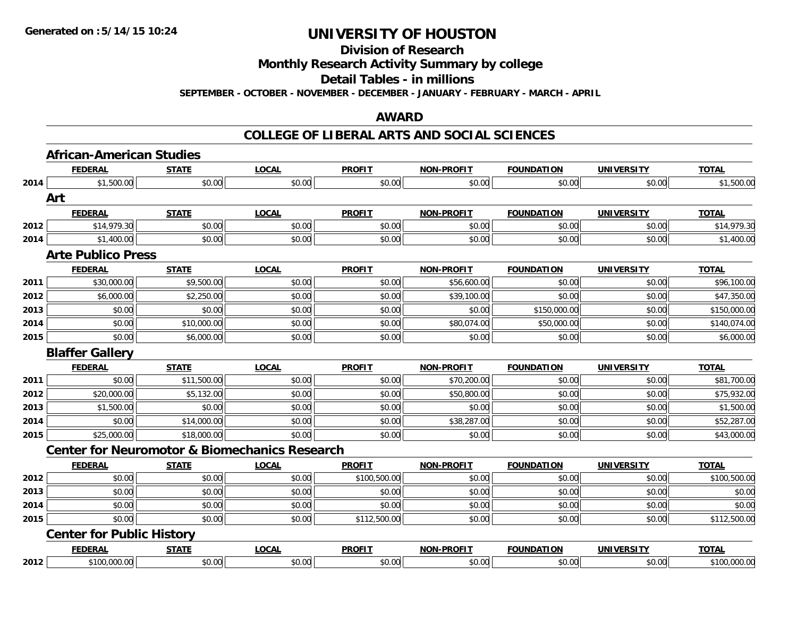**Division of Research**

**Monthly Research Activity Summary by college**

**Detail Tables - in millions**

**SEPTEMBER - OCTOBER - NOVEMBER - DECEMBER - JANUARY - FEBRUARY - MARCH - APRIL**

#### **AWARD**

|      | <b>African-American Studies</b>                          |              |              |               |                   |                   |                   |              |
|------|----------------------------------------------------------|--------------|--------------|---------------|-------------------|-------------------|-------------------|--------------|
|      | <b>FEDERAL</b>                                           | <b>STATE</b> | <b>LOCAL</b> | <b>PROFIT</b> | <b>NON-PROFIT</b> | <b>FOUNDATION</b> | <b>UNIVERSITY</b> | <b>TOTAL</b> |
| 2014 | \$1,500.00                                               | \$0.00       | \$0.00       | \$0.00        | \$0.00            | \$0.00            | \$0.00            | \$1,500.00   |
|      | Art                                                      |              |              |               |                   |                   |                   |              |
|      | <b>FEDERAL</b>                                           | <b>STATE</b> | <b>LOCAL</b> | <b>PROFIT</b> | <b>NON-PROFIT</b> | <b>FOUNDATION</b> | <b>UNIVERSITY</b> | <b>TOTAL</b> |
| 2012 | \$14,979.30                                              | \$0.00       | \$0.00       | \$0.00        | \$0.00            | \$0.00            | \$0.00            | \$14,979.30  |
| 2014 | \$1,400.00                                               | \$0.00       | \$0.00       | \$0.00        | \$0.00            | \$0.00            | \$0.00            | \$1,400.00   |
|      | <b>Arte Publico Press</b>                                |              |              |               |                   |                   |                   |              |
|      | <b>FEDERAL</b>                                           | <b>STATE</b> | <b>LOCAL</b> | <b>PROFIT</b> | <b>NON-PROFIT</b> | <b>FOUNDATION</b> | <b>UNIVERSITY</b> | <b>TOTAL</b> |
| 2011 | \$30,000.00                                              | \$9,500.00   | \$0.00       | \$0.00        | \$56,600.00       | \$0.00            | \$0.00            | \$96,100.00  |
| 2012 | \$6,000.00                                               | \$2,250.00   | \$0.00       | \$0.00        | \$39,100.00       | \$0.00            | \$0.00            | \$47,350.00  |
| 2013 | \$0.00                                                   | \$0.00       | \$0.00       | \$0.00        | \$0.00            | \$150,000.00      | \$0.00            | \$150,000.00 |
| 2014 | \$0.00                                                   | \$10,000.00  | \$0.00       | \$0.00        | \$80,074.00       | \$50,000.00       | \$0.00            | \$140,074.00 |
| 2015 | \$0.00                                                   | \$6,000.00   | \$0.00       | \$0.00        | \$0.00            | \$0.00            | \$0.00            | \$6,000.00   |
|      | <b>Blaffer Gallery</b>                                   |              |              |               |                   |                   |                   |              |
|      | <b>FEDERAL</b>                                           |              |              |               |                   |                   |                   |              |
|      |                                                          | <b>STATE</b> | <b>LOCAL</b> | <b>PROFIT</b> | <b>NON-PROFIT</b> | <b>FOUNDATION</b> | <b>UNIVERSITY</b> | <b>TOTAL</b> |
| 2011 | \$0.00                                                   | \$11,500.00  | \$0.00       | \$0.00        | \$70,200.00       | \$0.00            | \$0.00            | \$81,700.00  |
| 2012 | \$20,000.00                                              | \$5,132.00   | \$0.00       | \$0.00        | \$50,800.00       | \$0.00            | \$0.00            | \$75,932.00  |
| 2013 | \$1,500.00                                               | \$0.00       | \$0.00       | \$0.00        | \$0.00            | \$0.00            | \$0.00            | \$1,500.00   |
| 2014 | \$0.00                                                   | \$14,000.00  | \$0.00       | \$0.00        | \$38,287.00       | \$0.00            | \$0.00            | \$52,287.00  |
| 2015 | \$25,000.00                                              | \$18,000.00  | \$0.00       | \$0.00        | \$0.00            | \$0.00            | \$0.00            | \$43,000.00  |
|      | <b>Center for Neuromotor &amp; Biomechanics Research</b> |              |              |               |                   |                   |                   |              |
|      | <b>FEDERAL</b>                                           | <b>STATE</b> | <b>LOCAL</b> | <b>PROFIT</b> | <b>NON-PROFIT</b> | <b>FOUNDATION</b> | <b>UNIVERSITY</b> | <b>TOTAL</b> |
| 2012 | \$0.00                                                   | \$0.00       | \$0.00       | \$100,500.00  | \$0.00            | \$0.00            | \$0.00            | \$100,500.00 |
| 2013 | \$0.00                                                   | \$0.00       | \$0.00       | \$0.00        | \$0.00            | \$0.00            | \$0.00            | \$0.00       |
| 2014 | \$0.00                                                   | \$0.00       | \$0.00       | \$0.00        | \$0.00            | \$0.00            | \$0.00            | \$0.00       |
| 2015 | \$0.00                                                   | \$0.00       | \$0.00       | \$112,500.00  | \$0.00            | \$0.00            | \$0.00            | \$112,500.00 |
|      | <b>Center for Public History</b>                         |              |              |               |                   |                   |                   |              |
|      | <b>FEDERAL</b>                                           | <b>STATE</b> | <b>LOCAL</b> | <b>PROFIT</b> | <b>NON-PROFIT</b> | <b>FOUNDATION</b> | <b>UNIVERSITY</b> | <b>TOTAL</b> |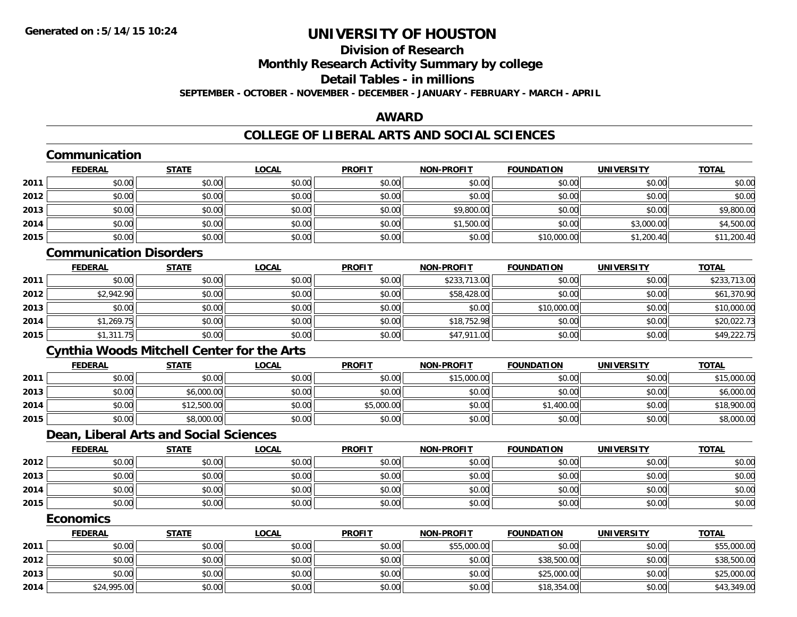## **Division of ResearchMonthly Research Activity Summary by college**

#### **Detail Tables - in millions**

**SEPTEMBER - OCTOBER - NOVEMBER - DECEMBER - JANUARY - FEBRUARY - MARCH - APRIL**

## **AWARD**

|      | Communication                                     |              |              |               |                   |                   |                   |              |
|------|---------------------------------------------------|--------------|--------------|---------------|-------------------|-------------------|-------------------|--------------|
|      | <b>FEDERAL</b>                                    | <b>STATE</b> | <b>LOCAL</b> | <b>PROFIT</b> | <b>NON-PROFIT</b> | <b>FOUNDATION</b> | <b>UNIVERSITY</b> | <b>TOTAL</b> |
| 2011 | \$0.00                                            | \$0.00       | \$0.00       | \$0.00        | \$0.00            | \$0.00            | \$0.00            | \$0.00       |
| 2012 | \$0.00                                            | \$0.00       | \$0.00       | \$0.00        | \$0.00            | \$0.00            | \$0.00            | \$0.00       |
| 2013 | \$0.00                                            | \$0.00       | \$0.00       | \$0.00        | \$9,800.00        | \$0.00            | \$0.00            | \$9,800.00   |
| 2014 | \$0.00                                            | \$0.00       | \$0.00       | \$0.00        | \$1,500.00        | \$0.00            | \$3,000.00        | \$4,500.00   |
| 2015 | \$0.00                                            | \$0.00       | \$0.00       | \$0.00        | \$0.00            | \$10,000.00       | \$1,200.40        | \$11,200.40  |
|      | <b>Communication Disorders</b>                    |              |              |               |                   |                   |                   |              |
|      | <b>FEDERAL</b>                                    | <b>STATE</b> | <b>LOCAL</b> | <b>PROFIT</b> | <b>NON-PROFIT</b> | <b>FOUNDATION</b> | <b>UNIVERSITY</b> | <b>TOTAL</b> |
| 2011 | \$0.00                                            | \$0.00       | \$0.00       | \$0.00        | \$233,713.00      | \$0.00            | \$0.00            | \$233,713.00 |
| 2012 | \$2,942.90                                        | \$0.00       | \$0.00       | \$0.00        | \$58,428.00       | \$0.00            | \$0.00            | \$61,370.90  |
| 2013 | \$0.00                                            | \$0.00       | \$0.00       | \$0.00        | \$0.00            | \$10,000.00       | \$0.00            | \$10,000.00  |
| 2014 | \$1,269.75                                        | \$0.00       | \$0.00       | \$0.00        | \$18,752.98       | \$0.00            | \$0.00            | \$20,022.73  |
| 2015 | \$1,311.75                                        | \$0.00       | \$0.00       | \$0.00        | \$47,911.00       | \$0.00            | \$0.00            | \$49,222.75  |
|      | <b>Cynthia Woods Mitchell Center for the Arts</b> |              |              |               |                   |                   |                   |              |
|      | <b>FEDERAL</b>                                    | <b>STATE</b> | <b>LOCAL</b> | <b>PROFIT</b> | <b>NON-PROFIT</b> | <b>FOUNDATION</b> | <b>UNIVERSITY</b> | <b>TOTAL</b> |
| 2011 | \$0.00                                            | \$0.00       | \$0.00       | \$0.00        | \$15,000.00       | \$0.00            | \$0.00            | \$15,000.00  |
| 2013 | \$0.00                                            | \$6,000.00   | \$0.00       | \$0.00        | \$0.00            | \$0.00            | \$0.00            | \$6,000.00   |
| 2014 | \$0.00                                            | \$12,500.00  | \$0.00       | \$5,000.00    | \$0.00            | \$1,400.00        | \$0.00            | \$18,900.00  |
| 2015 | \$0.00                                            | \$8,000.00   | \$0.00       | \$0.00        | \$0.00            | \$0.00            | \$0.00            | \$8,000.00   |
|      | Dean, Liberal Arts and Social Sciences            |              |              |               |                   |                   |                   |              |
|      | <b>FEDERAL</b>                                    | <b>STATE</b> | <b>LOCAL</b> | <b>PROFIT</b> | <b>NON-PROFIT</b> | <b>FOUNDATION</b> | <b>UNIVERSITY</b> | <b>TOTAL</b> |
| 2012 | \$0.00                                            | \$0.00       | \$0.00       | \$0.00        | \$0.00            | \$0.00            | \$0.00            | \$0.00       |
| 2013 | \$0.00                                            | \$0.00       | \$0.00       | \$0.00        | \$0.00            | \$0.00            | \$0.00            | \$0.00       |
| 2014 | \$0.00                                            | \$0.00       | \$0.00       | \$0.00        | \$0.00            | \$0.00            | \$0.00            | \$0.00       |
| 2015 | \$0.00                                            | \$0.00       | \$0.00       | \$0.00        | \$0.00            | \$0.00            | \$0.00            | \$0.00       |
|      | <b>Economics</b>                                  |              |              |               |                   |                   |                   |              |
|      | <b>FEDERAL</b>                                    | <b>STATE</b> | <b>LOCAL</b> | <b>PROFIT</b> | <b>NON-PROFIT</b> | <b>FOUNDATION</b> | <b>UNIVERSITY</b> | <b>TOTAL</b> |
| 2011 | \$0.00                                            | \$0.00       | \$0.00       | \$0.00        | \$55,000.00       | \$0.00            | \$0.00            | \$55,000.00  |
| 2012 | \$0.00                                            | \$0.00       | \$0.00       | \$0.00        | \$0.00            | \$38,500.00       | \$0.00            | \$38,500.00  |
| 2013 | \$0.00                                            | \$0.00       | \$0.00       | \$0.00        | \$0.00            | \$25,000.00       | \$0.00            | \$25,000.00  |
| 2014 | \$24,995.00                                       | \$0.00       | \$0.00       | \$0.00        | \$0.00            | \$18,354.00       | \$0.00            | \$43,349.00  |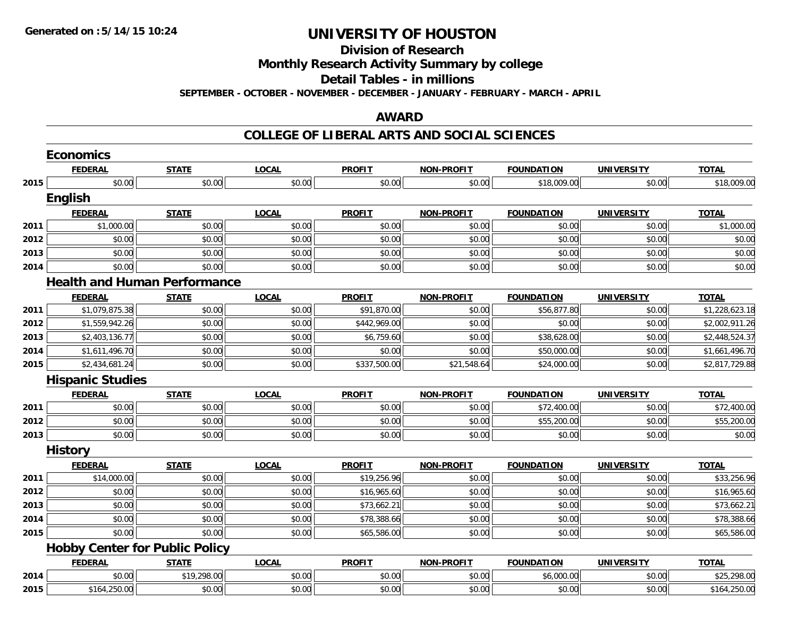**Division of Research**

**Monthly Research Activity Summary by college**

**Detail Tables - in millions**

**SEPTEMBER - OCTOBER - NOVEMBER - DECEMBER - JANUARY - FEBRUARY - MARCH - APRIL**

### **AWARD**

|      | <b>Economics</b>                      |              |              |               |                   |                   |                   |                |
|------|---------------------------------------|--------------|--------------|---------------|-------------------|-------------------|-------------------|----------------|
|      | <b>FEDERAL</b>                        | <b>STATE</b> | <b>LOCAL</b> | <b>PROFIT</b> | <b>NON-PROFIT</b> | <b>FOUNDATION</b> | <b>UNIVERSITY</b> | <b>TOTAL</b>   |
| 2015 | \$0.00                                | \$0.00       | \$0.00       | \$0.00        | \$0.00            | \$18,009.00       | \$0.00            | \$18,009.00    |
|      | <b>English</b>                        |              |              |               |                   |                   |                   |                |
|      | <b>FEDERAL</b>                        | <b>STATE</b> | <b>LOCAL</b> | <b>PROFIT</b> | <b>NON-PROFIT</b> | <b>FOUNDATION</b> | <b>UNIVERSITY</b> | <b>TOTAL</b>   |
| 2011 | \$1,000.00                            | \$0.00       | \$0.00       | \$0.00        | \$0.00            | \$0.00            | \$0.00            | \$1,000.00     |
| 2012 | \$0.00                                | \$0.00       | \$0.00       | \$0.00        | \$0.00            | \$0.00            | \$0.00            | \$0.00         |
| 2013 | \$0.00                                | \$0.00       | \$0.00       | \$0.00        | \$0.00            | \$0.00            | \$0.00            | \$0.00         |
| 2014 | \$0.00                                | \$0.00       | \$0.00       | \$0.00        | \$0.00            | \$0.00            | \$0.00            | \$0.00         |
|      | <b>Health and Human Performance</b>   |              |              |               |                   |                   |                   |                |
|      | <b>FEDERAL</b>                        | <b>STATE</b> | <b>LOCAL</b> | <b>PROFIT</b> | <b>NON-PROFIT</b> | <b>FOUNDATION</b> | <b>UNIVERSITY</b> | <b>TOTAL</b>   |
| 2011 | \$1,079,875.38                        | \$0.00       | \$0.00       | \$91,870.00   | \$0.00            | \$56,877.80       | \$0.00            | \$1,228,623.18 |
| 2012 | \$1,559,942.26                        | \$0.00       | \$0.00       | \$442,969.00  | \$0.00            | \$0.00            | \$0.00            | \$2,002,911.26 |
| 2013 | \$2,403,136.77                        | \$0.00       | \$0.00       | \$6,759.60    | \$0.00            | \$38,628.00       | \$0.00            | \$2,448,524.37 |
| 2014 | \$1,611,496.70                        | \$0.00       | \$0.00       | \$0.00        | \$0.00            | \$50,000.00       | \$0.00            | \$1,661,496.70 |
| 2015 | \$2,434,681.24                        | \$0.00       | \$0.00       | \$337,500.00  | \$21,548.64       | \$24,000.00       | \$0.00            | \$2,817,729.88 |
|      | <b>Hispanic Studies</b>               |              |              |               |                   |                   |                   |                |
|      | <b>FEDERAL</b>                        | <b>STATE</b> | <b>LOCAL</b> | <b>PROFIT</b> | <b>NON-PROFIT</b> | <b>FOUNDATION</b> | <b>UNIVERSITY</b> | <b>TOTAL</b>   |
| 2011 | \$0.00                                | \$0.00       | \$0.00       | \$0.00        | \$0.00            | \$72,400.00       | \$0.00            | \$72,400.00    |
| 2012 | \$0.00                                | \$0.00       | \$0.00       | \$0.00        | \$0.00            | \$55,200.00       | \$0.00            | \$55,200.00    |
| 2013 | \$0.00                                | \$0.00       | \$0.00       | \$0.00        | \$0.00            | \$0.00            | \$0.00            | \$0.00         |
|      | <b>History</b>                        |              |              |               |                   |                   |                   |                |
|      | <b>FEDERAL</b>                        | <b>STATE</b> | <b>LOCAL</b> | <b>PROFIT</b> | <b>NON-PROFIT</b> | <b>FOUNDATION</b> | <b>UNIVERSITY</b> | <b>TOTAL</b>   |
| 2011 | \$14,000.00                           | \$0.00       | \$0.00       | \$19,256.96   | \$0.00            | \$0.00            | \$0.00            | \$33,256.96    |
| 2012 | \$0.00                                | \$0.00       | \$0.00       | \$16,965.60   | \$0.00            | \$0.00            | \$0.00            | \$16,965.60    |
| 2013 | \$0.00                                | \$0.00       | \$0.00       | \$73,662.21   | \$0.00            | \$0.00            | \$0.00            | \$73,662.21    |
| 2014 | \$0.00                                | \$0.00       | \$0.00       | \$78,388.66   | \$0.00            | \$0.00            | \$0.00            | \$78,388.66    |
| 2015 | \$0.00                                | \$0.00       | \$0.00       | \$65,586.00   | \$0.00            | \$0.00            | \$0.00            | \$65,586.00    |
|      | <b>Hobby Center for Public Policy</b> |              |              |               |                   |                   |                   |                |
|      | <b>FEDERAL</b>                        | <b>STATE</b> | <b>LOCAL</b> | <b>PROFIT</b> | <b>NON-PROFIT</b> | <b>FOUNDATION</b> | <b>UNIVERSITY</b> | <b>TOTAL</b>   |
| 2014 | \$0.00                                | \$19,298.00  | \$0.00       | \$0.00        | \$0.00            | \$6,000.00        | \$0.00            | \$25,298.00    |
| 2015 | \$164,250.00                          | \$0.00       | \$0.00       | \$0.00        | \$0.00            | \$0.00            | \$0.00            | \$164,250.00   |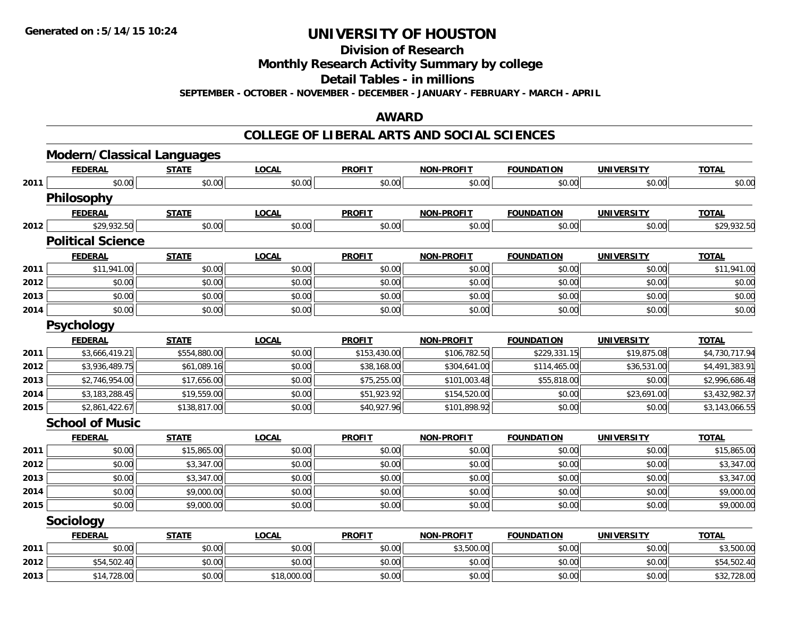**Division of Research**

**Monthly Research Activity Summary by college**

**Detail Tables - in millions**

**SEPTEMBER - OCTOBER - NOVEMBER - DECEMBER - JANUARY - FEBRUARY - MARCH - APRIL**

### **AWARD**

|      | <b>Modern/Classical Languages</b> |              |              |               |                   |                   |                   |                |
|------|-----------------------------------|--------------|--------------|---------------|-------------------|-------------------|-------------------|----------------|
|      | <b>FEDERAL</b>                    | <b>STATE</b> | <b>LOCAL</b> | <b>PROFIT</b> | <b>NON-PROFIT</b> | <b>FOUNDATION</b> | <b>UNIVERSITY</b> | <b>TOTAL</b>   |
| 2011 | \$0.00                            | \$0.00       | \$0.00       | \$0.00        | \$0.00            | \$0.00            | \$0.00            | \$0.00         |
|      | <b>Philosophy</b>                 |              |              |               |                   |                   |                   |                |
|      | <b>FEDERAL</b>                    | <b>STATE</b> | <b>LOCAL</b> | <b>PROFIT</b> | <b>NON-PROFIT</b> | <b>FOUNDATION</b> | <b>UNIVERSITY</b> | <b>TOTAL</b>   |
| 2012 | \$29,932.50                       | \$0.00       | \$0.00       | \$0.00        | \$0.00            | \$0.00            | \$0.00            | \$29,932.50    |
|      | <b>Political Science</b>          |              |              |               |                   |                   |                   |                |
|      | <b>FEDERAL</b>                    | <b>STATE</b> | <b>LOCAL</b> | <b>PROFIT</b> | <b>NON-PROFIT</b> | <b>FOUNDATION</b> | <b>UNIVERSITY</b> | <b>TOTAL</b>   |
| 2011 | \$11,941.00                       | \$0.00       | \$0.00       | \$0.00        | \$0.00            | \$0.00            | \$0.00            | \$11,941.00    |
| 2012 | \$0.00                            | \$0.00       | \$0.00       | \$0.00        | \$0.00            | \$0.00            | \$0.00            | \$0.00         |
| 2013 | \$0.00                            | \$0.00       | \$0.00       | \$0.00        | \$0.00            | \$0.00            | \$0.00            | \$0.00         |
| 2014 | \$0.00                            | \$0.00       | \$0.00       | \$0.00        | \$0.00            | \$0.00            | \$0.00            | \$0.00         |
|      | <b>Psychology</b>                 |              |              |               |                   |                   |                   |                |
|      | <b>FEDERAL</b>                    | <b>STATE</b> | <b>LOCAL</b> | <b>PROFIT</b> | <b>NON-PROFIT</b> | <b>FOUNDATION</b> | <b>UNIVERSITY</b> | <b>TOTAL</b>   |
| 2011 | \$3,666,419.21                    | \$554,880.00 | \$0.00       | \$153,430.00  | \$106,782.50      | \$229,331.15      | \$19,875.08       | \$4,730,717.94 |
| 2012 | \$3,936,489.75                    | \$61,089.16  | \$0.00       | \$38,168.00   | \$304,641.00      | \$114,465.00      | \$36,531.00       | \$4,491,383.91 |
| 2013 | \$2,746,954.00                    | \$17,656.00  | \$0.00       | \$75,255.00   | \$101,003.48      | \$55,818.00       | \$0.00            | \$2,996,686.48 |
| 2014 | \$3,183,288.45                    | \$19,559.00  | \$0.00       | \$51,923.92   | \$154,520.00      | \$0.00            | \$23,691.00       | \$3,432,982.37 |
| 2015 | \$2,861,422.67                    | \$138,817.00 | \$0.00       | \$40,927.96   | \$101,898.92      | \$0.00            | \$0.00            | \$3,143,066.55 |
|      | <b>School of Music</b>            |              |              |               |                   |                   |                   |                |
|      | <b>FEDERAL</b>                    | <b>STATE</b> | <b>LOCAL</b> | <b>PROFIT</b> | <b>NON-PROFIT</b> | <b>FOUNDATION</b> | <b>UNIVERSITY</b> | <b>TOTAL</b>   |
| 2011 | \$0.00                            | \$15,865.00  | \$0.00       | \$0.00        | \$0.00            | \$0.00            | \$0.00            | \$15,865.00    |
| 2012 | \$0.00                            | \$3,347.00   | \$0.00       | \$0.00        | \$0.00            | \$0.00            | \$0.00            | \$3,347.00     |
| 2013 | \$0.00                            | \$3,347.00   | \$0.00       | \$0.00        | \$0.00            | \$0.00            | \$0.00            | \$3,347.00     |
| 2014 | \$0.00                            | \$9,000.00   | \$0.00       | \$0.00        | \$0.00            | \$0.00            | \$0.00            | \$9,000.00     |
| 2015 | \$0.00                            | \$9,000.00   | \$0.00       | \$0.00        | \$0.00            | \$0.00            | \$0.00            | \$9,000.00     |
|      | Sociology                         |              |              |               |                   |                   |                   |                |
|      | <b>FEDERAL</b>                    | <b>STATE</b> | <b>LOCAL</b> | <b>PROFIT</b> | <b>NON-PROFIT</b> | <b>FOUNDATION</b> | <b>UNIVERSITY</b> | <b>TOTAL</b>   |
| 2011 | \$0.00                            | \$0.00       | \$0.00       | \$0.00        | \$3,500.00        | \$0.00            | \$0.00            | \$3,500.00     |
| 2012 | \$54,502.40                       | \$0.00       | \$0.00       | \$0.00        | \$0.00            | \$0.00            | \$0.00            | \$54,502.40    |
| 2013 | \$14,728.00                       | \$0.00       | \$18,000.00  | \$0.00        | \$0.00            | \$0.00            | \$0.00            | \$32,728.00    |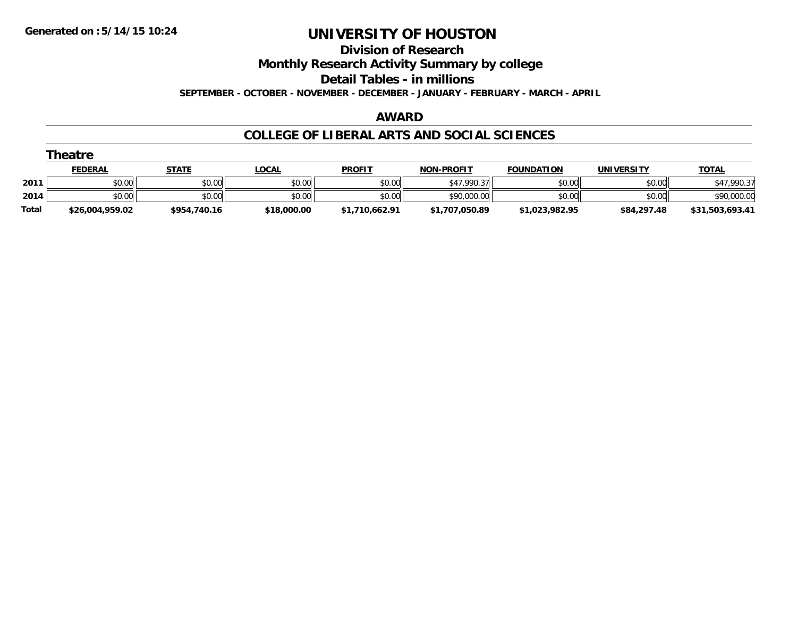**Division of Research**

**Monthly Research Activity Summary by college**

**Detail Tables - in millions**

**SEPTEMBER - OCTOBER - NOVEMBER - DECEMBER - JANUARY - FEBRUARY - MARCH - APRIL**

### **AWARD**

|              | Theatre         |              |              |                |                   |                   |             |                 |
|--------------|-----------------|--------------|--------------|----------------|-------------------|-------------------|-------------|-----------------|
|              | <b>FEDERAL</b>  | <b>STATE</b> | <b>LOCAL</b> | <b>PROFIT</b>  | <b>NON-PROFIT</b> | <b>FOUNDATION</b> | UNIVERSITY  | <b>TOTAL</b>    |
| 2011         | \$0.00          | \$0.00       | \$0.00       | \$0.00         | \$47,990.37       | \$0.00            | \$0.00      | \$47,990.37     |
| 2014         | \$0.00          | \$0.00       | \$0.00       | \$0.00         | \$90,000.00       | \$0.00            | \$0.00      | \$90,000.00     |
| <b>Total</b> | \$26,004,959.02 | \$954,740.16 | \$18,000.00  | \$1,710,662.91 | \$1,707,050.89    | \$1,023,982.95    | \$84,297.48 | \$31,503,693.41 |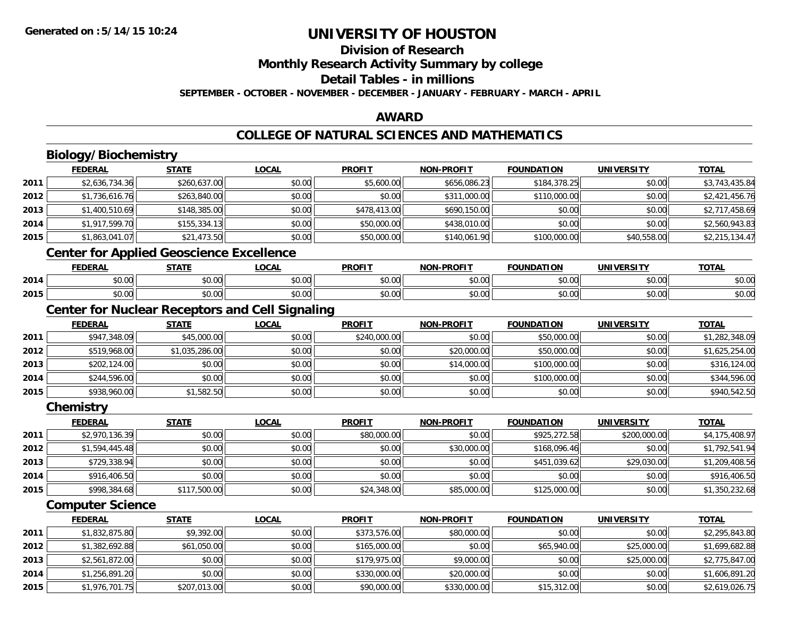## **Division of Research**

**Monthly Research Activity Summary by college**

### **Detail Tables - in millions**

**SEPTEMBER - OCTOBER - NOVEMBER - DECEMBER - JANUARY - FEBRUARY - MARCH - APRIL**

### **AWARD**

### **COLLEGE OF NATURAL SCIENCES AND MATHEMATICS**

|      | Biology/Biochemistry                            |                |                                                        |               |                   |                   |                   |                |
|------|-------------------------------------------------|----------------|--------------------------------------------------------|---------------|-------------------|-------------------|-------------------|----------------|
|      | <b>FEDERAL</b>                                  | <b>STATE</b>   | <b>LOCAL</b>                                           | <b>PROFIT</b> | <b>NON-PROFIT</b> | <b>FOUNDATION</b> | <b>UNIVERSITY</b> | <b>TOTAL</b>   |
| 2011 | \$2,636,734.36                                  | \$260,637.00   | \$0.00                                                 | \$5,600.00    | \$656,086.23      | \$184,378.25      | \$0.00            | \$3,743,435.84 |
| 2012 | \$1,736,616.76                                  | \$263,840.00   | \$0.00                                                 | \$0.00        | \$311,000.00      | \$110,000.00      | \$0.00            | \$2,421,456.76 |
| 2013 | \$1,400,510.69                                  | \$148,385.00   | \$0.00                                                 | \$478,413.00  | \$690,150.00      | \$0.00            | \$0.00            | \$2,717,458.69 |
| 2014 | \$1,917,599.70                                  | \$155,334.13   | \$0.00                                                 | \$50,000.00   | \$438,010.00      | \$0.00            | \$0.00            | \$2,560,943.83 |
| 2015 | \$1,863,041.07                                  | \$21,473.50    | \$0.00                                                 | \$50,000.00   | \$140,061.90      | \$100,000.00      | \$40,558.00       | \$2,215,134.47 |
|      | <b>Center for Applied Geoscience Excellence</b> |                |                                                        |               |                   |                   |                   |                |
|      | <b>FEDERAL</b>                                  | <b>STATE</b>   | <b>LOCAL</b>                                           | <b>PROFIT</b> | <b>NON-PROFIT</b> | <b>FOUNDATION</b> | <b>UNIVERSITY</b> | <b>TOTAL</b>   |
| 2014 | \$0.00                                          | \$0.00         | \$0.00                                                 | \$0.00        | \$0.00            | \$0.00            | \$0.00            | \$0.00         |
| 2015 | \$0.00                                          | \$0.00         | \$0.00                                                 | \$0.00        | \$0.00            | \$0.00            | \$0.00            | \$0.00         |
|      |                                                 |                | <b>Center for Nuclear Receptors and Cell Signaling</b> |               |                   |                   |                   |                |
|      | <b>FEDERAL</b>                                  | <b>STATE</b>   | <b>LOCAL</b>                                           | <b>PROFIT</b> | <b>NON-PROFIT</b> | <b>FOUNDATION</b> | <b>UNIVERSITY</b> | <b>TOTAL</b>   |
| 2011 | \$947,348.09                                    | \$45,000.00    | \$0.00                                                 | \$240,000.00  | \$0.00            | \$50,000.00       | \$0.00            | \$1,282,348.09 |
| 2012 | \$519,968.00                                    | \$1,035,286.00 | \$0.00                                                 | \$0.00        | \$20,000.00       | \$50,000.00       | \$0.00            | \$1,625,254.00 |
| 2013 | \$202,124.00                                    | \$0.00         | \$0.00                                                 | \$0.00        | \$14,000.00       | \$100,000.00      | \$0.00            | \$316,124.00   |
| 2014 | \$244,596.00                                    | \$0.00         | \$0.00                                                 | \$0.00        | \$0.00            | \$100,000.00      | \$0.00            | \$344,596.00   |
| 2015 | \$938,960.00                                    | \$1,582.50     | \$0.00                                                 | \$0.00        | \$0.00            | \$0.00            | \$0.00            | \$940,542.50   |
|      | Chemistry                                       |                |                                                        |               |                   |                   |                   |                |
|      | <b>FEDERAL</b>                                  | <b>STATE</b>   | <b>LOCAL</b>                                           | <b>PROFIT</b> | <b>NON-PROFIT</b> | <b>FOUNDATION</b> | <b>UNIVERSITY</b> | <b>TOTAL</b>   |
| 2011 | \$2,970,136.39                                  | \$0.00         | \$0.00                                                 | \$80,000.00   | \$0.00            | \$925,272.58      | \$200,000.00      | \$4,175,408.97 |
| 2012 | \$1,594,445.48                                  | \$0.00         | \$0.00                                                 | \$0.00        | \$30,000.00       | \$168,096.46      | \$0.00            | \$1,792,541.94 |
| 2013 | \$729,338.94                                    | \$0.00         | \$0.00                                                 | \$0.00        | \$0.00            | \$451,039.62      | \$29,030.00       | \$1,209,408.56 |
| 2014 | \$916,406.50                                    | \$0.00         | \$0.00                                                 | \$0.00        | \$0.00            | \$0.00            | \$0.00            | \$916,406.50   |
| 2015 | \$998,384.68                                    | \$117,500.00   | \$0.00                                                 | \$24,348.00   | \$85,000.00       | \$125,000.00      | \$0.00            | \$1,350,232.68 |
|      | <b>Computer Science</b>                         |                |                                                        |               |                   |                   |                   |                |
|      | <b>FEDERAL</b>                                  | <b>STATE</b>   | <b>LOCAL</b>                                           | <b>PROFIT</b> | <b>NON-PROFIT</b> | <b>FOUNDATION</b> | <b>UNIVERSITY</b> | <b>TOTAL</b>   |
| 2011 | \$1,832,875.80                                  | \$9,392.00     | \$0.00                                                 | \$373,576.00  | \$80,000.00       | \$0.00            | \$0.00            | \$2,295,843.80 |
| 2012 | \$1,382,692.88                                  | \$61,050.00    | \$0.00                                                 | \$165,000.00  | \$0.00            | \$65,940.00       | \$25,000.00       | \$1,699,682.88 |
| 2013 | $\overline{$2,561,872.00}$                      | \$0.00         | \$0.00                                                 | \$179,975.00  | \$9,000.00        | \$0.00            | \$25,000.00       | \$2,775,847.00 |
| 2014 | \$1,256,891.20                                  | \$0.00         | \$0.00                                                 | \$330,000.00  | \$20,000.00       | \$0.00            | \$0.00            | \$1,606,891.20 |
| 2015 | \$1,976,701.75                                  | \$207,013.00   | \$0.00                                                 | \$90,000.00   | \$330,000.00      | \$15,312.00       | \$0.00            | \$2,619,026.75 |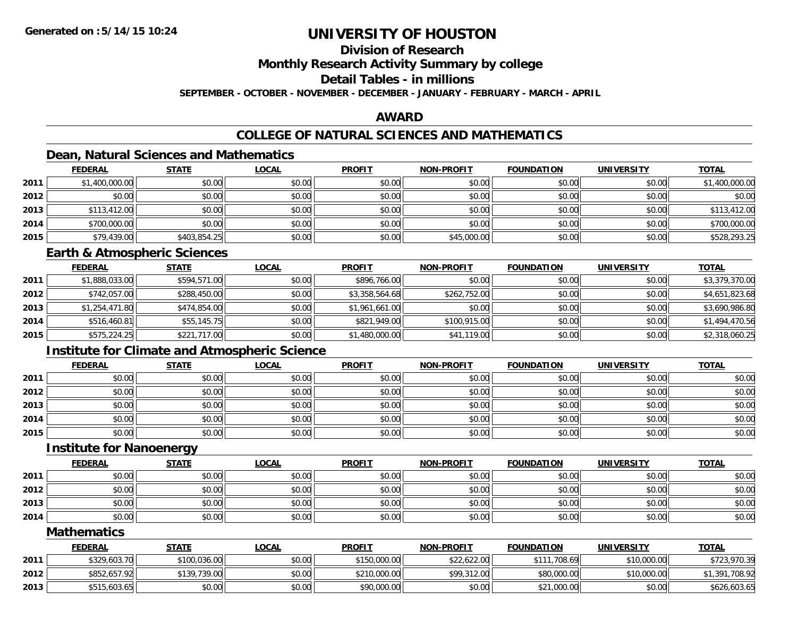## **Division of Research**

**Monthly Research Activity Summary by college**

## **Detail Tables - in millions**

**SEPTEMBER - OCTOBER - NOVEMBER - DECEMBER - JANUARY - FEBRUARY - MARCH - APRIL**

### **AWARD**

## **COLLEGE OF NATURAL SCIENCES AND MATHEMATICS**

## **Dean, Natural Sciences and Mathematics**

|      | <b>FEDERAL</b> | <b>STATE</b> | <u>LOCAL</u> | <b>PROFIT</b> | <b>NON-PROFIT</b> | <b>FOUNDATION</b> | <b>UNIVERSITY</b> | <b>TOTAL</b>   |
|------|----------------|--------------|--------------|---------------|-------------------|-------------------|-------------------|----------------|
| 2011 | \$1,400,000.00 | \$0.00       | \$0.00       | \$0.00        | \$0.00            | \$0.00            | \$0.00            | \$1,400,000.00 |
| 2012 | \$0.00         | \$0.00       | \$0.00       | \$0.00        | \$0.00            | \$0.00            | \$0.00            | \$0.00         |
| 2013 | \$113,412.00   | \$0.00       | \$0.00       | \$0.00        | \$0.00            | \$0.00            | \$0.00            | \$113,412.00   |
| 2014 | \$700,000.00   | \$0.00       | \$0.00       | \$0.00        | \$0.00            | \$0.00            | \$0.00            | \$700,000.00   |
| 2015 | \$79,439.00    | \$403,854.25 | \$0.00       | \$0.00        | \$45,000.00       | \$0.00            | \$0.00            | \$528,293.25   |

### **Earth & Atmospheric Sciences**

|      | <b>FEDERAL</b> | <b>STATE</b> | <b>LOCAL</b> | <b>PROFIT</b>  | <b>NON-PROFIT</b> | <b>FOUNDATION</b> | <b>UNIVERSITY</b> | <b>TOTAL</b>   |
|------|----------------|--------------|--------------|----------------|-------------------|-------------------|-------------------|----------------|
| 2011 | \$1,888,033.00 | \$594,571.00 | \$0.00       | \$896,766.00   | \$0.00            | \$0.00            | \$0.00            | \$3,379,370.00 |
| 2012 | \$742,057.00   | \$288,450.00 | \$0.00       | \$3,358,564.68 | \$262,752.00      | \$0.00            | \$0.00            | \$4,651,823.68 |
| 2013 | \$1,254,471.80 | \$474,854.00 | \$0.00       | \$1,961,661.00 | \$0.00            | \$0.00            | \$0.00            | \$3,690,986.80 |
| 2014 | \$516,460.81   | \$55,145.75  | \$0.00       | \$821,949.00   | \$100,915.00      | \$0.00            | \$0.00            | \$1,494,470.56 |
| 2015 | \$575,224.25   | \$221,717.00 | \$0.00       | \$1,480,000.00 | \$41,119.00       | \$0.00            | \$0.00            | \$2,318,060.25 |

## **Institute for Climate and Atmospheric Science**

|      | <b>FEDERAL</b> | <b>STATE</b> | <u>LOCAL</u> | <b>PROFIT</b> | <b>NON-PROFIT</b> | <b>FOUNDATION</b> | <b>UNIVERSITY</b> | <b>TOTAL</b> |
|------|----------------|--------------|--------------|---------------|-------------------|-------------------|-------------------|--------------|
| 2011 | \$0.00         | \$0.00       | \$0.00       | \$0.00        | \$0.00            | \$0.00            | \$0.00            | \$0.00       |
| 2012 | \$0.00         | \$0.00       | \$0.00       | \$0.00        | \$0.00            | \$0.00            | \$0.00            | \$0.00       |
| 2013 | \$0.00         | \$0.00       | \$0.00       | \$0.00        | \$0.00            | \$0.00            | \$0.00            | \$0.00       |
| 2014 | \$0.00         | \$0.00       | \$0.00       | \$0.00        | \$0.00            | \$0.00            | \$0.00            | \$0.00       |
| 2015 | \$0.00         | \$0.00       | \$0.00       | \$0.00        | \$0.00            | \$0.00            | \$0.00            | \$0.00       |

### **Institute for Nanoenergy**

|      | <b>FEDERAL</b> | <u>STATE</u> | <b>LOCAL</b> | <b>PROFIT</b> | <b>NON-PROFIT</b> | <b>FOUNDATION</b> | <b>UNIVERSITY</b> | <b>TOTAL</b> |
|------|----------------|--------------|--------------|---------------|-------------------|-------------------|-------------------|--------------|
| 2011 | \$0.00         | \$0.00       | \$0.00       | \$0.00        | \$0.00            | \$0.00            | \$0.00            | \$0.00       |
| 2012 | \$0.00         | \$0.00       | \$0.00       | \$0.00        | \$0.00            | \$0.00            | \$0.00            | \$0.00       |
| 2013 | \$0.00         | \$0.00       | \$0.00       | \$0.00        | \$0.00            | \$0.00            | \$0.00            | \$0.00       |
| 2014 | \$0.00         | \$0.00       | \$0.00       | \$0.00        | \$0.00            | \$0.00            | \$0.00            | \$0.00       |

### **Mathematics**

|      | <b>FEDERAL</b> | <b>STATE</b> | <u>LOCAL</u> | <b>PROFIT</b> | <b>NON-PROFIT</b> | <b>FOUNDATION</b> | <b>UNIVERSITY</b> | <b>TOTAL</b>       |
|------|----------------|--------------|--------------|---------------|-------------------|-------------------|-------------------|--------------------|
| 2011 | \$329,603.70   | \$100,036.00 | \$0.00       | \$150,000.00  | \$22,622.00       | 708.69<br>\$111   | \$10,000.00       | \$723,970.39       |
| 2012 | \$852,657.92   | \$139,739.00 | \$0.00       | \$210,000.00  | \$99,312.00       | \$80,000.00       | \$10,000.00       | .708.92<br>\$1,391 |
| 2013 | \$515,603.65   | \$0.00       | \$0.00       | \$90,000.00   | \$0.00            | \$21,000.00       | \$0.00            | \$626,603.65       |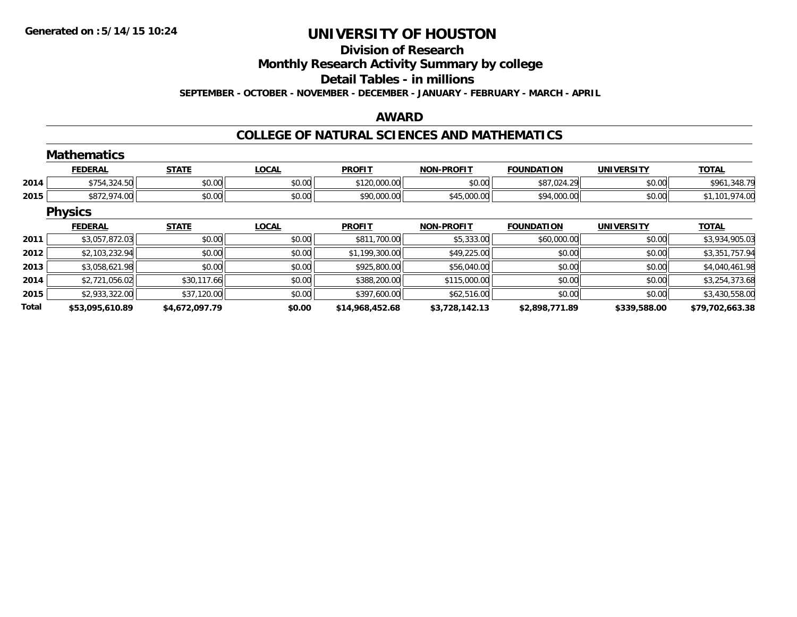## **Division of Research**

**Monthly Research Activity Summary by college**

**Detail Tables - in millions**

**SEPTEMBER - OCTOBER - NOVEMBER - DECEMBER - JANUARY - FEBRUARY - MARCH - APRIL**

### **AWARD**

### **COLLEGE OF NATURAL SCIENCES AND MATHEMATICS**

|       | <b>Mathematics</b> |                |              |                 |                   |                   |                   |                 |
|-------|--------------------|----------------|--------------|-----------------|-------------------|-------------------|-------------------|-----------------|
|       | <b>FEDERAL</b>     | <b>STATE</b>   | <b>LOCAL</b> | <b>PROFIT</b>   | <b>NON-PROFIT</b> | <b>FOUNDATION</b> | <b>UNIVERSITY</b> | <b>TOTAL</b>    |
| 2014  | \$754,324.50       | \$0.00         | \$0.00       | \$120,000.00    | \$0.00            | \$87,024.29       | \$0.00            | \$961,348.79    |
| 2015  | \$872,974.00       | \$0.00         | \$0.00       | \$90,000.00     | \$45,000.00       | \$94,000.00       | \$0.00            | \$1,101,974.00  |
|       | <b>Physics</b>     |                |              |                 |                   |                   |                   |                 |
|       | <b>FEDERAL</b>     | <b>STATE</b>   | <b>LOCAL</b> | <b>PROFIT</b>   | <b>NON-PROFIT</b> | <b>FOUNDATION</b> | <b>UNIVERSITY</b> | <b>TOTAL</b>    |
| 2011  | \$3,057,872.03     | \$0.00         | \$0.00       | \$811,700.00    | \$5,333.00        | \$60,000.00       | \$0.00            | \$3,934,905.03  |
| 2012  | \$2,103,232.94     | \$0.00         | \$0.00       | \$1,199,300.00  | \$49,225.00       | \$0.00            | \$0.00            | \$3,351,757.94  |
| 2013  | \$3,058,621.98     | \$0.00         | \$0.00       | \$925,800.00    | \$56,040.00       | \$0.00            | \$0.00            | \$4,040,461.98  |
| 2014  | \$2,721,056.02     | \$30,117.66    | \$0.00       | \$388,200.00    | \$115,000.00      | \$0.00            | \$0.00            | \$3,254,373.68  |
| 2015  | \$2,933,322.00     | \$37,120.00    | \$0.00       | \$397,600.00    | \$62,516.00       | \$0.00            | \$0.00            | \$3,430,558.00  |
| Total | \$53,095,610.89    | \$4,672,097.79 | \$0.00       | \$14,968,452.68 | \$3,728,142.13    | \$2,898,771.89    | \$339,588.00      | \$79,702,663.38 |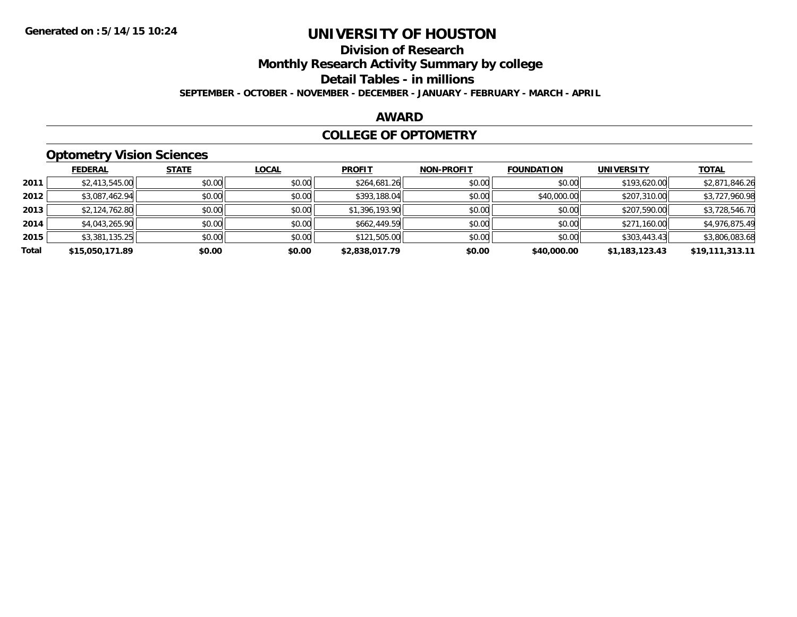## **Division of Research**

**Monthly Research Activity Summary by college**

**Detail Tables - in millions**

**SEPTEMBER - OCTOBER - NOVEMBER - DECEMBER - JANUARY - FEBRUARY - MARCH - APRIL**

### **AWARD**

### **COLLEGE OF OPTOMETRY**

## **Optometry Vision Sciences**

|       | <b>FEDERAL</b>  | <b>STATE</b> | <b>LOCAL</b> | <b>PROFIT</b>  | <b>NON-PROFIT</b> | <b>FOUNDATION</b> | <b>UNIVERSITY</b> | <u>TOTAL</u>    |
|-------|-----------------|--------------|--------------|----------------|-------------------|-------------------|-------------------|-----------------|
| 2011  | \$2,413,545.00  | \$0.00       | \$0.00       | \$264,681.26   | \$0.00            | \$0.00            | \$193,620.00      | \$2,871,846.26  |
| 2012  | \$3,087,462.94  | \$0.00       | \$0.00       | \$393,188.04   | \$0.00            | \$40,000.00       | \$207,310.00      | \$3,727,960.98  |
| 2013  | \$2,124,762.80  | \$0.00       | \$0.00       | \$1,396,193.90 | \$0.00            | \$0.00            | \$207,590.00      | \$3,728,546.70  |
| 2014  | \$4,043,265.90  | \$0.00       | \$0.00       | \$662,449.59   | \$0.00            | \$0.00            | \$271,160.00      | \$4,976,875.49  |
| 2015  | \$3,381,135.25  | \$0.00       | \$0.00       | \$121,505.00   | \$0.00            | \$0.00            | \$303,443.43      | \$3,806,083.68  |
| Total | \$15,050,171.89 | \$0.00       | \$0.00       | \$2,838,017.79 | \$0.00            | \$40,000.00       | \$1,183,123.43    | \$19,111,313.11 |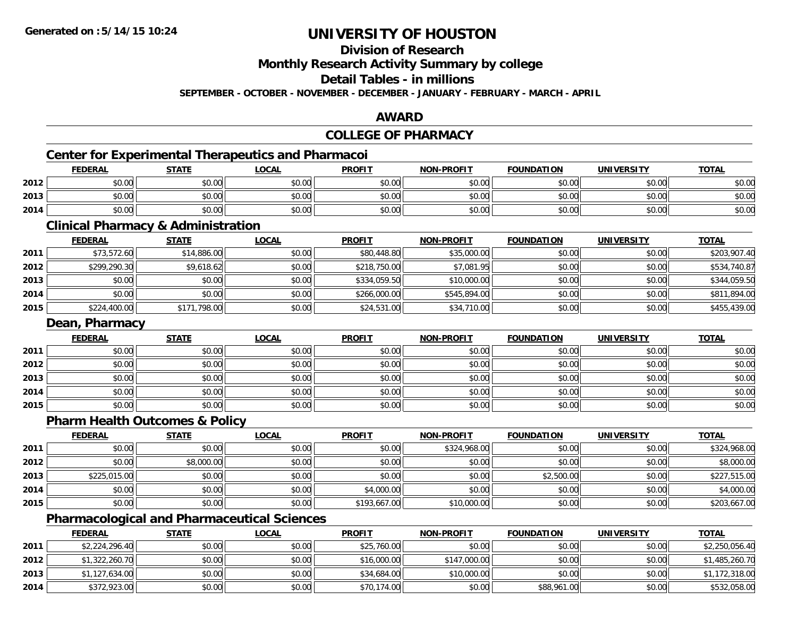**Division of Research**

**Monthly Research Activity Summary by college**

**Detail Tables - in millions**

**SEPTEMBER - OCTOBER - NOVEMBER - DECEMBER - JANUARY - FEBRUARY - MARCH - APRIL**

### **AWARD**

#### **COLLEGE OF PHARMACYCenter for Experimental Therapeutics and Pharmacoi FEDERAL STATE LOCAL PROFIT NON-PROFIT FOUNDATION UNIVERSITY TOTALTOTAL 2012**2 | \$0.00 \$0.00 \$0.00 \$0.00 \$0.00 \$0.00 \$0.00 \$0.00 \$0.00 \$0.00 \$0.00 \$0.00 \$0.00 \$0.00 \$0.00 \$0.00 \$0.00 \$0.00 **2013** $\textbf{3} \mid \textbf{3} \mid \textbf{5} \mid \textbf{5} \mid \textbf{6} \mid \textbf{7} \mid \textbf{8} \mid \textbf{1} \mid \textbf{1} \mid \textbf{1} \mid \textbf{1} \mid \textbf{1} \mid \textbf{1} \mid \textbf{1} \mid \textbf{1} \mid \textbf{1} \mid \textbf{1} \mid \textbf{1} \mid \textbf{1} \mid \textbf{1} \mid \textbf{1} \mid \textbf{1} \mid \textbf{1} \mid \textbf{1} \mid \textbf{1} \mid \textbf{1} \mid \textbf{1} \mid \textbf{$ **2014**4 \$0.00 \$0.00 \$0.00 \$0.00 \$0.00 \$0.00 \$0.00 \$0.00 \$0.00 \$0.00 \$0.00 \$0.00 \$0.00 \$0.00 \$0.00 \$0.00 \$0.00 \$0.00 **Clinical Pharmacy & Administration FEDERAL STATE LOCAL PROFIT NON-PROFIT FOUNDATION UNIVERSITY TOTALTOTAL 2011** \$73,572.60 \$14,886.00 \$0.00 \$80,448.80 \$35,000.00 \$0.00 \$0.00 \$203,907.40 **2012** \$299,290.30 \$9,618.62 \$0.00 \$218,750.00 \$7,081.95 \$0.00 \$0.00 \$534,740.87 **2013** \$0.00 \$0.00 \$0.00 \$334,059.50 \$10,000.00 \$0.00 \$0.00 \$344,059.50 **2014** \$0.00 \$0.00 \$0.00 \$266,000.00 \$545,894.00 \$0.00 \$0.00 \$811,894.00 **2015** \$224,400.00 \$171,798.00 \$0.00 \$24,531.00 \$34,710.00 \$0.00 \$0.00 \$455,439.00 **Dean, Pharmacy FEDERAL STATE LOCAL PROFIT NON-PROFIT FOUNDATION UNIVERSITY TOTAL2011** \$0.00 \$0.00 \$0.00 \$0.00 \$0.00 \$0.00 \$0.00 \$0.00 **2012**2 | \$0.00 \$0.00 \$0.00 \$0.00 \$0.00 \$0.00 \$0.00 \$0.00 \$0.00 \$0.00 \$0.00 \$0.00 \$0.00 \$0.00 \$0.00 \$0.00 \$0.00 \$0.00 **2013** \$0.00 \$0.00 \$0.00 \$0.00 \$0.00 \$0.00 \$0.00 \$0.00 **2014**4 \$0.00 \$0.00 \$0.00 \$0.00 \$0.00 \$0.00 \$0.00 \$0.00 \$0.00 \$0.00 \$0.00 \$0.00 \$0.00 \$0.00 \$0.00 \$0.00 \$0.00 **2015** \$0.00 \$0.00 \$0.00 \$0.00 \$0.00 \$0.00 \$0.00 \$0.00 **Pharm Health Outcomes & Policy FEDERAL STATE LOCAL PROFIT NON-PROFIT FOUNDATION UNIVERSITY TOTALTOTAL 2011** \$0.00 \$0.00 \$0.00 \$0.00 \$324,968.00 \$0.00 \$0.00 \$324,968.00 **2012**2 | \$0.00 | \$8,000.00 | \$0.00 | \$0.00 | \$0.00 | \$8,000.00 | \$0.00 | \$0.00 | \$8,000. **2013** $\textbf{3} \quad \textbf{\textcolor{blue}{82.500.00}} \quad \textbf{\textcolor{blue}{80.00}} \quad \textbf{\textcolor{blue}{88.500}} \quad \textbf{\textcolor{blue}{89.500}} \quad \textbf{\textcolor{blue}{89.500}} \quad \textbf{\textcolor{blue}{89.500}} \quad \textbf{\textcolor{blue}{89.500}} \quad \textbf{\textcolor{blue}{89.500}} \quad \textbf{\textcolor{blue}{89.500}} \quad \textbf{\textcolor{blue}{89.500}} \quad \textbf{\textcolor{blue}{89.500}} \quad \textbf{\textcolor{blue}{89.$ **2014**4 \$0.00 \$0.00 \$0.00 \$0.00 \$0.00 \$0.00 \$0.00 \$1,000.00 \$4,000.00 \$0.00 \$0.00 \$0.00 \$0.00 \$0.00 \$4,000.00 **2015** \$0.00 \$0.00 \$0.00 \$193,667.00 \$10,000.00 \$0.00 \$0.00 \$203,667.00 **Pharmacological and Pharmaceutical Sciences**

|      | <u>FEDERAL</u> | <u>STATE</u> | <u>LOCAL</u> | <b>PROFIT</b> | <b>NON-PROFIT</b> | <b>FOUNDATION</b> | <b>UNIVERSITY</b> | <b>TOTAL</b>   |
|------|----------------|--------------|--------------|---------------|-------------------|-------------------|-------------------|----------------|
| 2011 | \$2,224,296.40 | \$0.00       | \$0.00       | \$25,760.00   | \$0.00            | \$0.00            | \$0.00            | \$2,250,056.40 |
| 2012 | \$1,322,260.70 | \$0.00       | \$0.00       | \$16,000.00   | \$147,000.00      | \$0.00            | \$0.00            | \$1,485,260.70 |
| 2013 | \$1,127,634.00 | \$0.00       | \$0.00       | \$34,684.00   | \$10,000.00       | \$0.00            | \$0.00            | \$1,172,318.00 |
| 2014 | \$372,923.00   | \$0.00       | \$0.00       | \$70,174.00   | \$0.00            | \$88,961.00       | \$0.00            | \$532,058.00   |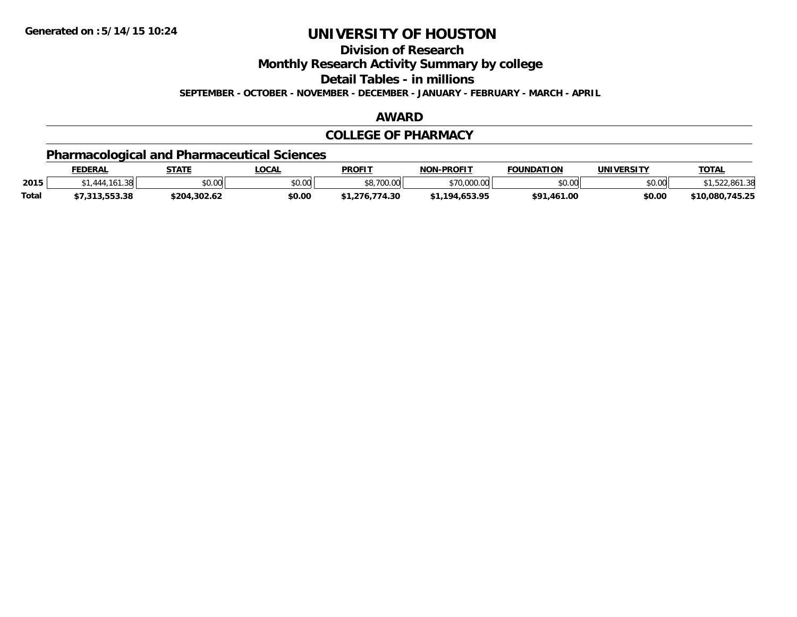**Division of Research**

**Monthly Research Activity Summary by college**

**Detail Tables - in millions**

**SEPTEMBER - OCTOBER - NOVEMBER - DECEMBER - JANUARY - FEBRUARY - MARCH - APRIL**

### **AWARD**

### **COLLEGE OF PHARMACY**

## **Pharmacological and Pharmaceutical Sciences**

|              | <b>FEDERAL</b> | <b>STATE</b> | _OCAL  | <b>PROFIT</b>        | <b>NON-PROFIT</b>    | <b>FOUNDATION</b> | <b>UNIVERSITY</b> | <b>TOTAL</b>    |
|--------------|----------------|--------------|--------|----------------------|----------------------|-------------------|-------------------|-----------------|
| 2015         |                | \$0.00       | \$0.00 | 0.70000<br>30.7UU.UU | \$70,000.00          | 0.00<br>DU.UU     | \$0.00            | .861.38         |
| <b>Total</b> | 7.313.553.38   | \$204.302.62 | \$0.00 | .774.30<br>1.276     | 4.653.95<br>$*1194.$ | \$91,461.00       | \$0.00            | \$10,080,745.25 |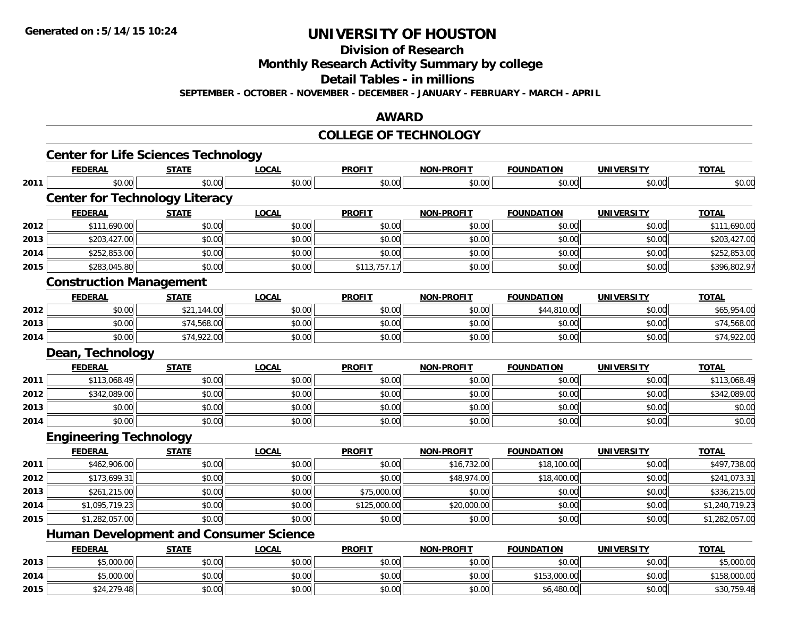**Division of Research**

**Monthly Research Activity Summary by college**

**Detail Tables - in millions**

**SEPTEMBER - OCTOBER - NOVEMBER - DECEMBER - JANUARY - FEBRUARY - MARCH - APRIL**

### **AWARD**

### **COLLEGE OF TECHNOLOGY**

|      | <b>Center for Life Sciences Technology</b>    |              |              |               |                   |                   |                   |                |
|------|-----------------------------------------------|--------------|--------------|---------------|-------------------|-------------------|-------------------|----------------|
|      | <b>FEDERAL</b>                                | <b>STATE</b> | <b>LOCAL</b> | <b>PROFIT</b> | <b>NON-PROFIT</b> | <b>FOUNDATION</b> | <b>UNIVERSITY</b> | <b>TOTAL</b>   |
| 2011 | \$0.00                                        | \$0.00       | \$0.00       | \$0.00        | \$0.00            | \$0.00            | \$0.00            | \$0.00         |
|      | <b>Center for Technology Literacy</b>         |              |              |               |                   |                   |                   |                |
|      | <b>FEDERAL</b>                                | <b>STATE</b> | <b>LOCAL</b> | <b>PROFIT</b> | <b>NON-PROFIT</b> | <b>FOUNDATION</b> | <b>UNIVERSITY</b> | <b>TOTAL</b>   |
| 2012 | \$111,690.00                                  | \$0.00       | \$0.00       | \$0.00        | \$0.00            | \$0.00            | \$0.00            | \$111,690.00   |
| 2013 | \$203,427.00                                  | \$0.00       | \$0.00       | \$0.00        | \$0.00            | \$0.00            | \$0.00            | \$203,427.00   |
| 2014 | \$252,853.00                                  | \$0.00       | \$0.00       | \$0.00        | \$0.00            | \$0.00            | \$0.00            | \$252,853.00   |
| 2015 | \$283,045.80                                  | \$0.00       | \$0.00       | \$113,757.17  | \$0.00            | \$0.00            | \$0.00            | \$396,802.97   |
|      | <b>Construction Management</b>                |              |              |               |                   |                   |                   |                |
|      | <b>FEDERAL</b>                                | <b>STATE</b> | <b>LOCAL</b> | <b>PROFIT</b> | NON-PROFIT        | <b>FOUNDATION</b> | <b>UNIVERSITY</b> | <b>TOTAL</b>   |
| 2012 | \$0.00                                        | \$21,144.00  | \$0.00       | \$0.00        | \$0.00            | \$44,810.00       | \$0.00            | \$65,954.00    |
| 2013 | \$0.00                                        | \$74,568.00  | \$0.00       | \$0.00        | \$0.00            | \$0.00            | \$0.00            | \$74,568.00    |
| 2014 | \$0.00                                        | \$74,922.00  | \$0.00       | \$0.00        | \$0.00            | \$0.00            | \$0.00            | \$74,922.00    |
|      | Dean, Technology                              |              |              |               |                   |                   |                   |                |
|      | <b>FEDERAL</b>                                | <b>STATE</b> | <b>LOCAL</b> | <b>PROFIT</b> | <b>NON-PROFIT</b> | <b>FOUNDATION</b> | <b>UNIVERSITY</b> | <b>TOTAL</b>   |
| 2011 | \$113,068.49                                  | \$0.00       | \$0.00       | \$0.00        | \$0.00            | \$0.00            | \$0.00            | \$113,068.49   |
| 2012 | \$342,089.00                                  | \$0.00       | \$0.00       | \$0.00        | \$0.00            | \$0.00            | \$0.00            | \$342,089.00   |
| 2013 | \$0.00                                        | \$0.00       | \$0.00       | \$0.00        | \$0.00            | \$0.00            | \$0.00            | \$0.00         |
| 2014 | \$0.00                                        | \$0.00       | \$0.00       | \$0.00        | \$0.00            | \$0.00            | \$0.00            | \$0.00         |
|      | <b>Engineering Technology</b>                 |              |              |               |                   |                   |                   |                |
|      | <b>FEDERAL</b>                                | <b>STATE</b> | <b>LOCAL</b> | <b>PROFIT</b> | <b>NON-PROFIT</b> | <b>FOUNDATION</b> | <b>UNIVERSITY</b> | <b>TOTAL</b>   |
| 2011 | \$462,906.00                                  | \$0.00       | \$0.00       | \$0.00        | \$16,732.00       | \$18,100.00       | \$0.00            | \$497,738.00   |
| 2012 | \$173,699.31                                  | \$0.00       | \$0.00       | \$0.00        | \$48,974.00       | \$18,400.00       | \$0.00            | \$241,073.31   |
| 2013 | \$261,215.00                                  | \$0.00       | \$0.00       | \$75,000.00   | \$0.00            | \$0.00            | \$0.00            | \$336,215.00   |
| 2014 | \$1,095,719.23                                | \$0.00       | \$0.00       | \$125,000.00  | \$20,000.00       | \$0.00            | \$0.00            | \$1,240,719.23 |
| 2015 | \$1,282,057.00                                | \$0.00       | \$0.00       | \$0.00        | \$0.00            | \$0.00            | \$0.00            | \$1,282,057.00 |
|      | <b>Human Development and Consumer Science</b> |              |              |               |                   |                   |                   |                |
|      | <b>FEDERAL</b>                                | <b>STATE</b> | <b>LOCAL</b> | <b>PROFIT</b> | <b>NON-PROFIT</b> | <b>FOUNDATION</b> | <b>UNIVERSITY</b> | <b>TOTAL</b>   |
| 2013 | \$5,000.00                                    | \$0.00       | \$0.00       | \$0.00        | \$0.00            | \$0.00            | \$0.00            | \$5,000.00     |
| 2014 | \$5,000.00                                    | \$0.00       | \$0.00       | \$0.00        | \$0.00            | \$153,000.00      | \$0.00            | \$158,000.00   |
| 2015 | \$24,279.48                                   | \$0.00       | \$0.00       | \$0.00        | \$0.00            | \$6,480.00        | \$0.00            | \$30,759.48    |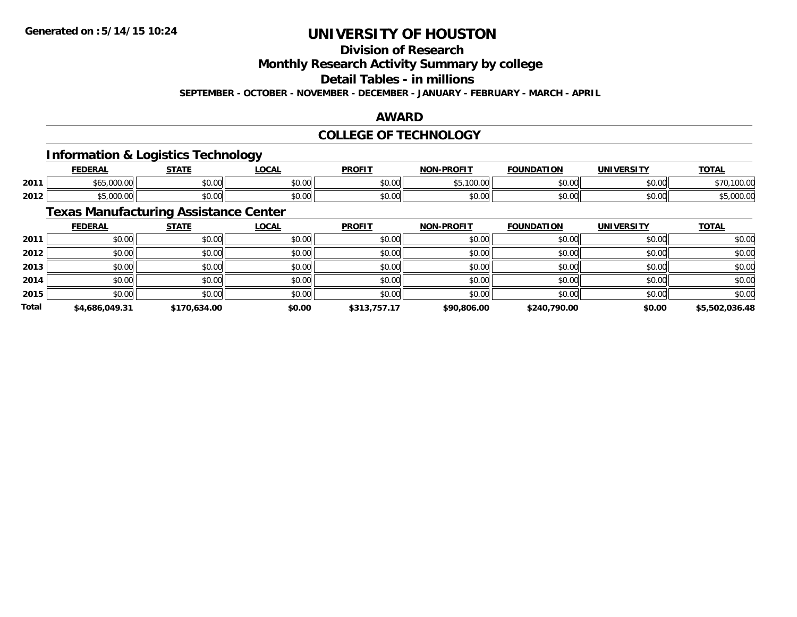**Division of Research**

**Monthly Research Activity Summary by college**

**Detail Tables - in millions**

**SEPTEMBER - OCTOBER - NOVEMBER - DECEMBER - JANUARY - FEBRUARY - MARCH - APRIL**

### **AWARD**

### **COLLEGE OF TECHNOLOGY**

### **Information & Logistics Technology**

|      | EENEDA<br>- 3           | -----                   | <b>LOCAL</b>  | <b>DDOFIT</b> | <b>DRAFIT</b><br>חחו  | ΓΙΟΝ           | UNIVERSITY | <b>TOTA</b><br>. al    |
|------|-------------------------|-------------------------|---------------|---------------|-----------------------|----------------|------------|------------------------|
| 2011 | 0 <sup>0</sup><br>uuu.u | ሶስ ስስ<br>wu.uu.         | 0.00<br>JU.UU | \$0.00        | * -<br>,,,,,,,,,<br>. | 60.00<br>,u.uu | \$0.00     | 100.00                 |
| 2012 | $\sim$                  | $\sim$ $\sim$<br>wu.uu. | 0.00<br>JU.UU | \$0.00        | 0000<br>pu.uu         | 0000           | \$0.00     | $\sim$ $\sim$<br>uuu.u |

## **Texas Manufacturing Assistance Center**

|              | <b>FEDERAL</b> | <b>STATE</b> | <u>LOCAL</u> | <b>PROFIT</b> | <b>NON-PROFIT</b> | <b>FOUNDATION</b> | <b>UNIVERSITY</b> | <b>TOTAL</b>   |
|--------------|----------------|--------------|--------------|---------------|-------------------|-------------------|-------------------|----------------|
| 2011         | \$0.00         | \$0.00       | \$0.00       | \$0.00        | \$0.00            | \$0.00            | \$0.00            | \$0.00         |
| 2012         | \$0.00         | \$0.00       | \$0.00       | \$0.00        | \$0.00            | \$0.00            | \$0.00            | \$0.00         |
| 2013         | \$0.00         | \$0.00       | \$0.00       | \$0.00        | \$0.00            | \$0.00            | \$0.00            | \$0.00         |
| 2014         | \$0.00         | \$0.00       | \$0.00       | \$0.00        | \$0.00            | \$0.00            | \$0.00            | \$0.00         |
| 2015         | \$0.00         | \$0.00       | \$0.00       | \$0.00        | \$0.00            | \$0.00            | \$0.00            | \$0.00         |
| <b>Total</b> | \$4,686,049.31 | \$170,634.00 | \$0.00       | \$313,757.17  | \$90,806.00       | \$240,790.00      | \$0.00            | \$5,502,036.48 |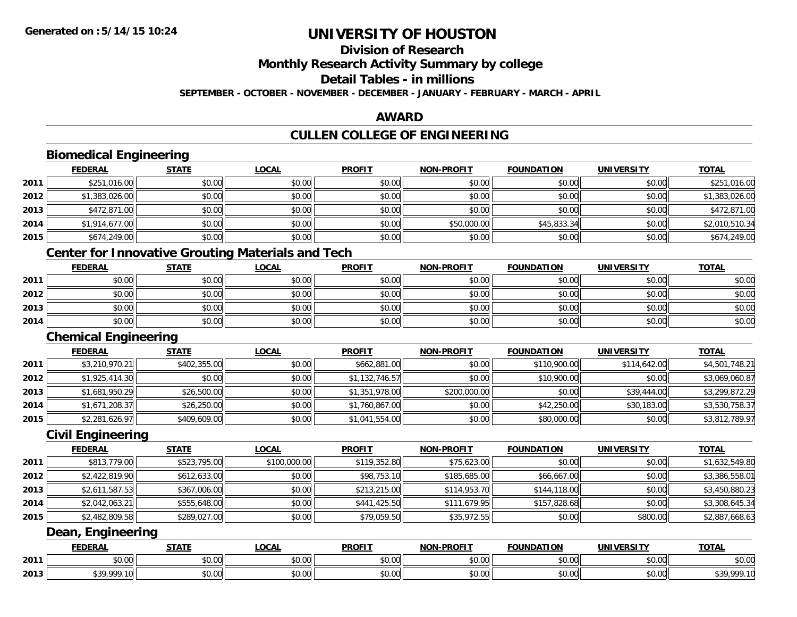**Division of Research**

**Monthly Research Activity Summary by college**

**Detail Tables - in millions**

**SEPTEMBER - OCTOBER - NOVEMBER - DECEMBER - JANUARY - FEBRUARY - MARCH - APRIL**

### **AWARD**

## **CULLEN COLLEGE OF ENGINEERING**

|      | <b>Biomedical Engineering</b> |              |                                                          |                |                   |                   |                   |                |
|------|-------------------------------|--------------|----------------------------------------------------------|----------------|-------------------|-------------------|-------------------|----------------|
|      | <b>FEDERAL</b>                | <b>STATE</b> | <b>LOCAL</b>                                             | <b>PROFIT</b>  | <b>NON-PROFIT</b> | <b>FOUNDATION</b> | <b>UNIVERSITY</b> | <b>TOTAL</b>   |
| 2011 | \$251,016.00                  | \$0.00       | \$0.00                                                   | \$0.00         | \$0.00            | \$0.00            | \$0.00            | \$251,016.00   |
| 2012 | \$1,383,026.00                | \$0.00       | \$0.00                                                   | \$0.00         | \$0.00            | \$0.00            | \$0.00            | \$1,383,026.00 |
| 2013 | \$472,871.00                  | \$0.00       | \$0.00                                                   | \$0.00         | \$0.00            | \$0.00            | \$0.00            | \$472,871.00   |
| 2014 | \$1,914,677.00                | \$0.00       | \$0.00                                                   | \$0.00         | \$50,000.00       | \$45,833.34       | \$0.00            | \$2,010,510.34 |
| 2015 | \$674,249.00                  | \$0.00       | \$0.00                                                   | \$0.00         | \$0.00            | \$0.00            | \$0.00            | \$674,249.00   |
|      |                               |              | <b>Center for Innovative Grouting Materials and Tech</b> |                |                   |                   |                   |                |
|      | <b>FEDERAL</b>                | <b>STATE</b> | <b>LOCAL</b>                                             | <b>PROFIT</b>  | <b>NON-PROFIT</b> | <b>FOUNDATION</b> | <b>UNIVERSITY</b> | <b>TOTAL</b>   |
| 2011 | \$0.00                        | \$0.00       | \$0.00                                                   | \$0.00         | \$0.00            | \$0.00            | \$0.00            | \$0.00         |
| 2012 | \$0.00                        | \$0.00       | \$0.00                                                   | \$0.00         | \$0.00            | \$0.00            | \$0.00            | \$0.00         |
| 2013 | \$0.00                        | \$0.00       | \$0.00                                                   | \$0.00         | \$0.00            | \$0.00            | \$0.00            | \$0.00         |
| 2014 | \$0.00                        | \$0.00       | \$0.00                                                   | \$0.00         | \$0.00            | \$0.00            | \$0.00            | \$0.00         |
|      | <b>Chemical Engineering</b>   |              |                                                          |                |                   |                   |                   |                |
|      | <b>FEDERAL</b>                | <b>STATE</b> | <b>LOCAL</b>                                             | <b>PROFIT</b>  | <b>NON-PROFIT</b> | <b>FOUNDATION</b> | <b>UNIVERSITY</b> | <b>TOTAL</b>   |
| 2011 | \$3,210,970.21                | \$402,355.00 | \$0.00                                                   | \$662,881.00   | \$0.00            | \$110,900.00      | \$114,642.00      | \$4,501,748.21 |
| 2012 | \$1,925,414.30                | \$0.00       | \$0.00                                                   | \$1,132,746.57 | \$0.00            | \$10,900.00       | \$0.00            | \$3,069,060.87 |
| 2013 | \$1,681,950.29                | \$26,500.00  | \$0.00                                                   | \$1,351,978.00 | \$200,000.00      | \$0.00            | \$39,444.00       | \$3,299,872.29 |
| 2014 | \$1,671,208.37                | \$26,250.00  | \$0.00                                                   | \$1,760,867.00 | \$0.00            | \$42,250.00       | \$30,183.00       | \$3,530,758.37 |
| 2015 | \$2,281,626.97                | \$409,609.00 | \$0.00                                                   | \$1,041,554.00 | \$0.00            | \$80,000.00       | \$0.00            | \$3,812,789.97 |
|      | <b>Civil Engineering</b>      |              |                                                          |                |                   |                   |                   |                |
|      | <b>FEDERAL</b>                | <b>STATE</b> | <b>LOCAL</b>                                             | <b>PROFIT</b>  | <b>NON-PROFIT</b> | <b>FOUNDATION</b> | <b>UNIVERSITY</b> | <b>TOTAL</b>   |
| 2011 | \$813,779.00                  | \$523,795.00 | \$100,000.00                                             | \$119,352.80   | \$75,623.00       | \$0.00            | \$0.00            | \$1,632,549.80 |
| 2012 | \$2,422,819.90                | \$612,633.00 | \$0.00                                                   | \$98,753.10    | \$185,685.00      | \$66,667.00       | \$0.00            | \$3,386,558.01 |
| 2013 | \$2,611,587.53                | \$367,006.00 | \$0.00                                                   | \$213,215.00   | \$114,953.70      | \$144,118.00      | \$0.00            | \$3,450,880.23 |
| 2014 | \$2,042,063.21                | \$555,648.00 | \$0.00                                                   | \$441,425.50   | \$111,679.95      | \$157,828.68      | \$0.00            | \$3,308,645.34 |
| 2015 | \$2,482,809.58                | \$289,027.00 | \$0.00                                                   | \$79,059.50    | \$35,972.55       | \$0.00            | \$800.00          | \$2,887,668.63 |
|      | Dean, Engineering             |              |                                                          |                |                   |                   |                   |                |
|      | <b>FEDERAL</b>                | <b>STATE</b> | <b>LOCAL</b>                                             | <b>PROFIT</b>  | <b>NON-PROFIT</b> | <b>FOUNDATION</b> | <b>UNIVERSITY</b> | <b>TOTAL</b>   |
| 2011 | \$0.00                        | \$0.00       | \$0.00                                                   | \$0.00         | \$0.00            | \$0.00            | \$0.00            | \$0.00         |
| 2013 | \$39,999.10                   | \$0.00       | \$0.00                                                   | \$0.00         | \$0.00            | \$0.00            | \$0.00            | \$39,999.10    |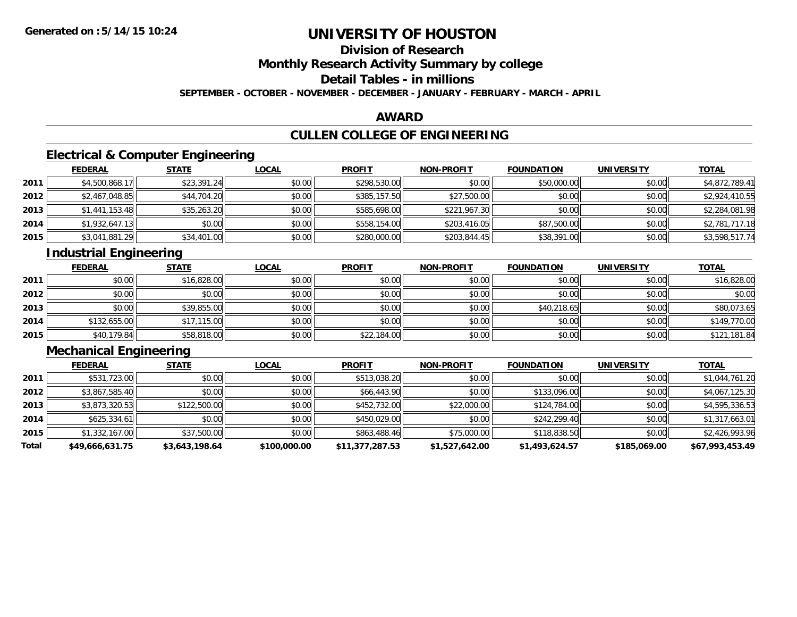**Division of Research**

**Monthly Research Activity Summary by college**

**Detail Tables - in millions**

**SEPTEMBER - OCTOBER - NOVEMBER - DECEMBER - JANUARY - FEBRUARY - MARCH - APRIL**

### **AWARD**

## **CULLEN COLLEGE OF ENGINEERING**

### **Electrical & Computer Engineering**

|      | <b>FEDERAL</b> | <b>STATE</b> | <u>LOCAL</u> | <b>PROFIT</b> | <b>NON-PROFIT</b> | <b>FOUNDATION</b> | <b>UNIVERSITY</b> | <b>TOTAL</b>   |
|------|----------------|--------------|--------------|---------------|-------------------|-------------------|-------------------|----------------|
| 2011 | \$4,500,868.17 | \$23,391.24  | \$0.00       | \$298,530.00  | \$0.00            | \$50,000.00       | \$0.00            | \$4,872,789.41 |
| 2012 | \$2,467,048.85 | \$44,704.20  | \$0.00       | \$385,157.50  | \$27,500.00       | \$0.00            | \$0.00            | \$2,924,410.55 |
| 2013 | \$1,441,153.48 | \$35,263.20  | \$0.00       | \$585,698.00  | \$221,967.30      | \$0.00            | \$0.00            | \$2,284,081.98 |
| 2014 | \$1,932,647.13 | \$0.00       | \$0.00       | \$558,154.00  | \$203,416.05      | \$87,500.00       | \$0.00            | \$2,781,717.18 |
| 2015 | \$3,041,881.29 | \$34,401.00  | \$0.00       | \$280,000.00  | \$203,844.45      | \$38,391.00       | \$0.00            | \$3,598,517.74 |

## **Industrial Engineering**

|      | <b>FEDERAL</b> | <b>STATE</b> | <b>LOCAL</b> | <b>PROFIT</b> | <b>NON-PROFIT</b> | <b>FOUNDATION</b> | <b>UNIVERSITY</b> | <b>TOTAL</b> |
|------|----------------|--------------|--------------|---------------|-------------------|-------------------|-------------------|--------------|
| 2011 | \$0.00         | \$16,828.00  | \$0.00       | \$0.00        | \$0.00            | \$0.00            | \$0.00            | \$16,828.00  |
| 2012 | \$0.00         | \$0.00       | \$0.00       | \$0.00        | \$0.00            | \$0.00            | \$0.00            | \$0.00       |
| 2013 | \$0.00         | \$39,855.00  | \$0.00       | \$0.00        | \$0.00            | \$40,218.65       | \$0.00            | \$80,073.65  |
| 2014 | \$132,655.00   | \$17,115.00  | \$0.00       | \$0.00        | \$0.00            | \$0.00            | \$0.00            | \$149,770.00 |
| 2015 | \$40,179.84    | \$58,818.00  | \$0.00       | \$22,184.00   | \$0.00            | \$0.00            | \$0.00            | \$121,181.84 |

## **Mechanical Engineering**

|       | <b>FEDERAL</b>  | <b>STATE</b>   | <b>LOCAL</b> | <b>PROFIT</b>   | <b>NON-PROFIT</b> | <b>FOUNDATION</b> | <b>UNIVERSITY</b> | <b>TOTAL</b>    |
|-------|-----------------|----------------|--------------|-----------------|-------------------|-------------------|-------------------|-----------------|
| 2011  | \$531,723.00    | \$0.00         | \$0.00       | \$513,038.20    | \$0.00            | \$0.00            | \$0.00            | \$1,044,761.20  |
| 2012  | \$3,867,585.40  | \$0.00         | \$0.00       | \$66,443.90     | \$0.00            | \$133,096.00      | \$0.00            | \$4,067,125.30  |
| 2013  | \$3,873,320.53  | \$122,500.00   | \$0.00       | \$452,732.00    | \$22,000.00       | \$124,784.00      | \$0.00            | \$4,595,336.53  |
| 2014  | \$625.334.61    | \$0.00         | \$0.00       | \$450,029,00    | \$0.00            | \$242,299.40      | \$0.00            | \$1,317,663.01  |
| 2015  | \$1,332,167.00  | \$37,500.00    | \$0.00       | \$863,488.46    | \$75,000.00       | \$118,838.50      | \$0.00            | \$2,426,993.96  |
| Total | \$49,666,631.75 | \$3,643,198.64 | \$100,000.00 | \$11,377,287.53 | \$1,527,642.00    | \$1,493,624.57    | \$185,069.00      | \$67,993,453.49 |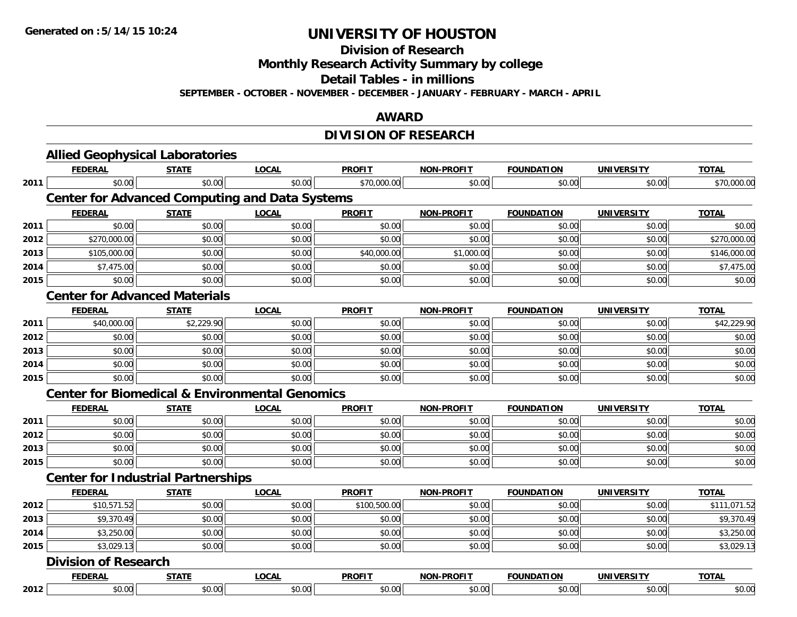**Division of Research**

**Monthly Research Activity Summary by college**

**Detail Tables - in millions**

**SEPTEMBER - OCTOBER - NOVEMBER - DECEMBER - JANUARY - FEBRUARY - MARCH - APRIL**

### **AWARD**

## **DIVISION OF RESEARCH**

|      | <b>Allied Geophysical Laboratories</b>                    |              |              |               |                   |                   |                   |              |  |  |
|------|-----------------------------------------------------------|--------------|--------------|---------------|-------------------|-------------------|-------------------|--------------|--|--|
|      | <b>FEDERAL</b>                                            | <b>STATE</b> | <b>LOCAL</b> | <b>PROFIT</b> | <b>NON-PROFIT</b> | <b>FOUNDATION</b> | <b>UNIVERSITY</b> | <b>TOTAL</b> |  |  |
| 2011 | \$0.00                                                    | \$0.00       | \$0.00       | \$70,000.00   | \$0.00            | \$0.00            | \$0.00            | \$70,000.00  |  |  |
|      | <b>Center for Advanced Computing and Data Systems</b>     |              |              |               |                   |                   |                   |              |  |  |
|      | <b>FEDERAL</b>                                            | <b>STATE</b> | <b>LOCAL</b> | <b>PROFIT</b> | <b>NON-PROFIT</b> | <b>FOUNDATION</b> | <b>UNIVERSITY</b> | <b>TOTAL</b> |  |  |
| 2011 | \$0.00                                                    | \$0.00       | \$0.00       | \$0.00        | \$0.00            | \$0.00            | \$0.00            | \$0.00       |  |  |
| 2012 | \$270,000.00                                              | \$0.00       | \$0.00       | \$0.00        | \$0.00            | \$0.00            | \$0.00            | \$270,000.00 |  |  |
| 2013 | \$105,000.00                                              | \$0.00       | \$0.00       | \$40,000.00   | \$1,000.00        | \$0.00            | \$0.00            | \$146,000.00 |  |  |
| 2014 | \$7,475.00                                                | \$0.00       | \$0.00       | \$0.00        | \$0.00            | \$0.00            | \$0.00            | \$7,475.00   |  |  |
| 2015 | \$0.00                                                    | \$0.00       | \$0.00       | \$0.00        | \$0.00            | \$0.00            | \$0.00            | \$0.00       |  |  |
|      | <b>Center for Advanced Materials</b>                      |              |              |               |                   |                   |                   |              |  |  |
|      | <b>FEDERAL</b>                                            | <b>STATE</b> | <b>LOCAL</b> | <b>PROFIT</b> | NON-PROFIT        | <b>FOUNDATION</b> | <b>UNIVERSITY</b> | <b>TOTAL</b> |  |  |
| 2011 | \$40,000.00                                               | \$2,229.90   | \$0.00       | \$0.00        | \$0.00            | \$0.00            | \$0.00            | \$42,229.90  |  |  |
| 2012 | \$0.00                                                    | \$0.00       | \$0.00       | \$0.00        | \$0.00            | \$0.00            | \$0.00            | \$0.00       |  |  |
| 2013 | \$0.00                                                    | \$0.00       | \$0.00       | \$0.00        | \$0.00            | \$0.00            | \$0.00            | \$0.00       |  |  |
| 2014 | \$0.00                                                    | \$0.00       | \$0.00       | \$0.00        | \$0.00            | \$0.00            | \$0.00            | \$0.00       |  |  |
| 2015 | \$0.00                                                    | \$0.00       | \$0.00       | \$0.00        | \$0.00            | \$0.00            | \$0.00            | \$0.00       |  |  |
|      | <b>Center for Biomedical &amp; Environmental Genomics</b> |              |              |               |                   |                   |                   |              |  |  |
|      | <b>FEDERAL</b>                                            | <b>STATE</b> | <b>LOCAL</b> | <b>PROFIT</b> | <b>NON-PROFIT</b> | <b>FOUNDATION</b> | <b>UNIVERSITY</b> | <b>TOTAL</b> |  |  |
| 2011 | \$0.00                                                    | \$0.00       | \$0.00       | \$0.00        | \$0.00            | \$0.00            | \$0.00            | \$0.00       |  |  |
| 2012 | \$0.00                                                    | \$0.00       | \$0.00       | \$0.00        | \$0.00            | \$0.00            | \$0.00            | \$0.00       |  |  |
| 2013 | \$0.00                                                    | \$0.00       | \$0.00       | \$0.00        | \$0.00            | \$0.00            | \$0.00            | \$0.00       |  |  |
| 2015 | \$0.00                                                    | \$0.00       | \$0.00       | \$0.00        | \$0.00            | \$0.00            | \$0.00            | \$0.00       |  |  |
|      | <b>Center for Industrial Partnerships</b>                 |              |              |               |                   |                   |                   |              |  |  |
|      | <b>FEDERAL</b>                                            | <b>STATE</b> | <b>LOCAL</b> | <b>PROFIT</b> | <b>NON-PROFIT</b> | <b>FOUNDATION</b> | <b>UNIVERSITY</b> | <b>TOTAL</b> |  |  |
| 2012 | \$10,571.52                                               | \$0.00       | \$0.00       | \$100,500.00  | \$0.00            | \$0.00            | \$0.00            | \$111,071.52 |  |  |
| 2013 | \$9,370.49                                                | \$0.00       | \$0.00       | \$0.00        | \$0.00            | \$0.00            | \$0.00            | \$9,370.49   |  |  |
| 2014 | \$3,250.00                                                | \$0.00       | \$0.00       | \$0.00        | \$0.00            | \$0.00            | \$0.00            | \$3,250.00   |  |  |
| 2015 | \$3,029.13                                                | \$0.00       | \$0.00       | \$0.00        | \$0.00            | \$0.00            | \$0.00            | \$3,029.13   |  |  |
|      | <b>Division of Research</b>                               |              |              |               |                   |                   |                   |              |  |  |
|      | <b>FEDERAL</b>                                            | <b>STATE</b> | <b>LOCAL</b> | <b>PROFIT</b> | <b>NON-PROFIT</b> | <b>FOUNDATION</b> | <b>UNIVERSITY</b> | <b>TOTAL</b> |  |  |
| 2012 | \$0.00                                                    | \$0.00       | \$0.00       | \$0.00        | \$0.00            | \$0.00            | \$0.00            | \$0.00       |  |  |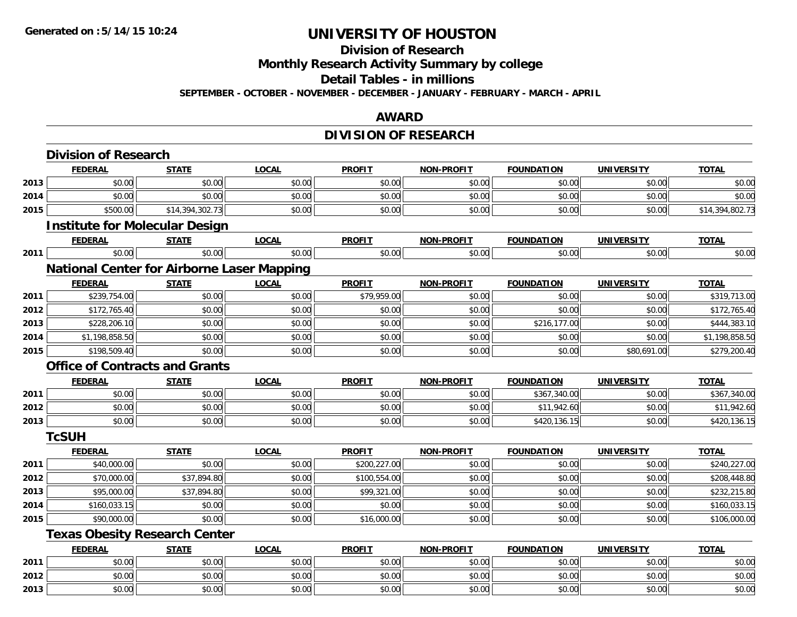**Division of Research**

**Monthly Research Activity Summary by college**

**Detail Tables - in millions**

**SEPTEMBER - OCTOBER - NOVEMBER - DECEMBER - JANUARY - FEBRUARY - MARCH - APRIL**

### **AWARD**

## **DIVISION OF RESEARCH**

|      | <b>Division of Research</b>                       |                 |              |               |                   |                   |                   |                 |
|------|---------------------------------------------------|-----------------|--------------|---------------|-------------------|-------------------|-------------------|-----------------|
|      | <b>FEDERAL</b>                                    | <b>STATE</b>    | <b>LOCAL</b> | <b>PROFIT</b> | <b>NON-PROFIT</b> | <b>FOUNDATION</b> | <b>UNIVERSITY</b> | <b>TOTAL</b>    |
| 2013 | \$0.00                                            | \$0.00          | \$0.00       | \$0.00        | \$0.00            | \$0.00            | \$0.00            | \$0.00          |
| 2014 | \$0.00                                            | \$0.00          | \$0.00       | \$0.00        | \$0.00            | \$0.00            | \$0.00            | \$0.00          |
| 2015 | \$500.00                                          | \$14,394,302.73 | \$0.00       | \$0.00        | \$0.00            | \$0.00            | \$0.00            | \$14,394,802.73 |
|      | <b>Institute for Molecular Design</b>             |                 |              |               |                   |                   |                   |                 |
|      | <b>FEDERAL</b>                                    | <b>STATE</b>    | <b>LOCAL</b> | <b>PROFIT</b> | <b>NON-PROFIT</b> | <b>FOUNDATION</b> | <b>UNIVERSITY</b> | <b>TOTAL</b>    |
| 2011 | \$0.00                                            | \$0.00          | \$0.00       | \$0.00        | \$0.00            | \$0.00            | \$0.00            | \$0.00          |
|      | <b>National Center for Airborne Laser Mapping</b> |                 |              |               |                   |                   |                   |                 |
|      | <b>FEDERAL</b>                                    | <b>STATE</b>    | <b>LOCAL</b> | <b>PROFIT</b> | <b>NON-PROFIT</b> | <b>FOUNDATION</b> | <b>UNIVERSITY</b> | <b>TOTAL</b>    |
| 2011 | \$239,754.00                                      | \$0.00          | \$0.00       | \$79,959.00   | \$0.00            | \$0.00            | \$0.00            | \$319,713.00    |
| 2012 | \$172,765.40                                      | \$0.00          | \$0.00       | \$0.00        | \$0.00            | \$0.00            | \$0.00            | \$172,765.40    |
| 2013 | \$228,206.10                                      | \$0.00          | \$0.00       | \$0.00        | \$0.00            | \$216,177.00      | \$0.00            | \$444,383.10    |
| 2014 | \$1,198,858.50                                    | \$0.00          | \$0.00       | \$0.00        | \$0.00            | \$0.00            | \$0.00            | \$1,198,858.50  |
| 2015 | \$198,509.40                                      | \$0.00          | \$0.00       | \$0.00        | \$0.00            | \$0.00            | \$80,691.00       | \$279,200.40    |
|      | <b>Office of Contracts and Grants</b>             |                 |              |               |                   |                   |                   |                 |
|      | <b>FEDERAL</b>                                    | <b>STATE</b>    | <b>LOCAL</b> | <b>PROFIT</b> | <b>NON-PROFIT</b> | <b>FOUNDATION</b> | <b>UNIVERSITY</b> | <b>TOTAL</b>    |
| 2011 | \$0.00                                            | \$0.00          | \$0.00       | \$0.00        | \$0.00            | \$367,340.00      | \$0.00            | \$367,340.00    |
| 2012 | \$0.00                                            | \$0.00          | \$0.00       | \$0.00        | \$0.00            | \$11,942.60       | \$0.00            | \$11,942.60     |
| 2013 | \$0.00                                            | \$0.00          | \$0.00       | \$0.00        | \$0.00            | \$420,136.15      | \$0.00            | \$420,136.15    |
|      | <b>TcSUH</b>                                      |                 |              |               |                   |                   |                   |                 |
|      | <b>FEDERAL</b>                                    | <b>STATE</b>    | <b>LOCAL</b> | <b>PROFIT</b> | <b>NON-PROFIT</b> | <b>FOUNDATION</b> | <b>UNIVERSITY</b> | <b>TOTAL</b>    |
| 2011 | \$40,000.00                                       | \$0.00          | \$0.00       | \$200,227.00  | \$0.00            | \$0.00            | \$0.00            | \$240,227.00    |
| 2012 | \$70,000.00                                       | \$37,894.80     | \$0.00       | \$100,554.00  | \$0.00            | \$0.00            | \$0.00            | \$208,448.80    |
| 2013 | \$95,000.00                                       | \$37,894.80     | \$0.00       | \$99,321.00   | \$0.00            | \$0.00            | \$0.00            | \$232,215.80    |
| 2014 | \$160,033.15                                      | \$0.00          | \$0.00       | \$0.00        | \$0.00            | \$0.00            | \$0.00            | \$160,033.15    |
| 2015 | \$90,000.00                                       | \$0.00          | \$0.00       | \$16,000.00   | \$0.00            | \$0.00            | \$0.00            | \$106,000.00    |
|      | <b>Texas Obesity Research Center</b>              |                 |              |               |                   |                   |                   |                 |
|      | <b>FEDERAL</b>                                    | <b>STATE</b>    | <b>LOCAL</b> | <b>PROFIT</b> | NON-PROFIT        | <b>FOUNDATION</b> | <b>UNIVERSITY</b> | <b>TOTAL</b>    |
| 2011 | \$0.00                                            | \$0.00          | \$0.00       | \$0.00        | \$0.00            | \$0.00            | \$0.00            | \$0.00          |
| 2012 | \$0.00                                            | \$0.00          | \$0.00       | \$0.00        | \$0.00            | \$0.00            | \$0.00            | \$0.00          |
| 2013 | \$0.00                                            | \$0.00          | \$0.00       | \$0.00        | \$0.00            | \$0.00            | \$0.00            | \$0.00          |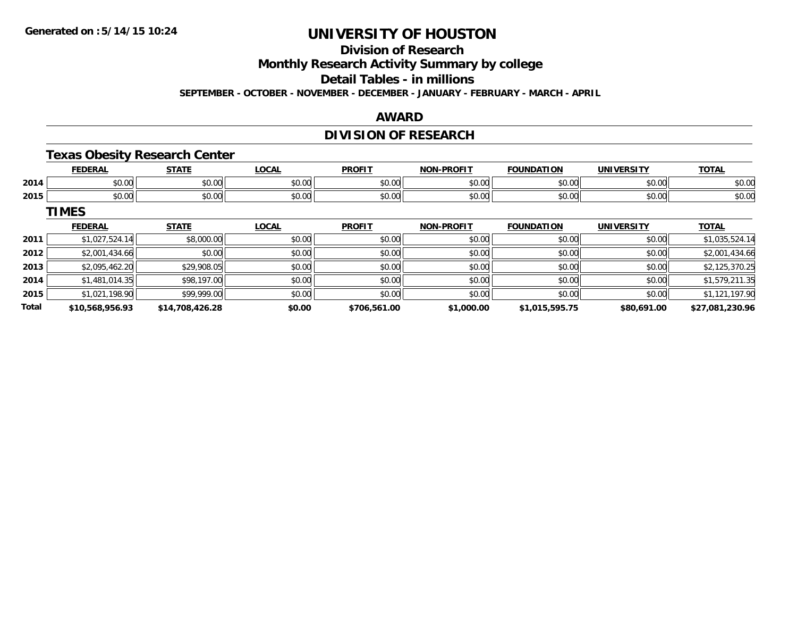**Division of Research**

**Monthly Research Activity Summary by college**

**Detail Tables - in millions**

**SEPTEMBER - OCTOBER - NOVEMBER - DECEMBER - JANUARY - FEBRUARY - MARCH - APRIL**

### **AWARD**

## **DIVISION OF RESEARCH**

### **Texas Obesity Research Center**

|      | <b>EEDEDAI</b>                             | $C = 1$                                               | OCAI<br>.uuni          | <b>DDOEI</b><br>r.c                  | <b>BBAFIT</b><br>ימות | 'ON                     | $\sim$        | <b>TOTA</b><br>I Д. І  |
|------|--------------------------------------------|-------------------------------------------------------|------------------------|--------------------------------------|-----------------------|-------------------------|---------------|------------------------|
| 2014 | $\sim$<br>--<br>ט.טע                       | $\sim$ $\sim$<br>JU.UU                                | $n \cap \neg$<br>JU.UU | 0 <sub>n</sub><br>JU.U               | 0000<br>JU.UU         | 0 <sup>n</sup><br>,,,,, | 0000<br>JU.UU | ቀስ ስር<br>JU.UU         |
| 2015 | $\mathbf{A} \cap \mathbf{A}$<br>--<br>ט.טע | $\mathsf{A} \cap \mathsf{A} \cap \mathsf{A}$<br>JU.UU | \$0.00                 | $\mathsf{A} \cap \mathsf{A}$<br>JU.U | 0000<br>vv.vv         | $\sim$ $\sim$           | \$0.00        | *ດ ດ <i>ເ</i><br>DU.UU |

**TIMES**

|              | <b>FEDERAL</b>  | <b>STATE</b>    | <b>LOCAL</b> | <b>PROFIT</b> | <b>NON-PROFIT</b> | <b>FOUNDATION</b> | <b>UNIVERSITY</b> | <b>TOTAL</b>    |
|--------------|-----------------|-----------------|--------------|---------------|-------------------|-------------------|-------------------|-----------------|
| 2011         | \$1,027,524.14  | \$8,000.00      | \$0.00       | \$0.00        | \$0.00            | \$0.00            | \$0.00            | \$1,035,524.14  |
| 2012         | \$2,001,434.66  | \$0.00          | \$0.00       | \$0.00        | \$0.00            | \$0.00            | \$0.00            | \$2,001,434.66  |
| 2013         | \$2,095,462.20  | \$29,908.05     | \$0.00       | \$0.00        | \$0.00            | \$0.00            | \$0.00            | \$2,125,370.25  |
| 2014         | \$1,481,014.35  | \$98,197.00     | \$0.00       | \$0.00        | \$0.00            | \$0.00            | \$0.00            | \$1,579,211.35  |
| 2015         | \$1,021,198.90  | \$99,999.00     | \$0.00       | \$0.00        | \$0.00            | \$0.00            | \$0.00            | \$1,121,197.90  |
| <b>Total</b> | \$10,568,956.93 | \$14,708,426.28 | \$0.00       | \$706,561.00  | \$1,000.00        | \$1,015,595.75    | \$80,691.00       | \$27,081,230.96 |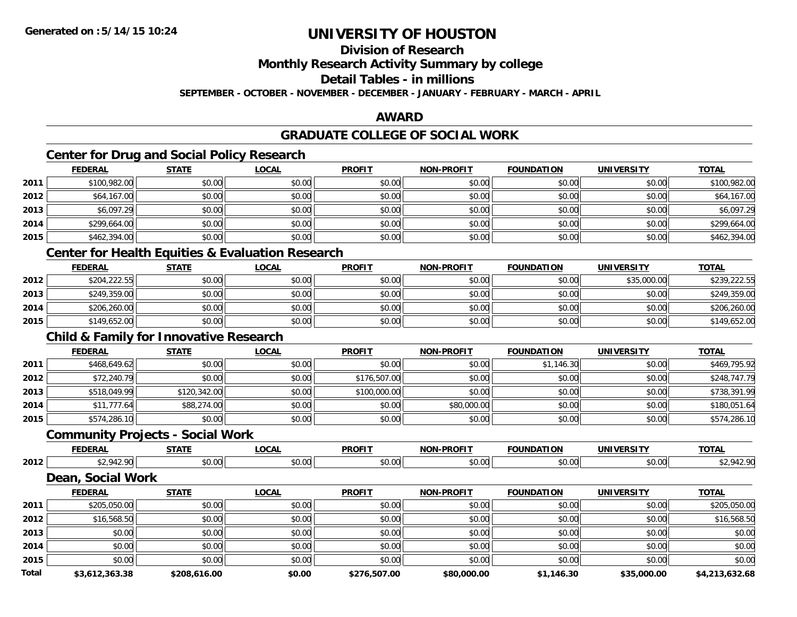**Division of Research**

**Monthly Research Activity Summary by college**

**Detail Tables - in millions**

**SEPTEMBER - OCTOBER - NOVEMBER - DECEMBER - JANUARY - FEBRUARY - MARCH - APRIL**

## **AWARD**

## **GRADUATE COLLEGE OF SOCIAL WORK**

## **Center for Drug and Social Policy Research**

|      | <b>FEDERAL</b>   | <b>STATE</b> | <b>LOCAL</b> | <b>PROFIT</b> | <b>NON-PROFIT</b> | <b>FOUNDATION</b> | <b>UNIVERSITY</b> | <b>TOTAL</b> |
|------|------------------|--------------|--------------|---------------|-------------------|-------------------|-------------------|--------------|
| 2011 | \$100,982.00     | \$0.00       | \$0.00       | \$0.00        | \$0.00            | \$0.00            | \$0.00            | \$100,982.00 |
| 2012 | \$64,167.00      | \$0.00       | \$0.00       | \$0.00        | \$0.00            | \$0.00            | \$0.00            | \$64,167.00  |
| 2013 | \$6,097.29       | \$0.00       | \$0.00       | \$0.00        | \$0.00            | \$0.00            | \$0.00            | \$6,097.29   |
| 2014 | \$299,664.00     | \$0.00       | \$0.00       | \$0.00        | \$0.00            | \$0.00            | \$0.00            | \$299,664.00 |
| 2015 | \$462,394.00     | \$0.00       | \$0.00       | \$0.00        | \$0.00            | \$0.00            | \$0.00            | \$462,394.00 |
|      | ________________ |              |              |               |                   |                   |                   |              |

### **Center for Health Equities & Evaluation Research**

|      | <b>FEDERAL</b> | <b>STATE</b> | <u>LOCAL</u> | <b>PROFIT</b> | <b>NON-PROFIT</b> | <b>FOUNDATION</b> | <b>UNIVERSITY</b> | <b>TOTAL</b> |
|------|----------------|--------------|--------------|---------------|-------------------|-------------------|-------------------|--------------|
| 2012 | \$204,222.55   | \$0.00       | \$0.00       | \$0.00        | \$0.00            | \$0.00            | \$35,000.00       | \$239,222.55 |
| 2013 | \$249,359.00   | \$0.00       | \$0.00       | \$0.00        | \$0.00            | \$0.00            | \$0.00            | \$249,359.00 |
| 2014 | \$206,260.00   | \$0.00       | \$0.00       | \$0.00        | \$0.00            | \$0.00            | \$0.00            | \$206,260.00 |
| 2015 | \$149,652.00   | \$0.00       | \$0.00       | \$0.00        | \$0.00            | \$0.00            | \$0.00            | \$149,652.00 |

### **Child & Family for Innovative Research**

|      | <b>FEDERAL</b> | <b>STATE</b> | <u>LOCAL</u> | <b>PROFIT</b> | <b>NON-PROFIT</b> | <b>FOUNDATION</b> | UNIVERSITY | <b>TOTAL</b> |
|------|----------------|--------------|--------------|---------------|-------------------|-------------------|------------|--------------|
| 2011 | \$468,649.62   | \$0.00       | \$0.00       | \$0.00        | \$0.00            | \$1,146.30        | \$0.00     | \$469,795.92 |
| 2012 | \$72,240.79    | \$0.00       | \$0.00       | \$176,507.00  | \$0.00            | \$0.00            | \$0.00     | \$248,747.79 |
| 2013 | \$518,049.99   | \$120,342.00 | \$0.00       | \$100,000.00  | \$0.00            | \$0.00            | \$0.00     | \$738,391.99 |
| 2014 | \$11,777.64    | \$88,274.00  | \$0.00       | \$0.00        | \$80,000.00       | \$0.00            | \$0.00     | \$180,051.64 |
| 2015 | \$574,286.10   | \$0.00       | \$0.00       | \$0.00        | \$0.00            | \$0.00            | \$0.00     | \$574,286.10 |

### **Community Projects - Social Work**

|      | <b>FEDERAL</b> | $\sim$ $\sim$ $\sim$ $\sim$     | $\sim$<br>.vunl   | <b>PROFIT</b>       | <b>LPROFIT</b><br><b>NION</b> | I INDA1 | JNI)<br>        | <b>TOTA</b><br>ъ. |
|------|----------------|---------------------------------|-------------------|---------------------|-------------------------------|---------|-----------------|-------------------|
| 2012 | $\sim$         | $\overline{a}$<br>$\cap$ $\cap$ | --<br>r n<br>ט.טע | $\sim$ 00<br>וטט.טי | $\sim$ 00<br>, ∪∪.∪           | \$0.00  | ሶስ ሰሰ<br>\$0.00 | т <u>с</u> .      |

## **Dean, Social Work**

|              | <b>FEDERAL</b> | <b>STATE</b> | <u>LOCAL</u> | <b>PROFIT</b> | <b>NON-PROFIT</b> | <b>FOUNDATION</b> | UNIVERSITY  | <b>TOTAL</b>   |
|--------------|----------------|--------------|--------------|---------------|-------------------|-------------------|-------------|----------------|
| 2011         | \$205,050.00   | \$0.00       | \$0.00       | \$0.00        | \$0.00            | \$0.00            | \$0.00      | \$205,050.00   |
| 2012         | \$16,568.50    | \$0.00       | \$0.00       | \$0.00        | \$0.00            | \$0.00            | \$0.00      | \$16,568.50    |
| 2013         | \$0.00         | \$0.00       | \$0.00       | \$0.00        | \$0.00            | \$0.00            | \$0.00      | \$0.00         |
| 2014         | \$0.00         | \$0.00       | \$0.00       | \$0.00        | \$0.00            | \$0.00            | \$0.00      | \$0.00         |
| 2015         | \$0.00         | \$0.00       | \$0.00       | \$0.00        | \$0.00            | \$0.00            | \$0.00      | \$0.00         |
| <b>Total</b> | \$3,612,363.38 | \$208,616.00 | \$0.00       | \$276,507.00  | \$80,000.00       | \$1,146.30        | \$35,000.00 | \$4,213,632.68 |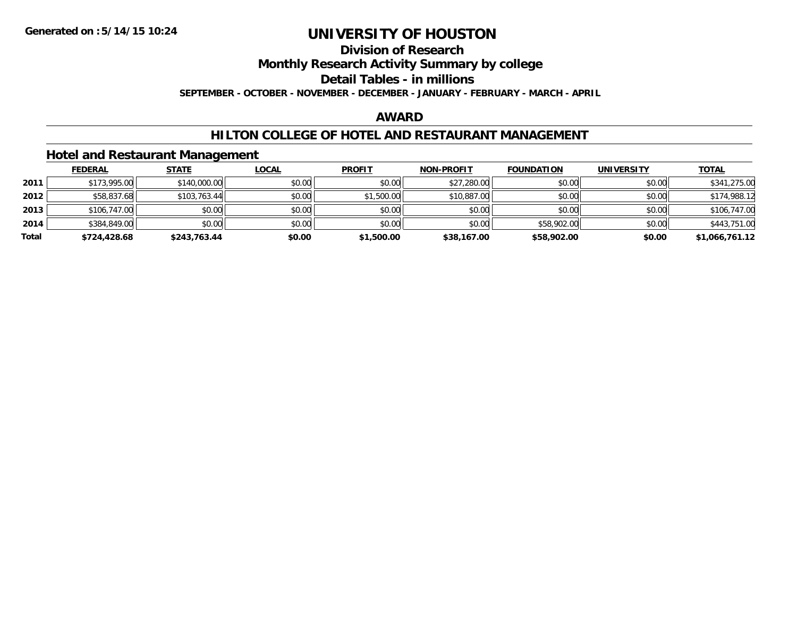## **Division of Research**

**Monthly Research Activity Summary by college**

**Detail Tables - in millions**

**SEPTEMBER - OCTOBER - NOVEMBER - DECEMBER - JANUARY - FEBRUARY - MARCH - APRIL**

### **AWARD**

### **HILTON COLLEGE OF HOTEL AND RESTAURANT MANAGEMENT**

### **Hotel and Restaurant Management**

|       | <b>FEDERAL</b> | <b>STATE</b> | <u>LOCAL</u> | <b>PROFIT</b> | <b>NON-PROFIT</b> | <b>FOUNDATION</b> | <b>UNIVERSITY</b> | <u>TOTAL</u>   |
|-------|----------------|--------------|--------------|---------------|-------------------|-------------------|-------------------|----------------|
| 2011  | \$173,995.00   | \$140,000.00 | \$0.00       | \$0.00        | \$27,280.00       | \$0.00            | \$0.00            | \$341,275.00   |
| 2012  | \$58,837.68    | \$103,763.44 | \$0.00       | \$1,500.00    | \$10,887.00       | \$0.00            | \$0.00            | \$174,988.12   |
| 2013  | \$106,747.00   | \$0.00       | \$0.00       | \$0.00        | \$0.00            | \$0.00            | \$0.00            | \$106,747.00   |
| 2014  | \$384,849.00   | \$0.00       | \$0.00       | \$0.00        | \$0.00            | \$58,902.00       | \$0.00            | \$443,751.00   |
| Total | \$724,428.68   | \$243,763.44 | \$0.00       | \$1,500.00    | \$38,167.00       | \$58,902.00       | \$0.00            | \$1,066,761.12 |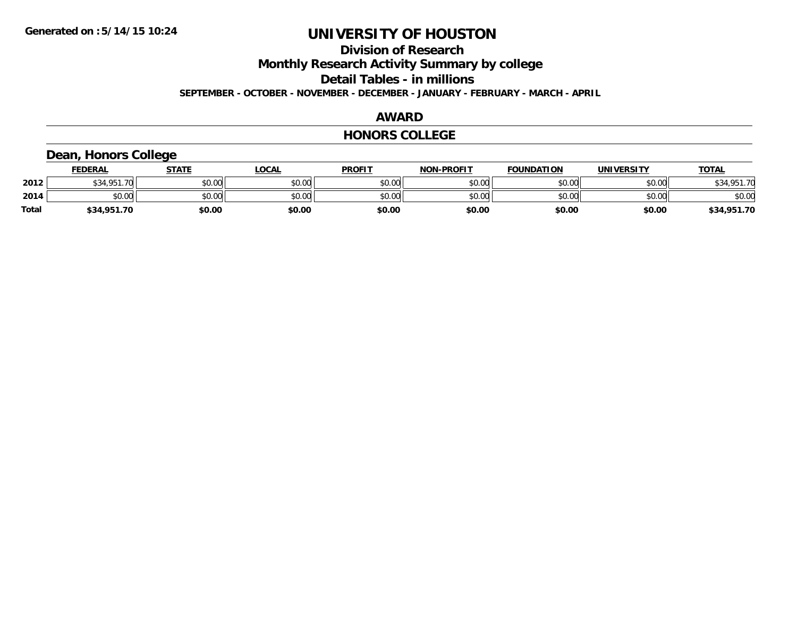**Division of Research**

**Monthly Research Activity Summary by college**

**Detail Tables - in millions**

**SEPTEMBER - OCTOBER - NOVEMBER - DECEMBER - JANUARY - FEBRUARY - MARCH - APRIL**

### **AWARD**

### **HONORS COLLEGE**

### **Dean, Honors College**

|       | <b>FEDERAL</b>     | STATE  | <u>LOCAL</u> | <b>PROFIT</b> | <b>NON-PROFIT</b> | <b>FOUNDATION</b> | <b>UNIVERSITY</b> | <b>TOTAL</b> |
|-------|--------------------|--------|--------------|---------------|-------------------|-------------------|-------------------|--------------|
| 2012  | \$34.951.70<br>აა4 | \$0.00 | \$0.00       | \$0.00        | \$0.00            | \$0.00            | \$0.00            | \$34,951.70  |
| 2014  | \$0.00             | \$0.00 | \$0.00       | \$0.00        | \$0.00            | \$0.00            | \$0.00            | \$0.00       |
| Total | \$34,951.70        | \$0.00 | \$0.00       | \$0.00        | \$0.00            | \$0.00            | \$0.00            | \$34,951.70  |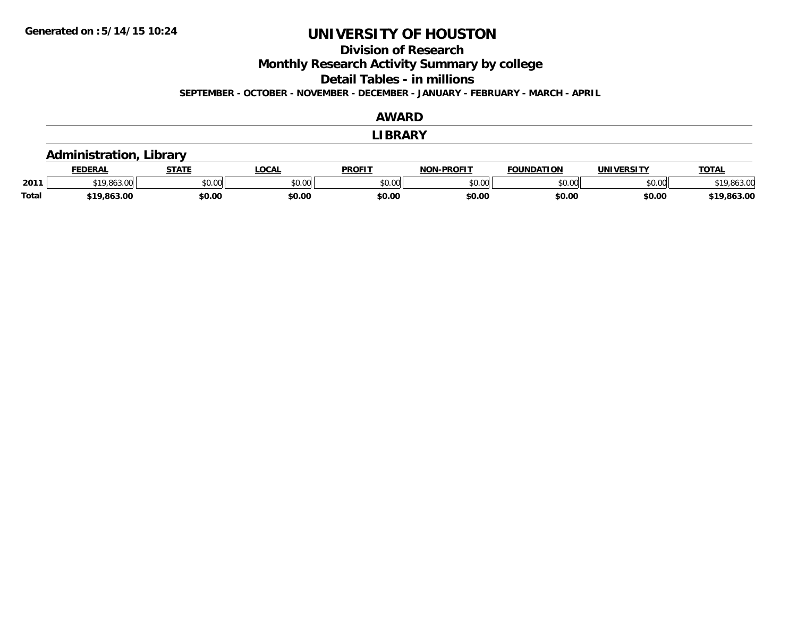**Division of Research**

**Monthly Research Activity Summary by college**

**Detail Tables - in millions**

**SEPTEMBER - OCTOBER - NOVEMBER - DECEMBER - JANUARY - FEBRUARY - MARCH - APRIL**

### **AWARD**

**LIBRARY**

### **Administration, Library**

|              | <b>FEDERA.</b> | -----  | $\sim$<br>uur | <b>PROFIT</b>  | -PROFIT<br><b>NOT</b> | ΠΟΝ<br>ר גרווווווה | <b>INIVE</b><br>EDCIT | <b>TOT</b> |
|--------------|----------------|--------|---------------|----------------|-----------------------|--------------------|-----------------------|------------|
| 2011         | $\sim$         | 0000   | ັນບໍ່         | \$0.01<br>vv.v | 0000<br>$-$ 0.00      | 0000<br>u.uu       | 0000<br>טט.טי         | 10<br>ט.טע |
| <b>Total</b> |                | \$0.00 | \$0.00        | \$0.00         | \$0.0L                | \$0.00             | \$0.00                | .863.0f    |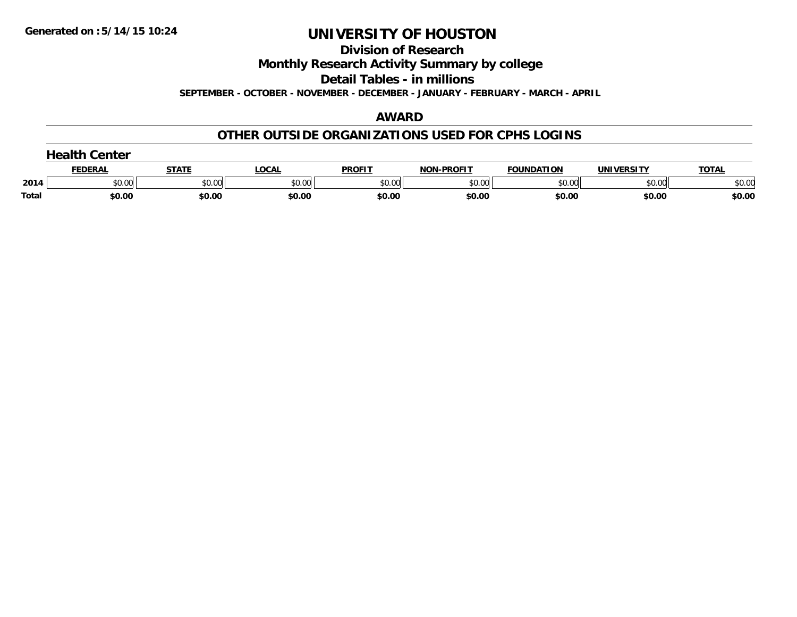**Division of Research**

**Monthly Research Activity Summary by college**

**Detail Tables - in millions**

**SEPTEMBER - OCTOBER - NOVEMBER - DECEMBER - JANUARY - FEBRUARY - MARCH - APRIL**

### **AWARD**

### **OTHER OUTSIDE ORGANIZATIONS USED FOR CPHS LOGINS**

|       | Center<br>$\sim$ |              |        |               |                   |                   |                   |              |  |  |  |
|-------|------------------|--------------|--------|---------------|-------------------|-------------------|-------------------|--------------|--|--|--|
|       | <b>FEDERAL</b>   | <b>STATE</b> | LOCAL  | <b>PROFIT</b> | <b>NON-PROFIT</b> | <b>FOUNDATION</b> | <b>UNIVERSITY</b> | <b>TOTAL</b> |  |  |  |
| 2014  | \$0.00           | \$0.00       | \$0.00 | \$0.00        | \$0.00            | \$0.00            | \$0.00            | \$0.00       |  |  |  |
| Total | \$0.00           | \$0.00       | \$0.00 | \$0.00        | \$0.00            | \$0.00            | \$0.00            | \$0.00       |  |  |  |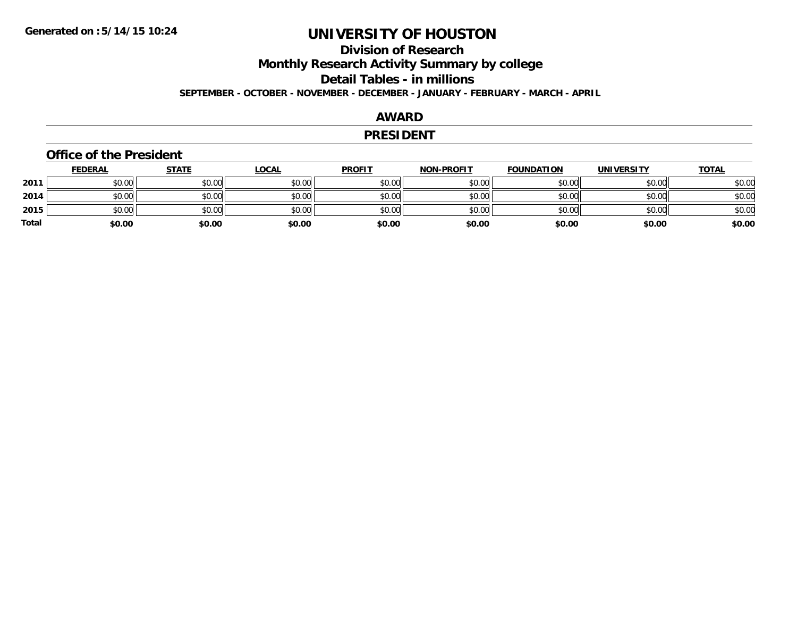# **Division of Research**

**Monthly Research Activity Summary by college**

**Detail Tables - in millions**

**SEPTEMBER - OCTOBER - NOVEMBER - DECEMBER - JANUARY - FEBRUARY - MARCH - APRIL**

### **AWARD**

### **PRESIDENT**

### **Office of the President**

|       | <b>FEDERAL</b> | <b>STATE</b> | <b>LOCAL</b> | <b>PROFIT</b> | <b>NON-PROFIT</b> | <b>FOUNDATION</b> | <b>UNIVERSITY</b> | <u>TOTAL</u> |
|-------|----------------|--------------|--------------|---------------|-------------------|-------------------|-------------------|--------------|
| 2011  | \$0.00         | \$0.00       | \$0.00       | \$0.00        | \$0.00            | \$0.00            | \$0.00            | \$0.00       |
| 2014  | \$0.00         | \$0.00       | \$0.00       | \$0.00        | \$0.00            | \$0.00            | \$0.00            | \$0.00       |
| 2015  | \$0.00         | \$0.00       | \$0.00       | \$0.00        | \$0.00            | \$0.00            | \$0.00            | \$0.00       |
| Total | \$0.00         | \$0.00       | \$0.00       | \$0.00        | \$0.00            | \$0.00            | \$0.00            | \$0.00       |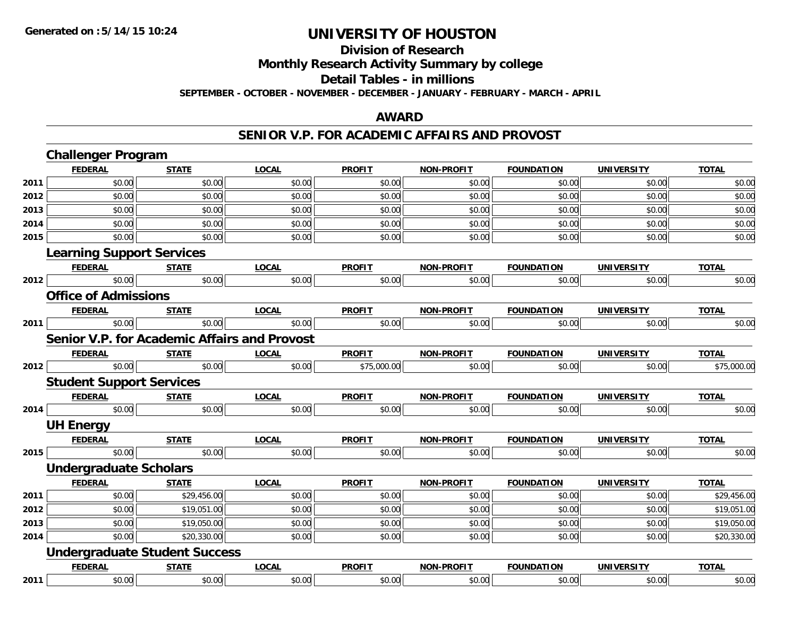**Division of Research**

**Monthly Research Activity Summary by college**

**Detail Tables - in millions**

**SEPTEMBER - OCTOBER - NOVEMBER - DECEMBER - JANUARY - FEBRUARY - MARCH - APRIL**

### **AWARD**

### **SENIOR V.P. FOR ACADEMIC AFFAIRS AND PROVOST**

|      | <b>Challenger Program</b>        |                                      |                                                     |               |                   |                   |                   |              |
|------|----------------------------------|--------------------------------------|-----------------------------------------------------|---------------|-------------------|-------------------|-------------------|--------------|
|      | <b>FEDERAL</b>                   | <b>STATE</b>                         | <b>LOCAL</b>                                        | <b>PROFIT</b> | <b>NON-PROFIT</b> | <b>FOUNDATION</b> | <b>UNIVERSITY</b> | <b>TOTAL</b> |
| 2011 | \$0.00                           | \$0.00                               | \$0.00                                              | \$0.00        | \$0.00            | \$0.00            | \$0.00            | \$0.00       |
| 2012 | \$0.00                           | \$0.00                               | \$0.00                                              | \$0.00        | \$0.00            | \$0.00            | \$0.00            | \$0.00       |
| 2013 | \$0.00                           | \$0.00                               | \$0.00                                              | \$0.00        | \$0.00            | \$0.00            | \$0.00            | \$0.00       |
| 2014 | \$0.00                           | \$0.00                               | \$0.00                                              | \$0.00        | \$0.00            | \$0.00            | \$0.00            | \$0.00       |
| 2015 | \$0.00                           | \$0.00                               | \$0.00                                              | \$0.00        | \$0.00            | \$0.00            | \$0.00            | \$0.00       |
|      | <b>Learning Support Services</b> |                                      |                                                     |               |                   |                   |                   |              |
|      | <b>FEDERAL</b>                   | <b>STATE</b>                         | <b>LOCAL</b>                                        | <b>PROFIT</b> | <b>NON-PROFIT</b> | <b>FOUNDATION</b> | <b>UNIVERSITY</b> | <b>TOTAL</b> |
| 2012 | \$0.00                           | \$0.00                               | \$0.00                                              | \$0.00        | \$0.00            | \$0.00            | \$0.00            | \$0.00       |
|      | <b>Office of Admissions</b>      |                                      |                                                     |               |                   |                   |                   |              |
|      | <b>FEDERAL</b>                   | <b>STATE</b>                         | <b>LOCAL</b>                                        | <b>PROFIT</b> | <b>NON-PROFIT</b> | <b>FOUNDATION</b> | <b>UNIVERSITY</b> | <b>TOTAL</b> |
| 2011 | \$0.00                           | \$0.00                               | \$0.00                                              | \$0.00        | \$0.00            | \$0.00            | \$0.00            | \$0.00       |
|      |                                  |                                      | <b>Senior V.P. for Academic Affairs and Provost</b> |               |                   |                   |                   |              |
|      | <b>FEDERAL</b>                   | <b>STATE</b>                         | <b>LOCAL</b>                                        | <b>PROFIT</b> | <b>NON-PROFIT</b> | <b>FOUNDATION</b> | <b>UNIVERSITY</b> | <b>TOTAL</b> |
| 2012 | \$0.00                           | \$0.00                               | \$0.00                                              | \$75,000.00   | \$0.00            | \$0.00            | \$0.00            | \$75,000.00  |
|      | <b>Student Support Services</b>  |                                      |                                                     |               |                   |                   |                   |              |
|      | <b>FEDERAL</b>                   | <b>STATE</b>                         | <b>LOCAL</b>                                        | <b>PROFIT</b> | <b>NON-PROFIT</b> | <b>FOUNDATION</b> | <b>UNIVERSITY</b> | <b>TOTAL</b> |
| 2014 | \$0.00                           | \$0.00                               | \$0.00                                              | \$0.00        | \$0.00            | \$0.00            | \$0.00            | \$0.00       |
|      | <b>UH Energy</b>                 |                                      |                                                     |               |                   |                   |                   |              |
|      | <b>FEDERAL</b>                   | <b>STATE</b>                         | <b>LOCAL</b>                                        | <b>PROFIT</b> | NON-PROFIT        | <b>FOUNDATION</b> | <b>UNIVERSITY</b> | <b>TOTAL</b> |
| 2015 | \$0.00                           | \$0.00                               | \$0.00                                              | \$0.00        | \$0.00            | \$0.00            | \$0.00            | \$0.00       |
|      | <b>Undergraduate Scholars</b>    |                                      |                                                     |               |                   |                   |                   |              |
|      | <b>FEDERAL</b>                   | <b>STATE</b>                         | <b>LOCAL</b>                                        | <b>PROFIT</b> | <b>NON-PROFIT</b> | <b>FOUNDATION</b> | <b>UNIVERSITY</b> | <b>TOTAL</b> |
| 2011 | \$0.00                           | \$29,456.00                          | \$0.00                                              | \$0.00        | \$0.00            | \$0.00            | \$0.00            | \$29,456.00  |
| 2012 | \$0.00                           | \$19,051.00                          | \$0.00                                              | \$0.00        | \$0.00            | \$0.00            | \$0.00            | \$19,051.00  |
| 2013 | \$0.00                           | \$19,050.00                          | \$0.00                                              | \$0.00        | \$0.00            | \$0.00            | \$0.00            | \$19,050.00  |
| 2014 | \$0.00                           | \$20,330.00                          | \$0.00                                              | \$0.00        | \$0.00            | \$0.00            | \$0.00            | \$20,330.00  |
|      |                                  | <b>Undergraduate Student Success</b> |                                                     |               |                   |                   |                   |              |
|      | <b>FEDERAL</b>                   | <b>STATE</b>                         | <b>LOCAL</b>                                        | <b>PROFIT</b> | <b>NON-PROFIT</b> | <b>FOUNDATION</b> | <b>UNIVERSITY</b> | <b>TOTAL</b> |
| 2011 | \$0.00                           | \$0.00                               | \$0.00                                              | \$0.00        | \$0.00            | \$0.00            | \$0.00            | \$0.00       |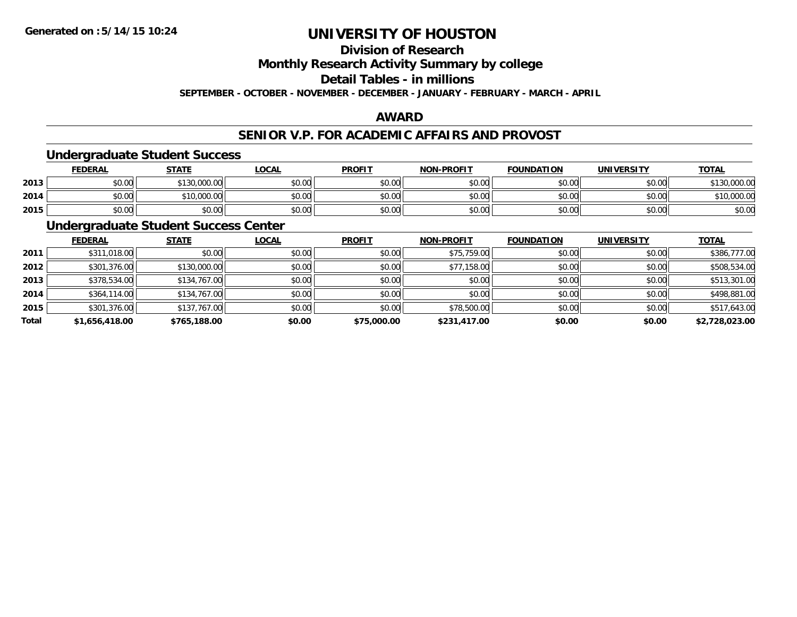**Division of Research**

**Monthly Research Activity Summary by college**

**Detail Tables - in millions**

**SEPTEMBER - OCTOBER - NOVEMBER - DECEMBER - JANUARY - FEBRUARY - MARCH - APRIL**

## **AWARD**

### **SENIOR V.P. FOR ACADEMIC AFFAIRS AND PROVOST**

### **Undergraduate Student Success**

|      | <u>FEDERAL</u> | <b>STATE</b>            | <b>_OCAL</b>  | <b>PROFIT</b> | <b>NON-PROFIT</b> | <b>FOUNDATION</b> | <b>UNIVERSITY</b> | <b>TOTAL</b> |
|------|----------------|-------------------------|---------------|---------------|-------------------|-------------------|-------------------|--------------|
| 2013 | \$0.00         | 0.000.00<br><b>¢120</b> | 0000<br>DU.UU | \$0.00        | \$0.00            | \$0.00            | \$0.00            | 0.000.00     |
| 2014 | \$0.00         | ,000.00<br>*16.         | \$0.00        | \$0.00        | \$0.00            | \$0.00            | \$0.00            | \$10,000.00  |
| 2015 | \$0.00         | \$0.00                  | \$0.00        | \$0.00        | \$0.00            | \$0.00            | \$0.00            | \$0.00       |

## **Undergraduate Student Success Center**

|       | <b>FEDERAL</b> | <b>STATE</b> | <b>LOCAL</b> | <b>PROFIT</b> | <b>NON-PROFIT</b> | <b>FOUNDATION</b> | <b>UNIVERSITY</b> | <b>TOTAL</b>   |
|-------|----------------|--------------|--------------|---------------|-------------------|-------------------|-------------------|----------------|
| 2011  | \$311,018.00   | \$0.00       | \$0.00       | \$0.00        | \$75,759.00       | \$0.00            | \$0.00            | \$386,777.00   |
| 2012  | \$301,376.00   | \$130,000.00 | \$0.00       | \$0.00        | \$77,158.00       | \$0.00            | \$0.00            | \$508,534.00   |
| 2013  | \$378,534.00   | \$134,767.00 | \$0.00       | \$0.00        | \$0.00            | \$0.00            | \$0.00            | \$513,301.00   |
| 2014  | \$364,114.00   | \$134,767.00 | \$0.00       | \$0.00        | \$0.00            | \$0.00            | \$0.00            | \$498,881.00   |
| 2015  | \$301,376.00   | \$137,767.00 | \$0.00       | \$0.00        | \$78,500.00       | \$0.00            | \$0.00            | \$517,643.00   |
| Total | \$1,656,418.00 | \$765,188.00 | \$0.00       | \$75,000.00   | \$231,417.00      | \$0.00            | \$0.00            | \$2,728,023.00 |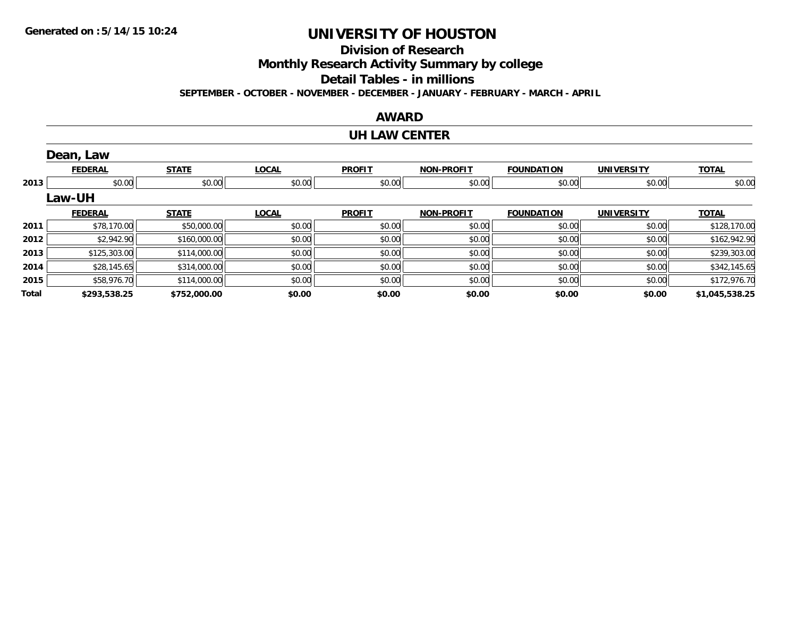**Division of Research**

**Monthly Research Activity Summary by college**

**Detail Tables - in millions**

**SEPTEMBER - OCTOBER - NOVEMBER - DECEMBER - JANUARY - FEBRUARY - MARCH - APRIL**

### **AWARD**

### **UH LAW CENTER**

|       | Dean, Law      |              |              |               |                   |                   |                   |                |
|-------|----------------|--------------|--------------|---------------|-------------------|-------------------|-------------------|----------------|
|       | <b>FEDERAL</b> | <b>STATE</b> | <b>LOCAL</b> | <b>PROFIT</b> | <b>NON-PROFIT</b> | <b>FOUNDATION</b> | <b>UNIVERSITY</b> | <b>TOTAL</b>   |
| 2013  | \$0.00         | \$0.00       | \$0.00       | \$0.00        | \$0.00            | \$0.00            | \$0.00            | \$0.00         |
|       | <b>Law-UH</b>  |              |              |               |                   |                   |                   |                |
|       | <b>FEDERAL</b> | <b>STATE</b> | <b>LOCAL</b> | <b>PROFIT</b> | <b>NON-PROFIT</b> | <b>FOUNDATION</b> | <b>UNIVERSITY</b> | <b>TOTAL</b>   |
| 2011  | \$78,170.00    | \$50,000.00  | \$0.00       | \$0.00        | \$0.00            | \$0.00            | \$0.00            | \$128,170.00   |
| 2012  | \$2,942.90     | \$160,000.00 | \$0.00       | \$0.00        | \$0.00            | \$0.00            | \$0.00            | \$162,942.90   |
| 2013  | \$125,303.00   | \$114,000.00 | \$0.00       | \$0.00        | \$0.00            | \$0.00            | \$0.00            | \$239,303.00   |
| 2014  | \$28,145.65    | \$314,000.00 | \$0.00       | \$0.00        | \$0.00            | \$0.00            | \$0.00            | \$342,145.65   |
| 2015  | \$58,976.70    | \$114,000.00 | \$0.00       | \$0.00        | \$0.00            | \$0.00            | \$0.00            | \$172,976.70   |
| Total | \$293,538.25   | \$752,000.00 | \$0.00       | \$0.00        | \$0.00            | \$0.00            | \$0.00            | \$1,045,538.25 |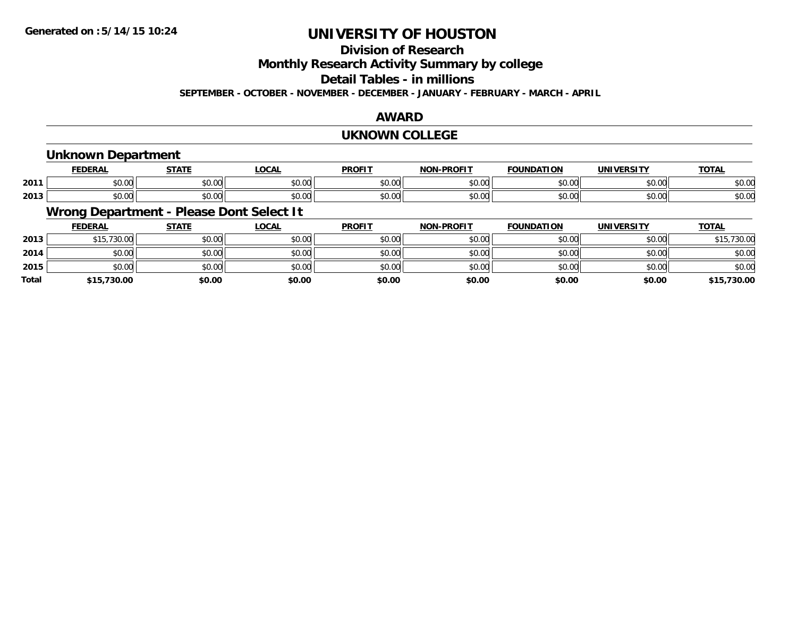## **Division of Research**

**Monthly Research Activity Summary by college**

**Detail Tables - in millions**

**SEPTEMBER - OCTOBER - NOVEMBER - DECEMBER - JANUARY - FEBRUARY - MARCH - APRIL**

### **AWARD**

### **UKNOWN COLLEGE**

## **Unknown Department**

|      | ---                           | -----              | <b>LOCAI</b>                               | <b>DDOEIT</b> | <b>DRAFIT</b><br>חחו  | וחחו           | <b>DCITY</b> | <b>TOTA</b><br>ו ב <i>ו</i> |
|------|-------------------------------|--------------------|--------------------------------------------|---------------|-----------------------|----------------|--------------|-----------------------------|
| 2011 | $\sim$ 00<br>טע.טע            | $\sim$ $\sim$      | $\uparrow$ $\uparrow$ $\uparrow$<br>wu.uu. | 0.00<br>JU.U  | ሶስ ሰሰ<br>. UU<br>, پ, | 0 <sub>n</sub> | \$0.00       | 0000<br>DU.UU               |
| 2013 | $\sim$ $\sim$ $\sim$<br>vu.uu | $\sim$ 00<br>וטטוע | 0.00<br><b>DU.UU</b>                       | 0000<br>งบ.บเ | $\sim$ 00<br>vv.vv    | 0000           | \$0.00       | $\sim$ 00<br>JU.UU          |

## **Wrong Department - Please Dont Select It**

|              | <b>FEDERAL</b> | <b>STATE</b> | <b>LOCAL</b> | <b>PROFIT</b> | <b>NON-PROFIT</b> | <b>FOUNDATION</b> | <b>UNIVERSITY</b> | <b>TOTAL</b> |
|--------------|----------------|--------------|--------------|---------------|-------------------|-------------------|-------------------|--------------|
| 2013         | \$15,730.00    | \$0.00       | \$0.00       | \$0.00        | \$0.00            | \$0.00            | \$0.00            | \$15,730.00  |
| 2014         | \$0.00         | \$0.00       | \$0.00       | \$0.00        | \$0.00            | \$0.00            | \$0.00            | \$0.00       |
| 2015         | \$0.00         | \$0.00       | \$0.00       | \$0.00        | \$0.00            | \$0.00            | \$0.00            | \$0.00       |
| <b>Total</b> | \$15,730.00    | \$0.00       | \$0.00       | \$0.00        | \$0.00            | \$0.00            | \$0.00            | \$15,730.00  |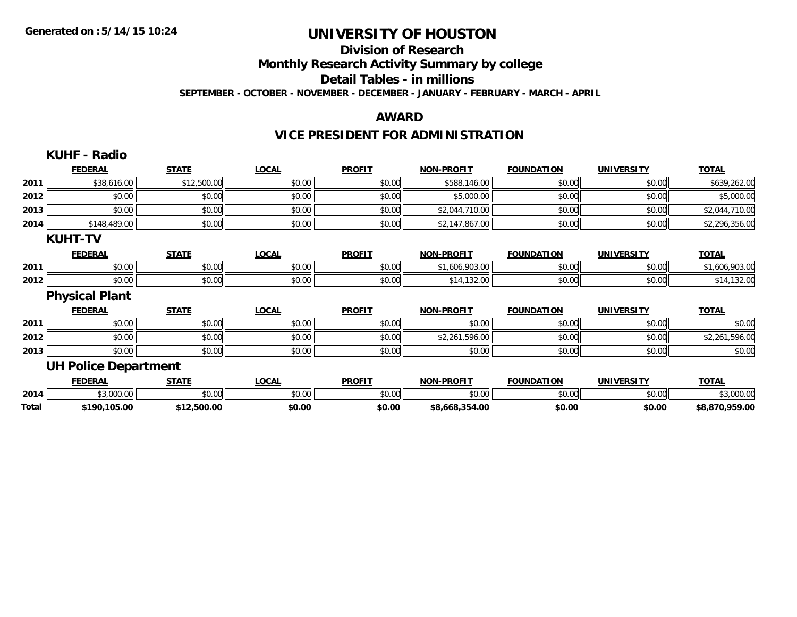### **Division of Research**

**Monthly Research Activity Summary by college**

**Detail Tables - in millions**

**SEPTEMBER - OCTOBER - NOVEMBER - DECEMBER - JANUARY - FEBRUARY - MARCH - APRIL**

### **AWARD**

## **VICE PRESIDENT FOR ADMINISTRATION**

|       | <b>KUHF - Radio</b>         |              |              |               |                   |                   |                   |                |
|-------|-----------------------------|--------------|--------------|---------------|-------------------|-------------------|-------------------|----------------|
|       | <b>FEDERAL</b>              | <b>STATE</b> | <b>LOCAL</b> | <b>PROFIT</b> | <b>NON-PROFIT</b> | <b>FOUNDATION</b> | <b>UNIVERSITY</b> | <b>TOTAL</b>   |
| 2011  | \$38,616.00                 | \$12,500.00  | \$0.00       | \$0.00        | \$588,146.00      | \$0.00            | \$0.00            | \$639,262.00   |
| 2012  | \$0.00                      | \$0.00       | \$0.00       | \$0.00        | \$5,000.00        | \$0.00            | \$0.00            | \$5,000.00     |
| 2013  | \$0.00                      | \$0.00       | \$0.00       | \$0.00        | \$2,044,710.00    | \$0.00            | \$0.00            | \$2,044,710.00 |
| 2014  | \$148,489.00                | \$0.00       | \$0.00       | \$0.00        | \$2,147,867.00    | \$0.00            | \$0.00            | \$2,296,356.00 |
|       | <b>KUHT-TV</b>              |              |              |               |                   |                   |                   |                |
|       | <b>FEDERAL</b>              | <b>STATE</b> | <b>LOCAL</b> | <b>PROFIT</b> | <b>NON-PROFIT</b> | <b>FOUNDATION</b> | <b>UNIVERSITY</b> | <b>TOTAL</b>   |
| 2011  | \$0.00                      | \$0.00       | \$0.00       | \$0.00        | \$1,606,903.00    | \$0.00            | \$0.00            | \$1,606,903.00 |
| 2012  | \$0.00                      | \$0.00       | \$0.00       | \$0.00        | \$14,132.00       | \$0.00            | \$0.00            | \$14,132.00    |
|       | <b>Physical Plant</b>       |              |              |               |                   |                   |                   |                |
|       | <b>FEDERAL</b>              | <b>STATE</b> | <b>LOCAL</b> | <b>PROFIT</b> | <b>NON-PROFIT</b> | <b>FOUNDATION</b> | <b>UNIVERSITY</b> | <b>TOTAL</b>   |
| 2011  | \$0.00                      | \$0.00       | \$0.00       | \$0.00        | \$0.00            | \$0.00            | \$0.00            | \$0.00         |
| 2012  | \$0.00                      | \$0.00       | \$0.00       | \$0.00        | \$2,261,596.00    | \$0.00            | \$0.00            | \$2,261,596.00 |
| 2013  | \$0.00                      | \$0.00       | \$0.00       | \$0.00        | \$0.00            | \$0.00            | \$0.00            | \$0.00         |
|       | <b>UH Police Department</b> |              |              |               |                   |                   |                   |                |
|       | <b>FEDERAL</b>              | <b>STATE</b> | <b>LOCAL</b> | <b>PROFIT</b> | <b>NON-PROFIT</b> | <b>FOUNDATION</b> | <b>UNIVERSITY</b> | <b>TOTAL</b>   |
| 2014  | \$3,000.00                  | \$0.00       | \$0.00       | \$0.00        | \$0.00            | \$0.00            | \$0.00            | \$3,000.00     |
| Total | \$190,105.00                | \$12,500.00  | \$0.00       | \$0.00        | \$8,668,354.00    | \$0.00            | \$0.00            | \$8,870,959.00 |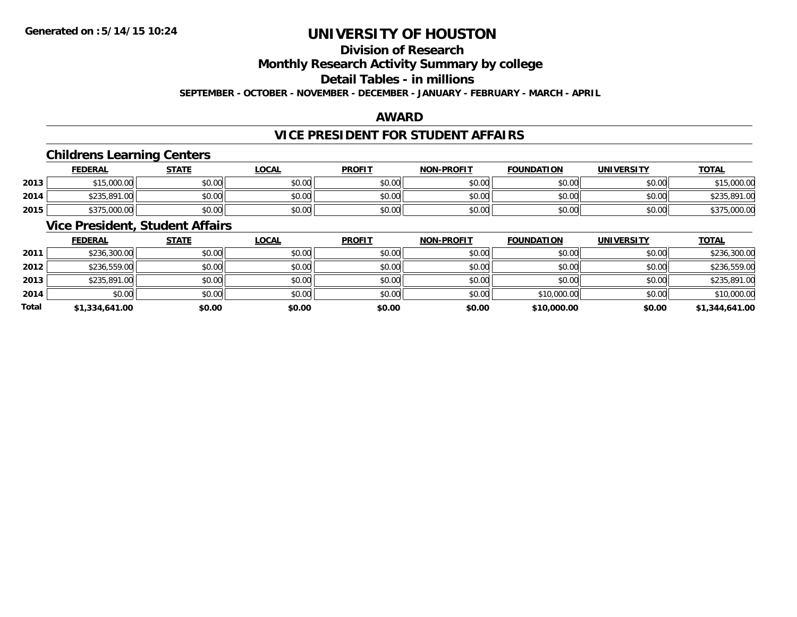## **Division of Research**

**Monthly Research Activity Summary by college**

**Detail Tables - in millions**

**SEPTEMBER - OCTOBER - NOVEMBER - DECEMBER - JANUARY - FEBRUARY - MARCH - APRIL**

### **AWARD**

## **VICE PRESIDENT FOR STUDENT AFFAIRS**

### **Childrens Learning Centers**

|      | <u>FEDERAL</u> | <b>STATE</b> | <u>_OCAL</u> | <b>PROFIT</b> | <b>NON-PROFIT</b> | <b>FOUNDATION</b> | UNIVERSITY | <b>TOTAL</b>                 |
|------|----------------|--------------|--------------|---------------|-------------------|-------------------|------------|------------------------------|
| 2013 | \$15,000.00    | \$0.00       | \$0.00       | \$0.00        | \$0.00            | \$0.00            | \$0.00     | ぐっに<br>\$15,000.00           |
| 2014 | \$235,891.00   | \$0.00       | \$0.00       | \$0.00        | \$0.00            | \$0.00            | \$0.00     | \$235.891.<br>$\cap$<br>1.UU |
| 2015 | \$375,000.00   | \$0.00       | \$0.00       | \$0.00        | \$0.00            | \$0.00            | \$0.00     | \$375,000.00                 |

### **Vice President, Student Affairs**

|       | <b>FEDERAL</b> | <b>STATE</b> | <b>LOCAL</b> | <b>PROFIT</b> | <b>NON-PROFIT</b> | <b>FOUNDATION</b> | <b>UNIVERSITY</b> | <b>TOTAL</b>   |
|-------|----------------|--------------|--------------|---------------|-------------------|-------------------|-------------------|----------------|
| 2011  | \$236,300.00   | \$0.00       | \$0.00       | \$0.00        | \$0.00            | \$0.00            | \$0.00            | \$236,300.00   |
| 2012  | \$236,559.00   | \$0.00       | \$0.00       | \$0.00        | \$0.00            | \$0.00            | \$0.00            | \$236,559.00   |
| 2013  | \$235,891.00   | \$0.00       | \$0.00       | \$0.00        | \$0.00            | \$0.00            | \$0.00            | \$235,891.00   |
| 2014  | \$0.00         | \$0.00       | \$0.00       | \$0.00        | \$0.00            | \$10,000.00       | \$0.00            | \$10,000.00    |
| Total | \$1,334,641.00 | \$0.00       | \$0.00       | \$0.00        | \$0.00            | \$10,000.00       | \$0.00            | \$1,344,641.00 |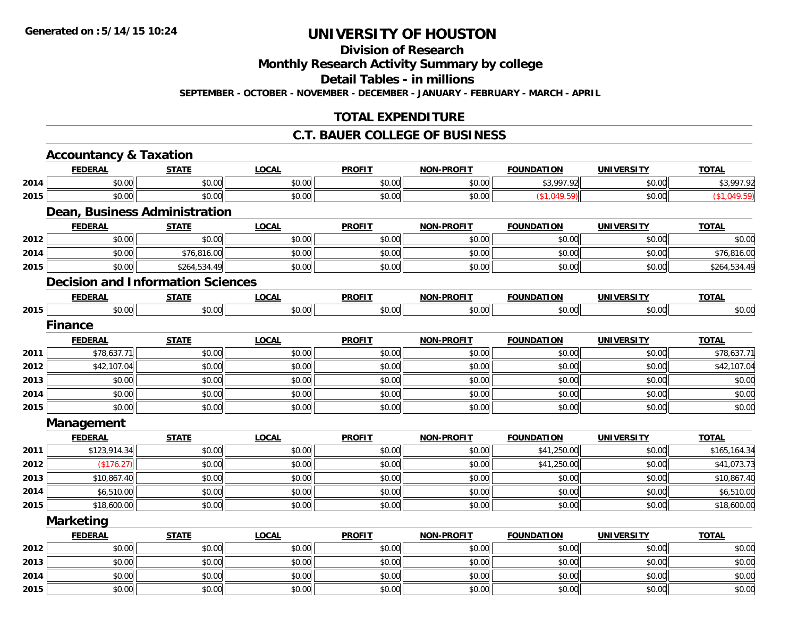**Division of Research**

**Monthly Research Activity Summary by college**

**Detail Tables - in millions**

**SEPTEMBER - OCTOBER - NOVEMBER - DECEMBER - JANUARY - FEBRUARY - MARCH - APRIL**

## **TOTAL EXPENDITURE**

### **C.T. BAUER COLLEGE OF BUSINESS**

|      | <b>Accountancy &amp; Taxation</b>        |              |              |               |                   |                   |                   |              |
|------|------------------------------------------|--------------|--------------|---------------|-------------------|-------------------|-------------------|--------------|
|      | <b>FEDERAL</b>                           | <b>STATE</b> | <b>LOCAL</b> | <b>PROFIT</b> | <b>NON-PROFIT</b> | <b>FOUNDATION</b> | <b>UNIVERSITY</b> | <b>TOTAL</b> |
| 2014 | \$0.00                                   | \$0.00       | \$0.00       | \$0.00        | \$0.00            | \$3,997.92        | \$0.00            | \$3,997.92   |
| 2015 | \$0.00                                   | \$0.00       | \$0.00       | \$0.00        | \$0.00            | (\$1,049.59)      | \$0.00            | (\$1,049.59) |
|      | Dean, Business Administration            |              |              |               |                   |                   |                   |              |
|      | <b>FEDERAL</b>                           | <b>STATE</b> | <b>LOCAL</b> | <b>PROFIT</b> | <b>NON-PROFIT</b> | <b>FOUNDATION</b> | <b>UNIVERSITY</b> | <b>TOTAL</b> |
| 2012 | \$0.00                                   | \$0.00       | \$0.00       | \$0.00        | \$0.00            | \$0.00            | \$0.00            | \$0.00       |
| 2014 | \$0.00                                   | \$76,816.00  | \$0.00       | \$0.00        | \$0.00            | \$0.00            | \$0.00            | \$76,816.00  |
| 2015 | \$0.00                                   | \$264,534.49 | \$0.00       | \$0.00        | \$0.00            | \$0.00            | \$0.00            | \$264,534.49 |
|      | <b>Decision and Information Sciences</b> |              |              |               |                   |                   |                   |              |
|      | <b>FEDERAL</b>                           | <b>STATE</b> | <b>LOCAL</b> | <b>PROFIT</b> | <b>NON-PROFIT</b> | <b>FOUNDATION</b> | <b>UNIVERSITY</b> | <b>TOTAL</b> |
| 2015 | \$0.00                                   | \$0.00       | \$0.00       | \$0.00        | \$0.00            | \$0.00            | \$0.00            | \$0.00       |
|      | <b>Finance</b>                           |              |              |               |                   |                   |                   |              |
|      | <b>FEDERAL</b>                           | <b>STATE</b> | <b>LOCAL</b> | <b>PROFIT</b> | <b>NON-PROFIT</b> | <b>FOUNDATION</b> | <b>UNIVERSITY</b> | <b>TOTAL</b> |
| 2011 | \$78,637.71                              | \$0.00       | \$0.00       | \$0.00        | \$0.00            | \$0.00            | \$0.00            | \$78,637.71  |
| 2012 | \$42,107.04                              | \$0.00       | \$0.00       | \$0.00        | \$0.00            | \$0.00            | \$0.00            | \$42,107.04  |
| 2013 | \$0.00                                   | \$0.00       | \$0.00       | \$0.00        | \$0.00            | \$0.00            | \$0.00            | \$0.00       |
| 2014 | \$0.00                                   | \$0.00       | \$0.00       | \$0.00        | \$0.00            | \$0.00            | \$0.00            | \$0.00       |
| 2015 | \$0.00                                   | \$0.00       | \$0.00       | \$0.00        | \$0.00            | \$0.00            | \$0.00            | \$0.00       |
|      | Management                               |              |              |               |                   |                   |                   |              |
|      | <b>FEDERAL</b>                           | <b>STATE</b> | <b>LOCAL</b> | <b>PROFIT</b> | <b>NON-PROFIT</b> | <b>FOUNDATION</b> | <b>UNIVERSITY</b> | <b>TOTAL</b> |
| 2011 | \$123,914.34                             | \$0.00       | \$0.00       | \$0.00        | \$0.00            | \$41,250.00       | \$0.00            | \$165,164.34 |
| 2012 | (\$176.27)                               | \$0.00       | \$0.00       | \$0.00        | \$0.00            | \$41,250.00       | \$0.00            | \$41,073.73  |
| 2013 | \$10,867.40                              | \$0.00       | \$0.00       | \$0.00        | \$0.00            | \$0.00            | \$0.00            | \$10,867.40  |
| 2014 | \$6,510.00                               | \$0.00       | \$0.00       | \$0.00        | \$0.00            | \$0.00            | \$0.00            | \$6,510.00   |
| 2015 | \$18,600.00                              | \$0.00       | \$0.00       | \$0.00        | \$0.00            | \$0.00            | \$0.00            | \$18,600.00  |
|      | <b>Marketing</b>                         |              |              |               |                   |                   |                   |              |
|      | <b>FEDERAL</b>                           | <b>STATE</b> | <b>LOCAL</b> | <b>PROFIT</b> | <b>NON-PROFIT</b> | <b>FOUNDATION</b> | <b>UNIVERSITY</b> | <b>TOTAL</b> |
| 2012 | \$0.00                                   | \$0.00       | \$0.00       | \$0.00        | \$0.00            | \$0.00            | \$0.00            | \$0.00       |
| 2013 | \$0.00                                   | \$0.00       | \$0.00       | \$0.00        | \$0.00            | \$0.00            | \$0.00            | \$0.00       |
| 2014 | \$0.00                                   | \$0.00       | \$0.00       | \$0.00        | \$0.00            | \$0.00            | \$0.00            | \$0.00       |
| 2015 | \$0.00                                   | \$0.00       | \$0.00       | \$0.00        | \$0.00            | \$0.00            | \$0.00            | \$0.00       |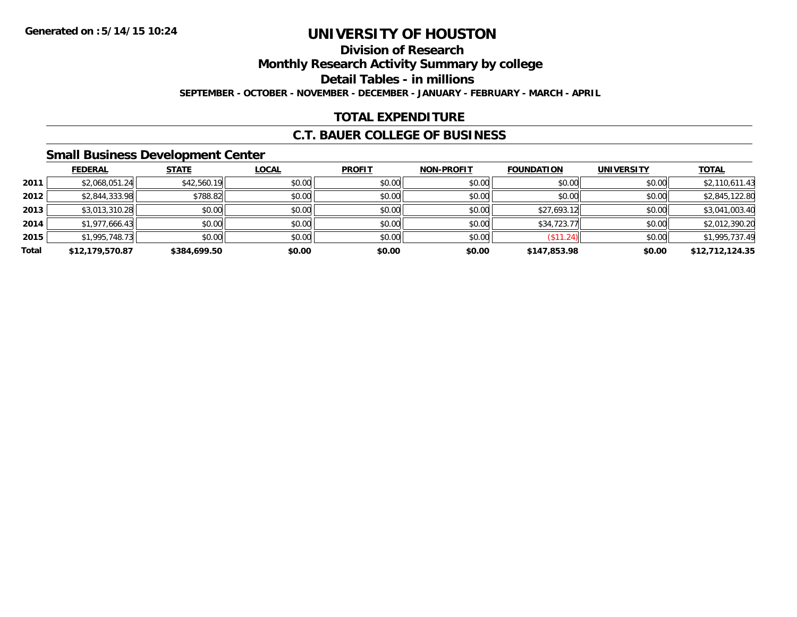## **Division of Research**

**Monthly Research Activity Summary by college**

**Detail Tables - in millions**

**SEPTEMBER - OCTOBER - NOVEMBER - DECEMBER - JANUARY - FEBRUARY - MARCH - APRIL**

## **TOTAL EXPENDITURE**

### **C.T. BAUER COLLEGE OF BUSINESS**

### **Small Business Development Center**

|       | <b>FEDERAL</b>  | <b>STATE</b> | <u>LOCAL</u> | <b>PROFIT</b> | <b>NON-PROFIT</b> | <b>FOUNDATION</b> | <b>UNIVERSITY</b> | <b>TOTAL</b>    |
|-------|-----------------|--------------|--------------|---------------|-------------------|-------------------|-------------------|-----------------|
| 2011  | \$2,068,051.24  | \$42,560.19  | \$0.00       | \$0.00        | \$0.00            | \$0.00            | \$0.00            | \$2,110,611.43  |
| 2012  | \$2,844,333.98  | \$788.82     | \$0.00       | \$0.00        | \$0.00            | \$0.00            | \$0.00            | \$2,845,122.80  |
| 2013  | \$3,013,310.28  | \$0.00       | \$0.00       | \$0.00        | \$0.00            | \$27,693.12       | \$0.00            | \$3,041,003.40  |
| 2014  | \$1,977,666.43  | \$0.00       | \$0.00       | \$0.00        | \$0.00            | \$34,723.77       | \$0.00            | \$2,012,390.20  |
| 2015  | \$1,995,748.73  | \$0.00       | \$0.00       | \$0.00        | \$0.00            | (\$11.24)         | \$0.00            | \$1,995,737.49  |
| Total | \$12,179,570.87 | \$384,699.50 | \$0.00       | \$0.00        | \$0.00            | \$147,853.98      | \$0.00            | \$12,712,124.35 |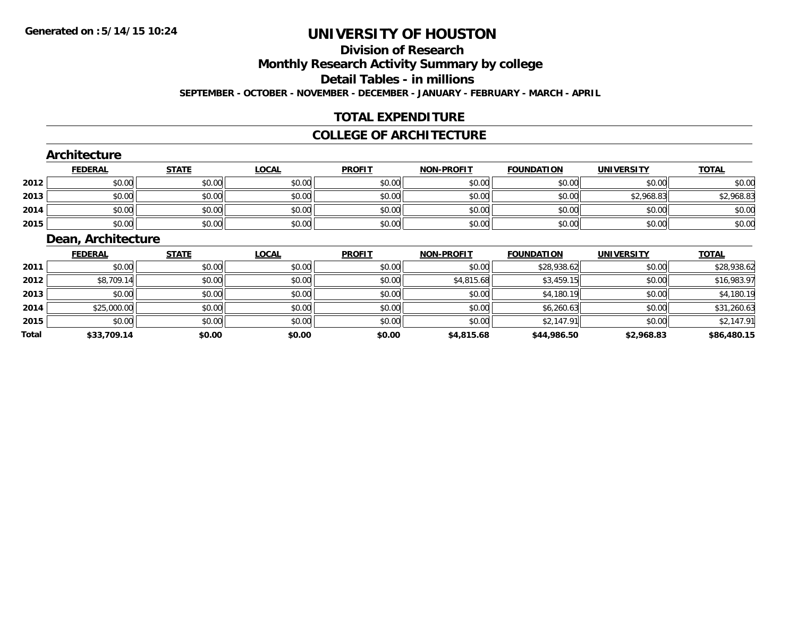# **Division of Research**

**Monthly Research Activity Summary by college**

**Detail Tables - in millions**

**SEPTEMBER - OCTOBER - NOVEMBER - DECEMBER - JANUARY - FEBRUARY - MARCH - APRIL**

## **TOTAL EXPENDITURE**

### **COLLEGE OF ARCHITECTURE**

### **Architecture**

|      | <u>FEDERAL</u> | <b>STATE</b> | <u>LOCAL</u> | <b>PROFIT</b> | <b>NON-PROFIT</b> | <b>FOUNDATION</b> | <b>UNIVERSITY</b> | <b>TOTAL</b> |
|------|----------------|--------------|--------------|---------------|-------------------|-------------------|-------------------|--------------|
| 2012 | \$0.00         | \$0.00       | \$0.00       | \$0.00        | \$0.00            | \$0.00            | \$0.00            | \$0.00       |
| 2013 | \$0.00         | \$0.00       | \$0.00       | \$0.00        | \$0.00            | \$0.00            | \$2,968.83        | \$2,968.83   |
| 2014 | \$0.00         | \$0.00       | \$0.00       | \$0.00        | \$0.00            | \$0.00            | \$0.00            | \$0.00       |
| 2015 | \$0.00         | \$0.00       | \$0.00       | \$0.00        | \$0.00            | \$0.00            | \$0.00            | \$0.00       |

### **Dean, Architecture**

|              | <u>FEDERAL</u> | <b>STATE</b> | <u>LOCAL</u> | <b>PROFIT</b> | <b>NON-PROFIT</b> | <b>FOUNDATION</b> | <b>UNIVERSITY</b> | <b>TOTAL</b> |
|--------------|----------------|--------------|--------------|---------------|-------------------|-------------------|-------------------|--------------|
| 2011         | \$0.00         | \$0.00       | \$0.00       | \$0.00        | \$0.00            | \$28,938.62       | \$0.00            | \$28,938.62  |
| 2012         | \$8,709.14     | \$0.00       | \$0.00       | \$0.00        | \$4,815.68        | \$3,459.15        | \$0.00            | \$16,983.97  |
| 2013         | \$0.00         | \$0.00       | \$0.00       | \$0.00        | \$0.00            | \$4,180.19        | \$0.00            | \$4,180.19   |
| 2014         | \$25,000.00    | \$0.00       | \$0.00       | \$0.00        | \$0.00            | \$6,260.63        | \$0.00            | \$31,260.63  |
| 2015         | \$0.00         | \$0.00       | \$0.00       | \$0.00        | \$0.00            | \$2,147.91        | \$0.00            | \$2,147.91   |
| <b>Total</b> | \$33,709.14    | \$0.00       | \$0.00       | \$0.00        | \$4,815.68        | \$44,986.50       | \$2,968.83        | \$86,480.15  |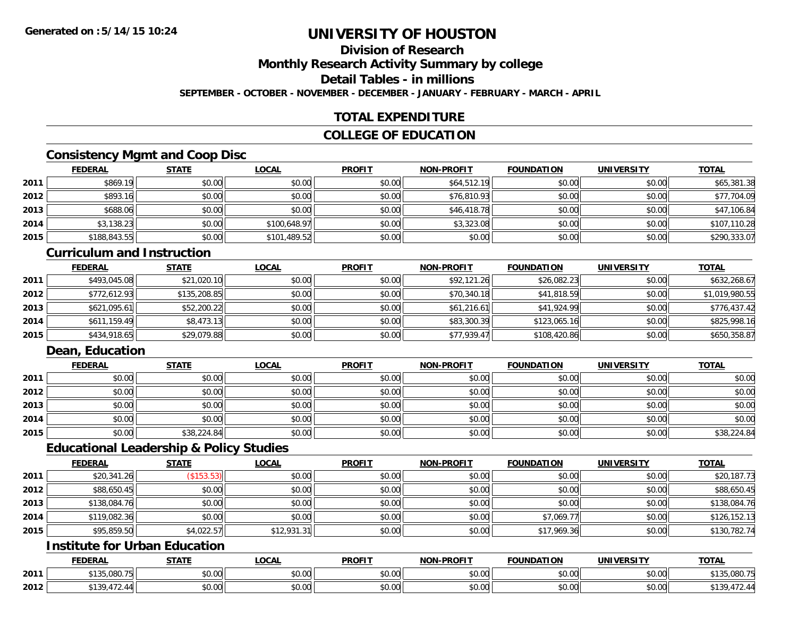## **Division of Research**

**Monthly Research Activity Summary by college**

**Detail Tables - in millions**

**SEPTEMBER - OCTOBER - NOVEMBER - DECEMBER - JANUARY - FEBRUARY - MARCH - APRIL**

## **TOTAL EXPENDITURE**

### **COLLEGE OF EDUCATION**

### **Consistency Mgmt and Coop Disc**

|      | <b>FEDERAL</b> | <b>STATE</b> | <u>LOCAL</u> | <b>PROFIT</b> | <b>NON-PROFIT</b> | <b>FOUNDATION</b> | <b>UNIVERSITY</b> | <b>TOTAL</b> |
|------|----------------|--------------|--------------|---------------|-------------------|-------------------|-------------------|--------------|
| 2011 | \$869.19       | \$0.00       | \$0.00       | \$0.00        | \$64,512.19       | \$0.00            | \$0.00            | \$65,381.38  |
| 2012 | \$893.16       | \$0.00       | \$0.00       | \$0.00        | \$76,810.93       | \$0.00            | \$0.00            | \$77,704.09  |
| 2013 | \$688.06       | \$0.00       | \$0.00       | \$0.00        | \$46,418.78       | \$0.00            | \$0.00            | \$47,106.84  |
| 2014 | \$3,138.23     | \$0.00       | \$100,648.97 | \$0.00        | \$3,323.08        | \$0.00            | \$0.00            | \$107,110.28 |
| 2015 | \$188,843.55   | \$0.00       | \$101,489.52 | \$0.00        | \$0.00            | \$0.00            | \$0.00            | \$290,333.07 |

### **Curriculum and Instruction**

|      | <u>FEDERAL</u> | <u>STATE</u> | <u>LOCAL</u> | <b>PROFIT</b> | <b>NON-PROFIT</b> | <b>FOUNDATION</b> | <b>UNIVERSITY</b> | <b>TOTAL</b>   |
|------|----------------|--------------|--------------|---------------|-------------------|-------------------|-------------------|----------------|
| 2011 | \$493,045.08   | \$21,020.10  | \$0.00       | \$0.00        | \$92,121.26       | \$26,082.23       | \$0.00            | \$632,268.67   |
| 2012 | \$772,612.93   | \$135,208.85 | \$0.00       | \$0.00        | \$70,340.18       | \$41,818.59       | \$0.00            | \$1,019,980.55 |
| 2013 | \$621,095.61   | \$52,200.22  | \$0.00       | \$0.00        | \$61,216.61       | \$41,924.99       | \$0.00            | \$776,437.42   |
| 2014 | \$611,159.49   | \$8,473.13   | \$0.00       | \$0.00        | \$83,300.39       | \$123,065.16      | \$0.00            | \$825,998.16   |
| 2015 | \$434,918.65   | \$29,079.88  | \$0.00       | \$0.00        | \$77,939.47       | \$108,420.86      | \$0.00            | \$650,358.87   |

## **Dean, Education**

|      | <b>FEDERAL</b> | <b>STATE</b> | <u>LOCAL</u> | <b>PROFIT</b> | <b>NON-PROFIT</b> | <b>FOUNDATION</b> | <b>UNIVERSITY</b> | <b>TOTAL</b> |
|------|----------------|--------------|--------------|---------------|-------------------|-------------------|-------------------|--------------|
| 2011 | \$0.00         | \$0.00       | \$0.00       | \$0.00        | \$0.00            | \$0.00            | \$0.00            | \$0.00       |
| 2012 | \$0.00         | \$0.00       | \$0.00       | \$0.00        | \$0.00            | \$0.00            | \$0.00            | \$0.00       |
| 2013 | \$0.00         | \$0.00       | \$0.00       | \$0.00        | \$0.00            | \$0.00            | \$0.00            | \$0.00       |
| 2014 | \$0.00         | \$0.00       | \$0.00       | \$0.00        | \$0.00            | \$0.00            | \$0.00            | \$0.00       |
| 2015 | \$0.00         | \$38,224.84  | \$0.00       | \$0.00        | \$0.00            | \$0.00            | \$0.00            | \$38,224.84  |

### **Educational Leadership & Policy Studies**

|      | <b>FEDERAL</b> | <b>STATE</b> | <u>LOCAL</u> | <b>PROFIT</b> | <b>NON-PROFIT</b> | <b>FOUNDATION</b> | <b>UNIVERSITY</b> | <b>TOTAL</b> |
|------|----------------|--------------|--------------|---------------|-------------------|-------------------|-------------------|--------------|
| 2011 | \$20,341.26    | (\$153.53)   | \$0.00       | \$0.00        | \$0.00            | \$0.00            | \$0.00            | \$20,187.73  |
| 2012 | \$88,650.45    | \$0.00       | \$0.00       | \$0.00        | \$0.00            | \$0.00            | \$0.00            | \$88,650.45  |
| 2013 | \$138,084.76   | \$0.00       | \$0.00       | \$0.00        | \$0.00            | \$0.00            | \$0.00            | \$138,084.76 |
| 2014 | \$119,082.36   | \$0.00       | \$0.00       | \$0.00        | \$0.00            | \$7,069.77        | \$0.00            | \$126,152.13 |
| 2015 | \$95,859.50    | \$4,022.57   | \$12,931.31  | \$0.00        | \$0.00            | \$17,969.36       | \$0.00            | \$130,782.74 |

## **Institute for Urban Education**

|      | <b>FEDERAL</b>                     | <b>STATE</b> | <b>LOCAL</b>              | <b>PROFIT</b>  | <b>NON-PROFIT</b>    | <b>FOUNDATION</b> | UNIVERSITY                    | <b>TOTAL</b>         |
|------|------------------------------------|--------------|---------------------------|----------------|----------------------|-------------------|-------------------------------|----------------------|
| 2011 | 1000T<br>$\bullet \bullet \bullet$ | \$0.00       | $\sim$<br>$\sim$<br>vv.vv | ልስ ስስ<br>DU.UU | 0.00<br>DU.UU        | \$0.00            | 0000<br><b>DU.UU</b>          | 135.080.75<br>A 1 21 |
| 2012 | $\sim$<br><b>¢120</b><br>ັບ        | \$0.00       | ሐ ሴ<br>$\sim$<br>vu.uu    | 0000<br>DU.UG  | 0.00<br><b>DU.UU</b> | \$0.00            | $\sim$ $\sim$<br><b>JU.UU</b> | ັບ                   |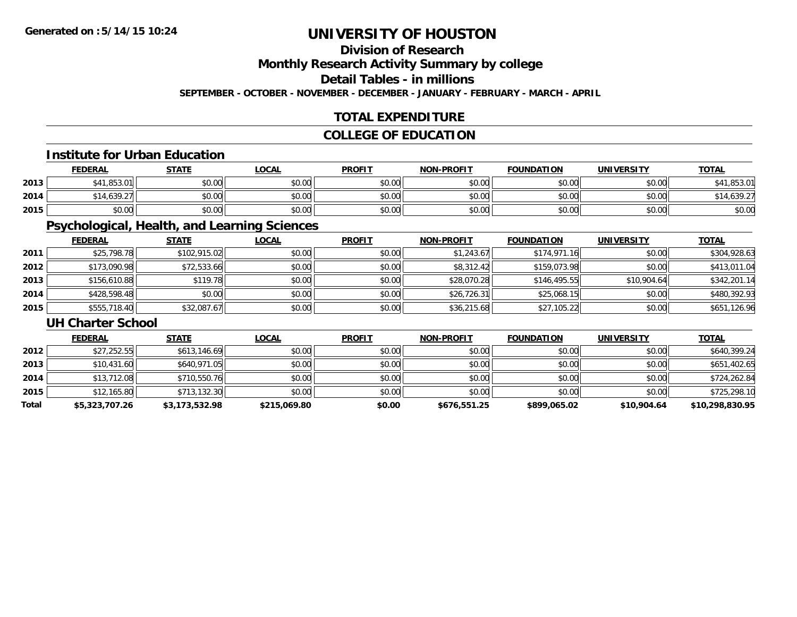## **Division of Research**

**Monthly Research Activity Summary by college**

**Detail Tables - in millions**

**SEPTEMBER - OCTOBER - NOVEMBER - DECEMBER - JANUARY - FEBRUARY - MARCH - APRIL**

## **TOTAL EXPENDITURE**

## **COLLEGE OF EDUCATION**

### **Institute for Urban Education**

|      | <b>FEDERAL</b>                        | <b>STATE</b> | <u>LOCAL</u> | <b>PROFIT</b> | <b>NON-PROFIT</b> | <b>FOUNDATION</b> | <b>UNIVERSITY</b> | <b>TOTAL</b>         |
|------|---------------------------------------|--------------|--------------|---------------|-------------------|-------------------|-------------------|----------------------|
| 2013 | <b>853 01</b><br><b>CA1</b><br>,000.0 | \$0.00       | \$0.00       | \$0.00        | \$0.00            | \$0.00            | \$0.00            | <b>AA</b><br>,853.01 |
| 2014 | \$14,639.27                           | \$0.00       | \$0.00       | \$0.00        | \$0.00            | \$0.00            | \$0.00            | .,639.27             |
| 2015 | \$0.00                                | \$0.00       | \$0.00       | \$0.00        | \$0.00            | \$0.00            | \$0.00            | \$0.00               |

## **Psychological, Health, and Learning Sciences**

|      | <b>FEDERAL</b> | <b>STATE</b> | <b>LOCAL</b> | <b>PROFIT</b> | <b>NON-PROFIT</b> | <b>FOUNDATION</b> | <b>UNIVERSITY</b> | <b>TOTAL</b> |
|------|----------------|--------------|--------------|---------------|-------------------|-------------------|-------------------|--------------|
| 2011 | \$25,798.78    | \$102,915.02 | \$0.00       | \$0.00        | \$1,243.67        | \$174,971.16      | \$0.00            | \$304,928.63 |
| 2012 | \$173,090.98   | \$72,533.66  | \$0.00       | \$0.00        | \$8,312.42        | \$159,073.98      | \$0.00            | \$413,011.04 |
| 2013 | \$156,610.88   | \$119.78     | \$0.00       | \$0.00        | \$28,070.28       | \$146,495.55      | \$10,904.64       | \$342,201.14 |
| 2014 | \$428,598.48   | \$0.00       | \$0.00       | \$0.00        | \$26.726.31       | \$25,068.15       | \$0.00            | \$480,392.93 |
| 2015 | \$555,718.40   | \$32,087.67  | \$0.00       | \$0.00        | \$36,215.68       | \$27,105.22       | \$0.00            | \$651,126.96 |

### **UH Charter School**

|       | <b>FEDERAL</b> | <u>STATE</u>   | <b>LOCAL</b> | <b>PROFIT</b> | <b>NON-PROFIT</b> | <b>FOUNDATION</b> | <b>UNIVERSITY</b> | <b>TOTAL</b>    |
|-------|----------------|----------------|--------------|---------------|-------------------|-------------------|-------------------|-----------------|
| 2012  | \$27,252.55    | \$613,146.69   | \$0.00       | \$0.00        | \$0.00            | \$0.00            | \$0.00            | \$640.399.24    |
| 2013  | \$10,431.60    | \$640,971.05   | \$0.00       | \$0.00        | \$0.00            | \$0.00            | \$0.00            | \$651,402.65    |
| 2014  | \$13,712.08    | \$710,550.76   | \$0.00       | \$0.00        | \$0.00            | \$0.00            | \$0.00            | \$724,262.84    |
| 2015  | \$12,165.80    | \$713,132.30   | \$0.00       | \$0.00        | \$0.00            | \$0.00            | \$0.00            | \$725,298.10    |
| Total | \$5,323,707.26 | \$3,173,532.98 | \$215,069.80 | \$0.00        | \$676,551.25      | \$899,065.02      | \$10,904.64       | \$10,298,830.95 |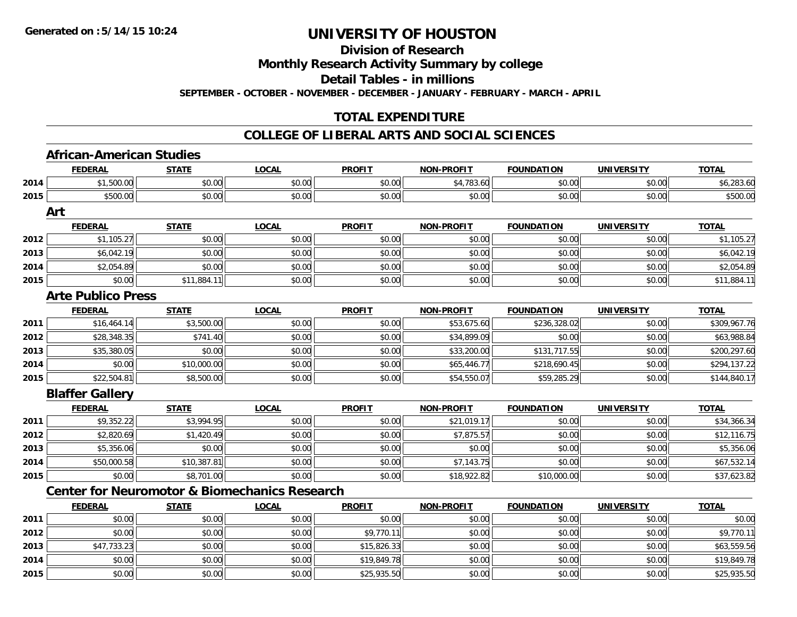**Division of Research**

**Monthly Research Activity Summary by college**

**Detail Tables - in millions**

**SEPTEMBER - OCTOBER - NOVEMBER - DECEMBER - JANUARY - FEBRUARY - MARCH - APRIL**

## **TOTAL EXPENDITURE**

|      | <b>FEDERAL</b>                                           | <b>STATE</b> | <b>LOCAL</b> | <b>PROFIT</b> | <b>NON-PROFIT</b> | <b>FOUNDATION</b> | <b>UNIVERSITY</b> | <b>TOTAL</b> |
|------|----------------------------------------------------------|--------------|--------------|---------------|-------------------|-------------------|-------------------|--------------|
| 2014 | \$1,500.00                                               | \$0.00       | \$0.00       | \$0.00        | \$4,783.60        | \$0.00            | \$0.00            | \$6,283.60   |
| 2015 | \$500.00                                                 | \$0.00       | \$0.00       | \$0.00        | \$0.00            | \$0.00            | \$0.00            | \$500.00     |
|      | Art                                                      |              |              |               |                   |                   |                   |              |
|      | <b>FEDERAL</b>                                           | <b>STATE</b> | <b>LOCAL</b> | <b>PROFIT</b> | <b>NON-PROFIT</b> | <b>FOUNDATION</b> | <b>UNIVERSITY</b> | <b>TOTAL</b> |
| 2012 | \$1,105.27                                               | \$0.00       | \$0.00       | \$0.00        | \$0.00            | \$0.00            | \$0.00            | \$1,105.27   |
| 2013 | \$6,042.19                                               | \$0.00       | \$0.00       | \$0.00        | \$0.00            | \$0.00            | \$0.00            | \$6,042.19   |
| 2014 | \$2,054.89                                               | \$0.00       | \$0.00       | \$0.00        | \$0.00            | \$0.00            | \$0.00            | \$2,054.89   |
| 2015 | \$0.00                                                   | \$11,884.11  | \$0.00       | \$0.00        | \$0.00            | \$0.00            | \$0.00            | \$11,884.11  |
|      | <b>Arte Publico Press</b>                                |              |              |               |                   |                   |                   |              |
|      | <b>FEDERAL</b>                                           | <b>STATE</b> | <b>LOCAL</b> | <b>PROFIT</b> | <b>NON-PROFIT</b> | <b>FOUNDATION</b> | <b>UNIVERSITY</b> | <b>TOTAL</b> |
| 2011 | \$16,464.14                                              | \$3,500.00   | \$0.00       | \$0.00        | \$53,675.60       | \$236,328.02      | \$0.00            | \$309,967.76 |
| 2012 | \$28,348.35                                              | \$741.40     | \$0.00       | \$0.00        | \$34,899.09       | \$0.00            | \$0.00            | \$63,988.84  |
| 2013 | \$35,380.05                                              | \$0.00       | \$0.00       | \$0.00        | \$33,200.00       | \$131,717.55      | \$0.00            | \$200,297.60 |
| 2014 | \$0.00                                                   | \$10,000.00  | \$0.00       | \$0.00        | \$65,446.77       | \$218,690.45      | \$0.00            | \$294,137.22 |
| 2015 | \$22,504.81                                              | \$8,500.00   | \$0.00       | \$0.00        | \$54,550.07       | \$59,285.29       | \$0.00            | \$144,840.17 |
|      | <b>Blaffer Gallery</b>                                   |              |              |               |                   |                   |                   |              |
|      | <b>FEDERAL</b>                                           | <b>STATE</b> | <b>LOCAL</b> | <b>PROFIT</b> | <b>NON-PROFIT</b> | <b>FOUNDATION</b> | <b>UNIVERSITY</b> | <b>TOTAL</b> |
| 2011 | \$9,352.22                                               | \$3,994.95   | \$0.00       | \$0.00        | \$21,019.17       | \$0.00            | \$0.00            | \$34,366.34  |
| 2012 | \$2,820.69                                               | \$1,420.49   | \$0.00       | \$0.00        | \$7,875.57        | \$0.00            | \$0.00            | \$12,116.75  |
| 2013 | \$5,356.06                                               | \$0.00       | \$0.00       | \$0.00        | \$0.00            | \$0.00            | \$0.00            | \$5,356.06   |
| 2014 | \$50,000.58                                              | \$10,387.81  | \$0.00       | \$0.00        | \$7,143.75        | \$0.00            | \$0.00            | \$67,532.14  |
| 2015 | \$0.00                                                   | \$8,701.00   | \$0.00       | \$0.00        | \$18,922.82       | \$10,000.00       | \$0.00            | \$37,623.82  |
|      | <b>Center for Neuromotor &amp; Biomechanics Research</b> |              |              |               |                   |                   |                   |              |
|      | <b>FEDERAL</b>                                           | <b>STATE</b> | <b>LOCAL</b> | <b>PROFIT</b> | <b>NON-PROFIT</b> | <b>FOUNDATION</b> | <b>UNIVERSITY</b> | <b>TOTAL</b> |
| 2011 | \$0.00                                                   | \$0.00       | \$0.00       | \$0.00        | \$0.00            | \$0.00            | \$0.00            | \$0.00       |
| 2012 | \$0.00                                                   | \$0.00       | \$0.00       | \$9,770.11    | \$0.00            | \$0.00            | \$0.00            | \$9,770.11   |
| 2013 | \$47,733.23                                              | \$0.00       | \$0.00       | \$15,826.33   | \$0.00            | \$0.00            | \$0.00            | \$63,559.56  |
| 2014 | \$0.00                                                   | \$0.00       | \$0.00       | \$19,849.78   | \$0.00            | \$0.00            | \$0.00            | \$19,849.78  |
| 2015 | \$0.00                                                   | \$0.00       | \$0.00       | \$25,935.50   | \$0.00            | \$0.00            | \$0.00            | \$25,935.50  |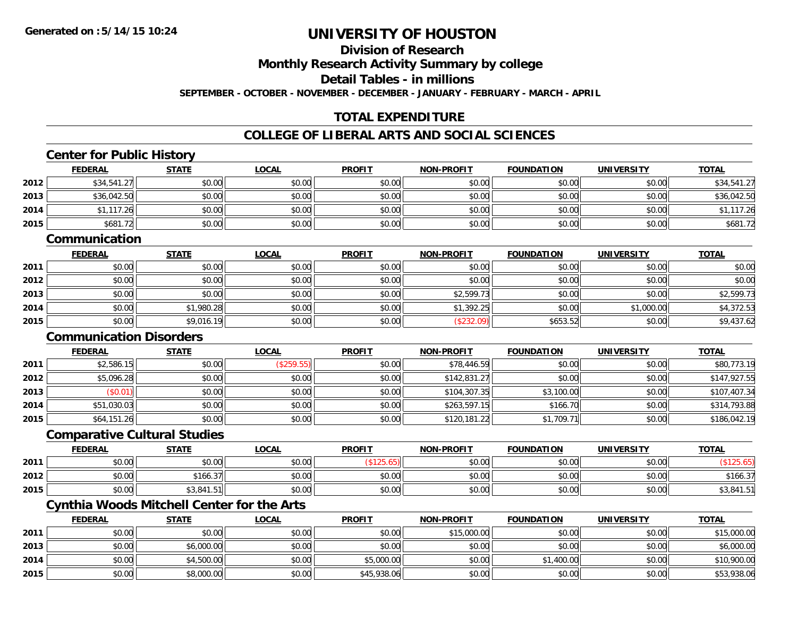**2015**

# **UNIVERSITY OF HOUSTON**

**Division of Research**

**Monthly Research Activity Summary by college**

**Detail Tables - in millions**

**SEPTEMBER - OCTOBER - NOVEMBER - DECEMBER - JANUARY - FEBRUARY - MARCH - APRIL**

## **TOTAL EXPENDITURE**

### **COLLEGE OF LIBERAL ARTS AND SOCIAL SCIENCES**

|      | <b>Center for Public History</b>                  |              |              |               |                   |                   |                   |              |
|------|---------------------------------------------------|--------------|--------------|---------------|-------------------|-------------------|-------------------|--------------|
|      | <b>FEDERAL</b>                                    | <b>STATE</b> | <b>LOCAL</b> | <b>PROFIT</b> | NON-PROFIT        | <b>FOUNDATION</b> | <b>UNIVERSITY</b> | <b>TOTAL</b> |
| 2012 | \$34,541.27                                       | \$0.00       | \$0.00       | \$0.00        | \$0.00            | \$0.00            | \$0.00            | \$34,541.27  |
| 2013 | \$36,042.50                                       | \$0.00       | \$0.00       | \$0.00        | \$0.00            | \$0.00            | \$0.00            | \$36,042.50  |
| 2014 | \$1,117.26                                        | \$0.00       | \$0.00       | \$0.00        | \$0.00            | \$0.00            | \$0.00            | \$1,117.26   |
| 2015 | \$681.72                                          | \$0.00       | \$0.00       | \$0.00        | \$0.00            | \$0.00            | \$0.00            | \$681.72     |
|      | Communication                                     |              |              |               |                   |                   |                   |              |
|      | <b>FEDERAL</b>                                    | <b>STATE</b> | <b>LOCAL</b> | <b>PROFIT</b> | NON-PROFIT        | <b>FOUNDATION</b> | <b>UNIVERSITY</b> | <b>TOTAL</b> |
| 2011 | \$0.00                                            | \$0.00       | \$0.00       | \$0.00        | \$0.00            | \$0.00            | \$0.00            | \$0.00       |
| 2012 | \$0.00                                            | \$0.00       | \$0.00       | \$0.00        | \$0.00            | \$0.00            | \$0.00            | \$0.00       |
| 2013 | \$0.00                                            | \$0.00       | \$0.00       | \$0.00        | \$2,599.73        | \$0.00            | \$0.00            | \$2,599.73   |
| 2014 | \$0.00                                            | \$1,980.28   | \$0.00       | \$0.00        | \$1,392.25        | \$0.00            | \$1,000.00        | \$4,372.53   |
| 2015 | \$0.00                                            | \$9,016.19   | \$0.00       | \$0.00        | (\$232.09)        | \$653.52          | \$0.00            | \$9,437.62   |
|      | <b>Communication Disorders</b>                    |              |              |               |                   |                   |                   |              |
|      | <b>FEDERAL</b>                                    | <b>STATE</b> | <b>LOCAL</b> | <b>PROFIT</b> | <b>NON-PROFIT</b> | <b>FOUNDATION</b> | <b>UNIVERSITY</b> | <b>TOTAL</b> |
| 2011 | \$2,586.15                                        | \$0.00       | (\$259.55)   | \$0.00        | \$78,446.59       | \$0.00            | \$0.00            | \$80,773.19  |
| 2012 | \$5,096.28                                        | \$0.00       | \$0.00       | \$0.00        | \$142,831.27      | \$0.00            | \$0.00            | \$147,927.55 |
| 2013 | (\$0.01)                                          | \$0.00       | \$0.00       | \$0.00        | \$104,307.35      | \$3,100.00        | \$0.00            | \$107,407.34 |
| 2014 | \$51,030.03                                       | \$0.00       | \$0.00       | \$0.00        | \$263,597.15      | \$166.70          | \$0.00            | \$314,793.88 |
| 2015 | \$64,151.26                                       | \$0.00       | \$0.00       | \$0.00        | \$120,181.22      | \$1,709.71        | \$0.00            | \$186,042.19 |
|      | <b>Comparative Cultural Studies</b>               |              |              |               |                   |                   |                   |              |
|      | <b>FEDERAL</b>                                    | <b>STATE</b> | <b>LOCAL</b> | <b>PROFIT</b> | <b>NON-PROFIT</b> | <b>FOUNDATION</b> | <b>UNIVERSITY</b> | <b>TOTAL</b> |
| 2011 | \$0.00                                            | \$0.00       | \$0.00       | (\$125.65)    | \$0.00            | \$0.00            | \$0.00            | (\$125.65)   |
| 2012 | \$0.00                                            | \$166.37     | \$0.00       | \$0.00        | \$0.00            | \$0.00            | \$0.00            | \$166.37     |
| 2015 | \$0.00                                            | \$3,841.51   | \$0.00       | \$0.00        | \$0.00            | \$0.00            | \$0.00            | \$3,841.51   |
|      | <b>Cynthia Woods Mitchell Center for the Arts</b> |              |              |               |                   |                   |                   |              |
|      | <b>FEDERAL</b>                                    | <b>STATE</b> | <b>LOCAL</b> | <b>PROFIT</b> | NON-PROFIT        | <b>FOUNDATION</b> | <b>UNIVERSITY</b> | <b>TOTAL</b> |
| 2011 | \$0.00                                            | \$0.00       | \$0.00       | \$0.00        | \$15,000.00       | \$0.00            | \$0.00            | \$15,000.00  |
| 2013 | \$0.00                                            | \$6,000.00   | \$0.00       | \$0.00        | \$0.00            | \$0.00            | \$0.00            | \$6,000.00   |
| 2014 | \$0.00                                            | \$4,500.00   | \$0.00       | \$5,000.00    | \$0.00            | \$1,400.00        | \$0.00            | \$10,900.00  |

\$0.00 \$8,000.00 \$0.00 \$45,938.06 \$0.00 \$0.00 \$0.00 \$53,938.06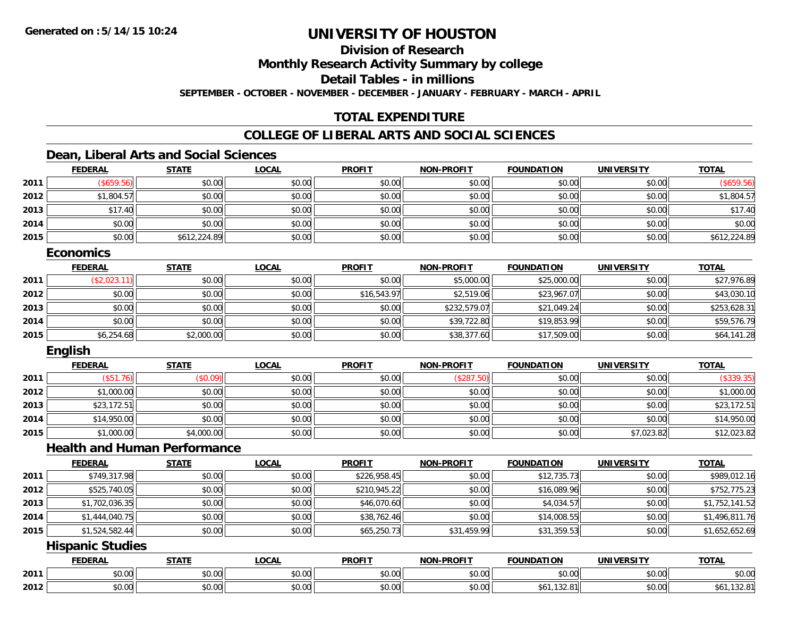**Division of Research**

**Monthly Research Activity Summary by college**

**Detail Tables - in millions**

**SEPTEMBER - OCTOBER - NOVEMBER - DECEMBER - JANUARY - FEBRUARY - MARCH - APRIL**

## **TOTAL EXPENDITURE**

## **COLLEGE OF LIBERAL ARTS AND SOCIAL SCIENCES**

### **Dean, Liberal Arts and Social Sciences**

|      | <b>FEDERAL</b> | <b>STATE</b> | <b>LOCAL</b> | <b>PROFIT</b> | NON-PROFIT | <b>FOUNDATION</b> | <b>UNIVERSITY</b> | <b>TOTAL</b> |
|------|----------------|--------------|--------------|---------------|------------|-------------------|-------------------|--------------|
| 2011 | \$659.56       | \$0.00       | \$0.00       | \$0.00        | \$0.00     | \$0.00            | \$0.00            | \$659.56     |
| 2012 | \$1,804.57     | \$0.00       | \$0.00       | \$0.00        | \$0.00     | \$0.00            | \$0.00            | \$1,804.57   |
| 2013 | \$17.40        | \$0.00       | \$0.00       | \$0.00        | \$0.00     | \$0.00            | \$0.00            | \$17.40      |
| 2014 | \$0.00         | \$0.00       | \$0.00       | \$0.00        | \$0.00     | \$0.00            | \$0.00            | \$0.00       |
| 2015 | \$0.00         | \$612,224.89 | \$0.00       | \$0.00        | \$0.00     | \$0.00            | \$0.00            | \$612,224.89 |

### **Economics**

|      | <b>FEDERAL</b> | <u>STATE</u> | <b>LOCAL</b> | <b>PROFIT</b> | <b>NON-PROFIT</b> | <b>FOUNDATION</b> | <b>UNIVERSITY</b> | <b>TOTAL</b> |
|------|----------------|--------------|--------------|---------------|-------------------|-------------------|-------------------|--------------|
| 2011 | (\$2,023.11)   | \$0.00       | \$0.00       | \$0.00        | \$5,000.00        | \$25,000.00       | \$0.00            | \$27,976.89  |
| 2012 | \$0.00         | \$0.00       | \$0.00       | \$16,543.97   | \$2,519.06        | \$23,967.07       | \$0.00            | \$43,030.10  |
| 2013 | \$0.00         | \$0.00       | \$0.00       | \$0.00        | \$232,579.07      | \$21,049.24       | \$0.00            | \$253,628.31 |
| 2014 | \$0.00         | \$0.00       | \$0.00       | \$0.00        | \$39,722.80       | \$19,853.99       | \$0.00            | \$59,576.79  |
| 2015 | \$6,254.68     | \$2,000.00   | \$0.00       | \$0.00        | \$38,377.60       | \$17,509.00       | \$0.00            | \$64,141.28  |

### **English**

|      | <b>FEDERAL</b> | <b>STATE</b> | <u>LOCAL</u> | <b>PROFIT</b> | NON-PROFIT | <b>FOUNDATION</b> | <b>UNIVERSITY</b> | <b>TOTAL</b> |
|------|----------------|--------------|--------------|---------------|------------|-------------------|-------------------|--------------|
| 2011 | $(\$51.76)$    | (\$0.09)     | \$0.00       | \$0.00        | ′\$287.    | \$0.00            | \$0.00            | \$339.35     |
| 2012 | \$1,000.00     | \$0.00       | \$0.00       | \$0.00        | \$0.00     | \$0.00            | \$0.00            | \$1,000.00   |
| 2013 | \$23,172.51    | \$0.00       | \$0.00       | \$0.00        | \$0.00     | \$0.00            | \$0.00            | \$23,172.51  |
| 2014 | \$14,950.00    | \$0.00       | \$0.00       | \$0.00        | \$0.00     | \$0.00            | \$0.00            | \$14,950.00  |
| 2015 | \$1,000.00     | \$4,000.00   | \$0.00       | \$0.00        | \$0.00     | \$0.00            | \$7,023.82        | \$12,023.82  |

## **Health and Human Performance**

|      | <b>FEDERAL</b> | <b>STATE</b> | <u>LOCAL</u> | <b>PROFIT</b> | <b>NON-PROFIT</b> | <b>FOUNDATION</b> | <b>UNIVERSITY</b> | <b>TOTAL</b>   |
|------|----------------|--------------|--------------|---------------|-------------------|-------------------|-------------------|----------------|
| 2011 | \$749,317.98   | \$0.00       | \$0.00       | \$226,958.45  | \$0.00            | \$12,735.73       | \$0.00            | \$989,012.16   |
| 2012 | \$525,740.05   | \$0.00       | \$0.00       | \$210,945.22  | \$0.00            | \$16,089.96       | \$0.00            | \$752,775.23   |
| 2013 | \$1,702,036.35 | \$0.00       | \$0.00       | \$46,070.60   | \$0.00            | \$4,034.57        | \$0.00            | \$1,752,141.52 |
| 2014 | \$1,444,040.75 | \$0.00       | \$0.00       | \$38,762.46   | \$0.00            | \$14,008.55       | \$0.00            | \$1,496,811.76 |
| 2015 | \$1,524,582.44 | \$0.00       | \$0.00       | \$65,250.73   | \$31,459.99       | \$31,359.53       | \$0.00            | \$1,652,652.69 |

### **Hispanic Studies**

|      | <b>FEDERAI</b> | <b>STATI</b>                  | .OCAI          | <b>PROFIT</b> | $W-PPOFI^{-1}$<br><b>NIAR</b> | .<br><b>FOUNDATI.</b>          | I F R C I T V<br><b>INIV</b> | <b>TOTAL</b>                     |
|------|----------------|-------------------------------|----------------|---------------|-------------------------------|--------------------------------|------------------------------|----------------------------------|
| 2011 | \$0.00         | 0000<br>ט.ט                   | 0000<br>PU.UU  | 0000<br>DU.UU | $\sim$ $\sim$<br>vu.vu        | \$0.00                         | \$0.00                       | \$0.00                           |
| 2012 | \$0.00         | $\sim$ $\sim$ $\sim$<br>JU.UU | ሶስ ሰሰ<br>JU.UU | \$0.00        | $\sim$ $\sim$<br>JU.UU        | $\sim$<br>5O.<br>. . J Z . U . | \$0.00                       | . .<br><b>DO</b> I.<br>. J Z . U |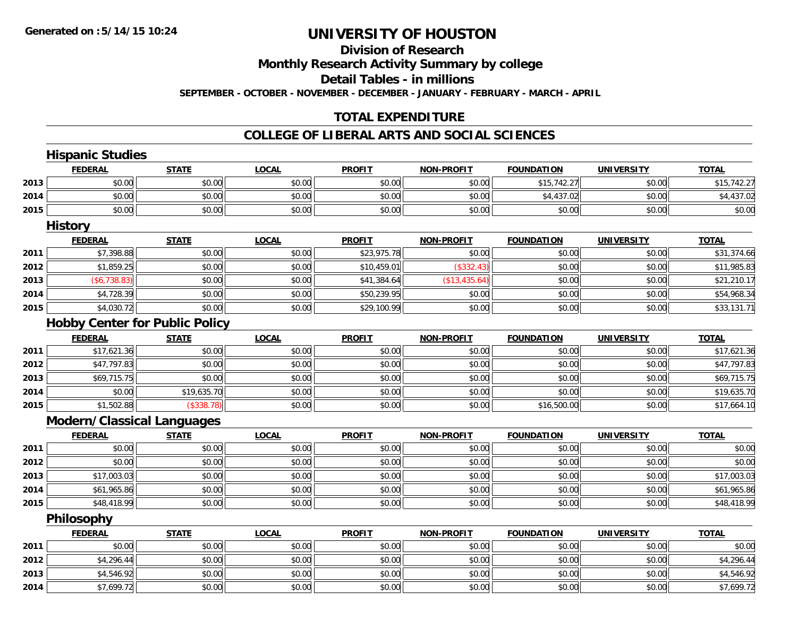### **Division of Research**

**Monthly Research Activity Summary by college**

**Detail Tables - in millions**

**SEPTEMBER - OCTOBER - NOVEMBER - DECEMBER - JANUARY - FEBRUARY - MARCH - APRIL**

### **TOTAL EXPENDITURE**

|      | <b>Hispanic Studies</b>               |              |              |               |                   |                   |                   |              |
|------|---------------------------------------|--------------|--------------|---------------|-------------------|-------------------|-------------------|--------------|
|      | <b>FEDERAL</b>                        | <b>STATE</b> | <b>LOCAL</b> | <b>PROFIT</b> | <b>NON-PROFIT</b> | <b>FOUNDATION</b> | <b>UNIVERSITY</b> | <b>TOTAL</b> |
| 2013 | \$0.00                                | \$0.00       | \$0.00       | \$0.00        | \$0.00            | \$15,742.27       | \$0.00            | \$15,742.27  |
| 2014 | \$0.00                                | \$0.00       | \$0.00       | \$0.00        | \$0.00            | \$4,437.02        | \$0.00            | \$4,437.02   |
| 2015 | \$0.00                                | \$0.00       | \$0.00       | \$0.00        | \$0.00            | \$0.00            | \$0.00            | \$0.00       |
|      | <b>History</b>                        |              |              |               |                   |                   |                   |              |
|      | <b>FEDERAL</b>                        | <b>STATE</b> | <b>LOCAL</b> | <b>PROFIT</b> | <b>NON-PROFIT</b> | <b>FOUNDATION</b> | <b>UNIVERSITY</b> | <b>TOTAL</b> |
| 2011 | \$7,398.88                            | \$0.00       | \$0.00       | \$23,975.78   | \$0.00            | \$0.00            | \$0.00            | \$31,374.66  |
| 2012 | \$1,859.25                            | \$0.00       | \$0.00       | \$10,459.01   | (\$332.43)        | \$0.00            | \$0.00            | \$11,985.83  |
| 2013 | (\$6,738.83)                          | \$0.00       | \$0.00       | \$41,384.64   | (\$13,435.64)     | \$0.00            | \$0.00            | \$21,210.17  |
| 2014 | \$4,728.39                            | \$0.00       | \$0.00       | \$50,239.95   | \$0.00            | \$0.00            | \$0.00            | \$54,968.34  |
| 2015 | \$4,030.72                            | \$0.00       | \$0.00       | \$29,100.99   | \$0.00            | \$0.00            | \$0.00            | \$33,131.71  |
|      | <b>Hobby Center for Public Policy</b> |              |              |               |                   |                   |                   |              |
|      | <b>FEDERAL</b>                        | <b>STATE</b> | <b>LOCAL</b> | <b>PROFIT</b> | <b>NON-PROFIT</b> | <b>FOUNDATION</b> | <b>UNIVERSITY</b> | <b>TOTAL</b> |
| 2011 | \$17,621.36                           | \$0.00       | \$0.00       | \$0.00        | \$0.00            | \$0.00            | \$0.00            | \$17,621.36  |
| 2012 | \$47,797.83                           | \$0.00       | \$0.00       | \$0.00        | \$0.00            | \$0.00            | \$0.00            | \$47,797.83  |
| 2013 | \$69,715.75                           | \$0.00       | \$0.00       | \$0.00        | \$0.00            | \$0.00            | \$0.00            | \$69,715.75  |
| 2014 | \$0.00                                | \$19,635.70  | \$0.00       | \$0.00        | \$0.00            | \$0.00            | \$0.00            | \$19,635.70  |
| 2015 | \$1,502.88                            | (\$338.78)   | \$0.00       | \$0.00        | \$0.00            | \$16,500.00       | \$0.00            | \$17,664.10  |
|      | <b>Modern/Classical Languages</b>     |              |              |               |                   |                   |                   |              |
|      | <b>FEDERAL</b>                        | <b>STATE</b> | <b>LOCAL</b> | <b>PROFIT</b> | <b>NON-PROFIT</b> | <b>FOUNDATION</b> | <b>UNIVERSITY</b> | <b>TOTAL</b> |
| 2011 | \$0.00                                | \$0.00       | \$0.00       | \$0.00        | \$0.00            | \$0.00            | \$0.00            | \$0.00       |
| 2012 | \$0.00                                | \$0.00       | \$0.00       | \$0.00        | \$0.00            | \$0.00            | \$0.00            | \$0.00       |
| 2013 | \$17,003.03                           | \$0.00       | \$0.00       | \$0.00        | \$0.00            | \$0.00            | \$0.00            | \$17,003.03  |
| 2014 | \$61,965.86                           | \$0.00       | \$0.00       | \$0.00        | \$0.00            | \$0.00            | \$0.00            | \$61,965.86  |
| 2015 | \$48,418.99                           | \$0.00       | \$0.00       | \$0.00        | \$0.00            | \$0.00            | \$0.00            | \$48,418.99  |
|      | Philosophy                            |              |              |               |                   |                   |                   |              |
|      | <b>FEDERAL</b>                        | <b>STATE</b> | <b>LOCAL</b> | <b>PROFIT</b> | NON-PROFIT        | <b>FOUNDATION</b> | <b>UNIVERSITY</b> | <b>TOTAL</b> |
| 2011 | \$0.00                                | \$0.00       | \$0.00       | \$0.00        | \$0.00            | \$0.00            | \$0.00            | \$0.00       |
| 2012 | \$4,296.44                            | \$0.00       | \$0.00       | \$0.00        | \$0.00            | \$0.00            | \$0.00            | \$4,296.44   |
| 2013 | \$4,546.92                            | \$0.00       | \$0.00       | \$0.00        | \$0.00            | \$0.00            | \$0.00            | \$4,546.92   |
| 2014 | \$7,699.72                            | \$0.00       | \$0.00       | \$0.00        | \$0.00            | \$0.00            | \$0.00            | \$7,699.72   |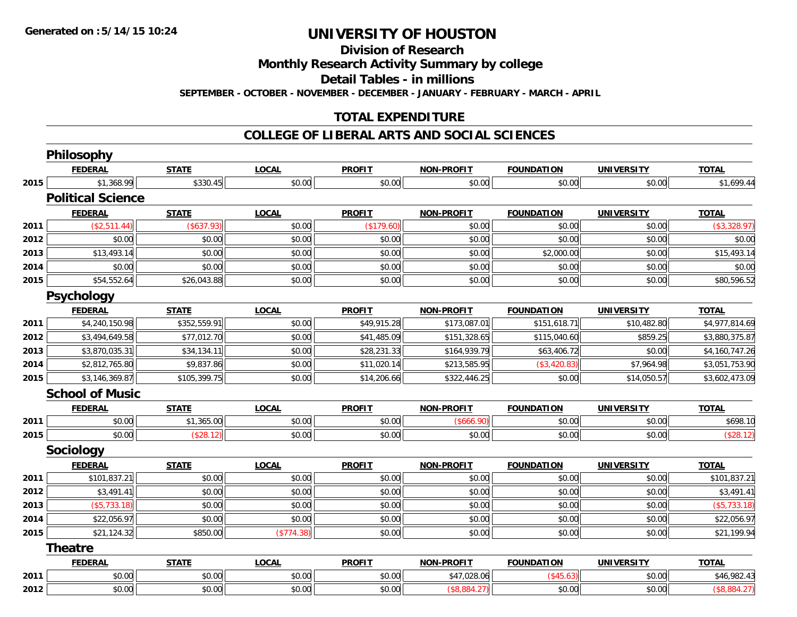**Division of Research**

**Monthly Research Activity Summary by college**

**Detail Tables - in millions**

**SEPTEMBER - OCTOBER - NOVEMBER - DECEMBER - JANUARY - FEBRUARY - MARCH - APRIL**

## **TOTAL EXPENDITURE**

|      | Philosophy               |              |              |               |                   |                   |                   |                |
|------|--------------------------|--------------|--------------|---------------|-------------------|-------------------|-------------------|----------------|
|      | <b>FEDERAL</b>           | <b>STATE</b> | <b>LOCAL</b> | <b>PROFIT</b> | NON-PROFIT        | <b>FOUNDATION</b> | <b>UNIVERSITY</b> | <b>TOTAL</b>   |
| 2015 | \$1,368.99               | \$330.45     | \$0.00       | \$0.00        | \$0.00            | \$0.00            | \$0.00            | \$1,699.44     |
|      | <b>Political Science</b> |              |              |               |                   |                   |                   |                |
|      | <b>FEDERAL</b>           | <b>STATE</b> | <b>LOCAL</b> | <b>PROFIT</b> | <b>NON-PROFIT</b> | <b>FOUNDATION</b> | <b>UNIVERSITY</b> | <b>TOTAL</b>   |
| 2011 | (\$2,511.44)             | (\$637.93)   | \$0.00       | (\$179.60)    | \$0.00            | \$0.00            | \$0.00            | (\$3,328.97)   |
| 2012 | \$0.00                   | \$0.00       | \$0.00       | \$0.00        | \$0.00            | \$0.00            | \$0.00            | \$0.00         |
| 2013 | \$13,493.14              | \$0.00       | \$0.00       | \$0.00        | \$0.00            | \$2,000.00        | \$0.00            | \$15,493.14    |
| 2014 | \$0.00                   | \$0.00       | \$0.00       | \$0.00        | \$0.00            | \$0.00            | \$0.00            | \$0.00         |
| 2015 | \$54,552.64              | \$26,043.88  | \$0.00       | \$0.00        | \$0.00            | \$0.00            | \$0.00            | \$80,596.52    |
|      | <b>Psychology</b>        |              |              |               |                   |                   |                   |                |
|      | <b>FEDERAL</b>           | <b>STATE</b> | <b>LOCAL</b> | <b>PROFIT</b> | <b>NON-PROFIT</b> | <b>FOUNDATION</b> | <b>UNIVERSITY</b> | <b>TOTAL</b>   |
| 2011 | \$4,240,150.98           | \$352,559.91 | \$0.00       | \$49,915.28   | \$173,087.01      | \$151,618.71      | \$10,482.80       | \$4,977,814.69 |
| 2012 | \$3,494,649.58           | \$77,012.70  | \$0.00       | \$41,485.09   | \$151,328.65      | \$115,040.60      | \$859.25          | \$3,880,375.87 |
| 2013 | \$3,870,035.31           | \$34,134.11  | \$0.00       | \$28,231.33   | \$164,939.79      | \$63,406.72       | \$0.00            | \$4,160,747.26 |
| 2014 | \$2,812,765.80           | \$9,837.86   | \$0.00       | \$11,020.14   | \$213,585.95      | (\$3,420.83)      | \$7,964.98        | \$3,051,753.90 |
| 2015 | \$3,146,369.87           | \$105,399.75 | \$0.00       | \$14,206.66   | \$322,446.25      | \$0.00            | \$14,050.57       | \$3,602,473.09 |
|      | <b>School of Music</b>   |              |              |               |                   |                   |                   |                |
|      | <b>FEDERAL</b>           | <b>STATE</b> | <b>LOCAL</b> | <b>PROFIT</b> | NON-PROFIT        | <b>FOUNDATION</b> | <b>UNIVERSITY</b> | <b>TOTAL</b>   |
| 2011 | \$0.00                   | \$1,365.00   | \$0.00       | \$0.00        | (\$666.90)        | \$0.00            | \$0.00            | \$698.10       |
| 2015 | \$0.00                   | (\$28.12)    | \$0.00       | \$0.00        | \$0.00            | \$0.00            | \$0.00            | (\$28.12)      |
|      | <b>Sociology</b>         |              |              |               |                   |                   |                   |                |
|      | <b>FEDERAL</b>           | <b>STATE</b> | <b>LOCAL</b> | <b>PROFIT</b> | <b>NON-PROFIT</b> | <b>FOUNDATION</b> | <b>UNIVERSITY</b> | <b>TOTAL</b>   |
| 2011 | \$101,837.21             | \$0.00       | \$0.00       | \$0.00        | \$0.00            | \$0.00            | \$0.00            | \$101,837.21   |
| 2012 | \$3,491.41               | \$0.00       | \$0.00       | \$0.00        | \$0.00            | \$0.00            | \$0.00            | \$3,491.41     |
| 2013 | (\$5,733.18)             | \$0.00       | \$0.00       | \$0.00        | \$0.00            | \$0.00            | \$0.00            | ( \$5,733.18)  |
| 2014 | \$22,056.97              | \$0.00       | \$0.00       | \$0.00        | \$0.00            | \$0.00            | \$0.00            | \$22,056.97    |
| 2015 | \$21,124.32              | \$850.00     | (\$774.38)   | \$0.00        | \$0.00            | \$0.00            | \$0.00            | \$21,199.94    |
|      | <b>Theatre</b>           |              |              |               |                   |                   |                   |                |
|      | <b>FEDERAL</b>           | <b>STATE</b> | <b>LOCAL</b> | <b>PROFIT</b> | <b>NON-PROFIT</b> | <b>FOUNDATION</b> | <b>UNIVERSITY</b> | <b>TOTAL</b>   |
| 2011 | \$0.00                   | \$0.00       | \$0.00       | \$0.00        | \$47,028.06       | (\$45.63)         | \$0.00            | \$46,982.43    |
| 2012 | \$0.00                   | \$0.00       | \$0.00       | \$0.00        | (\$8,884.27)      | \$0.00            | \$0.00            | (\$8,884.27)   |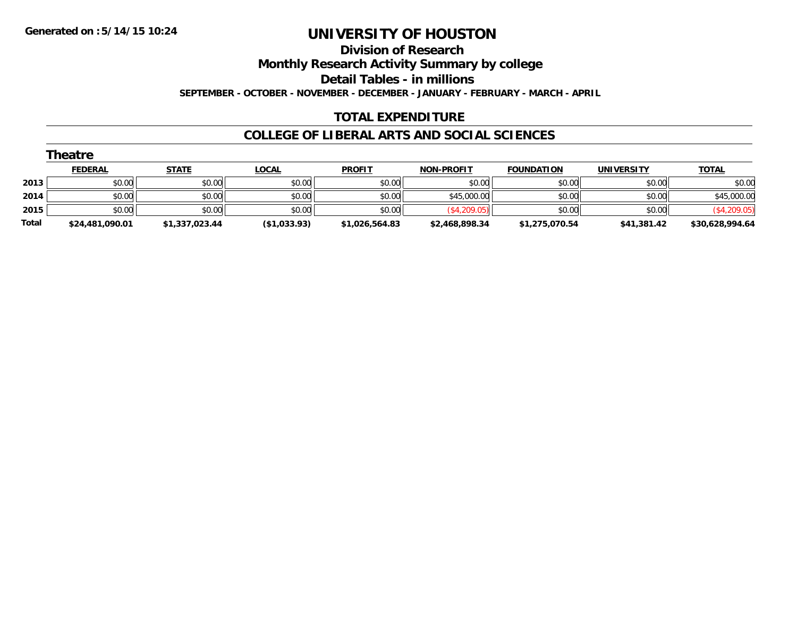**Division of Research**

**Monthly Research Activity Summary by college**

**Detail Tables - in millions**

**SEPTEMBER - OCTOBER - NOVEMBER - DECEMBER - JANUARY - FEBRUARY - MARCH - APRIL**

### **TOTAL EXPENDITURE**

|       | Theatre         |                |              |                |                   |                   |                   |                 |  |  |  |
|-------|-----------------|----------------|--------------|----------------|-------------------|-------------------|-------------------|-----------------|--|--|--|
|       | <b>FEDERAL</b>  | <b>STATE</b>   | <u>LOCAL</u> | <b>PROFIT</b>  | <b>NON-PROFIT</b> | <b>FOUNDATION</b> | <b>UNIVERSITY</b> | <b>TOTAL</b>    |  |  |  |
| 2013  | \$0.00          | \$0.00         | \$0.00       | \$0.00         | \$0.00            | \$0.00            | \$0.00            | \$0.00          |  |  |  |
| 2014  | \$0.00          | \$0.00         | \$0.00       | \$0.00         | \$45,000.00       | \$0.00            | \$0.00            | \$45,000.00     |  |  |  |
| 2015  | \$0.00          | \$0.00         | \$0.00       | \$0.00         | (\$4,209.05)      | \$0.00            | \$0.00            | (\$4,209.05)    |  |  |  |
| Total | \$24,481,090.01 | \$1,337,023.44 | (\$1,033.93) | \$1,026,564.83 | \$2,468,898.34    | \$1,275,070.54    | \$41,381.42       | \$30,628,994.64 |  |  |  |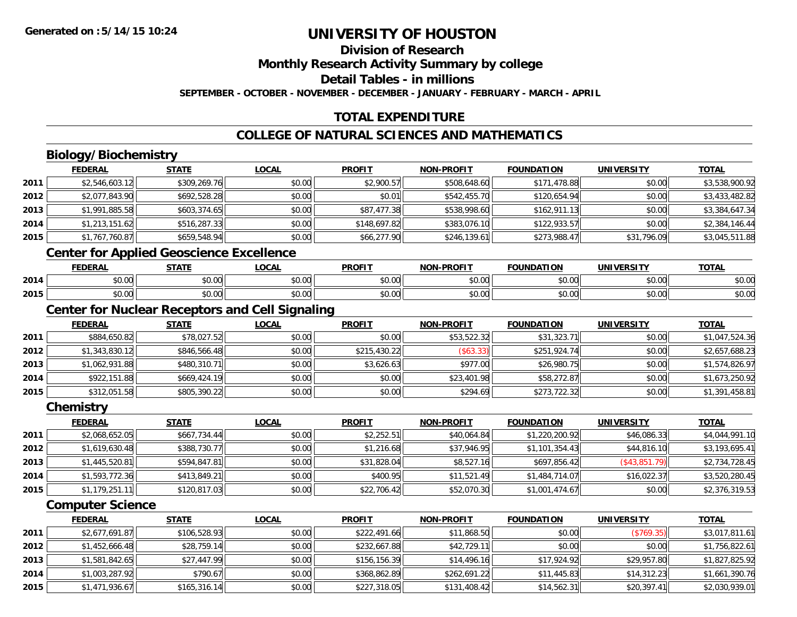# **Division of Research**

**Monthly Research Activity Summary by college**

**Detail Tables - in millions**

**SEPTEMBER - OCTOBER - NOVEMBER - DECEMBER - JANUARY - FEBRUARY - MARCH - APRIL**

## **TOTAL EXPENDITURE**

## **COLLEGE OF NATURAL SCIENCES AND MATHEMATICS**

# **Biology/Biochemistry**

|      | <b>FEDERAL</b>                 | <b>STATE</b> | <b>LOCAL</b> | <b>PROFIT</b> | <b>NON-PROFIT</b> | <b>FOUNDATION</b> | <b>UNIVERSITY</b> | <b>TOTAL</b>   |
|------|--------------------------------|--------------|--------------|---------------|-------------------|-------------------|-------------------|----------------|
| 2011 | \$2,546,603.12                 | \$309,269.76 | \$0.00       | \$2,900.57    | \$508,648.60      | \$171,478.88      | \$0.00            | \$3,538,900.92 |
| 2012 | \$2,077,843.90                 | \$692,528.28 | \$0.00       | \$0.01        | \$542,455.70      | \$120,654.94      | \$0.00            | \$3,433,482.82 |
| 2013 | \$1,991,885.58                 | \$603,374.65 | \$0.00       | \$87,477.38   | \$538,998.60      | \$162,911.13      | \$0.00            | \$3,384,647.34 |
| 2014 | \$1,213,151.62                 | \$516,287.33 | \$0.00       | \$148,697.82  | \$383,076.10      | \$122,933.57      | \$0.00            | \$2,384,146.44 |
| 2015 | \$1,767,760.87                 | \$659,548.94 | \$0.00       | \$66,277.90   | \$246,139.61      | \$273,988.47      | \$31,796.09       | \$3,045,511.88 |
|      | $\sim$ $\sim$<br>$\sim$ $\sim$ | .            |              |               |                   |                   |                   |                |

#### **Center for Applied Geoscience Excellence**

|      | EENEDAI<br>---  | <b>STATE</b>  | 00 <sub>n</sub><br>uun | <b>PROFIT</b> | <b>DDOCIT</b><br>81 A B | ె∩∐NDA ∟<br>.      | <b>IBILI</b>           | <b>TOTA</b>            |
|------|-----------------|---------------|------------------------|---------------|-------------------------|--------------------|------------------------|------------------------|
| 2014 | $\sim$<br>₽U.UU | 0000<br>pu.uu | 40.00                  | 0000<br>vv.vv | 0000<br>JU.UU⊡          | $\sim$ 00<br>₽U.UU | $\sim$ $\sim$<br>vv.vv | $\sim$ $\sim$<br>ง∪.∪บ |
| 2015 | 0.00<br>JU.UU   | 0000<br>DU.UU | $\sim$ $\sim$<br>vu.vu | 0000<br>JU.UU | \$0.00                  | $\sim$<br>טט.טע    | $\sim$ $\sim$<br>vu.vu | $\sim$<br>ง∪.∪บ        |

## **Center for Nuclear Receptors and Cell Signaling**

|      | <b>FEDERAL</b> | <b>STATE</b> | <u>LOCAL</u> | <b>PROFIT</b> | <b>NON-PROFIT</b> | <b>FOUNDATION</b> | <b>UNIVERSITY</b> | <b>TOTAL</b>   |
|------|----------------|--------------|--------------|---------------|-------------------|-------------------|-------------------|----------------|
| 2011 | \$884,650.82   | \$78,027.52  | \$0.00       | \$0.00        | \$53,522.32       | \$31,323.71       | \$0.00            | \$1,047,524.36 |
| 2012 | \$1,343,830.12 | \$846,566.48 | \$0.00       | \$215,430.22  | ( \$63.33)        | \$251,924.74      | \$0.00            | \$2,657,688.23 |
| 2013 | \$1,062,931.88 | \$480,310.71 | \$0.00       | \$3,626.63    | \$977.00          | \$26,980.75       | \$0.00            | \$1,574,826.97 |
| 2014 | \$922,151.88   | \$669,424.19 | \$0.00       | \$0.00        | \$23,401.98       | \$58,272.87       | \$0.00            | \$1,673,250.92 |
| 2015 | \$312,051.58   | \$805,390.22 | \$0.00       | \$0.00        | \$294.69          | \$273,722.32      | \$0.00            | \$1,391,458.81 |

#### **Chemistry**

|      | <b>FEDERAL</b> | <u>STATE</u> | <b>LOCAL</b> | <b>PROFIT</b> | <b>NON-PROFIT</b> | <b>FOUNDATION</b> | <b>UNIVERSITY</b> | <b>TOTAL</b>   |
|------|----------------|--------------|--------------|---------------|-------------------|-------------------|-------------------|----------------|
| 2011 | \$2,068,652.05 | \$667,734.44 | \$0.00       | \$2,252.51    | \$40,064.84       | \$1,220,200.92    | \$46,086.33       | \$4,044,991.10 |
| 2012 | \$1,619,630.48 | \$388,730.77 | \$0.00       | \$1,216.68    | \$37,946.95       | \$1,101,354.43    | \$44,816.10       | \$3,193,695.41 |
| 2013 | \$1,445,520.81 | \$594,847.81 | \$0.00       | \$31,828.04   | \$8,527.16        | \$697,856.42      | (S43, 851.79)     | \$2,734,728.45 |
| 2014 | \$1,593,772.36 | \$413,849.21 | \$0.00       | \$400.95      | \$11,521.49       | \$1,484,714.07    | \$16,022.37       | \$3,520,280.45 |
| 2015 | \$1,179,251.11 | \$120,817.03 | \$0.00       | \$22,706.42   | \$52,070.30       | \$1,001,474.67    | \$0.00            | \$2,376,319.53 |

#### **Computer Science**

|      | <b>FEDERAL</b> | <u>STATE</u> | <b>LOCAL</b> | <b>PROFIT</b> | <b>NON-PROFIT</b> | <b>FOUNDATION</b> | <b>UNIVERSITY</b> | <b>TOTAL</b>   |
|------|----------------|--------------|--------------|---------------|-------------------|-------------------|-------------------|----------------|
| 2011 | \$2,677,691.87 | \$106,528.93 | \$0.00       | \$222,491.66  | \$11,868.50       | \$0.00            | (\$769.35)        | \$3,017,811.61 |
| 2012 | \$1,452,666.48 | \$28,759.14  | \$0.00       | \$232,667.88  | \$42,729.11       | \$0.00            | \$0.00            | \$1,756,822.61 |
| 2013 | \$1,581,842.65 | \$27,447.99  | \$0.00       | \$156,156.39  | \$14.496.16       | \$17,924.92       | \$29,957.80       | \$1,827,825.92 |
| 2014 | \$1,003,287.92 | \$790.67     | \$0.00       | \$368,862.89  | \$262,691.22      | \$11,445.83       | \$14,312.23       | \$1,661,390.76 |
| 2015 | \$1,471,936.67 | \$165,316.14 | \$0.00       | \$227,318.05  | \$131,408.42      | \$14,562.31       | \$20,397.41       | \$2,030,939.01 |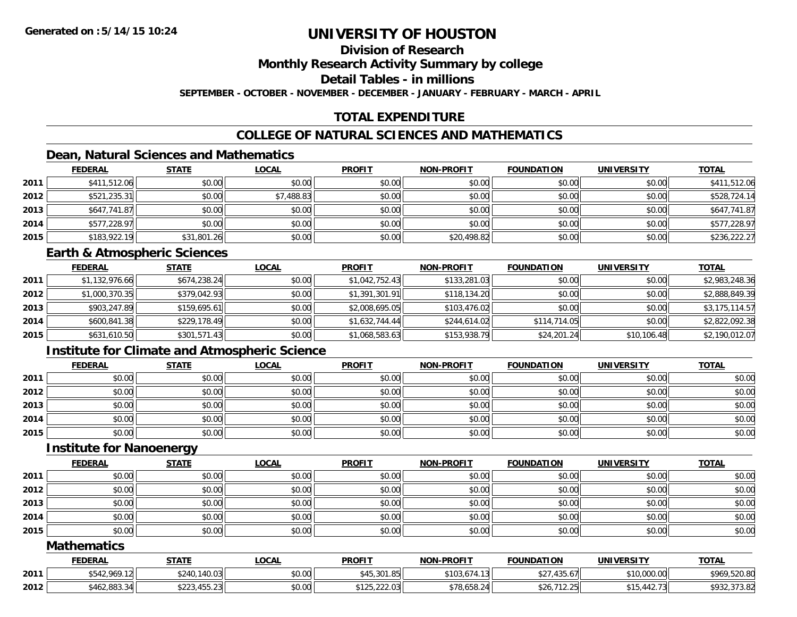### **Division of Research**

**Monthly Research Activity Summary by college**

**Detail Tables - in millions**

**SEPTEMBER - OCTOBER - NOVEMBER - DECEMBER - JANUARY - FEBRUARY - MARCH - APRIL**

# **TOTAL EXPENDITURE**

## **COLLEGE OF NATURAL SCIENCES AND MATHEMATICS**

## **Dean, Natural Sciences and Mathematics**

|      | <b>FEDERAL</b> | <b>STATE</b> | <u>LOCAL</u> | <b>PROFIT</b> | <b>NON-PROFIT</b> | <b>FOUNDATION</b> | <b>UNIVERSITY</b> | <b>TOTAL</b> |
|------|----------------|--------------|--------------|---------------|-------------------|-------------------|-------------------|--------------|
| 2011 | \$411,512.06   | \$0.00       | \$0.00       | \$0.00        | \$0.00            | \$0.00            | \$0.00            | \$411,512.06 |
| 2012 | \$521,235.31   | \$0.00       | \$7,488.83   | \$0.00        | \$0.00            | \$0.00            | \$0.00            | \$528,724.14 |
| 2013 | \$647,741.87   | \$0.00       | \$0.00       | \$0.00        | \$0.00            | \$0.00            | \$0.00            | \$647,741.87 |
| 2014 | \$577,228.97   | \$0.00       | \$0.00       | \$0.00        | \$0.00            | \$0.00            | \$0.00            | \$577,228.97 |
| 2015 | \$183,922.19   | \$31,801.26  | \$0.00       | \$0.00        | \$20,498.82       | \$0.00            | \$0.00            | \$236,222.27 |

#### **Earth & Atmospheric Sciences**

|      | <b>FEDERAL</b> | <u>STATE</u> | <b>LOCAL</b> | <b>PROFIT</b>  | <b>NON-PROFIT</b> | <b>FOUNDATION</b> | <b>UNIVERSITY</b> | <b>TOTAL</b>   |
|------|----------------|--------------|--------------|----------------|-------------------|-------------------|-------------------|----------------|
| 2011 | \$1,132,976.66 | \$674,238.24 | \$0.00       | \$1,042,752.43 | \$133,281.03      | \$0.00            | \$0.00            | \$2,983,248.36 |
| 2012 | \$1,000,370.35 | \$379,042.93 | \$0.00       | \$1,391,301.91 | \$118,134.20      | \$0.00            | \$0.00            | \$2,888,849.39 |
| 2013 | \$903,247.89   | \$159,695.61 | \$0.00       | \$2,008,695.05 | \$103,476.02      | \$0.00            | \$0.00            | \$3,175,114.57 |
| 2014 | \$600,841.38   | \$229,178.49 | \$0.00       | \$1,632,744.44 | \$244,614.02      | \$114,714.05      | \$0.00            | \$2,822,092.38 |
| 2015 | \$631,610.50   | \$301,571.43 | \$0.00       | \$1,068,583.63 | \$153,938.79      | \$24,201.24       | \$10,106.48       | \$2,190,012.07 |

## **Institute for Climate and Atmospheric Science**

|      | <b>FEDERAL</b> | <b>STATE</b> | <b>LOCAL</b> | <b>PROFIT</b> | <b>NON-PROFIT</b> | <b>FOUNDATION</b> | <b>UNIVERSITY</b> | <b>TOTAL</b> |
|------|----------------|--------------|--------------|---------------|-------------------|-------------------|-------------------|--------------|
| 2011 | \$0.00         | \$0.00       | \$0.00       | \$0.00        | \$0.00            | \$0.00            | \$0.00            | \$0.00       |
| 2012 | \$0.00         | \$0.00       | \$0.00       | \$0.00        | \$0.00            | \$0.00            | \$0.00            | \$0.00       |
| 2013 | \$0.00         | \$0.00       | \$0.00       | \$0.00        | \$0.00            | \$0.00            | \$0.00            | \$0.00       |
| 2014 | \$0.00         | \$0.00       | \$0.00       | \$0.00        | \$0.00            | \$0.00            | \$0.00            | \$0.00       |
| 2015 | \$0.00         | \$0.00       | \$0.00       | \$0.00        | \$0.00            | \$0.00            | \$0.00            | \$0.00       |

#### **Institute for Nanoenergy**

|      | <b>FEDERAL</b> | <b>STATE</b> | <b>LOCAL</b> | <b>PROFIT</b> | <b>NON-PROFIT</b> | <b>FOUNDATION</b> | <b>UNIVERSITY</b> | <b>TOTAL</b> |
|------|----------------|--------------|--------------|---------------|-------------------|-------------------|-------------------|--------------|
| 2011 | \$0.00         | \$0.00       | \$0.00       | \$0.00        | \$0.00            | \$0.00            | \$0.00            | \$0.00       |
| 2012 | \$0.00         | \$0.00       | \$0.00       | \$0.00        | \$0.00            | \$0.00            | \$0.00            | \$0.00       |
| 2013 | \$0.00         | \$0.00       | \$0.00       | \$0.00        | \$0.00            | \$0.00            | \$0.00            | \$0.00       |
| 2014 | \$0.00         | \$0.00       | \$0.00       | \$0.00        | \$0.00            | \$0.00            | \$0.00            | \$0.00       |
| 2015 | \$0.00         | \$0.00       | \$0.00       | \$0.00        | \$0.00            | \$0.00            | \$0.00            | \$0.00       |

#### **Mathematics**

|      | <b>FEDERAL</b> | <b>STATE</b>                                                          | <b>LOCAI</b> | <b>PROFIT</b>                     | <b>NON-PROFIT</b> | <b>FOUNDATION</b>                 | <b>UNIVERSITY</b> | <b>TOTAL</b>                                               |
|------|----------------|-----------------------------------------------------------------------|--------------|-----------------------------------|-------------------|-----------------------------------|-------------------|------------------------------------------------------------|
| 2011 | \$542,969.12   | 140.03<br>\$240                                                       | \$0.00       | <b>CAE 201 25</b><br>⊸+∪ ∪ບ , ບ+⊳ | .<br>\$103        | 125.67<br>$A^{\sim}$<br>ا/0.01،   | \$10,000.00       | \$969,520.80                                               |
| 2012 | \$462,883.34   | <b>Anno</b><br>155 23<br>$U \cup L \cup U \cap T$ , $U \cup L \cup V$ | \$0.00       | \$125.2202<br>ال کے دے، ب         | \$78,658.24       | ,,,,,,<br>ሖ へ ៸<br>ס∠ס<br>ن ے ، ا | 442.73<br>$AA =$  | $\sim$ $\sim$ $\sim$ $\sim$<br><b>CCO3</b><br>9792.973.021 |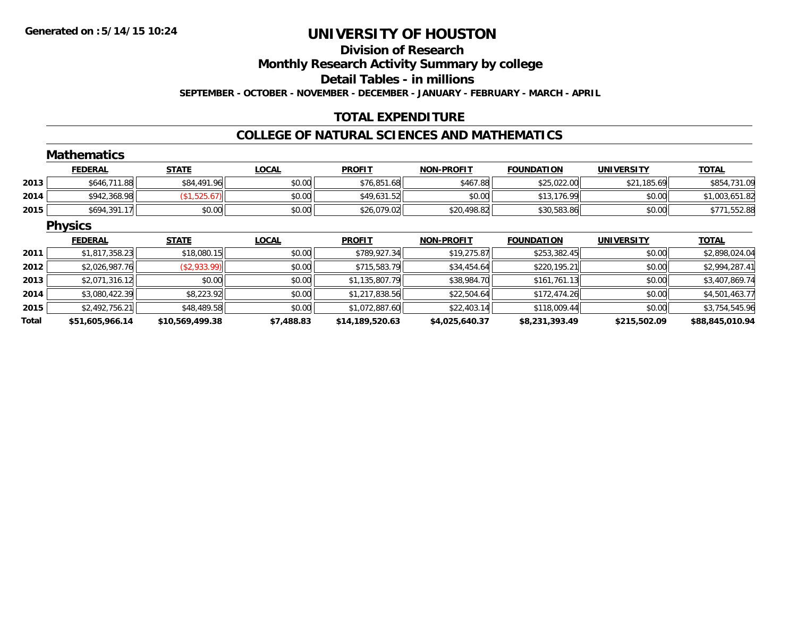#### **Division of Research**

**Monthly Research Activity Summary by college**

**Detail Tables - in millions**

**SEPTEMBER - OCTOBER - NOVEMBER - DECEMBER - JANUARY - FEBRUARY - MARCH - APRIL**

## **TOTAL EXPENDITURE**

#### **COLLEGE OF NATURAL SCIENCES AND MATHEMATICS**

|       | <b>Mathematics</b> |                 |              |                 |                   |                   |                   |                 |
|-------|--------------------|-----------------|--------------|-----------------|-------------------|-------------------|-------------------|-----------------|
|       | <b>FEDERAL</b>     | <b>STATE</b>    | <b>LOCAL</b> | <b>PROFIT</b>   | <b>NON-PROFIT</b> | <b>FOUNDATION</b> | <b>UNIVERSITY</b> | <b>TOTAL</b>    |
| 2013  | \$646,711.88       | \$84,491.96     | \$0.00       | \$76,851.68     | \$467.88          | \$25,022.00       | \$21,185.69       | \$854,731.09    |
| 2014  | \$942,368.98       | (\$1,525.67)    | \$0.00       | \$49,631.52     | \$0.00            | \$13,176.99       | \$0.00            | \$1,003,651.82  |
| 2015  | \$694,391.17       | \$0.00          | \$0.00       | \$26,079.02     | \$20,498.82       | \$30,583.86       | \$0.00            | \$771,552.88    |
|       | <b>Physics</b>     |                 |              |                 |                   |                   |                   |                 |
|       | <b>FEDERAL</b>     | <b>STATE</b>    | <b>LOCAL</b> | <b>PROFIT</b>   | <b>NON-PROFIT</b> | <b>FOUNDATION</b> | <b>UNIVERSITY</b> | <b>TOTAL</b>    |
| 2011  | \$1,817,358.23     | \$18,080.15     | \$0.00       | \$789,927.34    | \$19,275.87       | \$253,382.45      | \$0.00            | \$2,898,024.04  |
| 2012  | \$2,026,987.76     | ( \$2,933.99)   | \$0.00       | \$715,583.79    | \$34,454.64       | \$220,195.21      | \$0.00            | \$2,994,287.41  |
| 2013  | \$2,071,316.12     | \$0.00          | \$0.00       | \$1,135,807.79  | \$38,984.70       | \$161,761.13      | \$0.00            | \$3,407,869.74  |
| 2014  | \$3,080,422.39     | \$8,223.92      | \$0.00       | \$1,217,838.56  | \$22,504.64       | \$172,474.26      | \$0.00            | \$4,501,463.77  |
| 2015  | \$2,492,756.21     | \$48,489.58     | \$0.00       | \$1,072,887.60  | \$22,403.14       | \$118,009.44      | \$0.00            | \$3,754,545.96  |
| Total | \$51,605,966.14    | \$10,569,499.38 | \$7,488.83   | \$14,189,520.63 | \$4,025,640.37    | \$8,231,393.49    | \$215,502.09      | \$88,845,010.94 |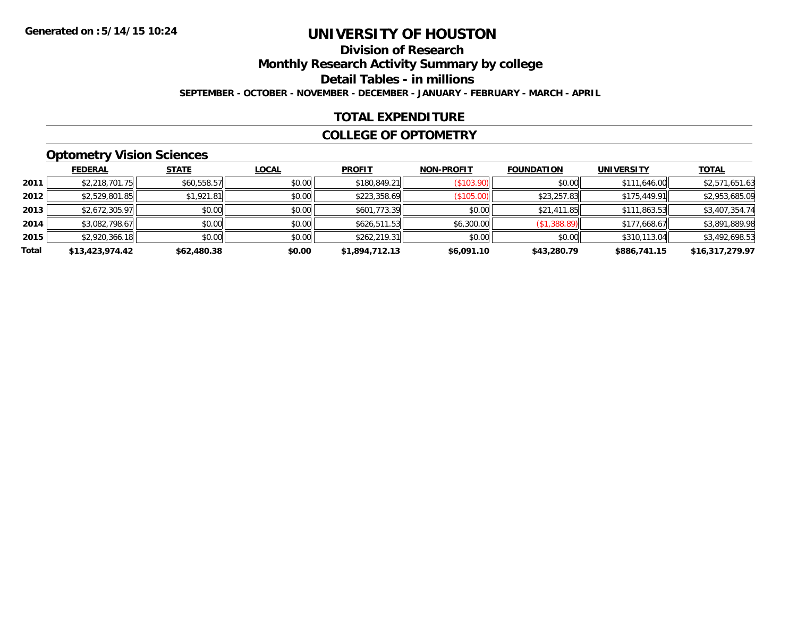# **Division of Research**

**Monthly Research Activity Summary by college**

**Detail Tables - in millions**

**SEPTEMBER - OCTOBER - NOVEMBER - DECEMBER - JANUARY - FEBRUARY - MARCH - APRIL**

### **TOTAL EXPENDITURE**

#### **COLLEGE OF OPTOMETRY**

# **Optometry Vision Sciences**

|       | <b>FEDERAL</b>  | <b>STATE</b> | <b>LOCAL</b> | <b>PROFIT</b>  | <b>NON-PROFIT</b> | <b>FOUNDATION</b> | <b>UNIVERSITY</b> | <b>TOTAL</b>    |
|-------|-----------------|--------------|--------------|----------------|-------------------|-------------------|-------------------|-----------------|
| 2011  | \$2,218,701.75  | \$60,558.57  | \$0.00       | \$180,849.21   | (S103.90)         | \$0.00            | \$111,646.00      | \$2,571,651.63  |
| 2012  | \$2,529,801.85  | \$1,921.81   | \$0.00       | \$223,358.69   | (\$105.00)        | \$23,257.83       | \$175,449.91      | \$2,953,685.09  |
| 2013  | \$2,672,305.97  | \$0.00       | \$0.00       | \$601,773.39   | \$0.00            | \$21,411.85       | \$111,863.53      | \$3,407,354.74  |
| 2014  | \$3,082,798.67  | \$0.00       | \$0.00       | \$626,511.53   | \$6,300.00        | (\$1,388.89)      | \$177,668.67      | \$3,891,889.98  |
| 2015  | \$2,920,366.18  | \$0.00       | \$0.00       | \$262,219.31   | \$0.00            | \$0.00            | \$310,113.04      | \$3,492,698.53  |
| Total | \$13,423,974.42 | \$62,480.38  | \$0.00       | \$1,894,712.13 | \$6,091.10        | \$43,280.79       | \$886,741.15      | \$16,317,279.97 |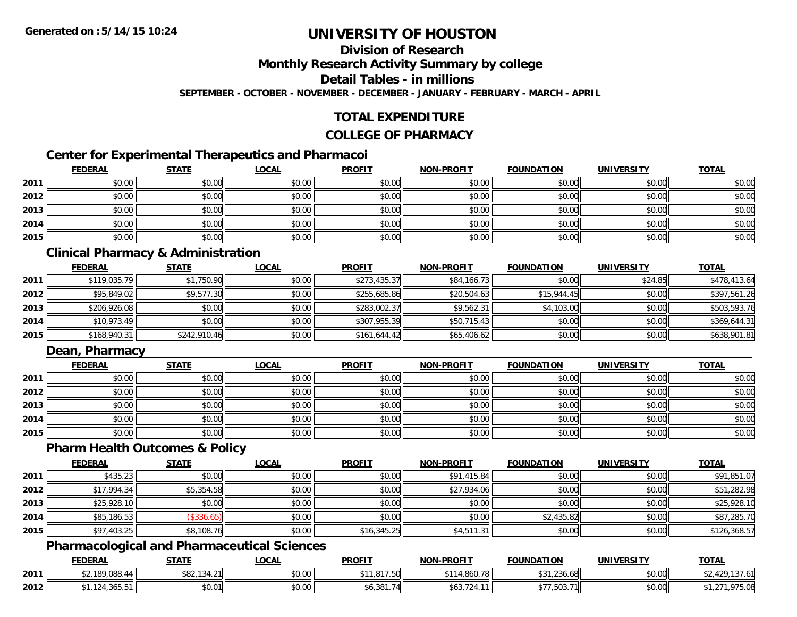# **Division of Research**

**Monthly Research Activity Summary by college**

**Detail Tables - in millions**

**SEPTEMBER - OCTOBER - NOVEMBER - DECEMBER - JANUARY - FEBRUARY - MARCH - APRIL**

### **TOTAL EXPENDITURE**

#### **COLLEGE OF PHARMACY**

# **Center for Experimental Therapeutics and Pharmacoi**

|      | <b>FEDERAL</b> | <b>STATE</b> | <b>LOCAL</b> | <b>PROFIT</b> | <b>NON-PROFIT</b> | <b>FOUNDATION</b> | <b>UNIVERSITY</b> | <b>TOTAL</b> |
|------|----------------|--------------|--------------|---------------|-------------------|-------------------|-------------------|--------------|
| 2011 | \$0.00         | \$0.00       | \$0.00       | \$0.00        | \$0.00            | \$0.00            | \$0.00            | \$0.00       |
| 2012 | \$0.00         | \$0.00       | \$0.00       | \$0.00        | \$0.00            | \$0.00            | \$0.00            | \$0.00       |
| 2013 | \$0.00         | \$0.00       | \$0.00       | \$0.00        | \$0.00            | \$0.00            | \$0.00            | \$0.00       |
| 2014 | \$0.00         | \$0.00       | \$0.00       | \$0.00        | \$0.00            | \$0.00            | \$0.00            | \$0.00       |
| 2015 | \$0.00         | \$0.00       | \$0.00       | \$0.00        | \$0.00            | \$0.00            | \$0.00            | \$0.00       |

## **Clinical Pharmacy & Administration**

|      | <b>FEDERAL</b> | <u>STATE</u> | <u>LOCAL</u> | <b>PROFIT</b> | <b>NON-PROFIT</b> | <b>FOUNDATION</b> | <b>UNIVERSITY</b> | <b>TOTAL</b> |
|------|----------------|--------------|--------------|---------------|-------------------|-------------------|-------------------|--------------|
| 2011 | \$119,035.79   | \$1,750.90   | \$0.00       | \$273,435.37  | \$84,166.73       | \$0.00            | \$24.85           | \$478,413.64 |
| 2012 | \$95,849.02    | \$9,577.30   | \$0.00       | \$255,685.86  | \$20,504.63       | \$15.944.45       | \$0.00            | \$397,561.26 |
| 2013 | \$206,926.08   | \$0.00       | \$0.00       | \$283,002.37  | \$9,562.31        | \$4,103.00        | \$0.00            | \$503,593.76 |
| 2014 | \$10,973.49    | \$0.00       | \$0.00       | \$307,955.39  | \$50,715.43       | \$0.00            | \$0.00            | \$369,644.31 |
| 2015 | \$168,940.31   | \$242,910.46 | \$0.00       | \$161,644.42  | \$65,406.62       | \$0.00            | \$0.00            | \$638,901.81 |

# **Dean, Pharmacy**

|      | <b>FEDERAL</b> | <u>STATE</u> | <u>LOCAL</u> | <b>PROFIT</b> | <b>NON-PROFIT</b> | <b>FOUNDATION</b> | <b>UNIVERSITY</b> | <b>TOTAL</b> |
|------|----------------|--------------|--------------|---------------|-------------------|-------------------|-------------------|--------------|
| 2011 | \$0.00         | \$0.00       | \$0.00       | \$0.00        | \$0.00            | \$0.00            | \$0.00            | \$0.00       |
| 2012 | \$0.00         | \$0.00       | \$0.00       | \$0.00        | \$0.00            | \$0.00            | \$0.00            | \$0.00       |
| 2013 | \$0.00         | \$0.00       | \$0.00       | \$0.00        | \$0.00            | \$0.00            | \$0.00            | \$0.00       |
| 2014 | \$0.00         | \$0.00       | \$0.00       | \$0.00        | \$0.00            | \$0.00            | \$0.00            | \$0.00       |
| 2015 | \$0.00         | \$0.00       | \$0.00       | \$0.00        | \$0.00            | \$0.00            | \$0.00            | \$0.00       |

#### **Pharm Health Outcomes & Policy**

|      | <b>FEDERAL</b> | <b>STATE</b> | <b>LOCAL</b> | <b>PROFIT</b> | <b>NON-PROFIT</b> | <b>FOUNDATION</b> | UNIVERSITY | <b>TOTAL</b> |
|------|----------------|--------------|--------------|---------------|-------------------|-------------------|------------|--------------|
| 2011 | \$435.23       | \$0.00       | \$0.00       | \$0.00        | \$91,415.84       | \$0.00            | \$0.00     | \$91,851.07  |
| 2012 | \$17,994.34    | \$5,354.58   | \$0.00       | \$0.00        | \$27,934.06       | \$0.00            | \$0.00     | \$51,282.98  |
| 2013 | \$25,928.10    | \$0.00       | \$0.00       | \$0.00        | \$0.00            | \$0.00            | \$0.00     | \$25,928.10  |
| 2014 | \$85,186.53    | \$336.65     | \$0.00       | \$0.00        | \$0.00            | \$2,435.82        | \$0.00     | \$87,285.70  |
| 2015 | \$97,403.25    | \$8,108.76   | \$0.00       | \$16,345.25   | \$4,511.31        | \$0.00            | \$0.00     | \$126,368.57 |

## **Pharmacological and Pharmaceutical Sciences**

|      | <b>FEDERAL</b>                    | <b>STATE</b>                     | <b>LOCAL</b> | <b>PROFIT</b>                      | <b>NON-PROFIT</b>         | <b>FOUNDATION</b>                | UNIVERSITY | <b>TOTAL</b> |
|------|-----------------------------------|----------------------------------|--------------|------------------------------------|---------------------------|----------------------------------|------------|--------------|
| 2011 | \$2,189,088.<br>, ,∪రర.44         | 001<br>10101<br>⊅O∠,<br>1 J T. Z | \$0.00       | 017E<br>₼ ◀<br>.<br>ں ، ،          | 0.070<br>$\sim$ 14,860.70 | $\sim$<br>$\sim$<br>236.68,<br>◡ | \$0.00     |              |
| 2012 | $\overline{\mathbf{z}}$<br>JUJ.JI | 00001<br>JU.U                    | \$0.00       | ד רחר<br>74<br>ו סכ <sub>י</sub> ט | ∪ש                        | \$77,503.7                       | \$0.00     | ,975.08      |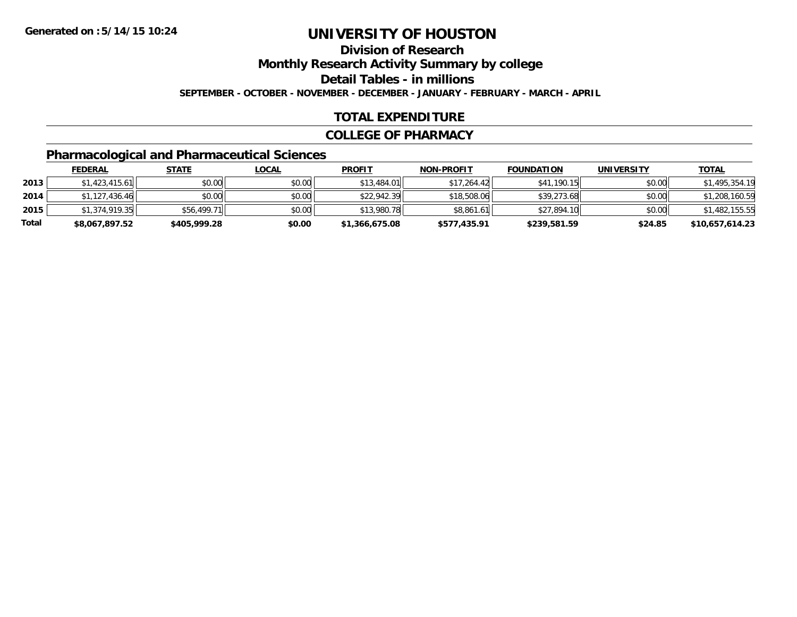**Division of Research**

**Monthly Research Activity Summary by college**

**Detail Tables - in millions**

**SEPTEMBER - OCTOBER - NOVEMBER - DECEMBER - JANUARY - FEBRUARY - MARCH - APRIL**

### **TOTAL EXPENDITURE**

#### **COLLEGE OF PHARMACY**

# **Pharmacological and Pharmaceutical Sciences**

|       | <b>FEDERAL</b> | <u>STATE</u> | <u>LOCAL</u> | <b>PROFIT</b>  | <b>NON-PROFIT</b> | <b>FOUNDATION</b> | <b>UNIVERSITY</b> | <b>TOTAL</b>    |
|-------|----------------|--------------|--------------|----------------|-------------------|-------------------|-------------------|-----------------|
| 2013  | \$1,423,415.61 | \$0.00       | \$0.00       | \$13,484.01    | \$17.264.42       | \$41,190.15       | \$0.00            | \$1,495,354.19  |
| 2014  | \$1,127,436.46 | \$0.00       | \$0.00       | \$22,942.39    | \$18,508.06       | \$39,273.68       | \$0.00            | \$1,208,160.59  |
| 2015  | \$1,374,919.35 | \$56,499.71  | \$0.00       | \$13,980.78    | \$8,861.61        | \$27,894.10       | \$0.00            | \$1,482,155.55  |
| Total | \$8,067,897.52 | \$405,999.28 | \$0.00       | \$1,366,675.08 | \$577,435.91      | \$239,581.59      | \$24.85           | \$10,657,614.23 |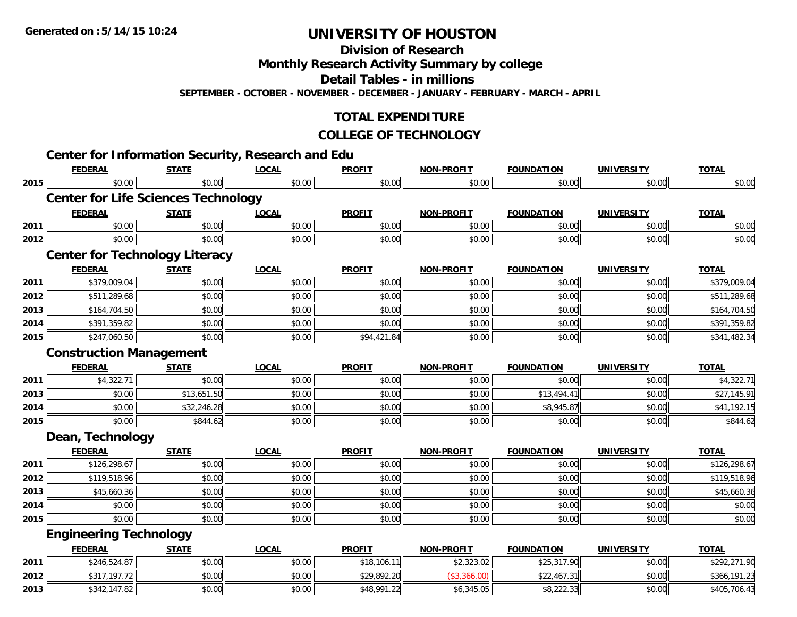**Division of Research**

**Monthly Research Activity Summary by college**

**Detail Tables - in millions**

**SEPTEMBER - OCTOBER - NOVEMBER - DECEMBER - JANUARY - FEBRUARY - MARCH - APRIL**

## **TOTAL EXPENDITURE**

#### **COLLEGE OF TECHNOLOGY**

|      |                                            |              | <b>Center for Information Security, Research and Edu</b> |               |                   |                   |                   |              |
|------|--------------------------------------------|--------------|----------------------------------------------------------|---------------|-------------------|-------------------|-------------------|--------------|
|      | <b>FEDERAL</b>                             | <b>STATE</b> | <b>LOCAL</b>                                             | <b>PROFIT</b> | <b>NON-PROFIT</b> | <b>FOUNDATION</b> | <b>UNIVERSITY</b> | <b>TOTAL</b> |
| 2015 | \$0.00                                     | \$0.00       | \$0.00                                                   | \$0.00        | \$0.00            | \$0.00            | \$0.00            | \$0.00       |
|      | <b>Center for Life Sciences Technology</b> |              |                                                          |               |                   |                   |                   |              |
|      | <b>FEDERAL</b>                             | <b>STATE</b> | <b>LOCAL</b>                                             | <b>PROFIT</b> | <b>NON-PROFIT</b> | <b>FOUNDATION</b> | <b>UNIVERSITY</b> | <b>TOTAL</b> |
| 2011 | \$0.00                                     | \$0.00       | \$0.00                                                   | \$0.00        | \$0.00            | \$0.00            | \$0.00            | \$0.00       |
| 2012 | \$0.00                                     | \$0.00       | \$0.00                                                   | \$0.00        | \$0.00            | \$0.00            | \$0.00            | \$0.00       |
|      | <b>Center for Technology Literacy</b>      |              |                                                          |               |                   |                   |                   |              |
|      | <b>FEDERAL</b>                             | <b>STATE</b> | <b>LOCAL</b>                                             | <b>PROFIT</b> | <b>NON-PROFIT</b> | <b>FOUNDATION</b> | <b>UNIVERSITY</b> | <b>TOTAL</b> |
| 2011 | \$379,009.04                               | \$0.00       | \$0.00                                                   | \$0.00        | \$0.00            | \$0.00            | \$0.00            | \$379,009.04 |
| 2012 | \$511,289.68                               | \$0.00       | \$0.00                                                   | \$0.00        | \$0.00            | \$0.00            | \$0.00            | \$511,289.68 |
| 2013 | \$164,704.50                               | \$0.00       | \$0.00                                                   | \$0.00        | \$0.00            | \$0.00            | \$0.00            | \$164,704.50 |
| 2014 | \$391,359.82                               | \$0.00       | \$0.00                                                   | \$0.00        | \$0.00            | \$0.00            | \$0.00            | \$391,359.82 |
| 2015 | \$247,060.50                               | \$0.00       | \$0.00                                                   | \$94,421.84   | \$0.00            | \$0.00            | \$0.00            | \$341,482.34 |
|      | <b>Construction Management</b>             |              |                                                          |               |                   |                   |                   |              |
|      | <b>FEDERAL</b>                             | <b>STATE</b> | <b>LOCAL</b>                                             | <b>PROFIT</b> | <b>NON-PROFIT</b> | <b>FOUNDATION</b> | <b>UNIVERSITY</b> | <b>TOTAL</b> |
| 2011 | \$4,322.71                                 | \$0.00       | \$0.00                                                   | \$0.00        | \$0.00            | \$0.00            | \$0.00            | \$4,322.71   |
| 2013 | \$0.00                                     | \$13,651.50  | \$0.00                                                   | \$0.00        | \$0.00            | \$13,494.41       | \$0.00            | \$27,145.91  |
| 2014 | \$0.00                                     | \$32,246.28  | \$0.00                                                   | \$0.00        | \$0.00            | \$8,945.87        | \$0.00            | \$41,192.15  |
| 2015 | \$0.00                                     | \$844.62     | \$0.00                                                   | \$0.00        | \$0.00            | \$0.00            | \$0.00            | \$844.62     |
|      | Dean, Technology                           |              |                                                          |               |                   |                   |                   |              |
|      | <b>FEDERAL</b>                             | <b>STATE</b> | <b>LOCAL</b>                                             | <b>PROFIT</b> | <b>NON-PROFIT</b> | <b>FOUNDATION</b> | <b>UNIVERSITY</b> | <b>TOTAL</b> |
| 2011 | \$126,298.67                               | \$0.00       | \$0.00                                                   | \$0.00        | \$0.00            | \$0.00            | \$0.00            | \$126,298.67 |
| 2012 | \$119,518.96                               | \$0.00       | \$0.00                                                   | \$0.00        | \$0.00            | \$0.00            | \$0.00            | \$119,518.96 |
| 2013 | \$45,660.36                                | \$0.00       | \$0.00                                                   | \$0.00        | \$0.00            | \$0.00            | \$0.00            | \$45,660.36  |
| 2014 | \$0.00                                     | \$0.00       | \$0.00                                                   | \$0.00        | \$0.00            | \$0.00            | \$0.00            | \$0.00       |
| 2015 | \$0.00                                     | \$0.00       | \$0.00                                                   | \$0.00        | \$0.00            | \$0.00            | \$0.00            | \$0.00       |
|      | <b>Engineering Technology</b>              |              |                                                          |               |                   |                   |                   |              |
|      | <b>FEDERAL</b>                             | <b>STATE</b> | <b>LOCAL</b>                                             | <b>PROFIT</b> | <b>NON-PROFIT</b> | <b>FOUNDATION</b> | <b>UNIVERSITY</b> | <b>TOTAL</b> |
| 2011 | \$246,524.87                               | \$0.00       | \$0.00                                                   | \$18,106.11   | \$2,323.02        | \$25,317.90       | \$0.00            | \$292,271.90 |
| 2012 | \$317,197.72                               | \$0.00       | \$0.00                                                   | \$29,892.20   | (\$3,366.00)      | \$22,467.31       | \$0.00            | \$366,191.23 |
| 2013 | \$342,147.82                               | \$0.00       | \$0.00                                                   | \$48,991.22   | \$6,345.05        | \$8,222.33        | \$0.00            | \$405,706.43 |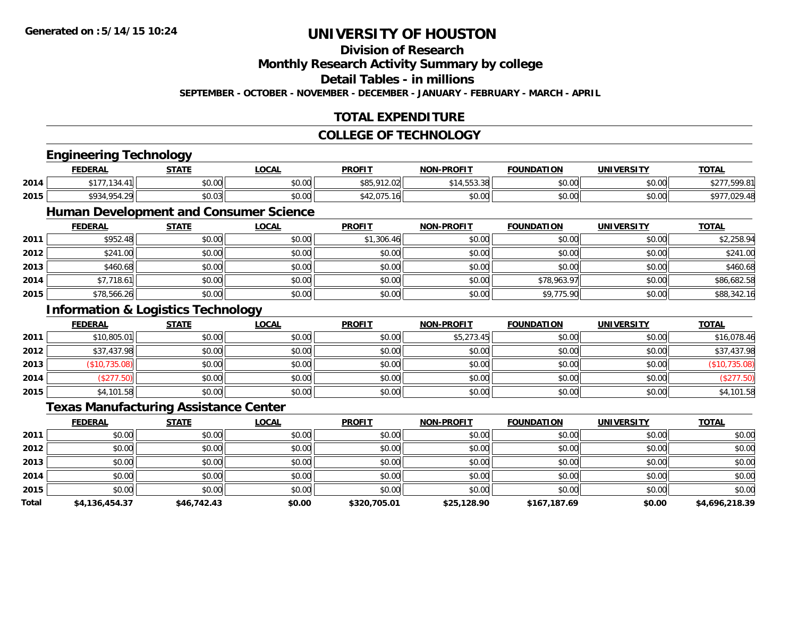#### **Division of Research**

**Monthly Research Activity Summary by college**

**Detail Tables - in millions**

**SEPTEMBER - OCTOBER - NOVEMBER - DECEMBER - JANUARY - FEBRUARY - MARCH - APRIL**

## **TOTAL EXPENDITURE**

#### **COLLEGE OF TECHNOLOGY**

|       | <b>Engineering Technology</b>                 |              |                                               |               |                   |                   |                   |                |
|-------|-----------------------------------------------|--------------|-----------------------------------------------|---------------|-------------------|-------------------|-------------------|----------------|
|       | <b>FEDERAL</b>                                | <b>STATE</b> | <b>LOCAL</b>                                  | <b>PROFIT</b> | <b>NON-PROFIT</b> | <b>FOUNDATION</b> | <b>UNIVERSITY</b> | <b>TOTAL</b>   |
| 2014  | \$177,134.41                                  | \$0.00       | \$0.00                                        | \$85,912.02   | \$14,553.38       | \$0.00            | \$0.00            | \$277,599.81   |
| 2015  | \$934,954.29                                  | \$0.03       | \$0.00                                        | \$42,075.16   | \$0.00            | \$0.00            | \$0.00            | \$977,029.48   |
|       |                                               |              | <b>Human Development and Consumer Science</b> |               |                   |                   |                   |                |
|       | <b>FEDERAL</b>                                | <b>STATE</b> | <b>LOCAL</b>                                  | <b>PROFIT</b> | <b>NON-PROFIT</b> | <b>FOUNDATION</b> | <b>UNIVERSITY</b> | <b>TOTAL</b>   |
| 2011  | \$952.48                                      | \$0.00       | \$0.00                                        | \$1,306.46    | \$0.00            | \$0.00            | \$0.00            | \$2,258.94     |
| 2012  | \$241.00                                      | \$0.00       | \$0.00                                        | \$0.00        | \$0.00            | \$0.00            | \$0.00            | \$241.00       |
| 2013  | \$460.68                                      | \$0.00       | \$0.00                                        | \$0.00        | \$0.00            | \$0.00            | \$0.00            | \$460.68       |
| 2014  | \$7,718.61                                    | \$0.00       | \$0.00                                        | \$0.00        | \$0.00            | \$78,963.97       | \$0.00            | \$86,682.58    |
| 2015  | \$78,566.26                                   | \$0.00       | \$0.00                                        | \$0.00        | \$0.00            | \$9,775.90        | \$0.00            | \$88,342.16    |
|       | <b>Information &amp; Logistics Technology</b> |              |                                               |               |                   |                   |                   |                |
|       | <b>FEDERAL</b>                                | <b>STATE</b> | <b>LOCAL</b>                                  | <b>PROFIT</b> | <b>NON-PROFIT</b> | <b>FOUNDATION</b> | <b>UNIVERSITY</b> | <b>TOTAL</b>   |
| 2011  | \$10,805.01                                   | \$0.00       | \$0.00                                        | \$0.00        | \$5,273.45        | \$0.00            | \$0.00            | \$16,078.46    |
| 2012  | \$37,437.98                                   | \$0.00       | \$0.00                                        | \$0.00        | \$0.00            | \$0.00            | \$0.00            | \$37,437.98    |
| 2013  | (\$10,735.08)                                 | \$0.00       | \$0.00                                        | \$0.00        | \$0.00            | \$0.00            | \$0.00            | (\$10,735.08)  |
| 2014  | (\$277.50)                                    | \$0.00       | \$0.00                                        | \$0.00        | \$0.00            | \$0.00            | \$0.00            | (\$277.50)     |
| 2015  | \$4,101.58                                    | \$0.00       | \$0.00                                        | \$0.00        | \$0.00            | \$0.00            | \$0.00            | \$4,101.58     |
|       | <b>Texas Manufacturing Assistance Center</b>  |              |                                               |               |                   |                   |                   |                |
|       | <b>FEDERAL</b>                                | <b>STATE</b> | <b>LOCAL</b>                                  | <b>PROFIT</b> | <b>NON-PROFIT</b> | <b>FOUNDATION</b> | <b>UNIVERSITY</b> | <b>TOTAL</b>   |
| 2011  | \$0.00                                        | \$0.00       | \$0.00                                        | \$0.00        | \$0.00            | \$0.00            | \$0.00            | \$0.00         |
| 2012  | \$0.00                                        | \$0.00       | \$0.00                                        | \$0.00        | \$0.00            | \$0.00            | \$0.00            | \$0.00         |
| 2013  | \$0.00                                        | \$0.00       | \$0.00                                        | \$0.00        | \$0.00            | \$0.00            | \$0.00            | \$0.00         |
| 2014  | \$0.00                                        | \$0.00       | \$0.00                                        | \$0.00        | \$0.00            | \$0.00            | \$0.00            | \$0.00         |
| 2015  | \$0.00                                        | \$0.00       | \$0.00                                        | \$0.00        | \$0.00            | \$0.00            | \$0.00            | \$0.00         |
| Total | \$4,136,454.37                                | \$46,742.43  | \$0.00                                        | \$320,705.01  | \$25,128.90       | \$167,187.69      | \$0.00            | \$4,696,218.39 |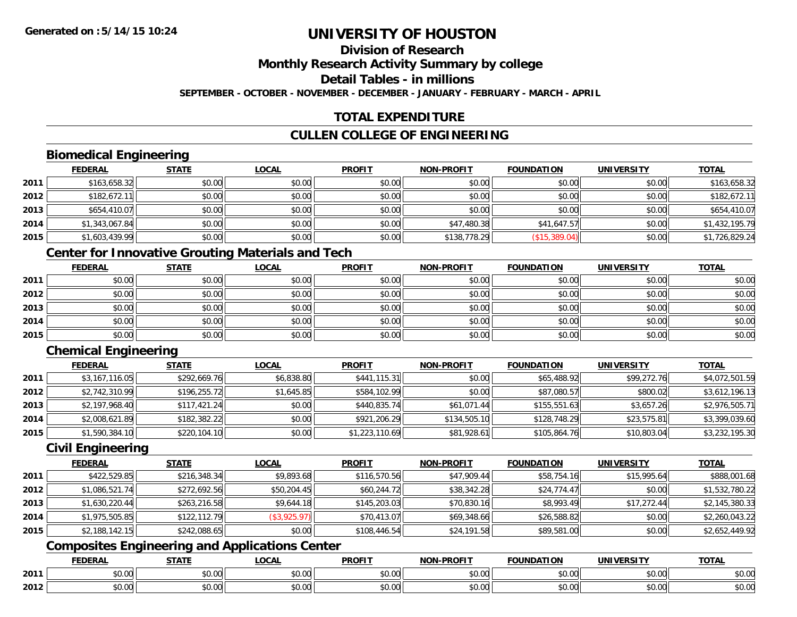# **Division of Research**

### **Monthly Research Activity Summary by college**

### **Detail Tables - in millions**

**SEPTEMBER - OCTOBER - NOVEMBER - DECEMBER - JANUARY - FEBRUARY - MARCH - APRIL**

## **TOTAL EXPENDITURE**

## **CULLEN COLLEGE OF ENGINEERING**

## **Biomedical Engineering**

|      | <b>FEDERAL</b> | <b>STATE</b> | <u>LOCAL</u> | <b>PROFIT</b> | <b>NON-PROFIT</b> | <b>FOUNDATION</b> | <b>UNIVERSITY</b> | <b>TOTAL</b>   |
|------|----------------|--------------|--------------|---------------|-------------------|-------------------|-------------------|----------------|
| 2011 | \$163,658.32   | \$0.00       | \$0.00       | \$0.00        | \$0.00            | \$0.00            | \$0.00            | \$163,658.32   |
| 2012 | \$182,672.11   | \$0.00       | \$0.00       | \$0.00        | \$0.00            | \$0.00            | \$0.00            | \$182,672.11   |
| 2013 | \$654,410.07   | \$0.00       | \$0.00       | \$0.00        | \$0.00            | \$0.00            | \$0.00            | \$654,410.07   |
| 2014 | \$1,343,067.84 | \$0.00       | \$0.00       | \$0.00        | \$47,480.38       | \$41,647.57       | \$0.00            | \$1,432,195.79 |
| 2015 | \$1,603,439.99 | \$0.00       | \$0.00       | \$0.00        | \$138,778.29      | (\$15,389.04)     | \$0.00            | \$1,726,829.24 |

## **Center for Innovative Grouting Materials and Tech**

|      | <u>FEDERAL</u> | <u>STATE</u> | <u>LOCAL</u> | <b>PROFIT</b> | <b>NON-PROFIT</b> | <b>FOUNDATION</b> | <b>UNIVERSITY</b> | <b>TOTAL</b> |
|------|----------------|--------------|--------------|---------------|-------------------|-------------------|-------------------|--------------|
| 2011 | \$0.00         | \$0.00       | \$0.00       | \$0.00        | \$0.00            | \$0.00            | \$0.00            | \$0.00       |
| 2012 | \$0.00         | \$0.00       | \$0.00       | \$0.00        | \$0.00            | \$0.00            | \$0.00            | \$0.00       |
| 2013 | \$0.00         | \$0.00       | \$0.00       | \$0.00        | \$0.00            | \$0.00            | \$0.00            | \$0.00       |
| 2014 | \$0.00         | \$0.00       | \$0.00       | \$0.00        | \$0.00            | \$0.00            | \$0.00            | \$0.00       |
| 2015 | \$0.00         | \$0.00       | \$0.00       | \$0.00        | \$0.00            | \$0.00            | \$0.00            | \$0.00       |

# **Chemical Engineering**

|      | <b>FEDERAL</b> | <b>STATE</b> | <b>LOCAL</b> | <b>PROFIT</b>  | <b>NON-PROFIT</b> | <b>FOUNDATION</b> | <b>UNIVERSITY</b> | <b>TOTAL</b>   |
|------|----------------|--------------|--------------|----------------|-------------------|-------------------|-------------------|----------------|
| 2011 | \$3,167,116.05 | \$292,669.76 | \$6,838.80   | \$441,115.31   | \$0.00            | \$65,488.92       | \$99,272.76       | \$4,072,501.59 |
| 2012 | \$2,742,310.99 | \$196,255.72 | \$1,645.85   | \$584,102.99   | \$0.00            | \$87,080.57       | \$800.02          | \$3,612,196.13 |
| 2013 | \$2,197,968.40 | \$117,421.24 | \$0.00       | \$440,835.74   | \$61,071.44       | \$155,551.63      | \$3,657.26        | \$2,976,505.71 |
| 2014 | \$2,008,621.89 | \$182,382.22 | \$0.00       | \$921,206.29   | \$134,505.10      | \$128,748.29      | \$23,575.81       | \$3,399,039.60 |
| 2015 | \$1,590,384.10 | \$220,104.10 | \$0.00       | \$1,223,110.69 | \$81,928.61       | \$105,864.76      | \$10,803.04       | \$3,232,195.30 |

#### **Civil Engineering**

|      | <b>FEDERAL</b> | <b>STATE</b> | <u>LOCAL</u> | <b>PROFIT</b> | <b>NON-PROFIT</b> | <b>FOUNDATION</b> | <b>UNIVERSITY</b> | <b>TOTAL</b>   |
|------|----------------|--------------|--------------|---------------|-------------------|-------------------|-------------------|----------------|
| 2011 | \$422,529.85   | \$216,348.34 | \$9,893.68   | \$116,570.56  | \$47,909.44       | \$58,754.16       | \$15,995.64       | \$888,001.68   |
| 2012 | \$1,086,521.74 | \$272,692.56 | \$50,204.45  | \$60,244.72   | \$38,342.28       | \$24,774.47       | \$0.00            | \$1,532,780.22 |
| 2013 | \$1,630,220.44 | \$263,216.58 | \$9,644.18   | \$145,203.03  | \$70,830.16       | \$8,993.49        | \$17,272.44       | \$2,145,380.33 |
| 2014 | \$1,975,505.85 | \$122,112.79 | (\$3,925.97) | \$70,413.07   | \$69,348.66       | \$26,588.82       | \$0.00            | \$2,260,043.22 |
| 2015 | \$2,188,142.15 | \$242,088.65 | \$0.00       | \$108,446.54  | \$24,191.58       | \$89,581.00       | \$0.00            | \$2,652,449.92 |

# **Composites Engineering and Applications Center**

|      | <b>FEDERAL</b>         | <b>STATE</b>           | <b>_OCAL</b>       | <b>PROFIT</b> | <b>NON-PROFIT</b><br>$\sim$ $\sim$ $\sim$ $\sim$ | <b>FOUNDATION</b> | <b>UNIVERSITY</b>    | <b>TOTAL</b>         |
|------|------------------------|------------------------|--------------------|---------------|--------------------------------------------------|-------------------|----------------------|----------------------|
| 2011 | $n \cap \Omega$<br>,uu | ሖ ሰ<br>$\sim$<br>JU.UU | $\sim$ 00<br>JU.UU | 0000<br>JU.UU | 0.00<br>JU.UU                                    | \$0.00            | 0.00<br><b>JU.UU</b> | 0000<br><b>JU.UU</b> |
| 2012 | \$0.00                 | ÷0.<br>JU.UU           | $\sim$ 00<br>JU.UU | 0000<br>JU.UU | 0.00<br>PO.OO                                    | \$0.00            | 0000<br>\$0.00       | \$0.00               |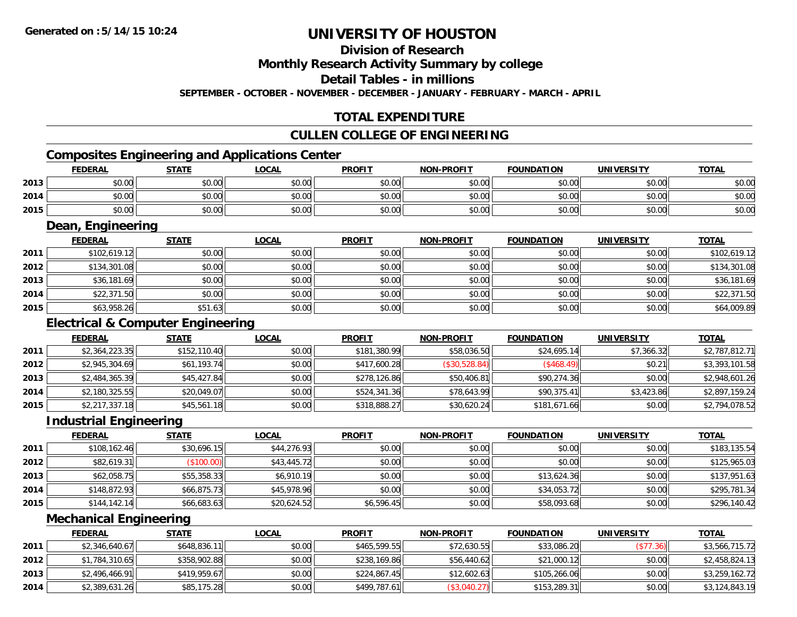# **Division of Research**

**Monthly Research Activity Summary by college**

**Detail Tables - in millions**

**SEPTEMBER - OCTOBER - NOVEMBER - DECEMBER - JANUARY - FEBRUARY - MARCH - APRIL**

## **TOTAL EXPENDITURE**

#### **CULLEN COLLEGE OF ENGINEERING**

# **Composites Engineering and Applications Center**

|      | <b>FEDERAL</b> | <b>STATE</b> | LOCAL  | <b>PROFIT</b> | <b>NON-PROFIT</b> | <b>FOUNDATION</b> | <b>UNIVERSITY</b> | <b>TOTAL</b> |
|------|----------------|--------------|--------|---------------|-------------------|-------------------|-------------------|--------------|
| 2013 | \$0.00         | \$0.00       | \$0.00 | \$0.00        | \$0.00            | \$0.00            | \$0.00            | \$0.00       |
| 2014 | \$0.00         | \$0.00       | \$0.00 | \$0.00        | \$0.00            | \$0.00            | \$0.00            | \$0.00       |
| 2015 | \$0.00         | \$0.00       | \$0.00 | \$0.00        | \$0.00            | \$0.00            | \$0.00            | \$0.00       |

<u> 1989 - Johann Stoff, deutscher Stoffen und der Stoffen und der Stoffen und der Stoffen und der Stoffen und der</u>

#### **Dean, Engineering**

|      | <b>FEDERAL</b> | <b>STATE</b> | <b>LOCAL</b> | <b>PROFIT</b> | <b>NON-PROFIT</b> | <b>FOUNDATION</b> | <b>UNIVERSITY</b> | <b>TOTAL</b> |
|------|----------------|--------------|--------------|---------------|-------------------|-------------------|-------------------|--------------|
| 2011 | \$102,619.12   | \$0.00       | \$0.00       | \$0.00        | \$0.00            | \$0.00            | \$0.00            | \$102,619.12 |
| 2012 | \$134,301.08   | \$0.00       | \$0.00       | \$0.00        | \$0.00            | \$0.00            | \$0.00            | \$134,301.08 |
| 2013 | \$36,181.69    | \$0.00       | \$0.00       | \$0.00        | \$0.00            | \$0.00            | \$0.00            | \$36,181.69  |
| 2014 | \$22,371.50    | \$0.00       | \$0.00       | \$0.00        | \$0.00            | \$0.00            | \$0.00            | \$22,371.50  |
| 2015 | \$63,958.26    | \$51.63      | \$0.00       | \$0.00        | \$0.00            | \$0.00            | \$0.00            | \$64,009.89  |

## **Electrical & Computer Engineering**

|      | <b>FEDERAL</b> | <b>STATE</b> | <b>LOCAL</b> | <b>PROFIT</b> | <b>NON-PROFIT</b> | <b>FOUNDATION</b> | <b>UNIVERSITY</b> | <b>TOTAL</b>   |
|------|----------------|--------------|--------------|---------------|-------------------|-------------------|-------------------|----------------|
| 2011 | \$2,364,223.35 | \$152,110.40 | \$0.00       | \$181,380.99  | \$58,036.50       | \$24,695.14       | \$7.366.32        | \$2,787,812.71 |
| 2012 | \$2,945,304.69 | \$61,193.74  | \$0.00       | \$417,600.28  | (\$30,528.84)     | (\$468.49)        | \$0.21            | \$3,393,101.58 |
| 2013 | \$2,484,365.39 | \$45,427.84  | \$0.00       | \$278,126.86  | \$50,406.81       | \$90,274.36       | \$0.00            | \$2,948,601.26 |
| 2014 | \$2,180,325.55 | \$20,049.07  | \$0.00       | \$524,341.36  | \$78,643.99       | \$90,375.41       | \$3,423.86        | \$2,897,159.24 |
| 2015 | \$2,217,337.18 | \$45,561.18  | \$0.00       | \$318,888.27  | \$30,620.24       | \$181,671.66      | \$0.00            | \$2,794,078.52 |

#### **Industrial Engineering**

|      | <b>FEDERAL</b> | <u>STATE</u> | <u>LOCAL</u> | <b>PROFIT</b> | <b>NON-PROFIT</b> | <b>FOUNDATION</b> | <b>UNIVERSITY</b> | <b>TOTAL</b> |
|------|----------------|--------------|--------------|---------------|-------------------|-------------------|-------------------|--------------|
| 2011 | \$108,162.46   | \$30,696.15  | \$44,276.93  | \$0.00        | \$0.00            | \$0.00            | \$0.00            | \$183,135.54 |
| 2012 | \$82,619.31    | (\$100.00)   | \$43,445.72  | \$0.00        | \$0.00            | \$0.00            | \$0.00            | \$125,965.03 |
| 2013 | \$62,058.75    | \$55,358.33  | \$6,910.19   | \$0.00        | \$0.00            | \$13,624.36       | \$0.00            | \$137,951.63 |
| 2014 | \$148,872.93   | \$66,875.73  | \$45,978.96  | \$0.00        | \$0.00            | \$34,053.72       | \$0.00            | \$295,781.34 |
| 2015 | \$144, 142.14  | \$66,683.63  | \$20,624.52  | \$6,596.45    | \$0.00            | \$58,093.68       | \$0.00            | \$296,140.42 |

#### **Mechanical Engineering**

|      | <b>FEDERAL</b> | <b>STATE</b> | <u>LOCAL</u> | <b>PROFIT</b> | <b>NON-PROFIT</b> | <b>FOUNDATION</b> | UNIVERSITY | <b>TOTAL</b>   |
|------|----------------|--------------|--------------|---------------|-------------------|-------------------|------------|----------------|
| 2011 | \$2,346,640.67 | \$648,836.11 | \$0.00       | \$465,599.55  | \$72,630.55       | \$33,086.20       | \$77.36    | \$3,566,715.72 |
| 2012 | \$1,784,310.65 | \$358,902.88 | \$0.00       | \$238,169.86  | \$56,440.62       | \$21,000.12       | \$0.00     | \$2,458,824.13 |
| 2013 | \$2,496,466.91 | \$419,959.67 | \$0.00       | \$224,867.45  | \$12,602.63       | \$105,266.06      | \$0.00     | \$3,259,162.72 |
| 2014 | \$2,389,631.26 | \$85,175.28  | \$0.00       | \$499,787.61  | (\$3,040.27)      | \$153,289.31      | \$0.00     | \$3,124,843.19 |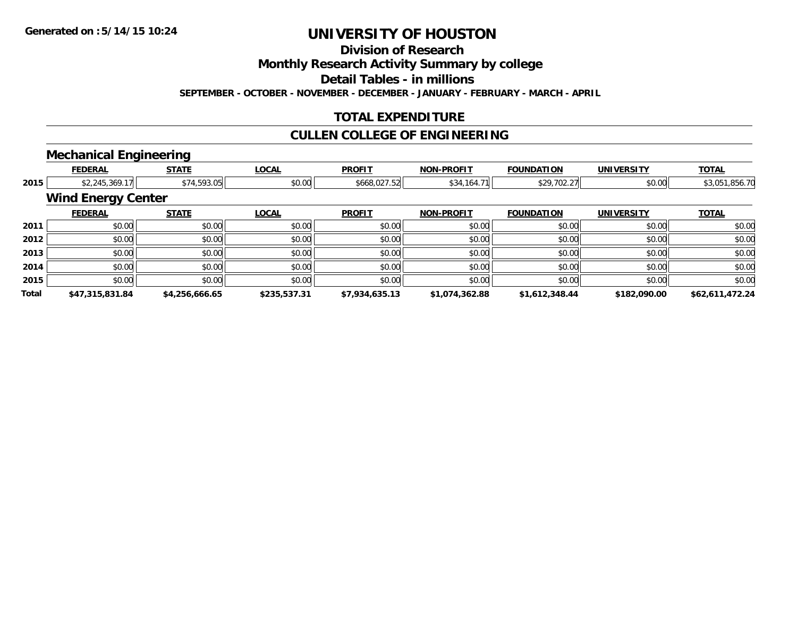**Division of Research**

**Monthly Research Activity Summary by college**

**Detail Tables - in millions**

**SEPTEMBER - OCTOBER - NOVEMBER - DECEMBER - JANUARY - FEBRUARY - MARCH - APRIL**

## **TOTAL EXPENDITURE**

## **CULLEN COLLEGE OF ENGINEERING**

# **Mechanical Engineering**

|       | <b>FEDERAL</b>            | <b>STATE</b>   | <b>LOCAL</b> | <b>PROFIT</b>  | <b>NON-PROFIT</b> | <b>FOUNDATION</b> | <b>UNIVERSITY</b> | <b>TOTAL</b>    |
|-------|---------------------------|----------------|--------------|----------------|-------------------|-------------------|-------------------|-----------------|
| 2015  | \$2,245,369.17            | \$74,593.05    | \$0.00       | \$668,027.52   | \$34,164.71       | \$29,702.27       | \$0.00            | \$3,051,856.70  |
|       | <b>Wind Energy Center</b> |                |              |                |                   |                   |                   |                 |
|       | <b>FEDERAL</b>            | <b>STATE</b>   | <b>LOCAL</b> | <b>PROFIT</b>  | <b>NON-PROFIT</b> | <b>FOUNDATION</b> | <b>UNIVERSITY</b> | <b>TOTAL</b>    |
| 2011  | \$0.00                    | \$0.00         | \$0.00       | \$0.00         | \$0.00            | \$0.00            | \$0.00            | \$0.00          |
| 2012  | \$0.00                    | \$0.00         | \$0.00       | \$0.00         | \$0.00            | \$0.00            | \$0.00            | \$0.00          |
| 2013  | \$0.00                    | \$0.00         | \$0.00       | \$0.00         | \$0.00            | \$0.00            | \$0.00            | \$0.00          |
| 2014  | \$0.00                    | \$0.00         | \$0.00       | \$0.00         | \$0.00            | \$0.00            | \$0.00            | \$0.00          |
| 2015  | \$0.00                    | \$0.00         | \$0.00       | \$0.00         | \$0.00            | \$0.00            | \$0.00            | \$0.00          |
| Total | \$47,315,831.84           | \$4,256,666.65 | \$235,537.31 | \$7,934,635.13 | \$1,074,362.88    | \$1,612,348.44    | \$182,090.00      | \$62,611,472.24 |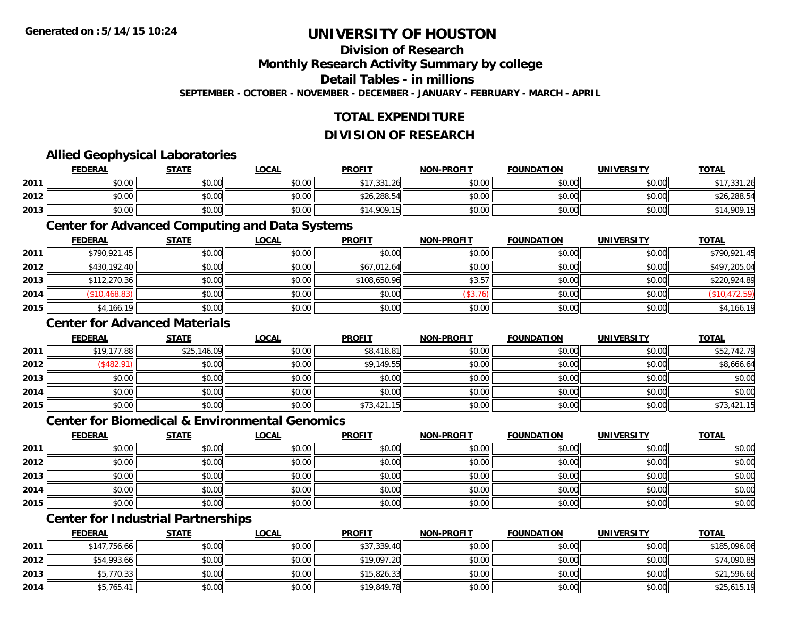## **Division of Research**

**Monthly Research Activity Summary by college**

**Detail Tables - in millions**

**SEPTEMBER - OCTOBER - NOVEMBER - DECEMBER - JANUARY - FEBRUARY - MARCH - APRIL**

## **TOTAL EXPENDITURE**

#### **DIVISION OF RESEARCH**

### **Allied Geophysical Laboratories**

|      | <b>FEDERAL</b> | <b>STATE</b> | <u>LOCAL</u> | <b>PROFIT</b> | <b>NON-PROFIT</b> | <b>FOUNDATION</b> | <b>UNIVERSITY</b> | <b>TOTAL</b> |
|------|----------------|--------------|--------------|---------------|-------------------|-------------------|-------------------|--------------|
| 2011 | \$0.00         | \$0.00       | \$0.00       | \$17,331.26   | \$0.00            | \$0.00            | \$0.00            | 0.172212     |
| 2012 | \$0.00         | \$0.00       | \$0.00       | \$26,288.54   | \$0.00            | \$0.00            | \$0.00            | \$26,288.54  |
| 2013 | \$0.00         | \$0.00       | \$0.00       | \$14,909.15   | \$0.00            | \$0.00            | \$0.00            | \$14,909.15  |

#### **Center for Advanced Computing and Data Systems**

|      | <b>FEDERAL</b> | <b>STATE</b> | <u>LOCAL</u> | <b>PROFIT</b> | <b>NON-PROFIT</b> | <b>FOUNDATION</b> | <b>UNIVERSITY</b> | <b>TOTAL</b>  |
|------|----------------|--------------|--------------|---------------|-------------------|-------------------|-------------------|---------------|
| 2011 | \$790,921.45   | \$0.00       | \$0.00       | \$0.00        | \$0.00            | \$0.00            | \$0.00            | \$790.921.45  |
| 2012 | \$430,192.40   | \$0.00       | \$0.00       | \$67,012.64   | \$0.00            | \$0.00            | \$0.00            | \$497,205.04  |
| 2013 | \$112,270.36   | \$0.00       | \$0.00       | \$108,650.96  | \$3.57            | \$0.00            | \$0.00            | \$220,924.89  |
| 2014 | \$10,468.83    | \$0.00       | \$0.00       | \$0.00        | (\$3.76)          | \$0.00            | \$0.00            | (\$10,472.59) |
| 2015 | \$4,166.19     | \$0.00       | \$0.00       | \$0.00        | \$0.00            | \$0.00            | \$0.00            | \$4,166.19    |

### **Center for Advanced Materials**

|      | <b>FEDERAL</b> | <b>STATE</b> | <u>LOCAL</u> | <b>PROFIT</b> | <b>NON-PROFIT</b> | <b>FOUNDATION</b> | <b>UNIVERSITY</b> | <b>TOTAL</b> |
|------|----------------|--------------|--------------|---------------|-------------------|-------------------|-------------------|--------------|
| 2011 | \$19,177.88    | \$25,146.09  | \$0.00       | \$8,418.81    | \$0.00            | \$0.00            | \$0.00            | \$52,742.79  |
| 2012 | \$482.91       | \$0.00       | \$0.00       | \$9,149.55    | \$0.00            | \$0.00            | \$0.00            | \$8,666.64   |
| 2013 | \$0.00         | \$0.00       | \$0.00       | \$0.00        | \$0.00            | \$0.00            | \$0.00            | \$0.00       |
| 2014 | \$0.00         | \$0.00       | \$0.00       | \$0.00        | \$0.00            | \$0.00            | \$0.00            | \$0.00       |
| 2015 | \$0.00         | \$0.00       | \$0.00       | \$73,421.15   | \$0.00            | \$0.00            | \$0.00            | \$73,421.15  |

#### **Center for Biomedical & Environmental Genomics**

|      | <u>FEDERAL</u> | <b>STATE</b> | <b>LOCAL</b> | <b>PROFIT</b> | NON-PROFIT | <b>FOUNDATION</b> | <b>UNIVERSITY</b> | <b>TOTAL</b> |
|------|----------------|--------------|--------------|---------------|------------|-------------------|-------------------|--------------|
| 2011 | \$0.00         | \$0.00       | \$0.00       | \$0.00        | \$0.00     | \$0.00            | \$0.00            | \$0.00       |
| 2012 | \$0.00         | \$0.00       | \$0.00       | \$0.00        | \$0.00     | \$0.00            | \$0.00            | \$0.00       |
| 2013 | \$0.00         | \$0.00       | \$0.00       | \$0.00        | \$0.00     | \$0.00            | \$0.00            | \$0.00       |
| 2014 | \$0.00         | \$0.00       | \$0.00       | \$0.00        | \$0.00     | \$0.00            | \$0.00            | \$0.00       |
| 2015 | \$0.00         | \$0.00       | \$0.00       | \$0.00        | \$0.00     | \$0.00            | \$0.00            | \$0.00       |

# **Center for Industrial Partnerships**

|      | <u>FEDERAL</u> | <b>STATE</b> | <u>LOCAL</u> | <b>PROFIT</b> | <b>NON-PROFIT</b> | <b>FOUNDATION</b> | <b>UNIVERSITY</b> | <b>TOTAL</b> |
|------|----------------|--------------|--------------|---------------|-------------------|-------------------|-------------------|--------------|
| 2011 | \$147,756.66   | \$0.00       | \$0.00       | \$37,339.40   | \$0.00            | \$0.00            | \$0.00            | \$185,096.06 |
| 2012 | \$54,993.66    | \$0.00       | \$0.00       | \$19,097.20   | \$0.00            | \$0.00            | \$0.00            | \$74,090.85  |
| 2013 | \$5,770.33     | \$0.00       | \$0.00       | \$15,826.33   | \$0.00            | \$0.00            | \$0.00            | \$21,596.66  |
| 2014 | \$5,765.41     | \$0.00       | \$0.00       | \$19,849.78   | \$0.00            | \$0.00            | \$0.00            | \$25,615.19  |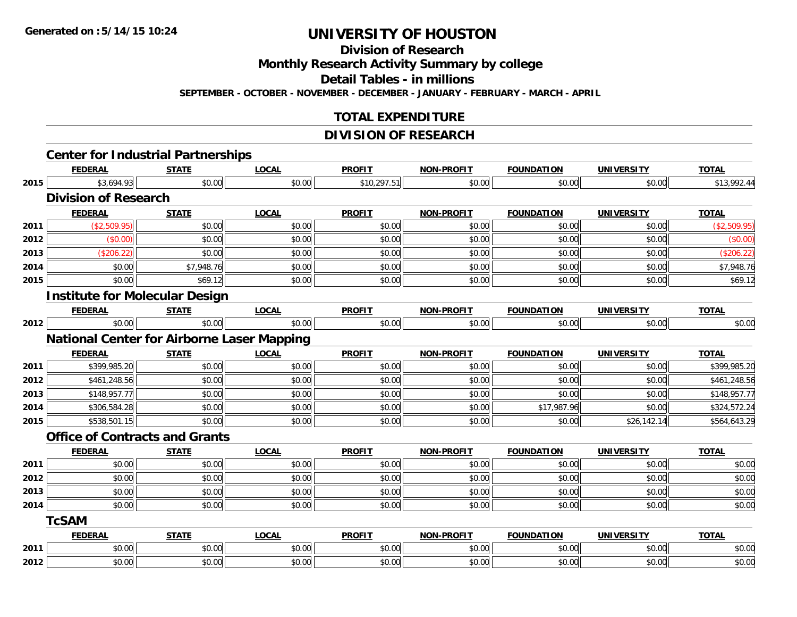**Division of Research**

**Monthly Research Activity Summary by college**

**Detail Tables - in millions**

**SEPTEMBER - OCTOBER - NOVEMBER - DECEMBER - JANUARY - FEBRUARY - MARCH - APRIL**

### **TOTAL EXPENDITURE**

### **DIVISION OF RESEARCH**

|      |                             | <b>Center for Industrial Partnerships</b>         |              |               |                   |                   |                   |              |
|------|-----------------------------|---------------------------------------------------|--------------|---------------|-------------------|-------------------|-------------------|--------------|
|      | <b>FEDERAL</b>              | <b>STATE</b>                                      | <b>LOCAL</b> | <b>PROFIT</b> | <b>NON-PROFIT</b> | <b>FOUNDATION</b> | <b>UNIVERSITY</b> | <b>TOTAL</b> |
| 2015 | \$3,694.93                  | \$0.00                                            | \$0.00       | \$10,297.51   | \$0.00            | \$0.00            | \$0.00            | \$13,992.44  |
|      | <b>Division of Research</b> |                                                   |              |               |                   |                   |                   |              |
|      | <b>FEDERAL</b>              | <b>STATE</b>                                      | <b>LOCAL</b> | <b>PROFIT</b> | <b>NON-PROFIT</b> | <b>FOUNDATION</b> | <b>UNIVERSITY</b> | <b>TOTAL</b> |
| 2011 | (\$2,509.95)                | \$0.00                                            | \$0.00       | \$0.00        | \$0.00            | \$0.00            | \$0.00            | (\$2,509.95) |
| 2012 | (\$0.00)                    | \$0.00                                            | \$0.00       | \$0.00        | \$0.00            | \$0.00            | \$0.00            | (\$0.00)     |
| 2013 | (\$206.22)                  | \$0.00                                            | \$0.00       | \$0.00        | \$0.00            | \$0.00            | \$0.00            | (\$206.22)   |
| 2014 | \$0.00                      | \$7,948.76                                        | \$0.00       | \$0.00        | \$0.00            | \$0.00            | \$0.00            | \$7,948.76   |
| 2015 | \$0.00                      | \$69.12                                           | \$0.00       | \$0.00        | \$0.00            | \$0.00            | \$0.00            | \$69.12      |
|      |                             | <b>Institute for Molecular Design</b>             |              |               |                   |                   |                   |              |
|      | <b>FEDERAL</b>              | <b>STATE</b>                                      | <b>LOCAL</b> | <b>PROFIT</b> | NON-PROFIT        | <b>FOUNDATION</b> | <b>UNIVERSITY</b> | <b>TOTAL</b> |
| 2012 | \$0.00                      | \$0.00                                            | \$0.00       | \$0.00        | \$0.00            | \$0.00            | \$0.00            | \$0.00       |
|      |                             | <b>National Center for Airborne Laser Mapping</b> |              |               |                   |                   |                   |              |
|      | <b>FEDERAL</b>              | <b>STATE</b>                                      | <b>LOCAL</b> | <b>PROFIT</b> | NON-PROFIT        | <b>FOUNDATION</b> | <b>UNIVERSITY</b> | <b>TOTAL</b> |
| 2011 | \$399,985.20                | \$0.00                                            | \$0.00       | \$0.00        | \$0.00            | \$0.00            | \$0.00            | \$399,985.20 |
| 2012 | \$461,248.56                | \$0.00                                            | \$0.00       | \$0.00        | \$0.00            | \$0.00            | \$0.00            | \$461,248.56 |
| 2013 | \$148,957.77                | \$0.00                                            | \$0.00       | \$0.00        | \$0.00            | \$0.00            | \$0.00            | \$148,957.77 |
| 2014 | \$306,584.28                | \$0.00                                            | \$0.00       | \$0.00        | \$0.00            | \$17,987.96       | \$0.00            | \$324,572.24 |
| 2015 | \$538,501.15                | \$0.00                                            | \$0.00       | \$0.00        | \$0.00            | \$0.00            | \$26,142.14       | \$564,643.29 |
|      |                             | <b>Office of Contracts and Grants</b>             |              |               |                   |                   |                   |              |
|      | <b>FEDERAL</b>              | <b>STATE</b>                                      | <b>LOCAL</b> | <b>PROFIT</b> | <b>NON-PROFIT</b> | <b>FOUNDATION</b> | <b>UNIVERSITY</b> | <b>TOTAL</b> |
| 2011 | \$0.00                      | \$0.00                                            | \$0.00       | \$0.00        | \$0.00            | \$0.00            | \$0.00            | \$0.00       |
| 2012 | \$0.00                      | \$0.00                                            | \$0.00       | \$0.00        | \$0.00            | \$0.00            | \$0.00            | \$0.00       |
| 2013 | \$0.00                      | \$0.00                                            | \$0.00       | \$0.00        | \$0.00            | \$0.00            | \$0.00            | \$0.00       |
| 2014 | \$0.00                      | \$0.00                                            | \$0.00       | \$0.00        | \$0.00            | \$0.00            | \$0.00            | \$0.00       |
|      | <b>TcSAM</b>                |                                                   |              |               |                   |                   |                   |              |
|      | <b>FEDERAL</b>              | <b>STATE</b>                                      | <b>LOCAL</b> | <b>PROFIT</b> | <b>NON-PROFIT</b> | <b>FOUNDATION</b> | <b>UNIVERSITY</b> | <b>TOTAL</b> |
| 2011 | \$0.00                      | \$0.00                                            | \$0.00       | \$0.00        | \$0.00            | \$0.00            | \$0.00            | \$0.00       |
| 2012 | \$0.00                      | \$0.00                                            | \$0.00       | \$0.00        | \$0.00            | \$0.00            | \$0.00            | \$0.00       |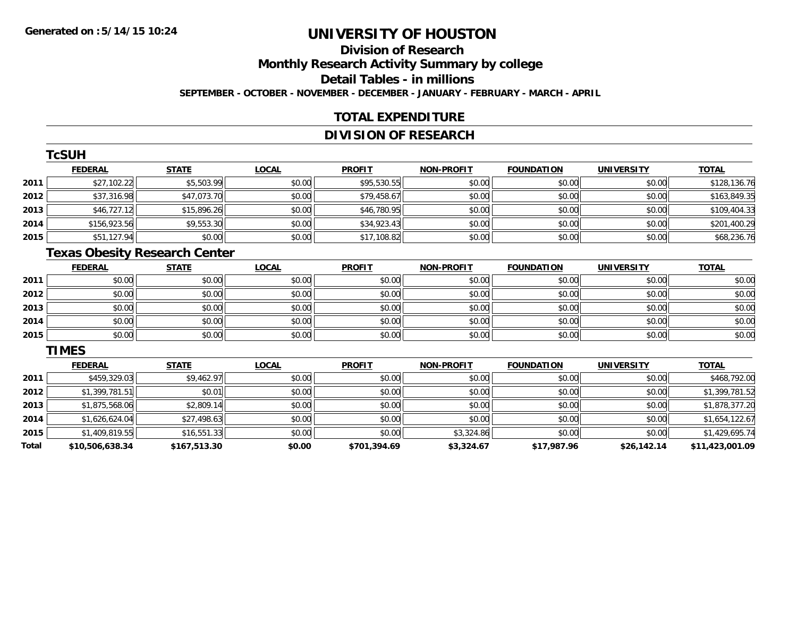## **Division of ResearchMonthly Research Activity Summary by college Detail Tables - in millions SEPTEMBER - OCTOBER - NOVEMBER - DECEMBER - JANUARY - FEBRUARY - MARCH - APRIL**

#### **TOTAL EXPENDITURE**

## **DIVISION OF RESEARCH**

|      | <b>TcSUH</b>   |              |        |               |                   |                   |                   |              |
|------|----------------|--------------|--------|---------------|-------------------|-------------------|-------------------|--------------|
|      | <b>FEDERAL</b> | <b>STATE</b> | LOCAL  | <b>PROFIT</b> | <b>NON-PROFIT</b> | <b>FOUNDATION</b> | <b>UNIVERSITY</b> | <b>TOTAL</b> |
| 2011 | \$27,102.22    | \$5,503.99   | \$0.00 | \$95,530.55   | \$0.00            | \$0.00            | \$0.00            | \$128,136.76 |
| 2012 | \$37,316.98    | \$47,073.70  | \$0.00 | \$79,458.67   | \$0.00            | \$0.00            | \$0.00            | \$163,849.35 |
| 2013 | \$46,727.12    | \$15,896.26  | \$0.00 | \$46,780.95   | \$0.00            | \$0.00            | \$0.00            | \$109,404.33 |
| 2014 | \$156,923.56   | \$9,553.30   | \$0.00 | \$34,923.43   | \$0.00            | \$0.00            | \$0.00            | \$201,400.29 |
| 2015 | \$51,127.94    | \$0.00       | \$0.00 | \$17,108.82   | \$0.00            | \$0.00            | \$0.00            | \$68,236.76  |

# **Texas Obesity Research Center**

|      | <b>FEDERAL</b> | <b>STATE</b> | <b>LOCAL</b> | <b>PROFIT</b> | <b>NON-PROFIT</b> | <b>FOUNDATION</b> | <b>UNIVERSITY</b> | <b>TOTAL</b> |
|------|----------------|--------------|--------------|---------------|-------------------|-------------------|-------------------|--------------|
| 2011 | \$0.00         | \$0.00       | \$0.00       | \$0.00        | \$0.00            | \$0.00            | \$0.00            | \$0.00       |
| 2012 | \$0.00         | \$0.00       | \$0.00       | \$0.00        | \$0.00            | \$0.00            | \$0.00            | \$0.00       |
| 2013 | \$0.00         | \$0.00       | \$0.00       | \$0.00        | \$0.00            | \$0.00            | \$0.00            | \$0.00       |
| 2014 | \$0.00         | \$0.00       | \$0.00       | \$0.00        | \$0.00            | \$0.00            | \$0.00            | \$0.00       |
| 2015 | \$0.00         | \$0.00       | \$0.00       | \$0.00        | \$0.00            | \$0.00            | \$0.00            | \$0.00       |

#### **TIMES**

|       | <b>FEDERAL</b>  | <b>STATE</b> | <b>LOCAL</b> | <b>PROFIT</b> | <b>NON-PROFIT</b> | <b>FOUNDATION</b> | <b>UNIVERSITY</b> | <u>TOTAL</u>    |
|-------|-----------------|--------------|--------------|---------------|-------------------|-------------------|-------------------|-----------------|
| 2011  | \$459,329.03    | \$9,462.97   | \$0.00       | \$0.00        | \$0.00            | \$0.00            | \$0.00            | \$468,792.00    |
| 2012  | \$1,399,781.51  | \$0.01       | \$0.00       | \$0.00        | \$0.00            | \$0.00            | \$0.00            | \$1,399,781.52  |
| 2013  | \$1,875,568.06  | \$2,809.14   | \$0.00       | \$0.00        | \$0.00            | \$0.00            | \$0.00            | \$1,878,377.20  |
| 2014  | \$1,626,624.04  | \$27,498.63  | \$0.00       | \$0.00        | \$0.00            | \$0.00            | \$0.00            | \$1,654,122.67  |
| 2015  | \$1,409,819.55  | \$16,551.33  | \$0.00       | \$0.00        | \$3,324.86        | \$0.00            | \$0.00            | \$1,429,695.74  |
| Total | \$10,506,638.34 | \$167,513.30 | \$0.00       | \$701,394.69  | \$3,324.67        | \$17,987.96       | \$26,142.14       | \$11.423.001.09 |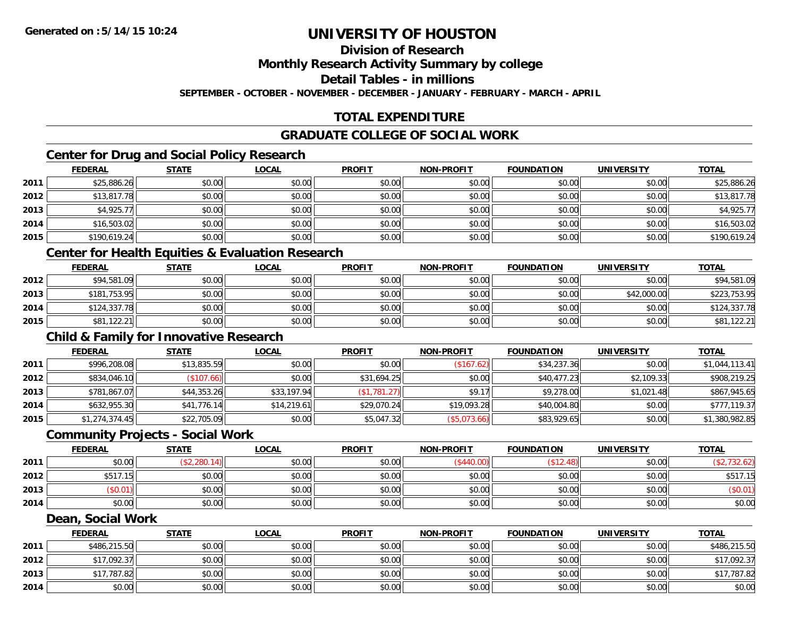**Division of Research**

**Monthly Research Activity Summary by college**

**Detail Tables - in millions**

**SEPTEMBER - OCTOBER - NOVEMBER - DECEMBER - JANUARY - FEBRUARY - MARCH - APRIL**

# **TOTAL EXPENDITURE**

#### **GRADUATE COLLEGE OF SOCIAL WORK**

## **Center for Drug and Social Policy Research**

|      | <b>FEDERAL</b> | <b>STATE</b> | <u>LOCAL</u> | <b>PROFIT</b> | <b>NON-PROFIT</b> | <b>FOUNDATION</b> | <b>UNIVERSITY</b> | <b>TOTAL</b> |
|------|----------------|--------------|--------------|---------------|-------------------|-------------------|-------------------|--------------|
| 2011 | \$25,886.26    | \$0.00       | \$0.00       | \$0.00        | \$0.00            | \$0.00            | \$0.00            | \$25,886.26  |
| 2012 | \$13,817.78    | \$0.00       | \$0.00       | \$0.00        | \$0.00            | \$0.00            | \$0.00            | \$13,817.78  |
| 2013 | \$4,925.77     | \$0.00       | \$0.00       | \$0.00        | \$0.00            | \$0.00            | \$0.00            | \$4,925.77   |
| 2014 | \$16,503.02    | \$0.00       | \$0.00       | \$0.00        | \$0.00            | \$0.00            | \$0.00            | \$16,503.02  |
| 2015 | \$190,619.24   | \$0.00       | \$0.00       | \$0.00        | \$0.00            | \$0.00            | \$0.00            | \$190,619.24 |

#### **Center for Health Equities & Evaluation Research**

|      | <b>FEDERAL</b> | <b>STATE</b> | <u>LOCAL</u> | <b>PROFIT</b> | <b>NON-PROFIT</b> | <b>FOUNDATION</b> | <b>UNIVERSITY</b> | <b>TOTAL</b> |
|------|----------------|--------------|--------------|---------------|-------------------|-------------------|-------------------|--------------|
| 2012 | \$94,581.09    | \$0.00       | \$0.00       | \$0.00        | \$0.00            | \$0.00            | \$0.00            | \$94,581.09  |
| 2013 | \$181,753.95   | \$0.00       | \$0.00       | \$0.00        | \$0.00            | \$0.00            | \$42,000.00       | \$223,753.95 |
| 2014 | \$124,337.78   | \$0.00       | \$0.00       | \$0.00        | \$0.00            | \$0.00            | \$0.00            | \$124,337.78 |
| 2015 | \$81,122.21    | \$0.00       | \$0.00       | \$0.00        | \$0.00            | \$0.00            | \$0.00            | \$81,122.21  |

### **Child & Family for Innovative Research**

|      | <b>FEDERAL</b> | <u>STATE</u> | <b>LOCAL</b> | <b>PROFIT</b> | <b>NON-PROFIT</b> | <b>FOUNDATION</b> | <b>UNIVERSITY</b> | <b>TOTAL</b>   |
|------|----------------|--------------|--------------|---------------|-------------------|-------------------|-------------------|----------------|
| 2011 | \$996,208.08   | \$13,835.59  | \$0.00       | \$0.00        | (\$167.62)        | \$34,237.36       | \$0.00            | \$1,044,113.41 |
| 2012 | \$834,046.10   | (\$107.66)   | \$0.00       | \$31,694.25   | \$0.00            | \$40,477.23       | \$2,109.33        | \$908,219.25   |
| 2013 | \$781,867.07   | \$44,353.26  | \$33,197.94  | (\$1,781.27)  | \$9.17            | \$9,278.00        | \$1,021.48        | \$867,945.65   |
| 2014 | \$632,955.30   | \$41,776.14  | \$14,219.61  | \$29,070.24   | \$19,093.28       | \$40,004.80       | \$0.00            | \$777,119.37   |
| 2015 | \$1,274,374.45 | \$22,705.09  | \$0.00       | \$5,047.32    | (\$5,073.66)      | \$83,929.65       | \$0.00            | \$1,380,982.85 |

#### **Community Projects - Social Work**

|      | <b>FEDERAL</b>        | <b>STATE</b> | <b>LOCAL</b> | <b>PROFIT</b> | <b>NON-PROFIT</b> | <b>FOUNDATION</b> | <b>UNIVERSITY</b> | <b>TOTAL</b> |
|------|-----------------------|--------------|--------------|---------------|-------------------|-------------------|-------------------|--------------|
| 2011 | \$0.00                | .,280.14     | \$0.00       | \$0.00        |                   |                   | \$0.00            |              |
| 2012 | $*$ 517 15 $\pm$<br>Ψ | \$0.00       | \$0.00       | \$0.00        | \$0.00            | \$0.00            | \$0.00            | \$517.15     |
| 2013 |                       | \$0.00       | \$0.00       | \$0.00        | \$0.00            | \$0.00            | \$0.00            | \$0.0        |
| 2014 | \$0.00                | \$0.00       | \$0.00       | \$0.00        | \$0.00            | \$0.00            | \$0.00            | \$0.00       |

#### **Dean, Social Work**

|      | <b>FEDERAL</b> | <b>STATE</b> | <u>LOCAL</u> | <b>PROFIT</b> | <b>NON-PROFIT</b> | <b>FOUNDATION</b> | <b>UNIVERSITY</b> | <b>TOTAL</b> |
|------|----------------|--------------|--------------|---------------|-------------------|-------------------|-------------------|--------------|
| 2011 | \$486,215.50   | \$0.00       | \$0.00       | \$0.00        | \$0.00            | \$0.00            | \$0.00            | \$486,215.50 |
| 2012 | \$17,092.37    | \$0.00       | \$0.00       | \$0.00        | \$0.00            | \$0.00            | \$0.00            | \$17,092.37  |
| 2013 | \$17,787.82    | \$0.00       | \$0.00       | \$0.00        | \$0.00            | \$0.00            | \$0.00            | \$17,787.82  |
| 2014 | \$0.00         | \$0.00       | \$0.00       | \$0.00        | \$0.00            | \$0.00            | \$0.00            | \$0.00       |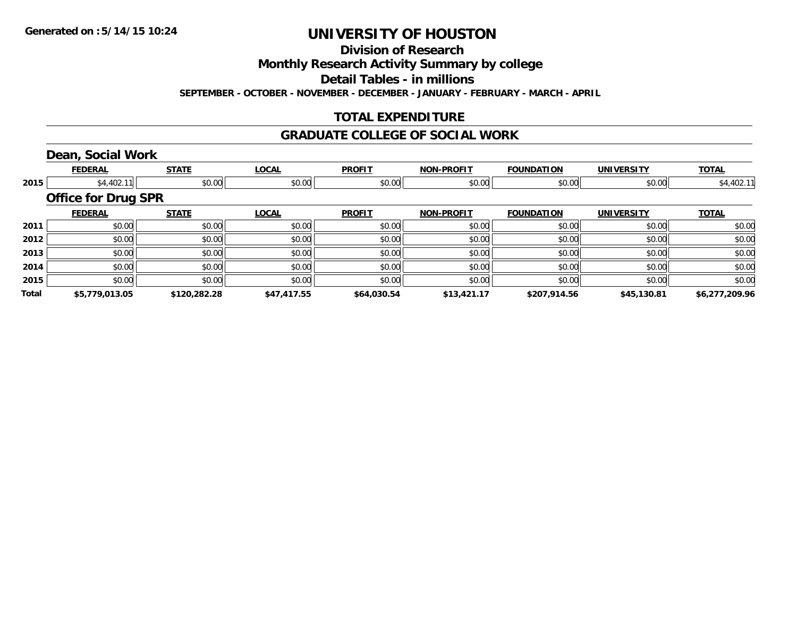**Division of Research**

**Monthly Research Activity Summary by college**

**Detail Tables - in millions**

**SEPTEMBER - OCTOBER - NOVEMBER - DECEMBER - JANUARY - FEBRUARY - MARCH - APRIL**

## **TOTAL EXPENDITURE**

#### **GRADUATE COLLEGE OF SOCIAL WORK**

# **Dean, Social Work**

|       | <b>FEDERAL</b>             | <b>STATE</b> | <b>LOCAL</b> | <b>PROFIT</b> | <b>NON-PROFIT</b> | <b>FOUNDATION</b> | <b>UNIVERSITY</b> | <b>TOTAL</b>   |
|-------|----------------------------|--------------|--------------|---------------|-------------------|-------------------|-------------------|----------------|
| 2015  | \$4,402.11                 | \$0.00       | \$0.00       | \$0.00        | \$0.00            | \$0.00            | \$0.00            | \$4,402.11     |
|       | <b>Office for Drug SPR</b> |              |              |               |                   |                   |                   |                |
|       | <b>FEDERAL</b>             | <b>STATE</b> | <b>LOCAL</b> | <b>PROFIT</b> | <b>NON-PROFIT</b> | <b>FOUNDATION</b> | <b>UNIVERSITY</b> | <b>TOTAL</b>   |
| 2011  | \$0.00                     | \$0.00       | \$0.00       | \$0.00        | \$0.00            | \$0.00            | \$0.00            | \$0.00         |
| 2012  | \$0.00                     | \$0.00       | \$0.00       | \$0.00        | \$0.00            | \$0.00            | \$0.00            | \$0.00         |
| 2013  | \$0.00                     | \$0.00       | \$0.00       | \$0.00        | \$0.00            | \$0.00            | \$0.00            | \$0.00         |
| 2014  | \$0.00                     | \$0.00       | \$0.00       | \$0.00        | \$0.00            | \$0.00            | \$0.00            | \$0.00         |
| 2015  | \$0.00                     | \$0.00       | \$0.00       | \$0.00        | \$0.00            | \$0.00            | \$0.00            | \$0.00         |
| Total | \$5,779,013.05             | \$120,282.28 | \$47,417.55  | \$64,030.54   | \$13,421.17       | \$207,914.56      | \$45,130.81       | \$6,277,209.96 |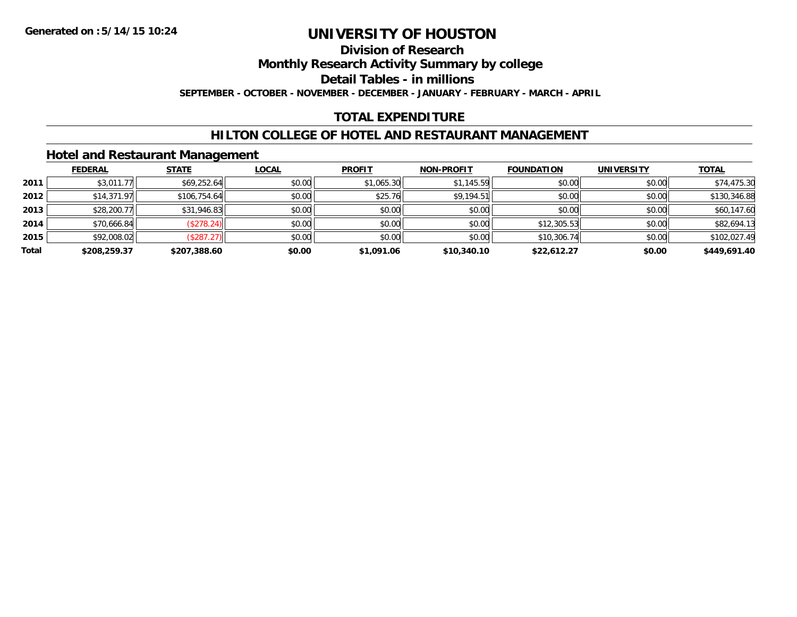## **Division of Research**

**Monthly Research Activity Summary by college**

**Detail Tables - in millions**

**SEPTEMBER - OCTOBER - NOVEMBER - DECEMBER - JANUARY - FEBRUARY - MARCH - APRIL**

## **TOTAL EXPENDITURE**

### **HILTON COLLEGE OF HOTEL AND RESTAURANT MANAGEMENT**

#### **Hotel and Restaurant Management**

|       | <b>FEDERAL</b> | <b>STATE</b> | <u>LOCAL</u> | <b>PROFIT</b> | <b>NON-PROFIT</b> | <b>FOUNDATION</b> | <b>UNIVERSITY</b> | <b>TOTAL</b> |
|-------|----------------|--------------|--------------|---------------|-------------------|-------------------|-------------------|--------------|
| 2011  | \$3,011.77     | \$69,252.64  | \$0.00       | \$1,065.30    | \$1,145.59        | \$0.00            | \$0.00            | \$74,475.30  |
| 2012  | \$14,371.97    | \$106,754.64 | \$0.00       | \$25.76       | \$9,194.51        | \$0.00            | \$0.00            | \$130,346.88 |
| 2013  | \$28,200.77    | \$31,946.83  | \$0.00       | \$0.00        | \$0.00            | \$0.00            | \$0.00            | \$60,147.60  |
| 2014  | \$70,666.84    | (\$278.24)   | \$0.00       | \$0.00        | \$0.00            | \$12,305.53       | \$0.00            | \$82,694.13  |
| 2015  | \$92,008.02    | (\$287.27)   | \$0.00       | \$0.00        | \$0.00            | \$10,306.74       | \$0.00            | \$102,027.49 |
| Total | \$208,259.37   | \$207,388.60 | \$0.00       | \$1,091.06    | \$10,340.10       | \$22,612.27       | \$0.00            | \$449,691.40 |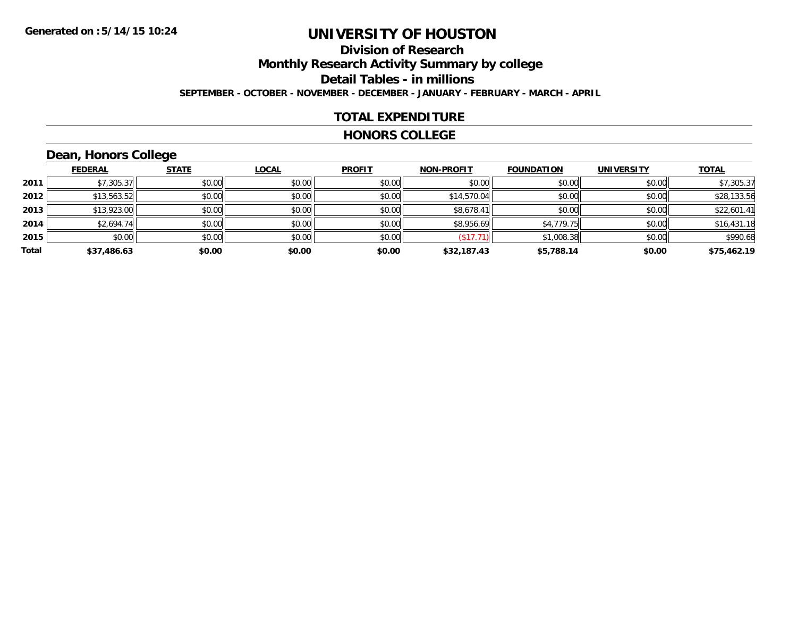# **Division of ResearchMonthly Research Activity Summary by college**

**Detail Tables - in millions**

**SEPTEMBER - OCTOBER - NOVEMBER - DECEMBER - JANUARY - FEBRUARY - MARCH - APRIL**

### **TOTAL EXPENDITURE**

#### **HONORS COLLEGE**

# **Dean, Honors College**

|       |                | __           |              |               |                   |                   |                   |              |
|-------|----------------|--------------|--------------|---------------|-------------------|-------------------|-------------------|--------------|
|       | <b>FEDERAL</b> | <b>STATE</b> | <b>LOCAL</b> | <b>PROFIT</b> | <b>NON-PROFIT</b> | <b>FOUNDATION</b> | <b>UNIVERSITY</b> | <b>TOTAL</b> |
| 2011  | \$7,305.37     | \$0.00       | \$0.00       | \$0.00        | \$0.00            | \$0.00            | \$0.00            | \$7,305.37   |
| 2012  | \$13,563.52    | \$0.00       | \$0.00       | \$0.00        | \$14,570.04       | \$0.00            | \$0.00            | \$28,133.56  |
| 2013  | \$13,923.00    | \$0.00       | \$0.00       | \$0.00        | \$8,678.41        | \$0.00            | \$0.00            | \$22,601.41  |
| 2014  | \$2,694.74     | \$0.00       | \$0.00       | \$0.00        | \$8,956.69        | \$4,779.75        | \$0.00            | \$16,431.18  |
| 2015  | \$0.00         | \$0.00       | \$0.00       | \$0.00        | (\$17.71)         | \$1,008.38        | \$0.00            | \$990.68     |
| Total | \$37,486.63    | \$0.00       | \$0.00       | \$0.00        | \$32,187.43       | \$5,788.14        | \$0.00            | \$75,462.19  |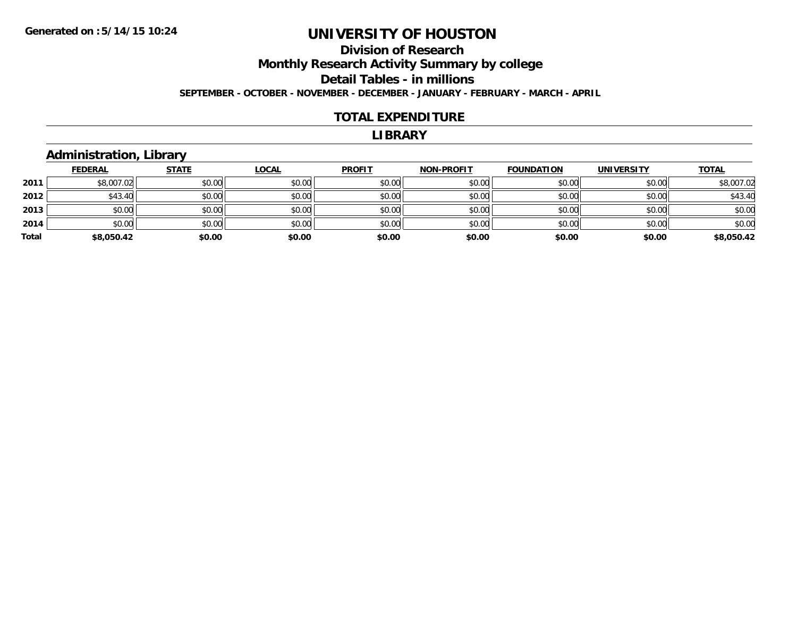#### **Division of Research Monthly Research Activity Summary by college Detail Tables - in millions SEPTEMBER - OCTOBER - NOVEMBER - DECEMBER - JANUARY - FEBRUARY - MARCH - APRIL**

#### **TOTAL EXPENDITURE**

#### **LIBRARY**

### **Administration, Library**

|       | <b>FEDERAL</b> | <b>STATE</b> | <b>LOCAL</b> | <b>PROFIT</b> | <b>NON-PROFIT</b> | <b>FOUNDATION</b> | <b>UNIVERSITY</b> | <b>TOTAL</b> |
|-------|----------------|--------------|--------------|---------------|-------------------|-------------------|-------------------|--------------|
| 2011  | \$8,007.02     | \$0.00       | \$0.00       | \$0.00        | \$0.00            | \$0.00            | \$0.00            | \$8,007.02   |
| 2012  | \$43.40        | \$0.00       | \$0.00       | \$0.00        | \$0.00            | \$0.00            | \$0.00            | \$43.40      |
| 2013  | \$0.00         | \$0.00       | \$0.00       | \$0.00        | \$0.00            | \$0.00            | \$0.00            | \$0.00       |
| 2014  | \$0.00         | \$0.00       | \$0.00       | \$0.00        | \$0.00            | \$0.00            | \$0.00            | \$0.00       |
| Total | \$8,050.42     | \$0.00       | \$0.00       | \$0.00        | \$0.00            | \$0.00            | \$0.00            | \$8,050.42   |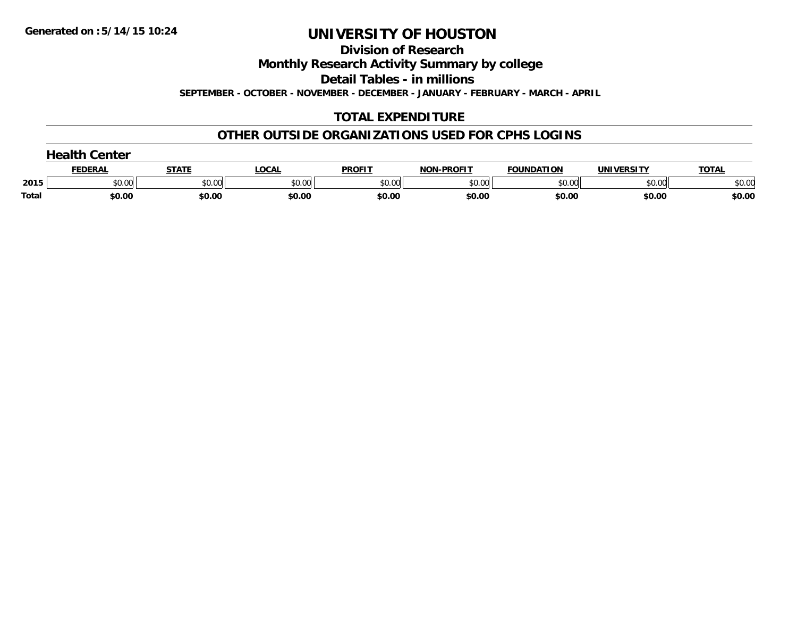**Division of Research**

**Monthly Research Activity Summary by college**

**Detail Tables - in millions**

**SEPTEMBER - OCTOBER - NOVEMBER - DECEMBER - JANUARY - FEBRUARY - MARCH - APRIL**

## **TOTAL EXPENDITURE**

### **OTHER OUTSIDE ORGANIZATIONS USED FOR CPHS LOGINS**

|              | nealth ∂<br>Center |              |              |               |                   |                   |                   |              |  |  |
|--------------|--------------------|--------------|--------------|---------------|-------------------|-------------------|-------------------|--------------|--|--|
|              | <b>FEDERAL</b>     | <b>STATE</b> | <b>LOCAL</b> | <b>PROFIT</b> | <b>NON-PROFIT</b> | <b>FOUNDATION</b> | <b>UNIVERSITY</b> | <b>TOTAL</b> |  |  |
| 2015         | \$0.00             | \$0.00       | \$0.00       | \$0.00        | \$0.00            | \$0.00            | \$0.00            | \$0.00       |  |  |
| <b>Total</b> | \$0.00             | \$0.00       | \$0.00       | \$0.00        | \$0.00            | \$0.00            | \$0.00            | \$0.00       |  |  |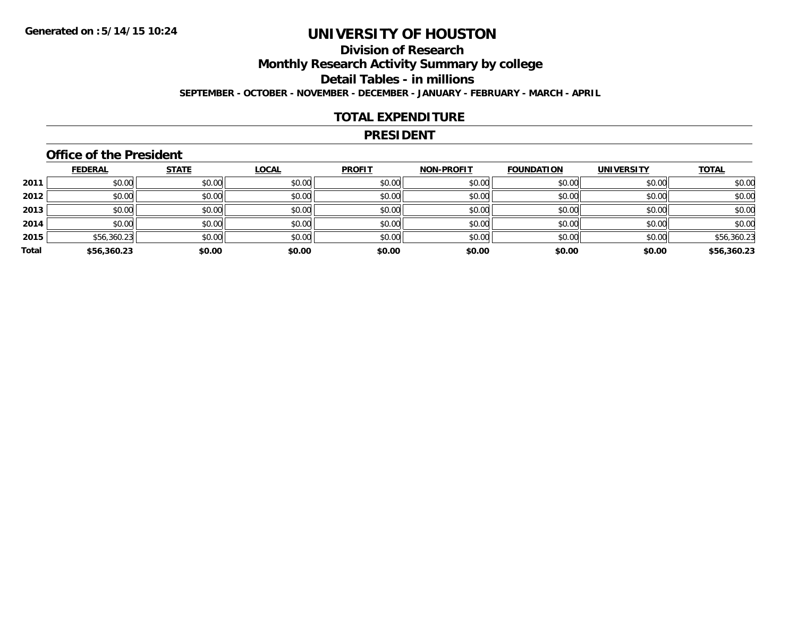# **Division of ResearchMonthly Research Activity Summary by college**

**Detail Tables - in millions**

**SEPTEMBER - OCTOBER - NOVEMBER - DECEMBER - JANUARY - FEBRUARY - MARCH - APRIL**

### **TOTAL EXPENDITURE**

#### **PRESIDENT**

## **Office of the President**

|       | <b>FEDERAL</b> | <b>STATE</b> | <b>LOCAL</b> | <b>PROFIT</b> | <b>NON-PROFIT</b> | <b>FOUNDATION</b> | <b>UNIVERSITY</b> | <b>TOTAL</b> |
|-------|----------------|--------------|--------------|---------------|-------------------|-------------------|-------------------|--------------|
| 2011  | \$0.00         | \$0.00       | \$0.00       | \$0.00        | \$0.00            | \$0.00            | \$0.00            | \$0.00       |
| 2012  | \$0.00         | \$0.00       | \$0.00       | \$0.00        | \$0.00            | \$0.00            | \$0.00            | \$0.00       |
| 2013  | \$0.00         | \$0.00       | \$0.00       | \$0.00        | \$0.00            | \$0.00            | \$0.00            | \$0.00       |
| 2014  | \$0.00         | \$0.00       | \$0.00       | \$0.00        | \$0.00            | \$0.00            | \$0.00            | \$0.00       |
| 2015  | \$56,360.23    | \$0.00       | \$0.00       | \$0.00        | \$0.00            | \$0.00            | \$0.00            | \$56,360.23  |
| Total | \$56,360.23    | \$0.00       | \$0.00       | \$0.00        | \$0.00            | \$0.00            | \$0.00            | \$56,360.23  |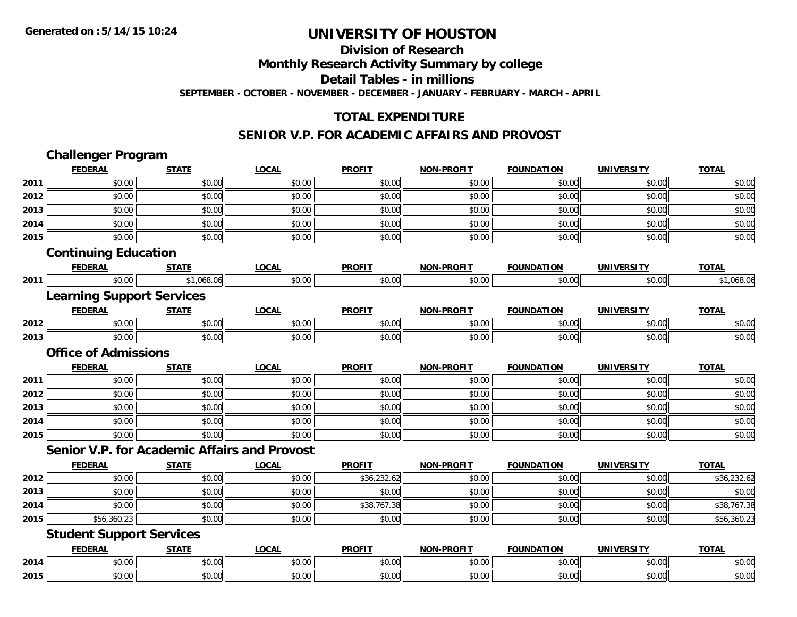**Division of Research**

**Monthly Research Activity Summary by college**

**Detail Tables - in millions**

**SEPTEMBER - OCTOBER - NOVEMBER - DECEMBER - JANUARY - FEBRUARY - MARCH - APRIL**

## **TOTAL EXPENDITURE**

#### **SENIOR V.P. FOR ACADEMIC AFFAIRS AND PROVOST**

|      | <b>Challenger Program</b>                           |              |              |               |                   |                   |                   |              |
|------|-----------------------------------------------------|--------------|--------------|---------------|-------------------|-------------------|-------------------|--------------|
|      | <b>FEDERAL</b>                                      | <b>STATE</b> | <b>LOCAL</b> | <b>PROFIT</b> | <b>NON-PROFIT</b> | <b>FOUNDATION</b> | <b>UNIVERSITY</b> | <b>TOTAL</b> |
| 2011 | \$0.00                                              | \$0.00       | \$0.00       | \$0.00        | \$0.00            | \$0.00            | \$0.00            | \$0.00       |
| 2012 | \$0.00                                              | \$0.00       | \$0.00       | \$0.00        | \$0.00            | \$0.00            | \$0.00            | \$0.00       |
| 2013 | \$0.00                                              | \$0.00       | \$0.00       | \$0.00        | \$0.00            | \$0.00            | \$0.00            | \$0.00       |
| 2014 | \$0.00                                              | \$0.00       | \$0.00       | \$0.00        | \$0.00            | \$0.00            | \$0.00            | \$0.00       |
| 2015 | \$0.00                                              | \$0.00       | \$0.00       | \$0.00        | \$0.00            | \$0.00            | \$0.00            | \$0.00       |
|      | <b>Continuing Education</b>                         |              |              |               |                   |                   |                   |              |
|      | <b>FEDERAL</b>                                      | <b>STATE</b> | <b>LOCAL</b> | <b>PROFIT</b> | <b>NON-PROFIT</b> | <b>FOUNDATION</b> | <b>UNIVERSITY</b> | <b>TOTAL</b> |
| 2011 | \$0.00                                              | \$1,068.06   | \$0.00       | \$0.00        | \$0.00            | \$0.00            | \$0.00            | \$1,068.06   |
|      | <b>Learning Support Services</b>                    |              |              |               |                   |                   |                   |              |
|      | <b>FEDERAL</b>                                      | <b>STATE</b> | <b>LOCAL</b> | <b>PROFIT</b> | <b>NON-PROFIT</b> | <b>FOUNDATION</b> | <b>UNIVERSITY</b> | <b>TOTAL</b> |
| 2012 | \$0.00                                              | \$0.00       | \$0.00       | \$0.00        | \$0.00            | \$0.00            | \$0.00            | \$0.00       |
| 2013 | \$0.00                                              | \$0.00       | \$0.00       | \$0.00        | \$0.00            | \$0.00            | \$0.00            | \$0.00       |
|      | <b>Office of Admissions</b>                         |              |              |               |                   |                   |                   |              |
|      | <b>FEDERAL</b>                                      | <b>STATE</b> | <b>LOCAL</b> | <b>PROFIT</b> | <b>NON-PROFIT</b> | <b>FOUNDATION</b> | <b>UNIVERSITY</b> | <b>TOTAL</b> |
| 2011 | \$0.00                                              | \$0.00       | \$0.00       | \$0.00        | \$0.00            | \$0.00            | \$0.00            | \$0.00       |
| 2012 | \$0.00                                              | \$0.00       | \$0.00       | \$0.00        | \$0.00            | \$0.00            | \$0.00            | \$0.00       |
| 2013 | \$0.00                                              | \$0.00       | \$0.00       | \$0.00        | \$0.00            | \$0.00            | \$0.00            | \$0.00       |
| 2014 | \$0.00                                              | \$0.00       | \$0.00       | \$0.00        | \$0.00            | \$0.00            | \$0.00            | \$0.00       |
| 2015 | \$0.00                                              | \$0.00       | \$0.00       | \$0.00        | \$0.00            | \$0.00            | \$0.00            | \$0.00       |
|      | <b>Senior V.P. for Academic Affairs and Provost</b> |              |              |               |                   |                   |                   |              |
|      | <b>FEDERAL</b>                                      | <b>STATE</b> | <b>LOCAL</b> | <b>PROFIT</b> | <b>NON-PROFIT</b> | <b>FOUNDATION</b> | <b>UNIVERSITY</b> | <b>TOTAL</b> |
| 2012 | \$0.00                                              | \$0.00       | \$0.00       | \$36,232.62   | \$0.00            | \$0.00            | \$0.00            | \$36,232.62  |
| 2013 | \$0.00                                              | \$0.00       | \$0.00       | \$0.00        | \$0.00            | \$0.00            | \$0.00            | \$0.00       |
| 2014 | \$0.00                                              | \$0.00       | \$0.00       | \$38,767.38   | \$0.00            | \$0.00            | \$0.00            | \$38,767.38  |
| 2015 | \$56,360.23                                         | \$0.00       | \$0.00       | \$0.00        | \$0.00            | \$0.00            | \$0.00            | \$56,360.23  |
|      | <b>Student Support Services</b>                     |              |              |               |                   |                   |                   |              |
|      | <b>FEDERAL</b>                                      | <b>STATE</b> | <b>LOCAL</b> | <b>PROFIT</b> | <b>NON-PROFIT</b> | <b>FOUNDATION</b> | <b>UNIVERSITY</b> | <b>TOTAL</b> |
| 2014 | \$0.00                                              | \$0.00       | \$0.00       | \$0.00        | \$0.00            | \$0.00            | \$0.00            | \$0.00       |
| 2015 | \$0.00                                              | \$0.00       | \$0.00       | \$0.00        | \$0.00            | \$0.00            | \$0.00            | \$0.00       |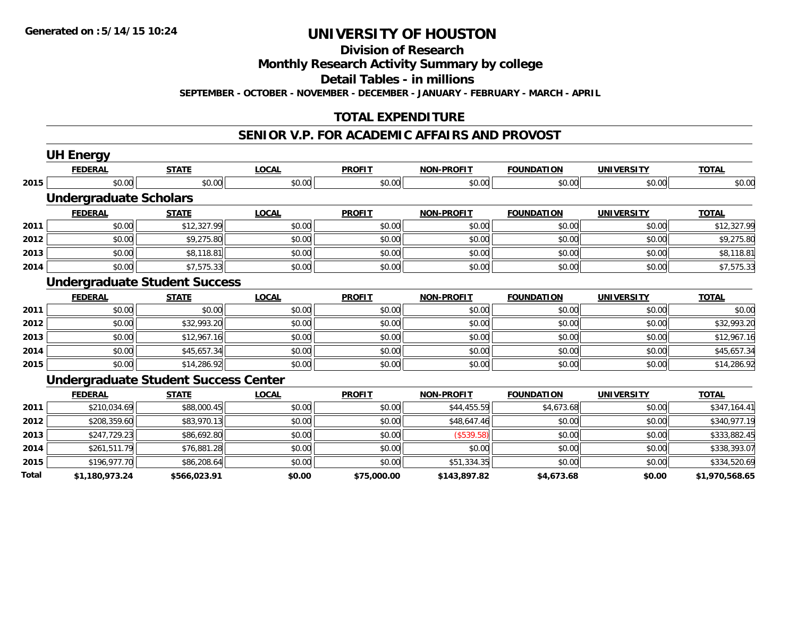**Division of Research**

**Monthly Research Activity Summary by college**

**Detail Tables - in millions**

**SEPTEMBER - OCTOBER - NOVEMBER - DECEMBER - JANUARY - FEBRUARY - MARCH - APRIL**

## **TOTAL EXPENDITURE**

#### **SENIOR V.P. FOR ACADEMIC AFFAIRS AND PROVOST**

|       | <b>UH Energy</b>                            |              |              |               |                   |                   |                   |                |
|-------|---------------------------------------------|--------------|--------------|---------------|-------------------|-------------------|-------------------|----------------|
|       | <b>FEDERAL</b>                              | <b>STATE</b> | <b>LOCAL</b> | <b>PROFIT</b> | <b>NON-PROFIT</b> | <b>FOUNDATION</b> | <b>UNIVERSITY</b> | <b>TOTAL</b>   |
| 2015  | \$0.00                                      | \$0.00       | \$0.00       | \$0.00        | \$0.00            | \$0.00            | \$0.00            | \$0.00         |
|       | <b>Undergraduate Scholars</b>               |              |              |               |                   |                   |                   |                |
|       | <b>FEDERAL</b>                              | <b>STATE</b> | <b>LOCAL</b> | <b>PROFIT</b> | <b>NON-PROFIT</b> | <b>FOUNDATION</b> | <b>UNIVERSITY</b> | <b>TOTAL</b>   |
| 2011  | \$0.00                                      | \$12,327.99  | \$0.00       | \$0.00        | \$0.00            | \$0.00            | \$0.00            | \$12,327.99    |
| 2012  | \$0.00                                      | \$9,275.80   | \$0.00       | \$0.00        | \$0.00            | \$0.00            | \$0.00            | \$9,275.80     |
| 2013  | \$0.00                                      | \$8,118.81   | \$0.00       | \$0.00        | \$0.00            | \$0.00            | \$0.00            | \$8,118.81     |
| 2014  | \$0.00                                      | \$7,575.33   | \$0.00       | \$0.00        | \$0.00            | \$0.00            | \$0.00            | \$7,575.33     |
|       | <b>Undergraduate Student Success</b>        |              |              |               |                   |                   |                   |                |
|       | <b>FEDERAL</b>                              | <b>STATE</b> | <b>LOCAL</b> | <b>PROFIT</b> | <b>NON-PROFIT</b> | <b>FOUNDATION</b> | <b>UNIVERSITY</b> | <b>TOTAL</b>   |
| 2011  | \$0.00                                      | \$0.00       | \$0.00       | \$0.00        | \$0.00            | \$0.00            | \$0.00            | \$0.00         |
| 2012  | \$0.00                                      | \$32,993.20  | \$0.00       | \$0.00        | \$0.00            | \$0.00            | \$0.00            | \$32,993.20    |
| 2013  | \$0.00                                      | \$12,967.16  | \$0.00       | \$0.00        | \$0.00            | \$0.00            | \$0.00            | \$12,967.16    |
| 2014  | \$0.00                                      | \$45,657.34  | \$0.00       | \$0.00        | \$0.00            | \$0.00            | \$0.00            | \$45,657.34    |
| 2015  | \$0.00                                      | \$14,286.92  | \$0.00       | \$0.00        | \$0.00            | \$0.00            | \$0.00            | \$14,286.92    |
|       | <b>Undergraduate Student Success Center</b> |              |              |               |                   |                   |                   |                |
|       | <b>FEDERAL</b>                              | <b>STATE</b> | <b>LOCAL</b> | <b>PROFIT</b> | <b>NON-PROFIT</b> | <b>FOUNDATION</b> | <b>UNIVERSITY</b> | <b>TOTAL</b>   |
| 2011  | \$210,034.69                                | \$88,000.45  | \$0.00       | \$0.00        | \$44,455.59       | \$4,673.68        | \$0.00            | \$347,164.41   |
| 2012  | \$208,359.60                                | \$83,970.13  | \$0.00       | \$0.00        | \$48,647.46       | \$0.00            | \$0.00            | \$340,977.19   |
| 2013  | \$247,729.23                                | \$86,692.80  | \$0.00       | \$0.00        | (\$539.58)        | \$0.00            | \$0.00            | \$333,882.45   |
| 2014  | \$261,511.79                                | \$76,881.28  | \$0.00       | \$0.00        | \$0.00            | \$0.00            | \$0.00            | \$338,393.07   |
| 2015  | \$196,977.70                                | \$86,208.64  | \$0.00       | \$0.00        | \$51,334.35       | \$0.00            | \$0.00            | \$334,520.69   |
| Total | \$1,180,973.24                              | \$566,023.91 | \$0.00       | \$75,000.00   | \$143,897.82      | \$4,673.68        | \$0.00            | \$1,970,568.65 |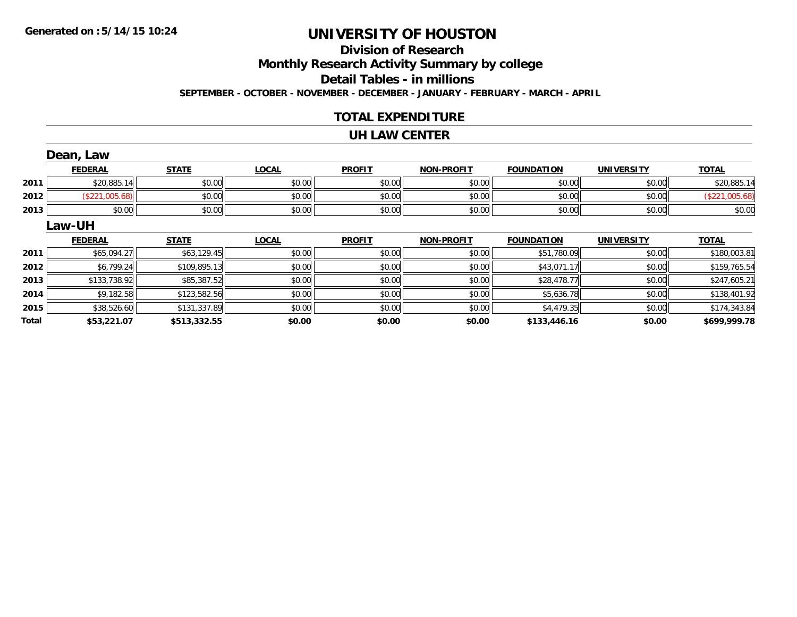# **Division of Research**

**Monthly Research Activity Summary by college**

**Detail Tables - in millions**

**SEPTEMBER - OCTOBER - NOVEMBER - DECEMBER - JANUARY - FEBRUARY - MARCH - APRIL**

### **TOTAL EXPENDITURE**

#### **UH LAW CENTER**

|              | Dean, Law      |              |              |               |                   |                   |                   |                |
|--------------|----------------|--------------|--------------|---------------|-------------------|-------------------|-------------------|----------------|
|              | <b>FEDERAL</b> | <b>STATE</b> | <b>LOCAL</b> | <b>PROFIT</b> | <b>NON-PROFIT</b> | <b>FOUNDATION</b> | <b>UNIVERSITY</b> | <b>TOTAL</b>   |
| 2011         | \$20,885.14    | \$0.00       | \$0.00       | \$0.00        | \$0.00            | \$0.00            | \$0.00            | \$20,885.14    |
| 2012         | (\$221,005.68) | \$0.00       | \$0.00       | \$0.00        | \$0.00            | \$0.00            | \$0.00            | (\$221,005.68) |
| 2013         | \$0.00         | \$0.00       | \$0.00       | \$0.00        | \$0.00            | \$0.00            | \$0.00            | \$0.00         |
|              | Law-UH         |              |              |               |                   |                   |                   |                |
|              | <b>FEDERAL</b> | <b>STATE</b> | <b>LOCAL</b> | <b>PROFIT</b> | <b>NON-PROFIT</b> | <b>FOUNDATION</b> | <b>UNIVERSITY</b> | <b>TOTAL</b>   |
| 2011         | \$65,094.27    | \$63,129.45  | \$0.00       | \$0.00        | \$0.00            | \$51,780.09       | \$0.00            | \$180,003.81   |
| 2012         | \$6,799.24     | \$109,895.13 | \$0.00       | \$0.00        | \$0.00            | \$43,071.17       | \$0.00            | \$159,765.54   |
| 2013         | \$133,738.92   | \$85,387.52  | \$0.00       | \$0.00        | \$0.00            | \$28,478.77       | \$0.00            | \$247,605.21   |
| 2014         | \$9,182.58     | \$123,582.56 | \$0.00       | \$0.00        | \$0.00            | \$5,636.78        | \$0.00            | \$138,401.92   |
| 2015         | \$38,526.60    | \$131,337.89 | \$0.00       | \$0.00        | \$0.00            | \$4,479.35        | \$0.00            | \$174,343.84   |
| <b>Total</b> | \$53,221.07    | \$513,332.55 | \$0.00       | \$0.00        | \$0.00            | \$133,446.16      | \$0.00            | \$699,999.78   |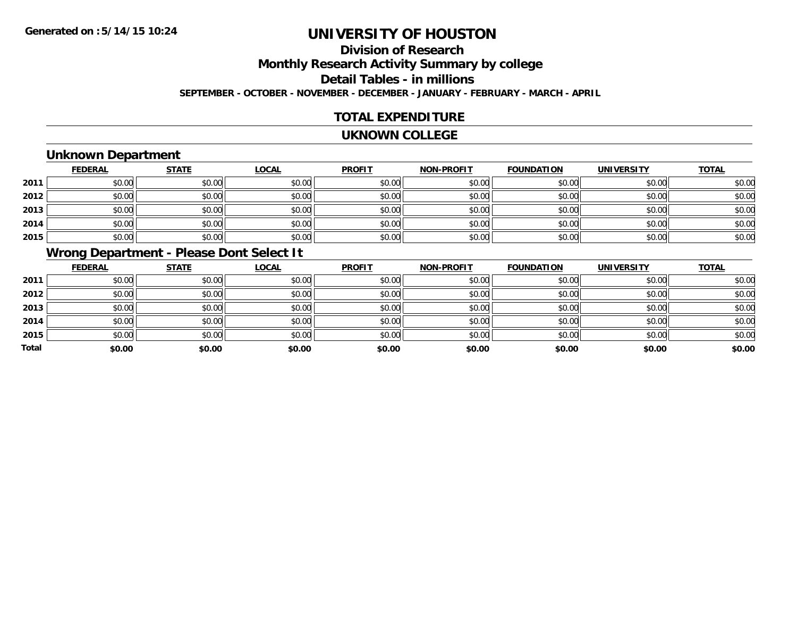# **Division of ResearchMonthly Research Activity Summary by college Detail Tables - in millions**

**SEPTEMBER - OCTOBER - NOVEMBER - DECEMBER - JANUARY - FEBRUARY - MARCH - APRIL**

## **TOTAL EXPENDITURE**

#### **UKNOWN COLLEGE**

## **Unknown Department**

|      | <b>FEDERAL</b> | <b>STATE</b> | <b>LOCAL</b> | <b>PROFIT</b> | <b>NON-PROFIT</b> | <b>FOUNDATION</b> | <b>UNIVERSITY</b> | <b>TOTAL</b> |
|------|----------------|--------------|--------------|---------------|-------------------|-------------------|-------------------|--------------|
| 2011 | \$0.00         | \$0.00       | \$0.00       | \$0.00        | \$0.00            | \$0.00            | \$0.00            | \$0.00       |
| 2012 | \$0.00         | \$0.00       | \$0.00       | \$0.00        | \$0.00            | \$0.00            | \$0.00            | \$0.00       |
| 2013 | \$0.00         | \$0.00       | \$0.00       | \$0.00        | \$0.00            | \$0.00            | \$0.00            | \$0.00       |
| 2014 | \$0.00         | \$0.00       | \$0.00       | \$0.00        | \$0.00            | \$0.00            | \$0.00            | \$0.00       |
| 2015 | \$0.00         | \$0.00       | \$0.00       | \$0.00        | \$0.00            | \$0.00            | \$0.00            | \$0.00       |

## **Wrong Department - Please Dont Select It**

|              | <b>FEDERAL</b> | <b>STATE</b> | <b>LOCAL</b> | <b>PROFIT</b> | <b>NON-PROFIT</b> | <b>FOUNDATION</b> | <b>UNIVERSITY</b> | <b>TOTAL</b> |
|--------------|----------------|--------------|--------------|---------------|-------------------|-------------------|-------------------|--------------|
| 2011         | \$0.00         | \$0.00       | \$0.00       | \$0.00        | \$0.00            | \$0.00            | \$0.00            | \$0.00       |
| 2012         | \$0.00         | \$0.00       | \$0.00       | \$0.00        | \$0.00            | \$0.00            | \$0.00            | \$0.00       |
| 2013         | \$0.00         | \$0.00       | \$0.00       | \$0.00        | \$0.00            | \$0.00            | \$0.00            | \$0.00       |
| 2014         | \$0.00         | \$0.00       | \$0.00       | \$0.00        | \$0.00            | \$0.00            | \$0.00            | \$0.00       |
| 2015         | \$0.00         | \$0.00       | \$0.00       | \$0.00        | \$0.00            | \$0.00            | \$0.00            | \$0.00       |
| <b>Total</b> | \$0.00         | \$0.00       | \$0.00       | \$0.00        | \$0.00            | \$0.00            | \$0.00            | \$0.00       |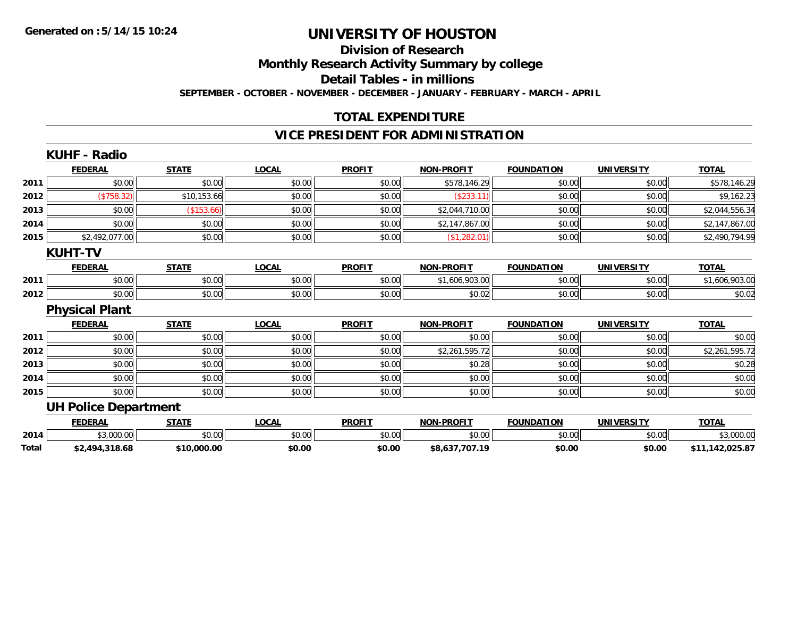**Total**

# **UNIVERSITY OF HOUSTON**

### **Division of Research**

**Monthly Research Activity Summary by college**

**Detail Tables - in millions**

**SEPTEMBER - OCTOBER - NOVEMBER - DECEMBER - JANUARY - FEBRUARY - MARCH - APRIL**

### **TOTAL EXPENDITURE**

### **VICE PRESIDENT FOR ADMINISTRATION**

|      | <b>KUHF - Radio</b>         |              |              |               |                   |                   |                   |                |
|------|-----------------------------|--------------|--------------|---------------|-------------------|-------------------|-------------------|----------------|
|      | <b>FEDERAL</b>              | <b>STATE</b> | <b>LOCAL</b> | <b>PROFIT</b> | NON-PROFIT        | <b>FOUNDATION</b> | <b>UNIVERSITY</b> | <b>TOTAL</b>   |
| 2011 | \$0.00                      | \$0.00       | \$0.00       | \$0.00        | \$578,146.29      | \$0.00            | \$0.00            | \$578,146.29   |
| 2012 | (\$758.32)                  | \$10,153.66  | \$0.00       | \$0.00        | (\$233.11)        | \$0.00            | \$0.00            | \$9,162.23     |
| 2013 | \$0.00                      | (\$153.66)   | \$0.00       | \$0.00        | \$2,044,710.00    | \$0.00            | \$0.00            | \$2,044,556.34 |
| 2014 | \$0.00                      | \$0.00       | \$0.00       | \$0.00        | \$2,147,867.00    | \$0.00            | \$0.00            | \$2,147,867.00 |
| 2015 | \$2,492,077.00              | \$0.00       | \$0.00       | \$0.00        | (\$1,282.01)      | \$0.00            | \$0.00            | \$2,490,794.99 |
|      | <b>KUHT-TV</b>              |              |              |               |                   |                   |                   |                |
|      | <b>FEDERAL</b>              | <b>STATE</b> | <b>LOCAL</b> | <b>PROFIT</b> | <b>NON-PROFIT</b> | <b>FOUNDATION</b> | <b>UNIVERSITY</b> | <b>TOTAL</b>   |
| 2011 | \$0.00                      | \$0.00       | \$0.00       | \$0.00        | \$1,606,903.00    | \$0.00            | \$0.00            | \$1,606,903.00 |
| 2012 | \$0.00                      | \$0.00       | \$0.00       | \$0.00        | \$0.02            | \$0.00            | \$0.00            | \$0.02         |
|      | <b>Physical Plant</b>       |              |              |               |                   |                   |                   |                |
|      | <b>FEDERAL</b>              | <b>STATE</b> | <b>LOCAL</b> | <b>PROFIT</b> | <b>NON-PROFIT</b> | <b>FOUNDATION</b> | <b>UNIVERSITY</b> | <b>TOTAL</b>   |
| 2011 | \$0.00                      | \$0.00       | \$0.00       | \$0.00        | \$0.00            | \$0.00            | \$0.00            | \$0.00         |
| 2012 | \$0.00                      | \$0.00       | \$0.00       | \$0.00        | \$2,261,595.72    | \$0.00            | \$0.00            | \$2,261,595.72 |
| 2013 | \$0.00                      | \$0.00       | \$0.00       | \$0.00        | \$0.28            | \$0.00            | \$0.00            | \$0.28         |
| 2014 | \$0.00                      | \$0.00       | \$0.00       | \$0.00        | \$0.00            | \$0.00            | \$0.00            | \$0.00         |
| 2015 | \$0.00                      | \$0.00       | \$0.00       | \$0.00        | \$0.00            | \$0.00            | \$0.00            | \$0.00         |
|      | <b>UH Police Department</b> |              |              |               |                   |                   |                   |                |
|      | <b>FEDERAL</b>              | <b>STATE</b> | <b>LOCAL</b> | <b>PROFIT</b> | <b>NON-PROFIT</b> | <b>FOUNDATION</b> | <b>UNIVERSITY</b> | <b>TOTAL</b>   |
| 2014 | \$3,000.00                  | \$0.00       | \$0.00       | \$0.00        | \$0.00            | \$0.00            | \$0.00            | \$3,000.00     |
|      |                             |              |              |               |                   |                   |                   |                |

**\$2,494,318.68 \$10,000.00 \$0.00 \$0.00 \$8,637,707.19 \$0.00 \$0.00 \$11,142,025.87**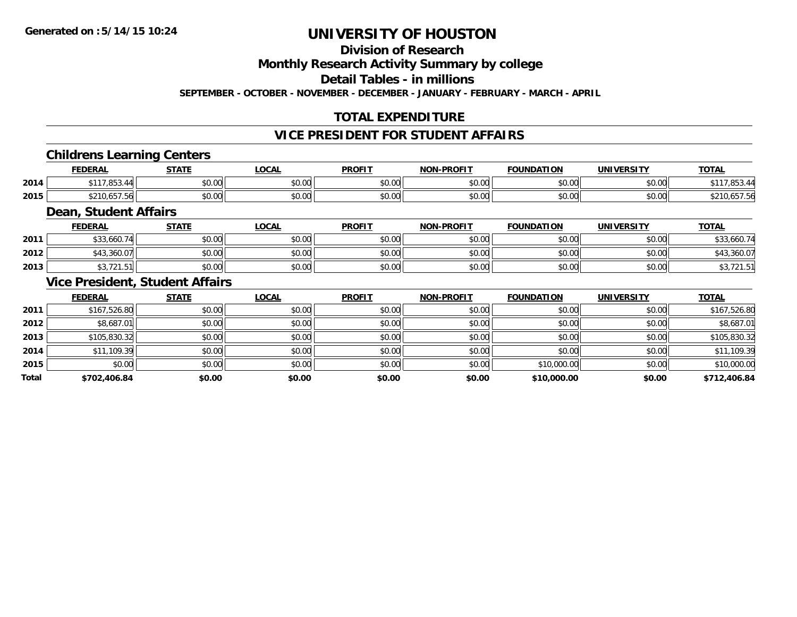## **Division of Research**

**Monthly Research Activity Summary by college**

**Detail Tables - in millions**

**SEPTEMBER - OCTOBER - NOVEMBER - DECEMBER - JANUARY - FEBRUARY - MARCH - APRIL**

## **TOTAL EXPENDITURE**

### **VICE PRESIDENT FOR STUDENT AFFAIRS**

### **Childrens Learning Centers**

|      | <b>FEDERAL</b>        | <b>CTATE</b>  | <b>OCAL</b>   | <b>PROFIT</b>          | <b>NON-PROFIT</b> | <b>FOUNDATION</b>        | UNIVERSITY<br>≈кэг | <b>TOTAL</b> |
|------|-----------------------|---------------|---------------|------------------------|-------------------|--------------------------|--------------------|--------------|
| 2014 | $- - -$<br>0.117<br>. | 0000<br>DU.UG | 0.00<br>pu.uu | $\sim$ $\sim$<br>vu.vu | 0000<br>ง∪.∪บ     | $n \cap \Omega$<br>pu.uu | \$0.00             |              |
| 2015 | 0.01C<br>- 19.997     | 0000<br>DU.UG | 0.00<br>JU.UU | $\sim$ $\sim$<br>JU.UU | 0000<br>\$U.UU    | \$0.00                   | \$0.00             | 10.007.00    |

#### **Dean, Student Affairs**

|      | <b>FEDERAL</b>         | <b>STATE</b> | <b>OCAL</b> | <b>PROFIT</b> | <b>NON-PROFIT</b> | <b>FOUNDATION</b> | UNIVERSITY<br>. 63. | <b>TOTAL</b> |
|------|------------------------|--------------|-------------|---------------|-------------------|-------------------|---------------------|--------------|
| 2011 | \$33,660.74            | \$0.00       | \$0.00      | \$0.00        | \$0.00            | \$0.00            | \$0.00              | \$33,660.74  |
| 2012 | ™43,360.07             | \$0.00       | \$0.00      | \$0.00        | \$0.00            | \$0.00            | \$0.00              | 360.07       |
| 2013 | $A$ $A$<br>\$3,721.511 | \$0.00       | \$0.00      | \$0.00        | \$0.00            | \$0.00            | \$0.00              | . ت          |

#### **Vice President, Student Affairs**

|       | <b>FEDERAL</b> | <b>STATE</b> | LOCAL  | <b>PROFIT</b> | <b>NON-PROFIT</b> | <b>FOUNDATION</b> | <b>UNIVERSITY</b> | <b>TOTAL</b> |
|-------|----------------|--------------|--------|---------------|-------------------|-------------------|-------------------|--------------|
| 2011  | \$167,526.80   | \$0.00       | \$0.00 | \$0.00        | \$0.00            | \$0.00            | \$0.00            | \$167,526.80 |
| 2012  | \$8,687.01     | \$0.00       | \$0.00 | \$0.00        | \$0.00            | \$0.00            | \$0.00            | \$8,687.01   |
| 2013  | \$105,830.32   | \$0.00       | \$0.00 | \$0.00        | \$0.00            | \$0.00            | \$0.00            | \$105,830.32 |
| 2014  | \$11,109.39    | \$0.00       | \$0.00 | \$0.00        | \$0.00            | \$0.00            | \$0.00            | \$11,109.39  |
| 2015  | \$0.00         | \$0.00       | \$0.00 | \$0.00        | \$0.00            | \$10,000.00       | \$0.00            | \$10,000.00  |
| Total | \$702,406.84   | \$0.00       | \$0.00 | \$0.00        | \$0.00            | \$10,000.00       | \$0.00            | \$712,406.84 |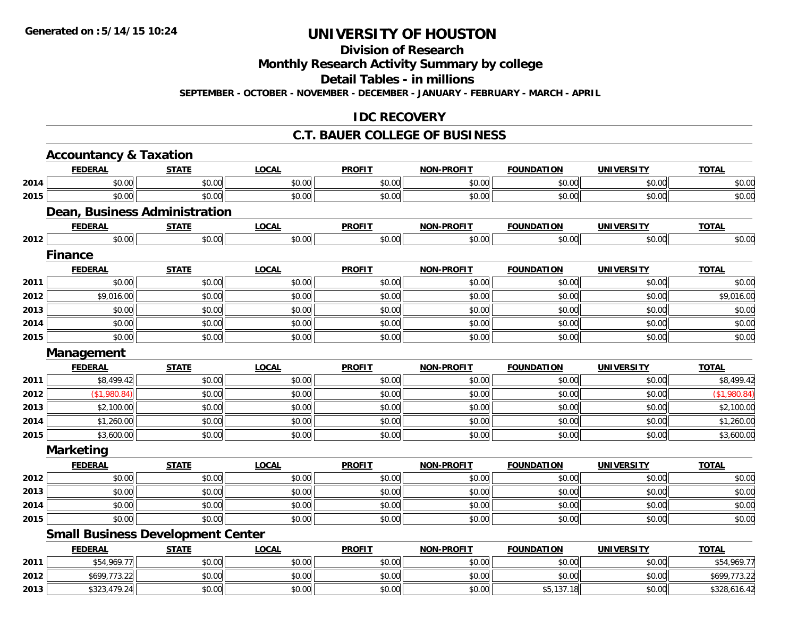#### **Division of Research**

**Monthly Research Activity Summary by college**

**Detail Tables - in millions**

**SEPTEMBER - OCTOBER - NOVEMBER - DECEMBER - JANUARY - FEBRUARY - MARCH - APRIL**

### **IDC RECOVERY**

#### **C.T. BAUER COLLEGE OF BUSINESS**

|      | <b>Accountancy &amp; Taxation</b> |                                          |              |               |                   |                   |                   |              |
|------|-----------------------------------|------------------------------------------|--------------|---------------|-------------------|-------------------|-------------------|--------------|
|      | <b>FEDERAL</b>                    | <b>STATE</b>                             | <b>LOCAL</b> | <b>PROFIT</b> | <b>NON-PROFIT</b> | <b>FOUNDATION</b> | <b>UNIVERSITY</b> | <b>TOTAL</b> |
| 2014 | \$0.00                            | \$0.00                                   | \$0.00       | \$0.00        | \$0.00            | \$0.00            | \$0.00            | \$0.00       |
| 2015 | \$0.00                            | \$0.00                                   | \$0.00       | \$0.00        | \$0.00            | \$0.00            | \$0.00            | \$0.00       |
|      |                                   | Dean, Business Administration            |              |               |                   |                   |                   |              |
|      | <b>FEDERAL</b>                    | <b>STATE</b>                             | <b>LOCAL</b> | <b>PROFIT</b> | <b>NON-PROFIT</b> | <b>FOUNDATION</b> | <b>UNIVERSITY</b> | <b>TOTAL</b> |
| 2012 | \$0.00                            | \$0.00                                   | \$0.00       | \$0.00        | \$0.00            | \$0.00            | \$0.00            | \$0.00       |
|      | <b>Finance</b>                    |                                          |              |               |                   |                   |                   |              |
|      | <b>FEDERAL</b>                    | <b>STATE</b>                             | <b>LOCAL</b> | <b>PROFIT</b> | <b>NON-PROFIT</b> | <b>FOUNDATION</b> | <b>UNIVERSITY</b> | <b>TOTAL</b> |
| 2011 | \$0.00                            | \$0.00                                   | \$0.00       | \$0.00        | \$0.00            | \$0.00            | \$0.00            | \$0.00       |
| 2012 | \$9,016.00                        | \$0.00                                   | \$0.00       | \$0.00        | \$0.00            | \$0.00            | \$0.00            | \$9,016.00   |
| 2013 | \$0.00                            | \$0.00                                   | \$0.00       | \$0.00        | \$0.00            | \$0.00            | \$0.00            | \$0.00       |
| 2014 | \$0.00                            | \$0.00                                   | \$0.00       | \$0.00        | \$0.00            | \$0.00            | \$0.00            | \$0.00       |
| 2015 | \$0.00                            | \$0.00                                   | \$0.00       | \$0.00        | \$0.00            | \$0.00            | \$0.00            | \$0.00       |
|      | Management                        |                                          |              |               |                   |                   |                   |              |
|      | <b>FEDERAL</b>                    | <b>STATE</b>                             | <b>LOCAL</b> | <b>PROFIT</b> | <b>NON-PROFIT</b> | <b>FOUNDATION</b> | <b>UNIVERSITY</b> | <b>TOTAL</b> |
| 2011 | \$8,499.42                        | \$0.00                                   | \$0.00       | \$0.00        | \$0.00            | \$0.00            | \$0.00            | \$8,499.42   |
| 2012 | (\$1,980.84)                      | \$0.00                                   | \$0.00       | \$0.00        | \$0.00            | \$0.00            | \$0.00            | (\$1,980.84) |
| 2013 | \$2,100.00                        | \$0.00                                   | \$0.00       | \$0.00        | \$0.00            | \$0.00            | \$0.00            | \$2,100.00   |
| 2014 | \$1,260.00                        | \$0.00                                   | \$0.00       | \$0.00        | \$0.00            | \$0.00            | \$0.00            | \$1,260.00   |
| 2015 | \$3,600.00                        | \$0.00                                   | \$0.00       | \$0.00        | \$0.00            | \$0.00            | \$0.00            | \$3,600.00   |
|      | <b>Marketing</b>                  |                                          |              |               |                   |                   |                   |              |
|      | <b>FEDERAL</b>                    | <b>STATE</b>                             | <b>LOCAL</b> | <b>PROFIT</b> | <b>NON-PROFIT</b> | <b>FOUNDATION</b> | <b>UNIVERSITY</b> | <b>TOTAL</b> |
| 2012 | \$0.00                            | \$0.00                                   | \$0.00       | \$0.00        | \$0.00            | \$0.00            | \$0.00            | \$0.00       |
| 2013 | \$0.00                            | \$0.00                                   | \$0.00       | \$0.00        | \$0.00            | \$0.00            | \$0.00            | \$0.00       |
| 2014 | \$0.00                            | \$0.00                                   | \$0.00       | \$0.00        | \$0.00            | \$0.00            | \$0.00            | \$0.00       |
| 2015 | \$0.00                            | \$0.00                                   | \$0.00       | \$0.00        | \$0.00            | \$0.00            | \$0.00            | \$0.00       |
|      |                                   | <b>Small Business Development Center</b> |              |               |                   |                   |                   |              |
|      | <b>FEDERAL</b>                    | <b>STATE</b>                             | <b>LOCAL</b> | <b>PROFIT</b> | <b>NON-PROFIT</b> | <b>FOUNDATION</b> | <b>UNIVERSITY</b> | <b>TOTAL</b> |
| 2011 | \$54,969.77                       | \$0.00                                   | \$0.00       | \$0.00        | \$0.00            | \$0.00            | \$0.00            | \$54,969.77  |
| 2012 | \$699,773.22                      | \$0.00                                   | \$0.00       | \$0.00        | \$0.00            | \$0.00            | \$0.00            | \$699,773.22 |
| 2013 | \$323,479.24                      | \$0.00                                   | \$0.00       | \$0.00        | \$0.00            | \$5,137.18        | \$0.00            | \$328,616.42 |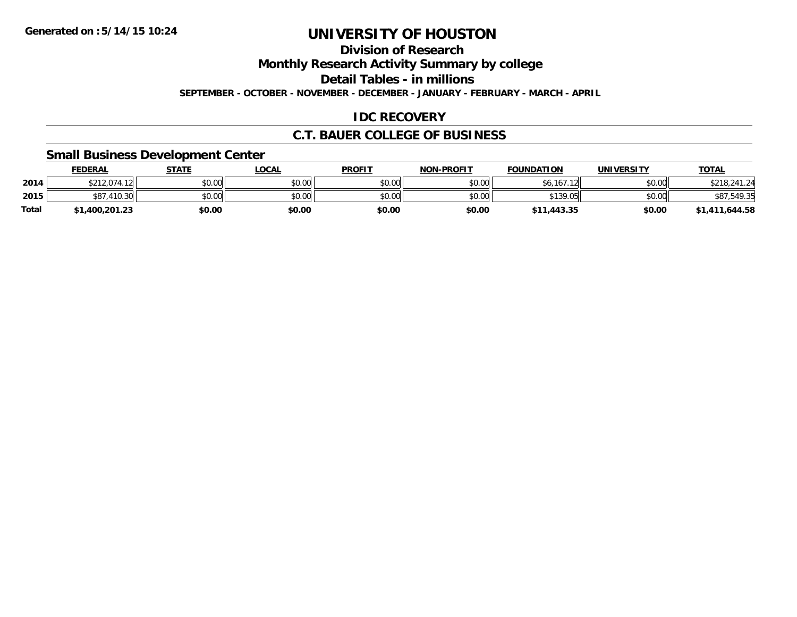**Division of Research**

**Monthly Research Activity Summary by college**

**Detail Tables - in millions**

**SEPTEMBER - OCTOBER - NOVEMBER - DECEMBER - JANUARY - FEBRUARY - MARCH - APRIL**

## **IDC RECOVERY**

### **C.T. BAUER COLLEGE OF BUSINESS**

### **Small Business Development Center**

|              | <b>FEDERAL</b> | <b>STATE</b> | LOCAL  | <b>PROFIT</b> | <b>NON-PROFIT</b> | <b>FOUNDATION</b>  | <b>UNIVERSITY</b> | <u>TOTAL</u>   |
|--------------|----------------|--------------|--------|---------------|-------------------|--------------------|-------------------|----------------|
| 2014         | \$212,074.12   | \$0.00       | \$0.00 | \$0.00        | \$0.00            | 1/7.10<br>\$6,167. | \$0.00            | \$218,241.24   |
| 2015         | .410.30        | \$0.00       | \$0.00 | \$0.00        | \$0.00            | \$139.05           | \$0.00            | \$87,549.35    |
| <b>Total</b> | \$1,400,201.23 | \$0.00       | \$0.00 | \$0.00        | \$0.00            | \$11,443.35        | \$0.00            | \$1,411,644.58 |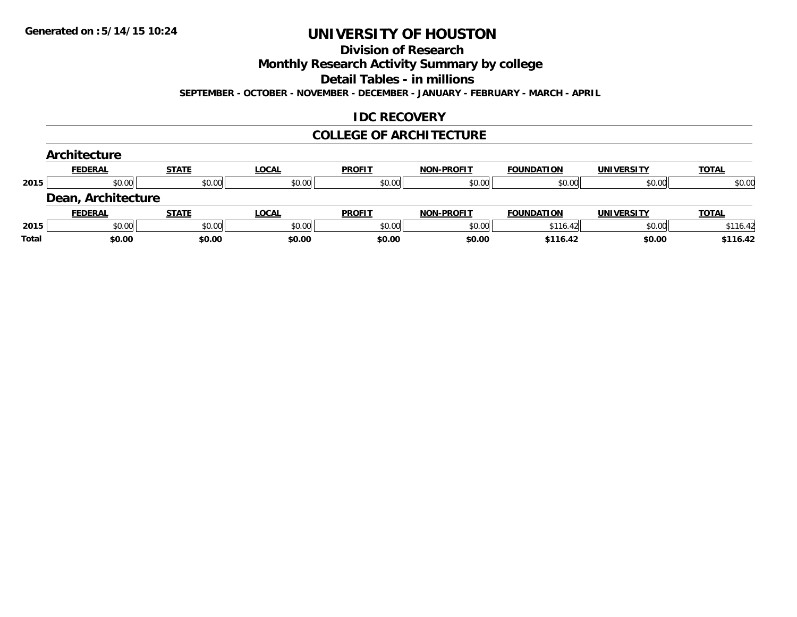#### **Division of Research**

**Monthly Research Activity Summary by college**

**Detail Tables - in millions**

**SEPTEMBER - OCTOBER - NOVEMBER - DECEMBER - JANUARY - FEBRUARY - MARCH - APRIL**

### **IDC RECOVERY**

#### **COLLEGE OF ARCHITECTURE**

|       | Architecture       |              |              |               |                   |                   |                   |              |
|-------|--------------------|--------------|--------------|---------------|-------------------|-------------------|-------------------|--------------|
|       | <b>FEDERAL</b>     | <b>STATE</b> | <b>LOCAL</b> | <b>PROFIT</b> | <b>NON-PROFIT</b> | <b>FOUNDATION</b> | <b>UNIVERSITY</b> | <b>TOTAL</b> |
| 2015  | \$0.00             | \$0.00       | \$0.00       | \$0.00        | \$0.00            | \$0.00            | \$0.00            | \$0.00       |
|       | Dean, Architecture |              |              |               |                   |                   |                   |              |
|       | <b>FEDERAL</b>     | <b>STATE</b> | <b>LOCAL</b> | <b>PROFIT</b> | <b>NON-PROFIT</b> | <b>FOUNDATION</b> | <b>UNIVERSITY</b> | <b>TOTAL</b> |
| 2015  | \$0.00             | \$0.00       | \$0.00       | \$0.00        | \$0.00            | \$116.42          | \$0.00            | \$116.42     |
| Total | \$0.00             | \$0.00       | \$0.00       | \$0.00        | \$0.00            | \$116.42          | \$0.00            | \$116.42     |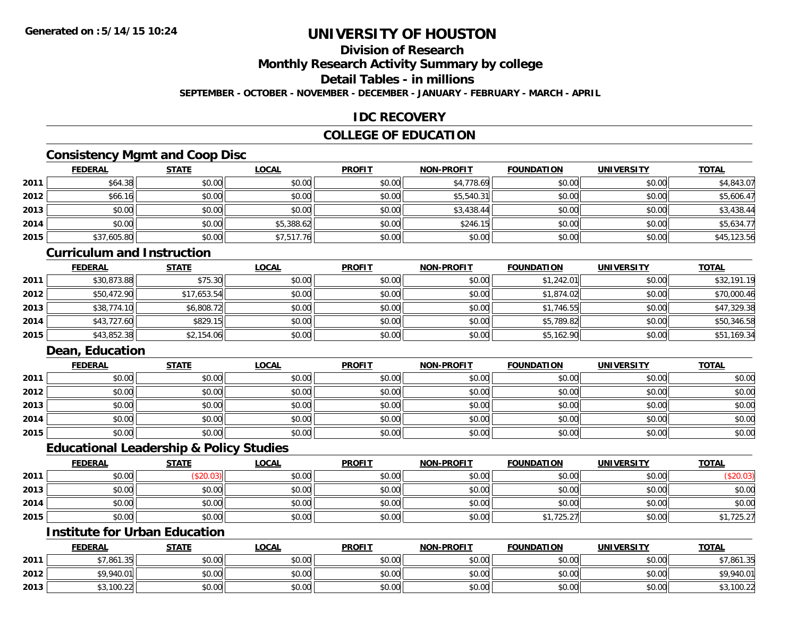## **Division of Research**

**Monthly Research Activity Summary by college**

**Detail Tables - in millions**

**SEPTEMBER - OCTOBER - NOVEMBER - DECEMBER - JANUARY - FEBRUARY - MARCH - APRIL**

### **IDC RECOVERY**

### **COLLEGE OF EDUCATION**

## **Consistency Mgmt and Coop Disc**

|      | <b>FEDERAL</b> | <b>STATE</b> | <u>LOCAL</u> | <b>PROFIT</b> | <b>NON-PROFIT</b> | <b>FOUNDATION</b> | <b>UNIVERSITY</b> | <b>TOTAL</b> |
|------|----------------|--------------|--------------|---------------|-------------------|-------------------|-------------------|--------------|
| 2011 | \$64.38        | \$0.00       | \$0.00       | \$0.00        | \$4,778.69        | \$0.00            | \$0.00            | \$4,843.07   |
| 2012 | \$66.16        | \$0.00       | \$0.00       | \$0.00        | \$5,540.31        | \$0.00            | \$0.00            | \$5,606.47   |
| 2013 | \$0.00         | \$0.00       | \$0.00       | \$0.00        | \$3,438.44        | \$0.00            | \$0.00            | \$3,438.44   |
| 2014 | \$0.00         | \$0.00       | \$5,388.62   | \$0.00        | \$246.15          | \$0.00            | \$0.00            | \$5,634.77   |
| 2015 | \$37,605.80    | \$0.00       | \$7,517.76   | \$0.00        | \$0.00            | \$0.00            | \$0.00            | \$45,123.56  |

#### **Curriculum and Instruction**

|      | <u>FEDERAL</u> | <b>STATE</b> | <b>LOCAL</b> | <b>PROFIT</b> | <b>NON-PROFIT</b> | <b>FOUNDATION</b> | <b>UNIVERSITY</b> | <b>TOTAL</b> |
|------|----------------|--------------|--------------|---------------|-------------------|-------------------|-------------------|--------------|
| 2011 | \$30,873.88    | \$75.30      | \$0.00       | \$0.00        | \$0.00            | \$1,242.01        | \$0.00            | \$32,191.19  |
| 2012 | \$50,472.90    | \$17.653.54  | \$0.00       | \$0.00        | \$0.00            | \$1,874.02        | \$0.00            | \$70,000.46  |
| 2013 | \$38,774.10    | \$6,808.72   | \$0.00       | \$0.00        | \$0.00            | \$1,746.55        | \$0.00            | \$47,329.38  |
| 2014 | \$43,727.60    | \$829.15     | \$0.00       | \$0.00        | \$0.00            | \$5,789.82        | \$0.00            | \$50,346.58  |
| 2015 | \$43,852.38    | \$2,154.06   | \$0.00       | \$0.00        | \$0.00            | \$5,162.90        | \$0.00            | \$51,169.34  |

# **Dean, Education**

|      | <b>FEDERAL</b> | <b>STATE</b> | <b>LOCAL</b> | <b>PROFIT</b> | <b>NON-PROFIT</b> | <b>FOUNDATION</b> | <b>UNIVERSITY</b> | <b>TOTAL</b> |
|------|----------------|--------------|--------------|---------------|-------------------|-------------------|-------------------|--------------|
| 2011 | \$0.00         | \$0.00       | \$0.00       | \$0.00        | \$0.00            | \$0.00            | \$0.00            | \$0.00       |
| 2012 | \$0.00         | \$0.00       | \$0.00       | \$0.00        | \$0.00            | \$0.00            | \$0.00            | \$0.00       |
| 2013 | \$0.00         | \$0.00       | \$0.00       | \$0.00        | \$0.00            | \$0.00            | \$0.00            | \$0.00       |
| 2014 | \$0.00         | \$0.00       | \$0.00       | \$0.00        | \$0.00            | \$0.00            | \$0.00            | \$0.00       |
| 2015 | \$0.00         | \$0.00       | \$0.00       | \$0.00        | \$0.00            | \$0.00            | \$0.00            | \$0.00       |

### **Educational Leadership & Policy Studies**

|      | <b>FEDERAL</b> | <b>STATE</b> | <b>LOCAL</b> | <b>PROFIT</b> | <b>NON-PROFIT</b> | <b>FOUNDATION</b> | <b>UNIVERSITY</b> | <b>TOTAL</b> |
|------|----------------|--------------|--------------|---------------|-------------------|-------------------|-------------------|--------------|
| 2011 | \$0.00         |              | \$0.00       | \$0.00        | \$0.00            | \$0.00            | \$0.00            | \$20.03)     |
| 2013 | \$0.00         | \$0.00       | \$0.00       | \$0.00        | \$0.00            | \$0.00            | \$0.00            | \$0.00       |
| 2014 | \$0.00         | \$0.00       | \$0.00       | \$0.00        | \$0.00            | \$0.00            | \$0.00            | \$0.00       |
| 2015 | \$0.00         | \$0.00       | \$0.00       | \$0.00        | \$0.00            | \$1,725.27        | \$0.00            | ,1,725.27    |

### **Institute for Urban Education**

|      | <b>FEDERAL</b>       | <b>STATE</b> | <u>LOCAL</u> | <b>PROFIT</b> | <b>NON-PROFIT</b> | <b>FOUNDATION</b> | UNIVERSITY | <b>TOTAL</b> |
|------|----------------------|--------------|--------------|---------------|-------------------|-------------------|------------|--------------|
| 2011 | \$7,861.3ა<br>่ 25 เ | \$0.00       | \$0.00       | \$0.00        | \$0.00            | \$0.00            | \$0.00     | \$7,861.35   |
| 2012 | \$9,940.01           | \$0.00       | \$0.00       | \$0.00        | \$0.00            | \$0.00            | \$0.00     | \$9,940.01   |
| 2013 | \$3,100.22           | \$0.00       | \$0.00       | \$0.00        | \$0.00            | \$0.00            | \$0.00     | \$3,100.22   |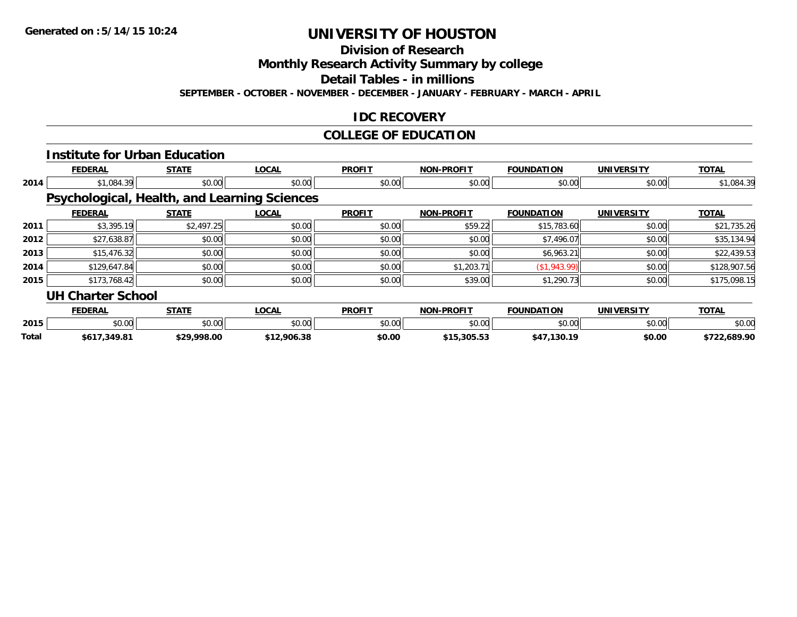**Division of Research**

**Monthly Research Activity Summary by college**

**Detail Tables - in millions**

**SEPTEMBER - OCTOBER - NOVEMBER - DECEMBER - JANUARY - FEBRUARY - MARCH - APRIL**

### **IDC RECOVERY**

## **COLLEGE OF EDUCATION**

|       |                                                     | <b>Institute for Urban Education</b> |              |               |                   |                   |                   |              |
|-------|-----------------------------------------------------|--------------------------------------|--------------|---------------|-------------------|-------------------|-------------------|--------------|
|       | <b>FEDERAL</b>                                      | <b>STATE</b>                         | <b>LOCAL</b> | <b>PROFIT</b> | <b>NON-PROFIT</b> | <b>FOUNDATION</b> | <b>UNIVERSITY</b> | <b>TOTAL</b> |
| 2014  | \$1,084.39                                          | \$0.00                               | \$0.00       | \$0.00        | \$0.00            | \$0.00            | \$0.00            | \$1,084.39   |
|       | <b>Psychological, Health, and Learning Sciences</b> |                                      |              |               |                   |                   |                   |              |
|       | <b>FEDERAL</b>                                      | <b>STATE</b>                         | <b>LOCAL</b> | <b>PROFIT</b> | <b>NON-PROFIT</b> | <b>FOUNDATION</b> | <b>UNIVERSITY</b> | <b>TOTAL</b> |
| 2011  | \$3,395.19                                          | \$2,497.25                           | \$0.00       | \$0.00        | \$59.22           | \$15,783.60       | \$0.00            | \$21,735.26  |
| 2012  | \$27,638.87                                         | \$0.00                               | \$0.00       | \$0.00        | \$0.00            | \$7,496.07        | \$0.00            | \$35,134.94  |
| 2013  | \$15,476.32                                         | \$0.00                               | \$0.00       | \$0.00        | \$0.00            | \$6,963.21        | \$0.00            | \$22,439.53  |
| 2014  | \$129,647.84                                        | \$0.00                               | \$0.00       | \$0.00        | \$1,203.71        | (\$1,943.99)      | \$0.00            | \$128,907.56 |
| 2015  | \$173,768.42                                        | \$0.00                               | \$0.00       | \$0.00        | \$39.00           | \$1,290.73        | \$0.00            | \$175,098.15 |
|       | <b>UH Charter School</b>                            |                                      |              |               |                   |                   |                   |              |
|       | <b>FEDERAL</b>                                      | <b>STATE</b>                         | <b>LOCAL</b> | <b>PROFIT</b> | <b>NON-PROFIT</b> | <b>FOUNDATION</b> | <b>UNIVERSITY</b> | <b>TOTAL</b> |
| 2015  | \$0.00                                              | \$0.00                               | \$0.00       | \$0.00        | \$0.00            | \$0.00            | \$0.00            | \$0.00       |
| Total | \$617,349.81                                        | \$29,998.00                          | \$12,906.38  | \$0.00        | \$15,305.53       | \$47,130.19       | \$0.00            | \$722,689.90 |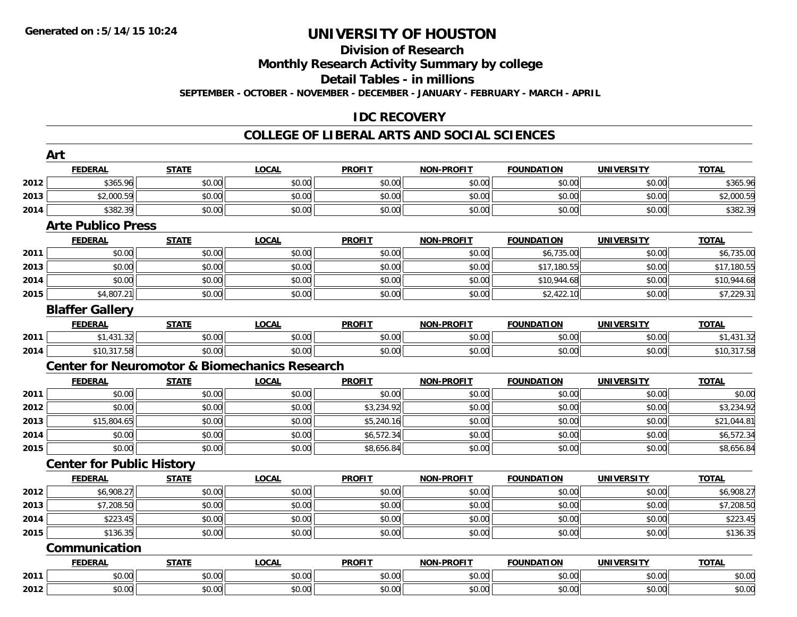#### **Division of Research**

**Monthly Research Activity Summary by college**

**Detail Tables - in millions**

**SEPTEMBER - OCTOBER - NOVEMBER - DECEMBER - JANUARY - FEBRUARY - MARCH - APRIL**

### **IDC RECOVERY**

|      | Art                              |                                                          |              |               |                   |                   |                   |              |
|------|----------------------------------|----------------------------------------------------------|--------------|---------------|-------------------|-------------------|-------------------|--------------|
|      | <b>FEDERAL</b>                   | <b>STATE</b>                                             | <b>LOCAL</b> | <b>PROFIT</b> | <b>NON-PROFIT</b> | <b>FOUNDATION</b> | <b>UNIVERSITY</b> | <b>TOTAL</b> |
| 2012 | \$365.96                         | \$0.00                                                   | \$0.00       | \$0.00        | \$0.00            | \$0.00            | \$0.00            | \$365.96     |
| 2013 | \$2,000.59                       | \$0.00                                                   | \$0.00       | \$0.00        | \$0.00            | \$0.00            | \$0.00            | \$2,000.59   |
| 2014 | \$382.39                         | \$0.00                                                   | \$0.00       | \$0.00        | \$0.00            | \$0.00            | \$0.00            | \$382.39     |
|      | <b>Arte Publico Press</b>        |                                                          |              |               |                   |                   |                   |              |
|      | <b>FEDERAL</b>                   | <b>STATE</b>                                             | <b>LOCAL</b> | <b>PROFIT</b> | <b>NON-PROFIT</b> | <b>FOUNDATION</b> | <b>UNIVERSITY</b> | <b>TOTAL</b> |
| 2011 | \$0.00                           | \$0.00                                                   | \$0.00       | \$0.00        | \$0.00            | \$6,735.00        | \$0.00            | \$6,735.00   |
| 2013 | \$0.00                           | \$0.00                                                   | \$0.00       | \$0.00        | \$0.00            | \$17,180.55       | \$0.00            | \$17,180.55  |
| 2014 | \$0.00                           | \$0.00                                                   | \$0.00       | \$0.00        | \$0.00            | \$10,944.68       | \$0.00            | \$10,944.68  |
| 2015 | \$4,807.21                       | \$0.00                                                   | \$0.00       | \$0.00        | \$0.00            | \$2,422.10        | \$0.00            | \$7,229.31   |
|      | <b>Blaffer Gallery</b>           |                                                          |              |               |                   |                   |                   |              |
|      | <b>FEDERAL</b>                   | <b>STATE</b>                                             | <b>LOCAL</b> | <b>PROFIT</b> | <b>NON-PROFIT</b> | <b>FOUNDATION</b> | <b>UNIVERSITY</b> | <b>TOTAL</b> |
| 2011 | \$1,431.32                       | \$0.00                                                   | \$0.00       | \$0.00        | \$0.00            | \$0.00            | \$0.00            | \$1,431.32   |
| 2014 | \$10,317.58                      | \$0.00                                                   | \$0.00       | \$0.00        | \$0.00            | \$0.00            | \$0.00            | \$10,317.58  |
|      |                                  | <b>Center for Neuromotor &amp; Biomechanics Research</b> |              |               |                   |                   |                   |              |
|      | <b>FEDERAL</b>                   | <b>STATE</b>                                             | <b>LOCAL</b> | <b>PROFIT</b> | <b>NON-PROFIT</b> | <b>FOUNDATION</b> | <b>UNIVERSITY</b> | <b>TOTAL</b> |
| 2011 | \$0.00                           | \$0.00                                                   | \$0.00       | \$0.00        | \$0.00            | \$0.00            | \$0.00            | \$0.00       |
| 2012 | \$0.00                           | \$0.00                                                   | \$0.00       | \$3,234.92    | \$0.00            | \$0.00            | \$0.00            | \$3,234.92   |
| 2013 | \$15,804.65                      | \$0.00                                                   | \$0.00       | \$5,240.16    | \$0.00            | \$0.00            | \$0.00            | \$21,044.81  |
| 2014 | \$0.00                           | \$0.00                                                   | \$0.00       | \$6,572.34    | \$0.00            | \$0.00            | \$0.00            | \$6,572.34   |
| 2015 | \$0.00                           | \$0.00                                                   | \$0.00       | \$8,656.84    | \$0.00            | \$0.00            | \$0.00            | \$8,656.84   |
|      | <b>Center for Public History</b> |                                                          |              |               |                   |                   |                   |              |
|      | <b>FEDERAL</b>                   | <b>STATE</b>                                             | <b>LOCAL</b> | <b>PROFIT</b> | <b>NON-PROFIT</b> | <b>FOUNDATION</b> | <b>UNIVERSITY</b> | <b>TOTAL</b> |
| 2012 | \$6,908.27                       | \$0.00                                                   | \$0.00       | \$0.00        | \$0.00            | \$0.00            | \$0.00            | \$6,908.27   |
| 2013 | \$7,208.50                       | \$0.00                                                   | \$0.00       | \$0.00        | \$0.00            | \$0.00            | \$0.00            | \$7,208.50   |
| 2014 | \$223.45                         | \$0.00                                                   | \$0.00       | \$0.00        | \$0.00            | \$0.00            | \$0.00            | \$223.45     |
| 2015 | \$136.35                         | \$0.00                                                   | \$0.00       | \$0.00        | \$0.00            | \$0.00            | \$0.00            | \$136.35     |
|      | Communication                    |                                                          |              |               |                   |                   |                   |              |
|      | <b>FEDERAL</b>                   | <b>STATE</b>                                             | <b>LOCAL</b> | <b>PROFIT</b> | <b>NON-PROFIT</b> | <b>FOUNDATION</b> | <b>UNIVERSITY</b> | <b>TOTAL</b> |
| 2011 | \$0.00                           | \$0.00                                                   | \$0.00       | \$0.00        | \$0.00            | \$0.00            | \$0.00            | \$0.00       |
| 2012 | \$0.00                           | \$0.00                                                   | \$0.00       | \$0.00        | \$0.00            | \$0.00            | \$0.00            | \$0.00       |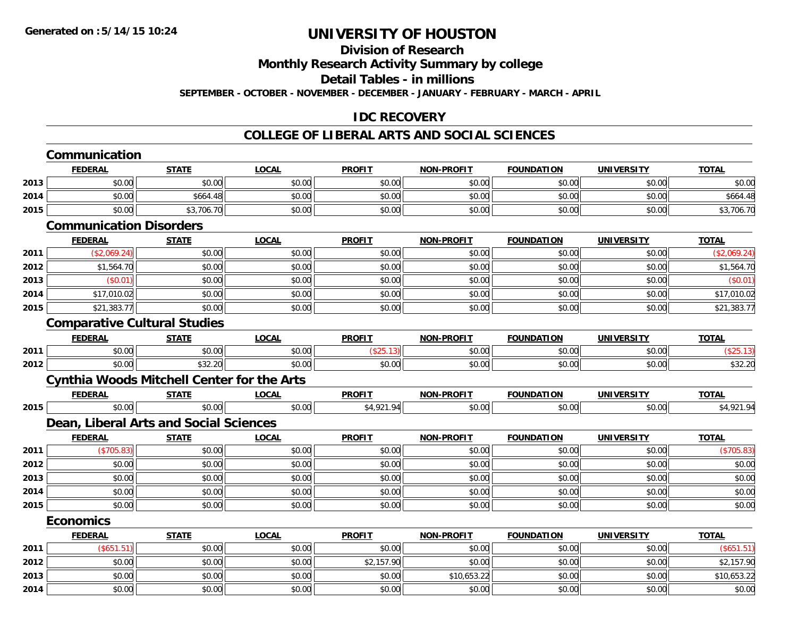## **Division of Research**

**Monthly Research Activity Summary by college**

**Detail Tables - in millions**

**SEPTEMBER - OCTOBER - NOVEMBER - DECEMBER - JANUARY - FEBRUARY - MARCH - APRIL**

### **IDC RECOVERY**

|      | Communication                                     |              |              |               |                   |                   |                   |              |
|------|---------------------------------------------------|--------------|--------------|---------------|-------------------|-------------------|-------------------|--------------|
|      | <b>FEDERAL</b>                                    | <b>STATE</b> | <b>LOCAL</b> | <b>PROFIT</b> | <b>NON-PROFIT</b> | <b>FOUNDATION</b> | <b>UNIVERSITY</b> | <b>TOTAL</b> |
| 2013 | \$0.00                                            | \$0.00       | \$0.00       | \$0.00        | \$0.00            | \$0.00            | \$0.00            | \$0.00       |
| 2014 | \$0.00                                            | \$664.48     | \$0.00       | \$0.00        | \$0.00            | \$0.00            | \$0.00            | \$664.48     |
| 2015 | \$0.00                                            | \$3,706.70   | \$0.00       | \$0.00        | \$0.00            | \$0.00            | \$0.00            | \$3,706.70   |
|      | <b>Communication Disorders</b>                    |              |              |               |                   |                   |                   |              |
|      | <b>FEDERAL</b>                                    | <b>STATE</b> | <b>LOCAL</b> | <b>PROFIT</b> | <b>NON-PROFIT</b> | <b>FOUNDATION</b> | <b>UNIVERSITY</b> | <b>TOTAL</b> |
| 2011 | (\$2,069.24)                                      | \$0.00       | \$0.00       | \$0.00        | \$0.00            | \$0.00            | \$0.00            | (\$2,069.24) |
| 2012 | \$1,564.70                                        | \$0.00       | \$0.00       | \$0.00        | \$0.00            | \$0.00            | \$0.00            | \$1,564.70   |
| 2013 | (\$0.01)                                          | \$0.00       | \$0.00       | \$0.00        | \$0.00            | \$0.00            | \$0.00            | (\$0.01)     |
| 2014 | \$17,010.02                                       | \$0.00       | \$0.00       | \$0.00        | \$0.00            | \$0.00            | \$0.00            | \$17,010.02  |
| 2015 | \$21,383.77                                       | \$0.00       | \$0.00       | \$0.00        | \$0.00            | \$0.00            | \$0.00            | \$21,383.77  |
|      | <b>Comparative Cultural Studies</b>               |              |              |               |                   |                   |                   |              |
|      | <b>FEDERAL</b>                                    | <b>STATE</b> | <b>LOCAL</b> | <b>PROFIT</b> | <b>NON-PROFIT</b> | <b>FOUNDATION</b> | <b>UNIVERSITY</b> | <b>TOTAL</b> |
| 2011 | \$0.00                                            | \$0.00       | \$0.00       | (\$25.13)     | \$0.00            | \$0.00            | \$0.00            | (\$25.13)    |
| 2012 | \$0.00                                            | \$32.20      | \$0.00       | \$0.00        | \$0.00            | \$0.00            | \$0.00            | \$32.20      |
|      | <b>Cynthia Woods Mitchell Center for the Arts</b> |              |              |               |                   |                   |                   |              |
|      | <b>FEDERAL</b>                                    | <b>STATE</b> | <b>LOCAL</b> | <b>PROFIT</b> | NON-PROFIT        | <b>FOUNDATION</b> | <b>UNIVERSITY</b> | <b>TOTAL</b> |
| 2015 | \$0.00                                            | \$0.00       | \$0.00       | \$4,921.94    | \$0.00            | \$0.00            | \$0.00            | \$4,921.94   |
|      | Dean, Liberal Arts and Social Sciences            |              |              |               |                   |                   |                   |              |
|      | <b>FEDERAL</b>                                    | <b>STATE</b> | <b>LOCAL</b> | <b>PROFIT</b> | NON-PROFIT        | <b>FOUNDATION</b> | <b>UNIVERSITY</b> | <b>TOTAL</b> |
| 2011 | (\$705.83)                                        | \$0.00       | \$0.00       | \$0.00        | \$0.00            | \$0.00            | \$0.00            | (\$705.83)   |
| 2012 | \$0.00                                            | \$0.00       | \$0.00       | \$0.00        | \$0.00            | \$0.00            | \$0.00            | \$0.00       |
| 2013 | \$0.00                                            | \$0.00       | \$0.00       | \$0.00        | \$0.00            | \$0.00            | \$0.00            | \$0.00       |
| 2014 | \$0.00                                            | \$0.00       | \$0.00       | \$0.00        | \$0.00            | \$0.00            | \$0.00            | \$0.00       |
| 2015 | \$0.00                                            | \$0.00       | \$0.00       | \$0.00        | \$0.00            | \$0.00            | \$0.00            | \$0.00       |
|      | <b>Economics</b>                                  |              |              |               |                   |                   |                   |              |
|      | <b>FEDERAL</b>                                    | <b>STATE</b> | <b>LOCAL</b> | <b>PROFIT</b> | <b>NON-PROFIT</b> | <b>FOUNDATION</b> | <b>UNIVERSITY</b> | <b>TOTAL</b> |
| 2011 | (\$651.51)                                        | \$0.00       | \$0.00       | \$0.00        | \$0.00            | \$0.00            | \$0.00            | (\$651.51)   |
| 2012 | \$0.00                                            | \$0.00       | \$0.00       | \$2,157.90    | \$0.00            | \$0.00            | \$0.00            | \$2,157.90   |
| 2013 | \$0.00                                            | \$0.00       | \$0.00       | \$0.00        | \$10,653.22       | \$0.00            | \$0.00            | \$10,653.22  |
| 2014 | \$0.00                                            | \$0.00       | \$0.00       | \$0.00        | \$0.00            | \$0.00            | \$0.00            | \$0.00       |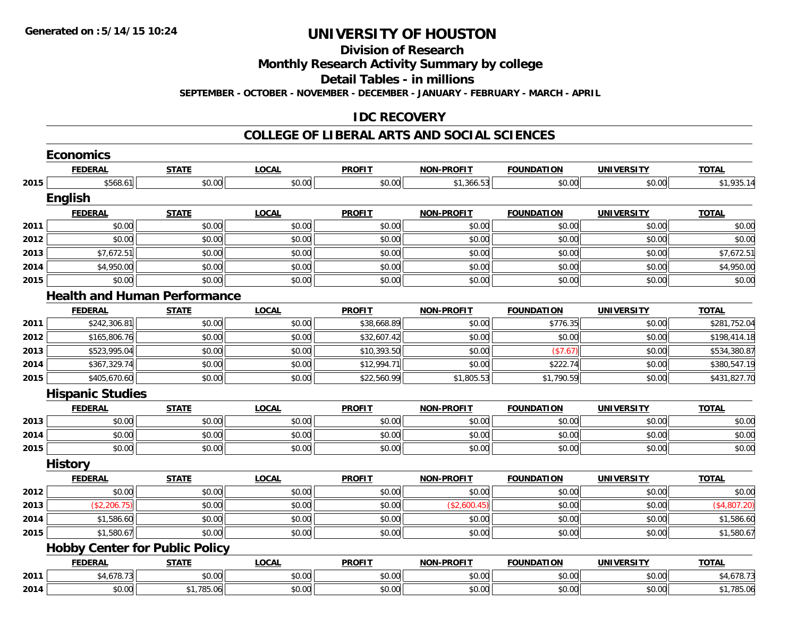**Division of Research**

**Monthly Research Activity Summary by college**

**Detail Tables - in millions**

**SEPTEMBER - OCTOBER - NOVEMBER - DECEMBER - JANUARY - FEBRUARY - MARCH - APRIL**

#### **IDC RECOVERY**

|      | <b>Economics</b>                      |              |              |               |                   |                   |                   |              |
|------|---------------------------------------|--------------|--------------|---------------|-------------------|-------------------|-------------------|--------------|
|      | <b>FEDERAL</b>                        | <b>STATE</b> | <b>LOCAL</b> | <b>PROFIT</b> | <b>NON-PROFIT</b> | <b>FOUNDATION</b> | <b>UNIVERSITY</b> | <b>TOTAL</b> |
| 2015 | \$568.61                              | \$0.00       | \$0.00       | \$0.00        | \$1,366.53        | \$0.00            | \$0.00            | \$1,935.14   |
|      | <b>English</b>                        |              |              |               |                   |                   |                   |              |
|      | <b>FEDERAL</b>                        | <b>STATE</b> | <b>LOCAL</b> | <b>PROFIT</b> | <b>NON-PROFIT</b> | <b>FOUNDATION</b> | <b>UNIVERSITY</b> | <b>TOTAL</b> |
| 2011 | \$0.00                                | \$0.00       | \$0.00       | \$0.00        | \$0.00            | \$0.00            | \$0.00            | \$0.00       |
| 2012 | \$0.00                                | \$0.00       | \$0.00       | \$0.00        | \$0.00            | \$0.00            | \$0.00            | \$0.00       |
| 2013 | \$7,672.51                            | \$0.00       | \$0.00       | \$0.00        | \$0.00            | \$0.00            | \$0.00            | \$7,672.51   |
| 2014 | \$4,950.00                            | \$0.00       | \$0.00       | \$0.00        | \$0.00            | \$0.00            | \$0.00            | \$4,950.00   |
| 2015 | \$0.00                                | \$0.00       | \$0.00       | \$0.00        | \$0.00            | \$0.00            | \$0.00            | \$0.00       |
|      | <b>Health and Human Performance</b>   |              |              |               |                   |                   |                   |              |
|      | <b>FEDERAL</b>                        | <b>STATE</b> | <b>LOCAL</b> | <b>PROFIT</b> | <b>NON-PROFIT</b> | <b>FOUNDATION</b> | <b>UNIVERSITY</b> | <b>TOTAL</b> |
| 2011 | \$242,306.81                          | \$0.00       | \$0.00       | \$38,668.89   | \$0.00            | \$776.35          | \$0.00            | \$281,752.04 |
| 2012 | \$165,806.76                          | \$0.00       | \$0.00       | \$32,607.42   | \$0.00            | \$0.00            | \$0.00            | \$198,414.18 |
| 2013 | \$523,995.04                          | \$0.00       | \$0.00       | \$10,393.50   | \$0.00            | (\$7.67)          | \$0.00            | \$534,380.87 |
| 2014 | \$367,329.74                          | \$0.00       | \$0.00       | \$12,994.71   | \$0.00            | \$222.74          | \$0.00            | \$380,547.19 |
| 2015 | \$405,670.60                          | \$0.00       | \$0.00       | \$22,560.99   | \$1,805.53        | \$1,790.59        | \$0.00            | \$431,827.70 |
|      | <b>Hispanic Studies</b>               |              |              |               |                   |                   |                   |              |
|      | <b>FEDERAL</b>                        | <b>STATE</b> | <b>LOCAL</b> | <b>PROFIT</b> | <b>NON-PROFIT</b> | <b>FOUNDATION</b> | <b>UNIVERSITY</b> | <b>TOTAL</b> |
| 2013 | \$0.00                                | \$0.00       | \$0.00       | \$0.00        | \$0.00            | \$0.00            | \$0.00            | \$0.00       |
| 2014 | \$0.00                                | \$0.00       | \$0.00       | \$0.00        | \$0.00            | \$0.00            | \$0.00            | \$0.00       |
| 2015 | \$0.00                                | \$0.00       | \$0.00       | \$0.00        | \$0.00            | \$0.00            | \$0.00            | \$0.00       |
|      | <b>History</b>                        |              |              |               |                   |                   |                   |              |
|      | <b>FEDERAL</b>                        | <b>STATE</b> | LOCAL        | <b>PROFIT</b> | <b>NON-PROFIT</b> | <b>FOUNDATION</b> | <b>UNIVERSITY</b> | <b>TOTAL</b> |
| 2012 | \$0.00                                | \$0.00       | \$0.00       | \$0.00        | \$0.00            | \$0.00            | \$0.00            | \$0.00       |
| 2013 | (\$2,206.75)                          | \$0.00       | \$0.00       | \$0.00        | (\$2,600.45)      | \$0.00            | \$0.00            | (\$4,807.20) |
| 2014 | \$1,586.60                            | \$0.00       | \$0.00       | \$0.00        | \$0.00            | \$0.00            | \$0.00            | \$1,586.60   |
| 2015 | \$1,580.67                            | \$0.00       | \$0.00       | \$0.00        | \$0.00            | \$0.00            | \$0.00            | \$1,580.67   |
|      | <b>Hobby Center for Public Policy</b> |              |              |               |                   |                   |                   |              |
|      | <b>FEDERAL</b>                        | <b>STATE</b> | <b>LOCAL</b> | <b>PROFIT</b> | <b>NON-PROFIT</b> | <b>FOUNDATION</b> | <b>UNIVERSITY</b> | <b>TOTAL</b> |
| 2011 | \$4,678.73                            | \$0.00       | \$0.00       | \$0.00        | \$0.00            | \$0.00            | \$0.00            | \$4,678.73   |
| 2014 | \$0.00                                | \$1,785.06   | \$0.00       | \$0.00        | \$0.00            | \$0.00            | \$0.00            | \$1,785.06   |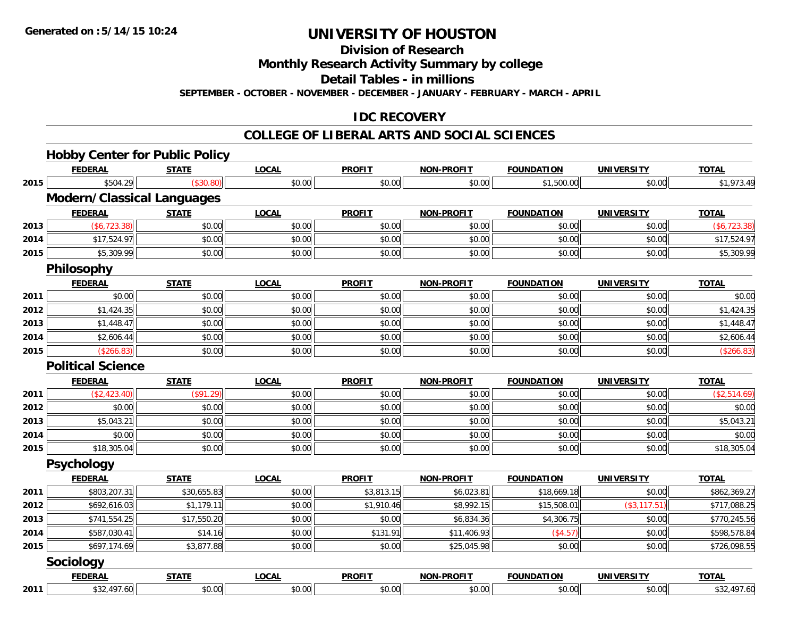**Division of Research**

**Monthly Research Activity Summary by college**

**Detail Tables - in millions**

**SEPTEMBER - OCTOBER - NOVEMBER - DECEMBER - JANUARY - FEBRUARY - MARCH - APRIL**

### **IDC RECOVERY**

|      | <b>Hobby Center for Public Policy</b> |              |              |               |                   |                   |                   |               |
|------|---------------------------------------|--------------|--------------|---------------|-------------------|-------------------|-------------------|---------------|
|      | <b>FEDERAL</b>                        | <b>STATE</b> | <b>LOCAL</b> | <b>PROFIT</b> | <b>NON-PROFIT</b> | <b>FOUNDATION</b> | <b>UNIVERSITY</b> | <b>TOTAL</b>  |
| 2015 | \$504.29                              | (\$30.80)    | \$0.00       | \$0.00        | \$0.00            | \$1,500.00        | \$0.00            | \$1,973.49    |
|      | <b>Modern/Classical Languages</b>     |              |              |               |                   |                   |                   |               |
|      | <b>FEDERAL</b>                        | <b>STATE</b> | <b>LOCAL</b> | <b>PROFIT</b> | <b>NON-PROFIT</b> | <b>FOUNDATION</b> | <b>UNIVERSITY</b> | <b>TOTAL</b>  |
| 2013 | (\$6,723.38)                          | \$0.00       | \$0.00       | \$0.00        | \$0.00            | \$0.00            | \$0.00            | (\$6, 723.38) |
| 2014 | \$17,524.97                           | \$0.00       | \$0.00       | \$0.00        | \$0.00            | \$0.00            | \$0.00            | \$17,524.97   |
| 2015 | \$5,309.99                            | \$0.00       | \$0.00       | \$0.00        | \$0.00            | \$0.00            | \$0.00            | \$5,309.99    |
|      | Philosophy                            |              |              |               |                   |                   |                   |               |
|      | <b>FEDERAL</b>                        | <b>STATE</b> | <b>LOCAL</b> | <b>PROFIT</b> | <b>NON-PROFIT</b> | <b>FOUNDATION</b> | <b>UNIVERSITY</b> | <b>TOTAL</b>  |
| 2011 | \$0.00                                | \$0.00       | \$0.00       | \$0.00        | \$0.00            | \$0.00            | \$0.00            | \$0.00        |
| 2012 | \$1,424.35                            | \$0.00       | \$0.00       | \$0.00        | \$0.00            | \$0.00            | \$0.00            | \$1,424.35    |
| 2013 | \$1,448.47                            | \$0.00       | \$0.00       | \$0.00        | \$0.00            | \$0.00            | \$0.00            | \$1,448.47    |
| 2014 | \$2,606.44                            | \$0.00       | \$0.00       | \$0.00        | \$0.00            | \$0.00            | \$0.00            | \$2,606.44    |
| 2015 | (\$266.83)                            | \$0.00       | \$0.00       | \$0.00        | \$0.00            | \$0.00            | \$0.00            | (\$266.83)    |
|      | <b>Political Science</b>              |              |              |               |                   |                   |                   |               |
|      | <b>FEDERAL</b>                        | <b>STATE</b> | <b>LOCAL</b> | <b>PROFIT</b> | <b>NON-PROFIT</b> | <b>FOUNDATION</b> | <b>UNIVERSITY</b> | <b>TOTAL</b>  |
| 2011 | (\$2,423.40)                          | (\$91.29)    | \$0.00       | \$0.00        | \$0.00            | \$0.00            | \$0.00            | (\$2,514.69)  |
| 2012 | \$0.00                                | \$0.00       | \$0.00       | \$0.00        | \$0.00            | \$0.00            | \$0.00            | \$0.00        |
| 2013 | \$5,043.21                            | \$0.00       | \$0.00       | \$0.00        | \$0.00            | \$0.00            | \$0.00            | \$5,043.21    |
| 2014 | \$0.00                                | \$0.00       | \$0.00       | \$0.00        | \$0.00            | \$0.00            | \$0.00            | \$0.00        |
| 2015 | \$18,305.04                           | \$0.00       | \$0.00       | \$0.00        | \$0.00            | \$0.00            | \$0.00            | \$18,305.04   |
|      | Psychology                            |              |              |               |                   |                   |                   |               |
|      | <b>FEDERAL</b>                        | <b>STATE</b> | LOCAL        | <b>PROFIT</b> | <b>NON-PROFIT</b> | <b>FOUNDATION</b> | <b>UNIVERSITY</b> | <b>TOTAL</b>  |
| 2011 | \$803,207.31                          | \$30,655.83  | \$0.00       | \$3,813.15    | \$6,023.81        | \$18,669.18       | \$0.00            | \$862,369.27  |
| 2012 | \$692,616.03                          | \$1,179.11   | \$0.00       | \$1,910.46    | \$8,992.15        | \$15,508.01       | (\$3, 117.51)     | \$717,088.25  |
| 2013 | \$741,554.25                          | \$17,550.20  | \$0.00       | \$0.00        | \$6,834.36        | \$4,306.75        | \$0.00            | \$770,245.56  |
| 2014 | \$587,030.41                          | \$14.16      | \$0.00       | \$131.91      | \$11,406.93       | (\$4.57)          | \$0.00            | \$598,578.84  |
| 2015 | \$697,174.69                          | \$3,877.88   | \$0.00       | \$0.00        | \$25,045.98       | \$0.00            | \$0.00            | \$726,098.55  |
|      | Sociology                             |              |              |               |                   |                   |                   |               |
|      | <b>FEDERAL</b>                        | <b>STATE</b> | <b>LOCAL</b> | <b>PROFIT</b> | <b>NON-PROFIT</b> | <b>FOUNDATION</b> | <b>UNIVERSITY</b> | <b>TOTAL</b>  |
| 2011 | \$32,497.60                           | \$0.00       | \$0.00       | \$0.00        | \$0.00            | \$0.00            | \$0.00            | \$32,497.60   |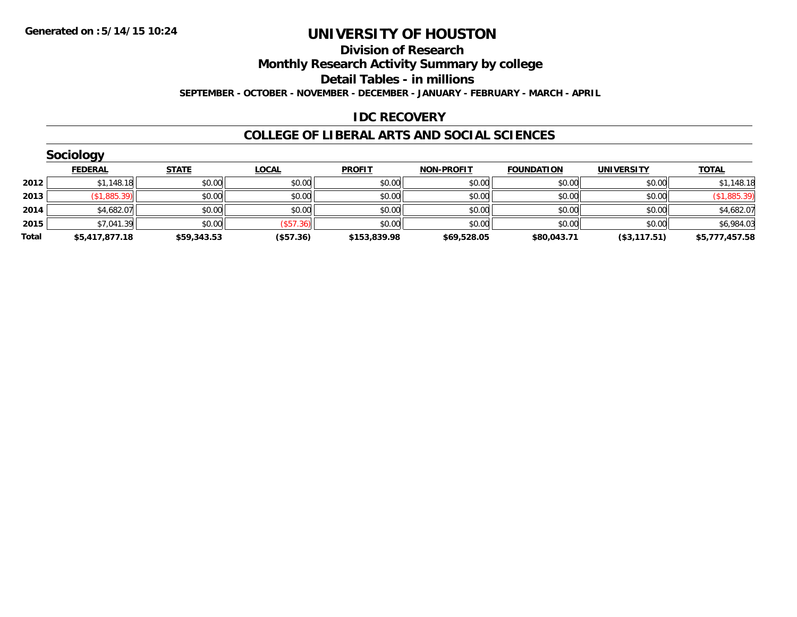#### **Division of Research**

**Monthly Research Activity Summary by college**

**Detail Tables - in millions**

**SEPTEMBER - OCTOBER - NOVEMBER - DECEMBER - JANUARY - FEBRUARY - MARCH - APRIL**

#### **IDC RECOVERY**

|       | Sociology      |              |              |               |                   |                   |                   |                |
|-------|----------------|--------------|--------------|---------------|-------------------|-------------------|-------------------|----------------|
|       | <b>FEDERAL</b> | <b>STATE</b> | <u>LOCAL</u> | <b>PROFIT</b> | <b>NON-PROFIT</b> | <b>FOUNDATION</b> | <b>UNIVERSITY</b> | <b>TOTAL</b>   |
| 2012  | \$1,148.18     | \$0.00       | \$0.00       | \$0.00        | \$0.00            | \$0.00            | \$0.00            | \$1,148.18     |
| 2013  | (\$1,885.39)   | \$0.00       | \$0.00       | \$0.00        | \$0.00            | \$0.00            | \$0.00            | (\$1,885.39)   |
| 2014  | \$4,682.07     | \$0.00       | \$0.00       | \$0.00        | \$0.00            | \$0.00            | \$0.00            | \$4,682.07     |
| 2015  | \$7,041.39     | \$0.00       | (\$57.36)    | \$0.00        | \$0.00            | \$0.00            | \$0.00            | \$6,984.03     |
| Total | \$5,417,877.18 | \$59,343.53  | (\$57.36)    | \$153,839.98  | \$69,528.05       | \$80,043.71       | (\$3,117.51)      | \$5,777,457.58 |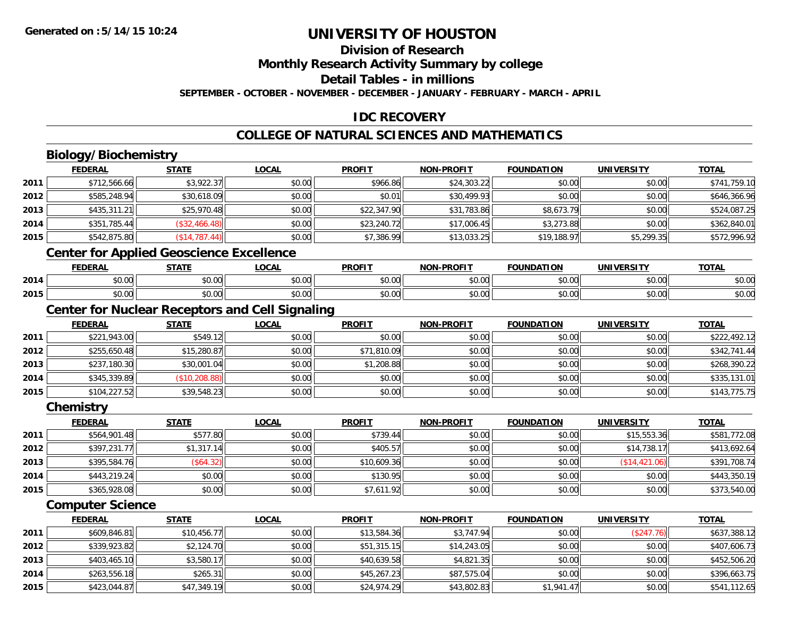**2015**

# **UNIVERSITY OF HOUSTON**

### **Division of Research**

**Monthly Research Activity Summary by college**

**Detail Tables - in millions**

**SEPTEMBER - OCTOBER - NOVEMBER - DECEMBER - JANUARY - FEBRUARY - MARCH - APRIL**

### **IDC RECOVERY**

### **COLLEGE OF NATURAL SCIENCES AND MATHEMATICS**

|      | <b>Biology/Biochemistry</b>                     |                |                                                        |               |                   |                   |                   |              |
|------|-------------------------------------------------|----------------|--------------------------------------------------------|---------------|-------------------|-------------------|-------------------|--------------|
|      | <b>FEDERAL</b>                                  | <b>STATE</b>   | <b>LOCAL</b>                                           | <b>PROFIT</b> | <b>NON-PROFIT</b> | <b>FOUNDATION</b> | <b>UNIVERSITY</b> | <b>TOTAL</b> |
| 2011 | \$712,566.66                                    | \$3,922.37     | \$0.00                                                 | \$966.86      | \$24,303.22       | \$0.00            | \$0.00            | \$741,759.10 |
| 2012 | \$585,248.94                                    | \$30,618.09    | \$0.00                                                 | \$0.01        | \$30,499.93       | \$0.00            | \$0.00            | \$646,366.96 |
| 2013 | \$435,311.21                                    | \$25,970.48    | \$0.00                                                 | \$22,347.90   | \$31,783.86       | \$8,673.79        | \$0.00            | \$524,087.25 |
| 2014 | \$351,785.44                                    | (\$32,466.48)  | \$0.00                                                 | \$23,240.72   | \$17,006.45       | \$3,273.88        | \$0.00            | \$362,840.01 |
| 2015 | \$542,875.80                                    | (\$14,787.44)  | \$0.00                                                 | \$7,386.99    | \$13,033.25       | \$19,188.97       | \$5,299.35        | \$572,996.92 |
|      | <b>Center for Applied Geoscience Excellence</b> |                |                                                        |               |                   |                   |                   |              |
|      | <b>FEDERAL</b>                                  | <b>STATE</b>   | <b>LOCAL</b>                                           | <b>PROFIT</b> | <b>NON-PROFIT</b> | <b>FOUNDATION</b> | <b>UNIVERSITY</b> | <b>TOTAL</b> |
| 2014 | \$0.00                                          | \$0.00         | \$0.00                                                 | \$0.00        | \$0.00            | \$0.00            | \$0.00            | \$0.00       |
| 2015 | \$0.00                                          | \$0.00         | \$0.00                                                 | \$0.00        | \$0.00            | \$0.00            | \$0.00            | \$0.00       |
|      |                                                 |                | <b>Center for Nuclear Receptors and Cell Signaling</b> |               |                   |                   |                   |              |
|      | <b>FEDERAL</b>                                  | <b>STATE</b>   | <b>LOCAL</b>                                           | <b>PROFIT</b> | <b>NON-PROFIT</b> | <b>FOUNDATION</b> | <b>UNIVERSITY</b> | <b>TOTAL</b> |
| 2011 | \$221,943.00                                    | \$549.12       | \$0.00                                                 | \$0.00        | \$0.00            | \$0.00            | \$0.00            | \$222,492.12 |
| 2012 | \$255,650.48                                    | \$15,280.87    | \$0.00                                                 | \$71,810.09   | \$0.00            | \$0.00            | \$0.00            | \$342,741.44 |
| 2013 | \$237,180.30                                    | \$30,001.04    | \$0.00                                                 | \$1,208.88    | \$0.00            | \$0.00            | \$0.00            | \$268,390.22 |
| 2014 | \$345,339.89                                    | (\$10, 208.88) | \$0.00                                                 | \$0.00        | \$0.00            | \$0.00            | \$0.00            | \$335,131.01 |
| 2015 | \$104,227.52                                    | \$39,548.23    | \$0.00                                                 | \$0.00        | \$0.00            | \$0.00            | \$0.00            | \$143,775.75 |
|      | Chemistry                                       |                |                                                        |               |                   |                   |                   |              |
|      | <b>FEDERAL</b>                                  | <b>STATE</b>   | <b>LOCAL</b>                                           | <b>PROFIT</b> | <b>NON-PROFIT</b> | <b>FOUNDATION</b> | <b>UNIVERSITY</b> | <b>TOTAL</b> |
| 2011 | \$564,901.48                                    | \$577.80       | \$0.00                                                 | \$739.44      | \$0.00            | \$0.00            | \$15,553.36       | \$581,772.08 |
| 2012 | \$397,231.77                                    | \$1,317.14     | \$0.00                                                 | \$405.57      | \$0.00            | \$0.00            | \$14,738.17       | \$413,692.64 |
| 2013 | \$395,584.76                                    | (\$64.32)      | \$0.00                                                 | \$10,609.36   | \$0.00            | \$0.00            | (\$14,421.06)     | \$391,708.74 |
| 2014 | \$443,219.24                                    | \$0.00         | \$0.00                                                 | \$130.95      | \$0.00            | \$0.00            | \$0.00            | \$443,350.19 |
| 2015 | \$365,928.08                                    | \$0.00         | \$0.00                                                 | \$7,611.92    | \$0.00            | \$0.00            | \$0.00            | \$373,540.00 |
|      | <b>Computer Science</b>                         |                |                                                        |               |                   |                   |                   |              |
|      | <b>FEDERAL</b>                                  | <b>STATE</b>   | <b>LOCAL</b>                                           | <b>PROFIT</b> | <b>NON-PROFIT</b> | <b>FOUNDATION</b> | <b>UNIVERSITY</b> | <b>TOTAL</b> |
| 2011 | \$609,846.81                                    | \$10,456.77    | \$0.00                                                 | \$13,584.36   | \$3,747.94        | \$0.00            | (\$247.76)        | \$637,388.12 |
| 2012 | \$339,923.82                                    | \$2,124.70     | \$0.00                                                 | \$51,315.15   | \$14,243.05       | \$0.00            | \$0.00            | \$407,606.73 |
| 2013 | \$403,465.10                                    | \$3,580.17     | \$0.00                                                 | \$40,639.58   | \$4,821.35        | \$0.00            | \$0.00            | \$452,506.20 |
| 2014 | \$263,556.18                                    | \$265.31       | \$0.00                                                 | \$45,267.23   | \$87,575.04       | \$0.00            | \$0.00            | \$396,663.75 |

\$263,556.18 \$265.31 \$0.00 \$45,267.23 \$87,575.04 \$0.00 \$0.00 \$396,663.75

\$423,044.87 \$47,349.19 \$0.00 \$24,974.29 \$43,802.83 \$1,941.47 \$0.00 \$541,112.65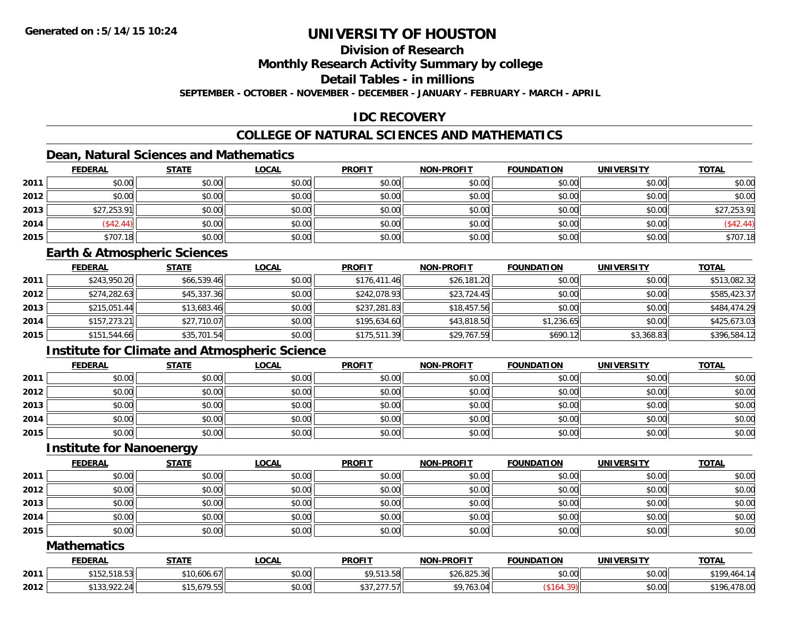### **Division of Research**

**Monthly Research Activity Summary by college**

**Detail Tables - in millions**

**SEPTEMBER - OCTOBER - NOVEMBER - DECEMBER - JANUARY - FEBRUARY - MARCH - APRIL**

### **IDC RECOVERY**

### **COLLEGE OF NATURAL SCIENCES AND MATHEMATICS**

## **Dean, Natural Sciences and Mathematics**

|      | <b>FEDERAL</b> | <b>STATE</b> | <u>LOCAL</u> | <b>PROFIT</b> | <b>NON-PROFIT</b> | <b>FOUNDATION</b> | <b>UNIVERSITY</b> | <b>TOTAL</b> |
|------|----------------|--------------|--------------|---------------|-------------------|-------------------|-------------------|--------------|
| 2011 | \$0.00         | \$0.00       | \$0.00       | \$0.00        | \$0.00            | \$0.00            | \$0.00            | \$0.00       |
| 2012 | \$0.00         | \$0.00       | \$0.00       | \$0.00        | \$0.00            | \$0.00            | \$0.00            | \$0.00       |
| 2013 | \$27,253.91    | \$0.00       | \$0.00       | \$0.00        | \$0.00            | \$0.00            | \$0.00            | \$27,253.91  |
| 2014 | (\$42.44)      | \$0.00       | \$0.00       | \$0.00        | \$0.00            | \$0.00            | \$0.00            | (\$42.44)    |
| 2015 | \$707.18       | \$0.00       | \$0.00       | \$0.00        | \$0.00            | \$0.00            | \$0.00            | \$707.18     |

#### **Earth & Atmospheric Sciences**

|      | <b>FEDERAL</b> | <u>STATE</u> | <u>LOCAL</u> | <b>PROFIT</b> | <b>NON-PROFIT</b> | <b>FOUNDATION</b> | <b>UNIVERSITY</b> | <b>TOTAL</b> |
|------|----------------|--------------|--------------|---------------|-------------------|-------------------|-------------------|--------------|
| 2011 | \$243,950.20   | \$66,539.46  | \$0.00       | \$176,411.46  | \$26,181.20       | \$0.00            | \$0.00            | \$513,082.32 |
| 2012 | \$274,282.63   | \$45,337.36  | \$0.00       | \$242,078.93  | \$23,724.45       | \$0.00            | \$0.00            | \$585,423.37 |
| 2013 | \$215,051.44   | \$13,683.46  | \$0.00       | \$237,281.83  | \$18,457.56       | \$0.00            | \$0.00            | \$484,474.29 |
| 2014 | \$157.273.21   | \$27,710.07  | \$0.00       | \$195,634,60  | \$43,818.50       | \$1,236.65        | \$0.00            | \$425,673.03 |
| 2015 | \$151,544.66   | \$35,701.54  | \$0.00       | \$175,511.39  | \$29,767.59       | \$690.12          | \$3,368.83        | \$396,584.12 |

### **Institute for Climate and Atmospheric Science**

|      | <b>FEDERAL</b> | <b>STATE</b> | <b>LOCAL</b> | <b>PROFIT</b> | <b>NON-PROFIT</b> | <b>FOUNDATION</b> | <b>UNIVERSITY</b> | <b>TOTAL</b> |
|------|----------------|--------------|--------------|---------------|-------------------|-------------------|-------------------|--------------|
| 2011 | \$0.00         | \$0.00       | \$0.00       | \$0.00        | \$0.00            | \$0.00            | \$0.00            | \$0.00       |
| 2012 | \$0.00         | \$0.00       | \$0.00       | \$0.00        | \$0.00            | \$0.00            | \$0.00            | \$0.00       |
| 2013 | \$0.00         | \$0.00       | \$0.00       | \$0.00        | \$0.00            | \$0.00            | \$0.00            | \$0.00       |
| 2014 | \$0.00         | \$0.00       | \$0.00       | \$0.00        | \$0.00            | \$0.00            | \$0.00            | \$0.00       |
| 2015 | \$0.00         | \$0.00       | \$0.00       | \$0.00        | \$0.00            | \$0.00            | \$0.00            | \$0.00       |

#### **Institute for Nanoenergy**

|      | <b>FEDERAL</b> | <b>STATE</b> | <b>LOCAL</b> | <b>PROFIT</b> | <b>NON-PROFIT</b> | <b>FOUNDATION</b> | <b>UNIVERSITY</b> | <b>TOTAL</b> |
|------|----------------|--------------|--------------|---------------|-------------------|-------------------|-------------------|--------------|
| 2011 | \$0.00         | \$0.00       | \$0.00       | \$0.00        | \$0.00            | \$0.00            | \$0.00            | \$0.00       |
| 2012 | \$0.00         | \$0.00       | \$0.00       | \$0.00        | \$0.00            | \$0.00            | \$0.00            | \$0.00       |
| 2013 | \$0.00         | \$0.00       | \$0.00       | \$0.00        | \$0.00            | \$0.00            | \$0.00            | \$0.00       |
| 2014 | \$0.00         | \$0.00       | \$0.00       | \$0.00        | \$0.00            | \$0.00            | \$0.00            | \$0.00       |
| 2015 | \$0.00         | \$0.00       | \$0.00       | \$0.00        | \$0.00            | \$0.00            | \$0.00            | \$0.00       |

#### **Mathematics**

|      | ∠DERAL                               | <b>CTATL</b>                                           | <b>_OCAI</b>       | <b>PROFIT</b>                      | <b>LPROFIT</b><br>NON. | $\cdots$<br><b>FOUNDAT</b> | IINIVEI<br>$P^{\prime}$ | <b>TOTAL</b>                 |
|------|--------------------------------------|--------------------------------------------------------|--------------------|------------------------------------|------------------------|----------------------------|-------------------------|------------------------------|
| 2011 | $F \wedge C = C$<br>س 30.0 ∪ ر∠ك د س | $\sim$<br>* <i>*</i> ^<br>$\sim$ $-$<br>. 10.606.671 . | $\sim$ 00<br>DU.UU | 0.00000<br>1.0101                  | \$26,825.36            | 0000<br>vu.vu              | ≮n nn∥<br>vu.vu         | <b>¢10</b><br>` 464.<br>14   |
| 2012 | $\sim$                               | <b>670 55</b><br>* 4 F                                 | \$0.00             | $\overline{a} = \overline{a}$<br>. | $A \cap \neg A$        |                            | \$0.00                  | 170.01<br><b>¢10</b><br>78.U |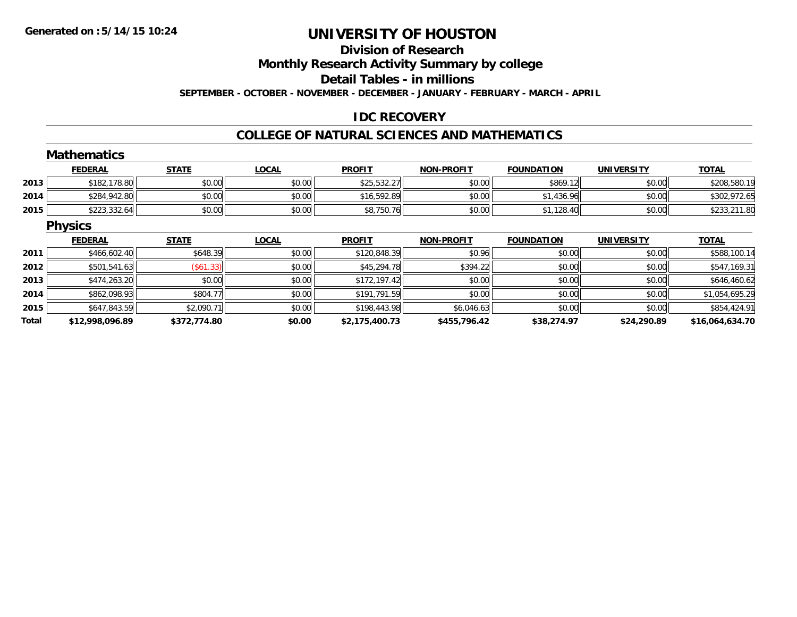## **Division of Research**

**Monthly Research Activity Summary by college**

**Detail Tables - in millions**

**SEPTEMBER - OCTOBER - NOVEMBER - DECEMBER - JANUARY - FEBRUARY - MARCH - APRIL**

### **IDC RECOVERY**

#### **COLLEGE OF NATURAL SCIENCES AND MATHEMATICS**

|       | <b>Mathematics</b> |              |              |                |                   |                   |                   |                 |
|-------|--------------------|--------------|--------------|----------------|-------------------|-------------------|-------------------|-----------------|
|       | <b>FEDERAL</b>     | <b>STATE</b> | <b>LOCAL</b> | <b>PROFIT</b>  | <b>NON-PROFIT</b> | <b>FOUNDATION</b> | <b>UNIVERSITY</b> | <b>TOTAL</b>    |
| 2013  | \$182,178.80       | \$0.00       | \$0.00       | \$25,532.27    | \$0.00            | \$869.12          | \$0.00            | \$208,580.19    |
| 2014  | \$284,942.80       | \$0.00       | \$0.00       | \$16,592.89    | \$0.00            | \$1,436.96        | \$0.00            | \$302,972.65    |
| 2015  | \$223,332.64       | \$0.00       | \$0.00       | \$8,750.76     | \$0.00            | \$1,128.40        | \$0.00            | \$233,211.80    |
|       | <b>Physics</b>     |              |              |                |                   |                   |                   |                 |
|       | <b>FEDERAL</b>     | <b>STATE</b> | <b>LOCAL</b> | <b>PROFIT</b>  | <b>NON-PROFIT</b> | <b>FOUNDATION</b> | <b>UNIVERSITY</b> | <b>TOTAL</b>    |
| 2011  | \$466,602.40       | \$648.39     | \$0.00       | \$120,848.39   | \$0.96            | \$0.00            | \$0.00            | \$588,100.14    |
| 2012  | \$501,541.63       | (\$61.33)    | \$0.00       | \$45,294.78    | \$394.22          | \$0.00            | \$0.00            | \$547,169.31    |
| 2013  | \$474,263.20       | \$0.00       | \$0.00       | \$172,197.42   | \$0.00            | \$0.00            | \$0.00            | \$646,460.62    |
| 2014  | \$862,098.93       | \$804.77     | \$0.00       | \$191,791.59   | \$0.00            | \$0.00            | \$0.00            | \$1,054,695.29  |
| 2015  | \$647,843.59       | \$2,090.71   | \$0.00       | \$198,443.98   | \$6,046.63        | \$0.00            | \$0.00            | \$854,424.91    |
| Total | \$12,998,096.89    | \$372,774.80 | \$0.00       | \$2,175,400.73 | \$455,796.42      | \$38,274.97       | \$24,290.89       | \$16,064,634.70 |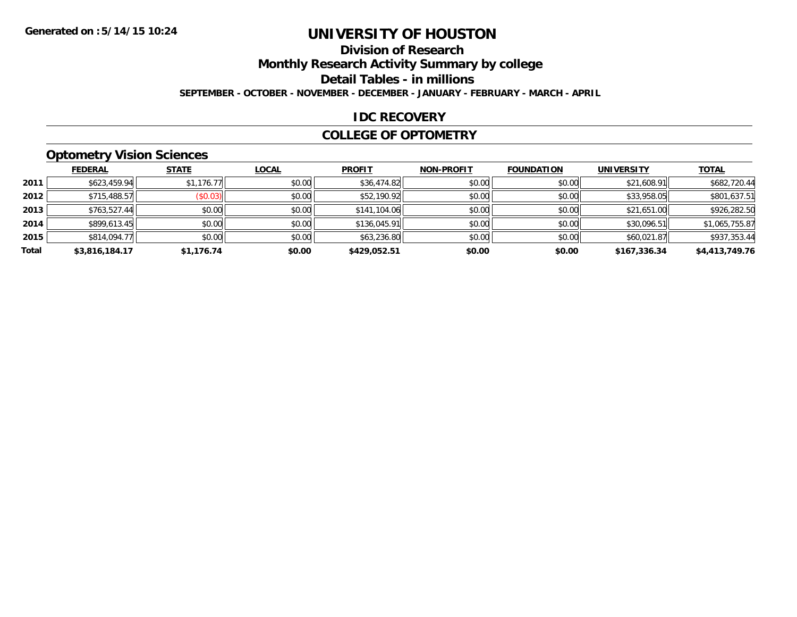### **Division of Research**

**Monthly Research Activity Summary by college**

**Detail Tables - in millions**

**SEPTEMBER - OCTOBER - NOVEMBER - DECEMBER - JANUARY - FEBRUARY - MARCH - APRIL**

#### **IDC RECOVERY**

#### **COLLEGE OF OPTOMETRY**

### **Optometry Vision Sciences**

|       | <b>FEDERAL</b> | <b>STATE</b> | <b>LOCAL</b> | <b>PROFIT</b> | <b>NON-PROFIT</b> | <b>FOUNDATION</b> | <b>UNIVERSITY</b> | <u>TOTAL</u>   |
|-------|----------------|--------------|--------------|---------------|-------------------|-------------------|-------------------|----------------|
| 2011  | \$623,459.94   | \$1,176.77   | \$0.00       | \$36,474.82   | \$0.00            | \$0.00            | \$21,608.91       | \$682,720.44   |
| 2012  | \$715,488.57   | (\$0.03)     | \$0.00       | \$52,190.92   | \$0.00            | \$0.00            | \$33,958.05       | \$801,637.51   |
| 2013  | \$763,527.44   | \$0.00       | \$0.00       | \$141,104.06  | \$0.00            | \$0.00            | \$21,651.00       | \$926,282.50   |
| 2014  | \$899,613.45   | \$0.00       | \$0.00       | \$136,045.91  | \$0.00            | \$0.00            | \$30,096.51       | \$1,065,755.87 |
| 2015  | \$814,094.77   | \$0.00       | \$0.00       | \$63,236.80   | \$0.00            | \$0.00            | \$60,021.87       | \$937,353.44   |
| Total | \$3,816,184.17 | \$1,176.74   | \$0.00       | \$429,052.51  | \$0.00            | \$0.00            | \$167,336.34      | \$4,413,749.76 |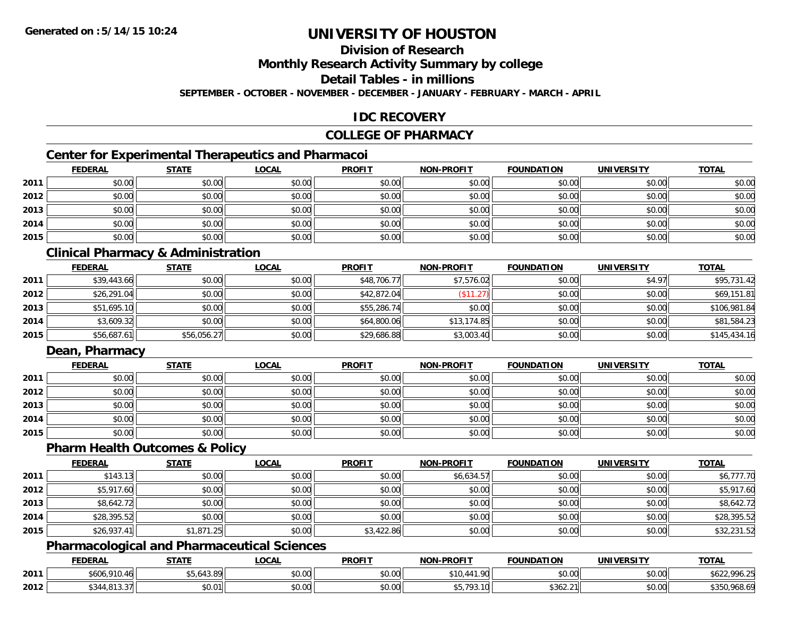### **Division of Research**

**Monthly Research Activity Summary by college**

**Detail Tables - in millions**

**SEPTEMBER - OCTOBER - NOVEMBER - DECEMBER - JANUARY - FEBRUARY - MARCH - APRIL**

#### **IDC RECOVERY**

#### **COLLEGE OF PHARMACY**

### **Center for Experimental Therapeutics and Pharmacoi**

|      | <b>FEDERAL</b> | <b>STATE</b> | <b>LOCAL</b> | <b>PROFIT</b> | <b>NON-PROFIT</b> | <b>FOUNDATION</b> | <b>UNIVERSITY</b> | <b>TOTAL</b> |
|------|----------------|--------------|--------------|---------------|-------------------|-------------------|-------------------|--------------|
| 2011 | \$0.00         | \$0.00       | \$0.00       | \$0.00        | \$0.00            | \$0.00            | \$0.00            | \$0.00       |
| 2012 | \$0.00         | \$0.00       | \$0.00       | \$0.00        | \$0.00            | \$0.00            | \$0.00            | \$0.00       |
| 2013 | \$0.00         | \$0.00       | \$0.00       | \$0.00        | \$0.00            | \$0.00            | \$0.00            | \$0.00       |
| 2014 | \$0.00         | \$0.00       | \$0.00       | \$0.00        | \$0.00            | \$0.00            | \$0.00            | \$0.00       |
| 2015 | \$0.00         | \$0.00       | \$0.00       | \$0.00        | \$0.00            | \$0.00            | \$0.00            | \$0.00       |

### **Clinical Pharmacy & Administration**

|      | <b>FEDERAL</b> | <b>STATE</b> | <u>LOCAL</u> | <b>PROFIT</b> | <b>NON-PROFIT</b> | <b>FOUNDATION</b> | <b>UNIVERSITY</b> | <b>TOTAL</b> |
|------|----------------|--------------|--------------|---------------|-------------------|-------------------|-------------------|--------------|
| 2011 | \$39,443.66    | \$0.00       | \$0.00       | \$48,706.77   | \$7,576.02        | \$0.00            | \$4.97            | \$95,731.42  |
| 2012 | \$26,291.04    | \$0.00       | \$0.00       | \$42,872.04   | \$11.27           | \$0.00            | \$0.00            | \$69,151.81  |
| 2013 | \$51,695.10    | \$0.00       | \$0.00       | \$55,286.74   | \$0.00            | \$0.00            | \$0.00            | \$106,981.84 |
| 2014 | \$3,609.32     | \$0.00       | \$0.00       | \$64,800.06   | \$13,174.85       | \$0.00            | \$0.00            | \$81,584.23  |
| 2015 | \$56,687.61    | \$56,056.27  | \$0.00       | \$29,686.88   | \$3,003.40        | \$0.00            | \$0.00            | \$145,434.16 |

### **Dean, Pharmacy**

|      | <b>FEDERAL</b> | <b>STATE</b> | <u>LOCAL</u> | <b>PROFIT</b> | <b>NON-PROFIT</b> | <b>FOUNDATION</b> | <b>UNIVERSITY</b> | <b>TOTAL</b> |
|------|----------------|--------------|--------------|---------------|-------------------|-------------------|-------------------|--------------|
| 2011 | \$0.00         | \$0.00       | \$0.00       | \$0.00        | \$0.00            | \$0.00            | \$0.00            | \$0.00       |
| 2012 | \$0.00         | \$0.00       | \$0.00       | \$0.00        | \$0.00            | \$0.00            | \$0.00            | \$0.00       |
| 2013 | \$0.00         | \$0.00       | \$0.00       | \$0.00        | \$0.00            | \$0.00            | \$0.00            | \$0.00       |
| 2014 | \$0.00         | \$0.00       | \$0.00       | \$0.00        | \$0.00            | \$0.00            | \$0.00            | \$0.00       |
| 2015 | \$0.00         | \$0.00       | \$0.00       | \$0.00        | \$0.00            | \$0.00            | \$0.00            | \$0.00       |

#### **Pharm Health Outcomes & Policy**

|      | <b>FEDERAL</b> | <b>STATE</b> | <b>LOCAL</b> | <b>PROFIT</b> | <b>NON-PROFIT</b> | <b>FOUNDATION</b> | <b>UNIVERSITY</b> | <b>TOTAL</b> |
|------|----------------|--------------|--------------|---------------|-------------------|-------------------|-------------------|--------------|
| 2011 | \$143.13       | \$0.00       | \$0.00       | \$0.00        | \$6,634.57        | \$0.00            | \$0.00            | \$6,777.70   |
| 2012 | \$5,917.60     | \$0.00       | \$0.00       | \$0.00        | \$0.00            | \$0.00            | \$0.00            | \$5,917.60   |
| 2013 | \$8,642.72     | \$0.00       | \$0.00       | \$0.00        | \$0.00            | \$0.00            | \$0.00            | \$8,642.72   |
| 2014 | \$28,395.52    | \$0.00       | \$0.00       | \$0.00        | \$0.00            | \$0.00            | \$0.00            | \$28,395.52  |
| 2015 | \$26,937.41    | \$1,871.25   | \$0.00       | \$3,422.86    | \$0.00            | \$0.00            | \$0.00            | \$32,231.52  |

#### **Pharmacological and Pharmaceutical Sciences**

|      | <b>FEDERAL</b>                                 | <b>CTATE</b><br>эıа | .OCAL                  | <b>PROFIT</b>  | <b>NON-PROFIT</b>              | <b>FOUNDATION</b> | UNIVERSITY             | <b>TOTAL</b>                       |
|------|------------------------------------------------|---------------------|------------------------|----------------|--------------------------------|-------------------|------------------------|------------------------------------|
| 2011 | \$606,910.                                     | ,043.89             | ሶስ ሰሰ<br>JU.UU         | ቀስ ሰስ<br>DU.UU | .<br>\$10.<br>.90              | \$0.00            | $\sim$ $\sim$<br>PO.OO | $^{\circ}$ 996.20<br>$\sim$ $\sim$ |
| 2012 | $\uparrow$ 0.1.1 0.1.2 $\uparrow$ .<br>ŧΩ<br>. | 00001<br>JU.U       | ሐ ሴ<br>$\sim$<br>vu.uu | 0.00<br>DU.UG  | 10<br>$\overline{\phantom{a}}$ | \$362.21          | 0000<br><b>JU.UU</b>   | .968.69                            |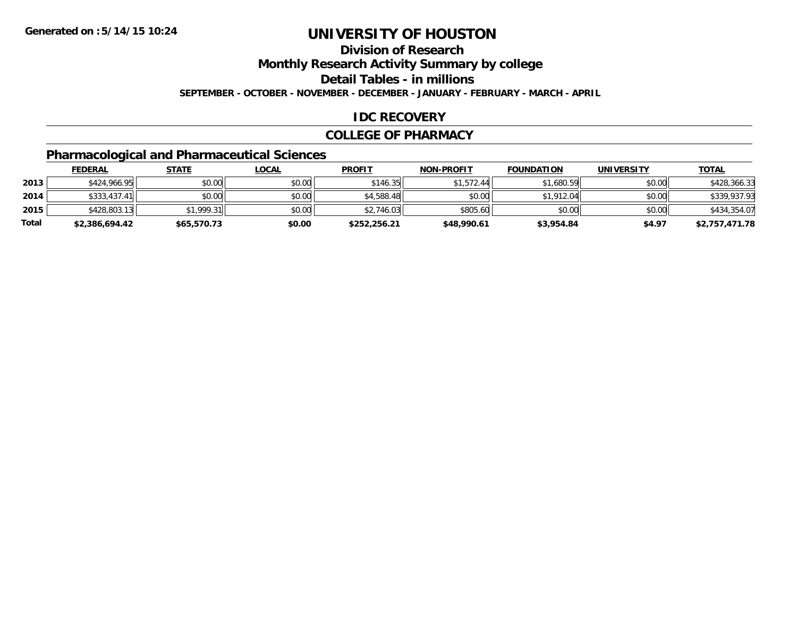**Division of Research**

**Monthly Research Activity Summary by college**

**Detail Tables - in millions**

**SEPTEMBER - OCTOBER - NOVEMBER - DECEMBER - JANUARY - FEBRUARY - MARCH - APRIL**

#### **IDC RECOVERY**

#### **COLLEGE OF PHARMACY**

## **Pharmacological and Pharmaceutical Sciences**

|       | <b>FEDERAL</b> | <u>STATE</u> | <b>LOCAL</b> | <b>PROFIT</b> | <b>NON-PROFIT</b> | <b>FOUNDATION</b> | <b>UNIVERSITY</b> | <u>TOTAL</u>   |
|-------|----------------|--------------|--------------|---------------|-------------------|-------------------|-------------------|----------------|
| 2013  | \$424,966.95   | \$0.00       | \$0.00       | \$146.35      | \$1,572.44        | \$1,680.59        | \$0.00            | \$428,366.33   |
| 2014  | \$333,437.41   | \$0.00       | \$0.00       | \$4,588.48    | \$0.00            | \$1,912.04        | \$0.00            | \$339,937.93   |
| 2015  | \$428,803.13   | \$1.999.31   | \$0.00       | \$2.746.03    | \$805.60          | \$0.00            | \$0.00            | \$434,354.07   |
| Total | \$2,386,694.42 | \$65,570.73  | \$0.00       | \$252.256.21  | \$48,990.61       | \$3,954.84        | \$4.97            | \$2,757,471.78 |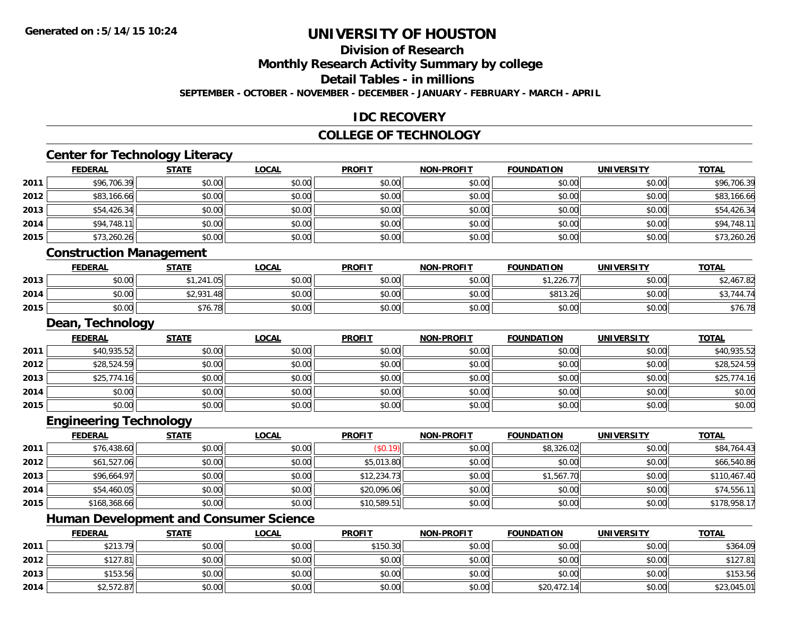### **Division of Research**

**Monthly Research Activity Summary by college**

**Detail Tables - in millions**

**SEPTEMBER - OCTOBER - NOVEMBER - DECEMBER - JANUARY - FEBRUARY - MARCH - APRIL**

### **IDC RECOVERY**

#### **COLLEGE OF TECHNOLOGY**

<u> 1989 - Johann Stoff, deutscher Stoffen und der Stoffen und der Stoffen und der Stoffen und der Stoffen und de</u>

## **Center for Technology Literacy**

| \$96,706.39 |
|-------------|
|             |
| \$83,166.66 |
| \$54,426.34 |
| \$94,748.11 |
| \$73,260.26 |
|             |

#### **Construction Management**

|      | FEDERAL       | <b>STATE</b>                             | <u>LOCAL</u>           | <b>PROFIT</b> | <b>NON-PROFIT</b> | <b>FOUNDATION</b> | <b>UNIVERSITY</b> | <u>TOTAL</u>                 |
|------|---------------|------------------------------------------|------------------------|---------------|-------------------|-------------------|-------------------|------------------------------|
| 2013 | 0000<br>DU.UU | 0.11<br>$\sim$<br>י יכט. ו<br>- 1.24 ' 1 | $n \cap \neg$<br>DU.U¢ | \$0.00        | \$0.00            | \$1,226<br>--     | \$0.00            | \$2,467.82                   |
| 2014 | \$0.00        | <b>\$2.931</b><br>\$2,931.48             | \$0.00                 | \$0.00        | \$0.00            | \$813.26          | \$0.00            | 74474<br>ሖ へ<br>44ء<br>, ت ب |
| 2015 | \$0.00        | \$76.78                                  | \$0.00                 | \$0.00        | \$0.00            | \$0.00            | \$0.00            | 36.78                        |

#### **Dean, Technology**

|      | <b>FEDERAL</b> | <b>STATE</b> | <u>LOCAL</u> | <b>PROFIT</b> | <b>NON-PROFIT</b> | <b>FOUNDATION</b> | <b>UNIVERSITY</b> | <b>TOTAL</b> |
|------|----------------|--------------|--------------|---------------|-------------------|-------------------|-------------------|--------------|
| 2011 | \$40,935.52    | \$0.00       | \$0.00       | \$0.00        | \$0.00            | \$0.00            | \$0.00            | \$40,935.52  |
| 2012 | \$28,524.59    | \$0.00       | \$0.00       | \$0.00        | \$0.00            | \$0.00            | \$0.00            | \$28,524.59  |
| 2013 | \$25,774.16    | \$0.00       | \$0.00       | \$0.00        | \$0.00            | \$0.00            | \$0.00            | \$25,774.16  |
| 2014 | \$0.00         | \$0.00       | \$0.00       | \$0.00        | \$0.00            | \$0.00            | \$0.00            | \$0.00       |
| 2015 | \$0.00         | \$0.00       | \$0.00       | \$0.00        | \$0.00            | \$0.00            | \$0.00            | \$0.00       |

#### **Engineering Technology**

|      | <u>FEDERAL</u> | <b>STATE</b> | <b>LOCAL</b> | <b>PROFIT</b> | <b>NON-PROFIT</b> | <b>FOUNDATION</b> | <b>UNIVERSITY</b> | <b>TOTAL</b> |
|------|----------------|--------------|--------------|---------------|-------------------|-------------------|-------------------|--------------|
| 2011 | \$76,438.60    | \$0.00       | \$0.00       | (S0.19)       | \$0.00            | \$8,326.02        | \$0.00            | \$84,764.43  |
| 2012 | \$61,527.06    | \$0.00       | \$0.00       | \$5,013.80    | \$0.00            | \$0.00            | \$0.00            | \$66,540.86  |
| 2013 | \$96,664.97    | \$0.00       | \$0.00       | \$12,234.73   | \$0.00            | \$1,567.70        | \$0.00            | \$110,467.40 |
| 2014 | \$54,460.05    | \$0.00       | \$0.00       | \$20,096.06   | \$0.00            | \$0.00            | \$0.00            | \$74,556.11  |
| 2015 | \$168,368.66   | \$0.00       | \$0.00       | \$10,589.51   | \$0.00            | \$0.00            | \$0.00            | \$178,958.17 |

<u> 1980 - Johann Barbara, martxa alemaniar argametar a martxa a shekara a shekara a shekara a shekara a shekara</u>

## **Human Development and Consumer Science**

|      | <b>FEDERAL</b> | STATE  | <u>LOCAL</u> | <b>PROFIT</b> | <b>NON-PROFIT</b> | <b>FOUNDATION</b> | <b>UNIVERSITY</b> | <b>TOTAL</b> |
|------|----------------|--------|--------------|---------------|-------------------|-------------------|-------------------|--------------|
| 2011 | \$213.79       | \$0.00 | \$0.00       | \$150.30      | \$0.00            | \$0.00            | \$0.00            | \$364.09     |
| 2012 | \$127.81       | \$0.00 | \$0.00       | \$0.00        | \$0.00            | \$0.00            | \$0.00            | \$127.81     |
| 2013 | \$153.56       | \$0.00 | \$0.00       | \$0.00        | \$0.00            | \$0.00            | \$0.00            | \$153.56     |
| 2014 | \$2,572.87     | \$0.00 | \$0.00       | \$0.00        | \$0.00            | \$20,472.14       | \$0.00            | \$23,045.01  |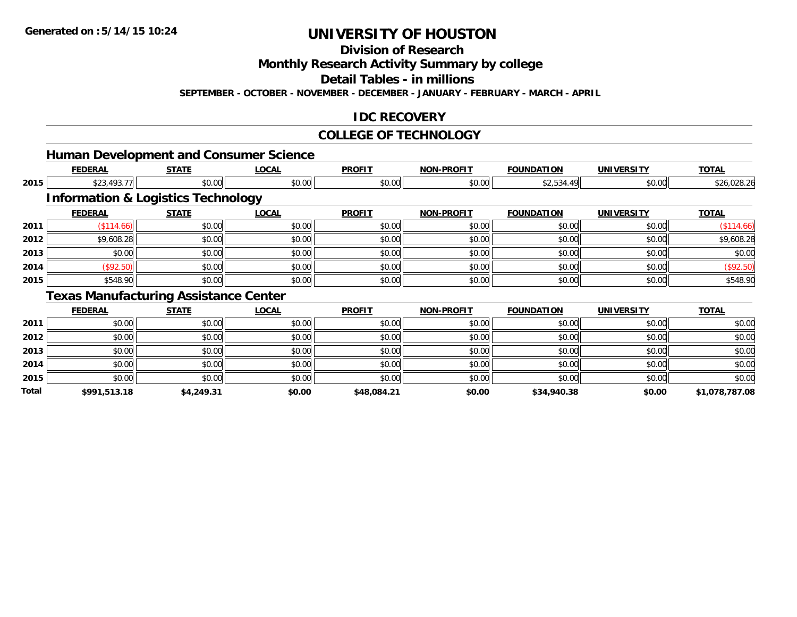**Division of Research**

**Monthly Research Activity Summary by college**

**Detail Tables - in millions**

**SEPTEMBER - OCTOBER - NOVEMBER - DECEMBER - JANUARY - FEBRUARY - MARCH - APRIL**

### **IDC RECOVERY**

#### **COLLEGE OF TECHNOLOGY**

|              |                |                                               | <b>Human Development and Consumer Science</b> |               |                   |                   |                   |                |
|--------------|----------------|-----------------------------------------------|-----------------------------------------------|---------------|-------------------|-------------------|-------------------|----------------|
|              | <b>FEDERAL</b> | <b>STATE</b>                                  | <b>LOCAL</b>                                  | <b>PROFIT</b> | <b>NON-PROFIT</b> | <b>FOUNDATION</b> | <b>UNIVERSITY</b> | <b>TOTAL</b>   |
| 2015         | \$23,493.77    | \$0.00                                        | \$0.00                                        | \$0.00        | \$0.00            | \$2,534.49        | \$0.00            | \$26,028.26    |
|              |                | <b>Information &amp; Logistics Technology</b> |                                               |               |                   |                   |                   |                |
|              | <b>FEDERAL</b> | <b>STATE</b>                                  | <b>LOCAL</b>                                  | <b>PROFIT</b> | <b>NON-PROFIT</b> | <b>FOUNDATION</b> | <b>UNIVERSITY</b> | <b>TOTAL</b>   |
| 2011         | (\$114.66)     | \$0.00                                        | \$0.00                                        | \$0.00        | \$0.00            | \$0.00            | \$0.00            | (\$114.66)     |
| 2012         | \$9,608.28     | \$0.00                                        | \$0.00                                        | \$0.00        | \$0.00            | \$0.00            | \$0.00            | \$9,608.28     |
| 2013         | \$0.00         | \$0.00                                        | \$0.00                                        | \$0.00        | \$0.00            | \$0.00            | \$0.00            | \$0.00         |
| 2014         | (\$92.50)      | \$0.00                                        | \$0.00                                        | \$0.00        | \$0.00            | \$0.00            | \$0.00            | (\$92.50)      |
| 2015         | \$548.90       | \$0.00                                        | \$0.00                                        | \$0.00        | \$0.00            | \$0.00            | \$0.00            | \$548.90       |
|              |                | <b>Texas Manufacturing Assistance Center</b>  |                                               |               |                   |                   |                   |                |
|              | <b>FEDERAL</b> | <b>STATE</b>                                  | <b>LOCAL</b>                                  | <b>PROFIT</b> | <b>NON-PROFIT</b> | <b>FOUNDATION</b> | <b>UNIVERSITY</b> | <b>TOTAL</b>   |
| 2011         | \$0.00         | \$0.00                                        | \$0.00                                        | \$0.00        | \$0.00            | \$0.00            | \$0.00            | \$0.00         |
| 2012         | \$0.00         | \$0.00                                        | \$0.00                                        | \$0.00        | \$0.00            | \$0.00            | \$0.00            | \$0.00         |
| 2013         | \$0.00         | \$0.00                                        | \$0.00                                        | \$0.00        | \$0.00            | \$0.00            | \$0.00            | \$0.00         |
| 2014         | \$0.00         | \$0.00                                        | \$0.00                                        | \$0.00        | \$0.00            | \$0.00            | \$0.00            | \$0.00         |
| 2015         | \$0.00         | \$0.00                                        | \$0.00                                        | \$0.00        | \$0.00            | \$0.00            | \$0.00            | \$0.00         |
| <b>Total</b> | \$991,513.18   | \$4,249.31                                    | \$0.00                                        | \$48,084.21   | \$0.00            | \$34,940.38       | \$0.00            | \$1,078,787.08 |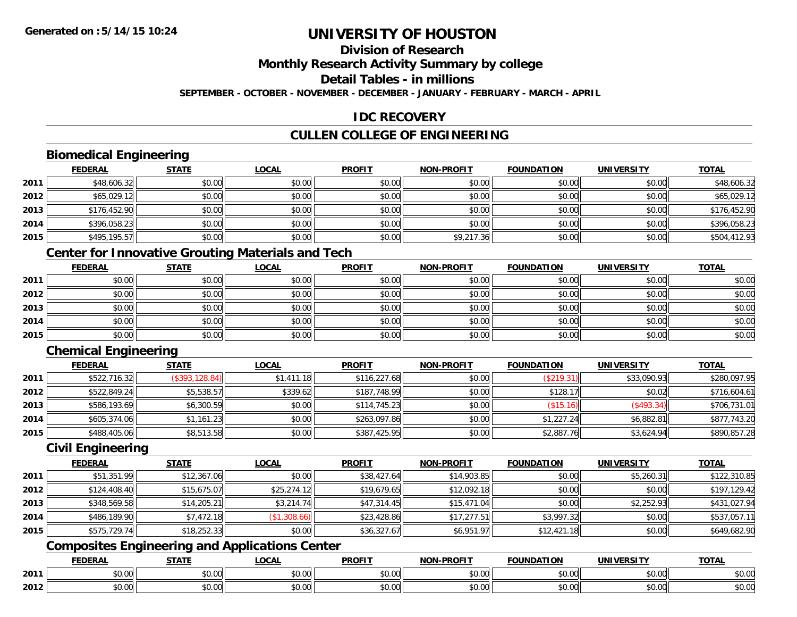## **Division of Research**

**Monthly Research Activity Summary by college**

**Detail Tables - in millions**

**SEPTEMBER - OCTOBER - NOVEMBER - DECEMBER - JANUARY - FEBRUARY - MARCH - APRIL**

### **IDC RECOVERY**

### **CULLEN COLLEGE OF ENGINEERING**

### **Biomedical Engineering**

|      | <b>FEDERAL</b> | <b>STATE</b> | <u>LOCAL</u> | <b>PROFIT</b> | <b>NON-PROFIT</b> | <b>FOUNDATION</b> | <b>UNIVERSITY</b> | <b>TOTAL</b> |
|------|----------------|--------------|--------------|---------------|-------------------|-------------------|-------------------|--------------|
| 2011 | \$48,606.32    | \$0.00       | \$0.00       | \$0.00        | \$0.00            | \$0.00            | \$0.00            | \$48,606.32  |
| 2012 | \$65,029.12    | \$0.00       | \$0.00       | \$0.00        | \$0.00            | \$0.00            | \$0.00            | \$65,029.12  |
| 2013 | \$176,452.90   | \$0.00       | \$0.00       | \$0.00        | \$0.00            | \$0.00            | \$0.00            | \$176,452.90 |
| 2014 | \$396,058.23   | \$0.00       | \$0.00       | \$0.00        | \$0.00            | \$0.00            | \$0.00            | \$396,058.23 |
| 2015 | \$495,195.57   | \$0.00       | \$0.00       | \$0.00        | \$9,217.36        | \$0.00            | \$0.00            | \$504,412.93 |

### **Center for Innovative Grouting Materials and Tech**

|      | <b>FEDERAL</b> | <b>STATE</b> | <u>LOCAL</u> | <b>PROFIT</b> | <b>NON-PROFIT</b> | <b>FOUNDATION</b> | <b>UNIVERSITY</b> | <b>TOTAL</b> |
|------|----------------|--------------|--------------|---------------|-------------------|-------------------|-------------------|--------------|
| 2011 | \$0.00         | \$0.00       | \$0.00       | \$0.00        | \$0.00            | \$0.00            | \$0.00            | \$0.00       |
| 2012 | \$0.00         | \$0.00       | \$0.00       | \$0.00        | \$0.00            | \$0.00            | \$0.00            | \$0.00       |
| 2013 | \$0.00         | \$0.00       | \$0.00       | \$0.00        | \$0.00            | \$0.00            | \$0.00            | \$0.00       |
| 2014 | \$0.00         | \$0.00       | \$0.00       | \$0.00        | \$0.00            | \$0.00            | \$0.00            | \$0.00       |
| 2015 | \$0.00         | \$0.00       | \$0.00       | \$0.00        | \$0.00            | \$0.00            | \$0.00            | \$0.00       |

## **Chemical Engineering**

|      | <b>FEDERAL</b> | <b>STATE</b>   | <b>LOCAL</b> | <b>PROFIT</b> | <b>NON-PROFIT</b> | <b>FOUNDATION</b> | <b>UNIVERSITY</b> | <b>TOTAL</b> |
|------|----------------|----------------|--------------|---------------|-------------------|-------------------|-------------------|--------------|
| 2011 | \$522,716.32   | (\$393,128.84) | \$1,411,18   | \$116,227.68  | \$0.00            | (\$219.31)        | \$33,090.93       | \$280,097.95 |
| 2012 | \$522,849.24   | \$5,538.57     | \$339.62     | \$187,748.99  | \$0.00            | \$128.17          | \$0.02            | \$716,604.61 |
| 2013 | \$586,193.69   | \$6,300.59     | \$0.00       | \$114,745.23  | \$0.00            | (\$15.16)         | (\$493.34)        | \$706,731.01 |
| 2014 | \$605,374.06   | \$1,161.23     | \$0.00       | \$263,097.86  | \$0.00            | \$1,227.24        | \$6,882.81        | \$877,743.20 |
| 2015 | \$488,405.06   | \$8,513.58     | \$0.00       | \$387,425.95  | \$0.00            | \$2,887.76        | \$3,624.94        | \$890,857.28 |

#### **Civil Engineering**

|      | <b>FEDERAL</b> | <b>STATE</b> | <b>LOCAL</b> | <b>PROFIT</b> | <b>NON-PROFIT</b> | <b>FOUNDATION</b> | <b>UNIVERSITY</b> | <b>TOTAL</b> |
|------|----------------|--------------|--------------|---------------|-------------------|-------------------|-------------------|--------------|
| 2011 | \$51,351.99    | \$12,367.06  | \$0.00       | \$38,427.64   | \$14,903.85       | \$0.00            | \$5,260.31        | \$122,310.85 |
| 2012 | \$124,408.40   | \$15,675.07  | \$25,274.12  | \$19,679.65   | \$12,092.18       | \$0.00            | \$0.00            | \$197,129.42 |
| 2013 | \$348,569.58   | \$14,205.21  | \$3,214.74   | \$47,314.45   | \$15,471.04       | \$0.00            | \$2,252.93        | \$431,027.94 |
| 2014 | \$486,189.90   | \$7,472.18   | (\$1,308.66) | \$23,428.86   | \$17,277.51       | \$3,997.32        | \$0.00            | \$537,057.11 |
| 2015 | \$575,729.74   | \$18,252.33  | \$0.00       | \$36,327.67   | \$6,951.97        | \$12,421.18       | \$0.00            | \$649,682.90 |

### **Composites Engineering and Applications Center**

|      | <b>FEDERAL</b>         | <b>STATE</b>           | <b>_OCAL</b>       | <b>PROFIT</b> | <b>NON-PROFIT</b><br>$\sim$ $\sim$ $\sim$ $\sim$ | <b>FOUNDATION</b> | <b>UNIVERSITY</b>    | <b>TOTAL</b>         |
|------|------------------------|------------------------|--------------------|---------------|--------------------------------------------------|-------------------|----------------------|----------------------|
| 2011 | $n \cap \Omega$<br>,uu | ሖ ∩<br>$\sim$<br>JU.UU | $\sim$ 00<br>JU.UU | 0000<br>JU.UU | 0.00<br>JU.UU                                    | \$0.00            | 0.00<br><b>JU.UU</b> | 0000<br><b>JU.UU</b> |
| 2012 | \$0.00                 | ÷0.<br>JU.UU           | $\sim$ 00<br>JU.UU | 0000<br>JU.UU | 0.00<br>PO.OO                                    | \$0.00            | 0.00<br>\$0.00       | \$0.00               |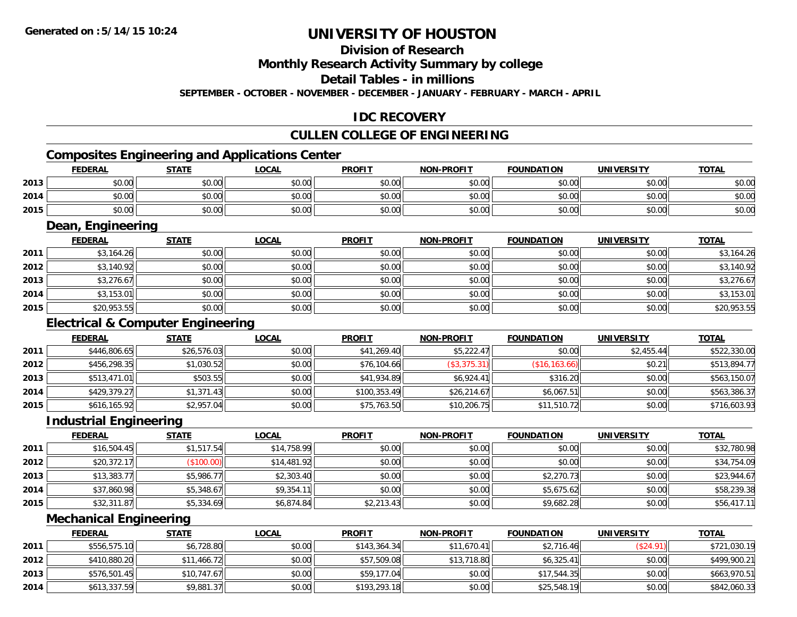### **Division of Research**

**Monthly Research Activity Summary by college**

**Detail Tables - in millions**

**SEPTEMBER - OCTOBER - NOVEMBER - DECEMBER - JANUARY - FEBRUARY - MARCH - APRIL**

### **IDC RECOVERY**

### **CULLEN COLLEGE OF ENGINEERING**

### **Composites Engineering and Applications Center**

|      | <b>FEDERAL</b> | <b>STATE</b> | <b>LOCAL</b> | <b>PROFIT</b> | <b>NON-PROFIT</b> | <b>FOUNDATION</b> | <b>UNIVERSITY</b> | <u>TOTAL</u> |
|------|----------------|--------------|--------------|---------------|-------------------|-------------------|-------------------|--------------|
| 2013 | 0000<br>JU.UU  | \$0.00       | \$0.00       | \$0.00        | \$0.00            | \$0.00            | \$0.00            | \$0.00       |
| 2014 | ልስ ሰሰ<br>DU.UU | \$0.00       | \$0.00       | \$0.00        | \$0.00            | \$0.00            | \$0.00            | \$0.00       |
| 2015 | \$0.00         | \$0.00       | \$0.00       | \$0.00        | \$0.00            | \$0.00            | \$0.00            | \$0.00       |

<u> 1989 - Johann Stoff, deutscher Stoffen und der Stoffen und der Stoffen und der Stoffen und der Stoffen und der</u>

#### **Dean, Engineering**

|      | <b>FEDERAL</b> | <b>STATE</b> | <u>LOCAL</u> | <b>PROFIT</b> | <b>NON-PROFIT</b> | <b>FOUNDATION</b> | <b>UNIVERSITY</b> | <b>TOTAL</b> |
|------|----------------|--------------|--------------|---------------|-------------------|-------------------|-------------------|--------------|
| 2011 | \$3,164.26     | \$0.00       | \$0.00       | \$0.00        | \$0.00            | \$0.00            | \$0.00            | \$3,164.26   |
| 2012 | \$3,140.92     | \$0.00       | \$0.00       | \$0.00        | \$0.00            | \$0.00            | \$0.00            | \$3,140.92   |
| 2013 | \$3,276.67     | \$0.00       | \$0.00       | \$0.00        | \$0.00            | \$0.00            | \$0.00            | \$3,276.67   |
| 2014 | \$3,153.01     | \$0.00       | \$0.00       | \$0.00        | \$0.00            | \$0.00            | \$0.00            | \$3,153.01   |
| 2015 | \$20,953.55    | \$0.00       | \$0.00       | \$0.00        | \$0.00            | \$0.00            | \$0.00            | \$20,953.55  |

### **Electrical & Computer Engineering**

|      | <b>FEDERAL</b> | <u>STATE</u> | <b>LOCAL</b> | <b>PROFIT</b> | <b>NON-PROFIT</b> | <b>FOUNDATION</b> | <b>UNIVERSITY</b> | <b>TOTAL</b> |
|------|----------------|--------------|--------------|---------------|-------------------|-------------------|-------------------|--------------|
| 2011 | \$446,806.65   | \$26,576.03  | \$0.00       | \$41,269.40   | \$5,222.47        | \$0.00            | \$2,455.44        | \$522,330.00 |
| 2012 | \$456,298.35   | \$1,030.52   | \$0.00       | \$76,104.66   | (\$3,375.31)      | (\$16, 163.66)    | \$0.21            | \$513,894.77 |
| 2013 | \$513,471.01   | \$503.55     | \$0.00       | \$41,934.89   | \$6,924.41        | \$316.20          | \$0.00            | \$563,150.07 |
| 2014 | \$429,379.27   | \$1,371.43   | \$0.00       | \$100,353.49  | \$26,214.67       | \$6,067.51        | \$0.00            | \$563,386.37 |
| 2015 | \$616,165.92   | \$2,957.04   | \$0.00       | \$75,763.50   | \$10,206.75       | \$11,510.72       | \$0.00            | \$716,603.93 |

#### **Industrial Engineering**

|      | <b>FEDERAL</b> | <b>STATE</b> | <u>LOCAL</u> | <b>PROFIT</b> | <b>NON-PROFIT</b> | <b>FOUNDATION</b> | <b>UNIVERSITY</b> | <b>TOTAL</b> |
|------|----------------|--------------|--------------|---------------|-------------------|-------------------|-------------------|--------------|
| 2011 | \$16,504.45    | \$1,517.54   | \$14,758.99  | \$0.00        | \$0.00            | \$0.00            | \$0.00            | \$32,780.98  |
| 2012 | \$20,372.17    | (\$100.00)   | \$14,481.92  | \$0.00        | \$0.00            | \$0.00            | \$0.00            | \$34,754.09  |
| 2013 | \$13,383.77    | \$5,986.77   | \$2,303.40   | \$0.00        | \$0.00            | \$2,270.73        | \$0.00            | \$23,944.67  |
| 2014 | \$37,860.98    | \$5,348.67   | \$9,354.1    | \$0.00        | \$0.00            | \$5,675.62        | \$0.00            | \$58,239.38  |
| 2015 | \$32,311.87    | \$5,334.69   | \$6,874.84   | \$2,213.43    | \$0.00            | \$9,682.28        | \$0.00            | \$56,417.11  |

#### **Mechanical Engineering**

|      | <b>FEDERAL</b> | <b>STATE</b> | <b>LOCAL</b> | <b>PROFIT</b> | <b>NON-PROFIT</b> | <b>FOUNDATION</b> | <b>UNIVERSITY</b> | <b>TOTAL</b> |
|------|----------------|--------------|--------------|---------------|-------------------|-------------------|-------------------|--------------|
| 2011 | \$556,575.10   | \$6,728.80   | \$0.00       | \$143,364.34  | \$11,670.41       | \$2,716.46        | \$24.91)          | \$721,030.19 |
| 2012 | \$410,880.20   | \$11,466.72  | \$0.00       | \$57,509.08   | \$13,718.80       | \$6,325.41        | \$0.00            | \$499,900.21 |
| 2013 | \$576,501.45   | \$10,747.67  | \$0.00       | \$59,177.04   | \$0.00            | \$17,544.35       | \$0.00            | \$663,970.51 |
| 2014 | \$613,337.59   | \$9,881.37   | \$0.00       | \$193,293.18  | \$0.00            | \$25,548.19       | \$0.00            | \$842,060.33 |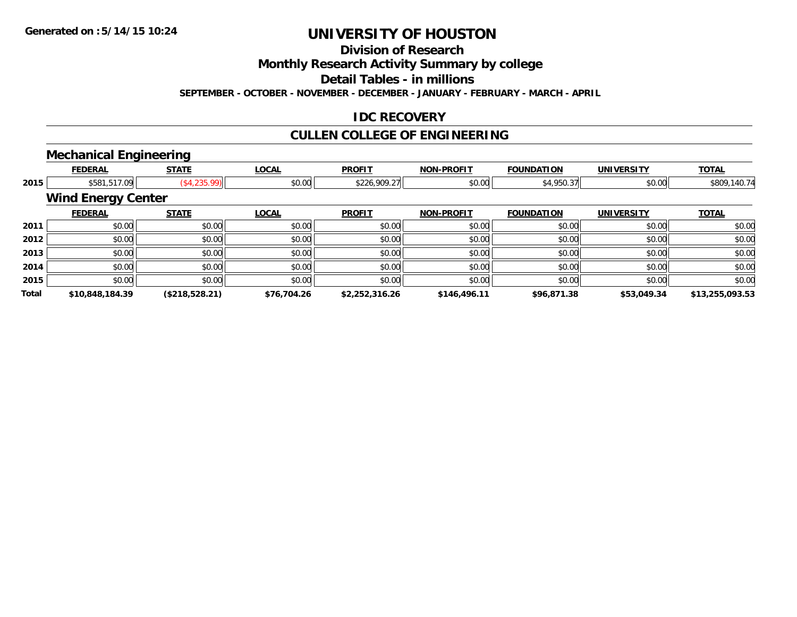**Division of Research**

**Monthly Research Activity Summary by college**

**Detail Tables - in millions**

**SEPTEMBER - OCTOBER - NOVEMBER - DECEMBER - JANUARY - FEBRUARY - MARCH - APRIL**

### **IDC RECOVERY**

## **CULLEN COLLEGE OF ENGINEERING**

### **Mechanical Engineering**

|              |                           | . .            |              |                |                   |                   |                   |                 |
|--------------|---------------------------|----------------|--------------|----------------|-------------------|-------------------|-------------------|-----------------|
|              | <b>FEDERAL</b>            | <b>STATE</b>   | <b>LOCAL</b> | <b>PROFIT</b>  | <b>NON-PROFIT</b> | <b>FOUNDATION</b> | <b>UNIVERSITY</b> | <b>TOTAL</b>    |
| 2015         | \$581,517.09              | (\$4,235.99)   | \$0.00       | \$226,909.27   | \$0.00            | \$4,950.37        | \$0.00            | \$809,140.74    |
|              | <b>Wind Energy Center</b> |                |              |                |                   |                   |                   |                 |
|              | <b>FEDERAL</b>            | <b>STATE</b>   | <b>LOCAL</b> | <b>PROFIT</b>  | <b>NON-PROFIT</b> | <b>FOUNDATION</b> | <b>UNIVERSITY</b> | <b>TOTAL</b>    |
| 2011         | \$0.00                    | \$0.00         | \$0.00       | \$0.00         | \$0.00            | \$0.00            | \$0.00            | \$0.00          |
| 2012         | \$0.00                    | \$0.00         | \$0.00       | \$0.00         | \$0.00            | \$0.00            | \$0.00            | \$0.00          |
| 2013         | \$0.00                    | \$0.00         | \$0.00       | \$0.00         | \$0.00            | \$0.00            | \$0.00            | \$0.00          |
| 2014         | \$0.00                    | \$0.00         | \$0.00       | \$0.00         | \$0.00            | \$0.00            | \$0.00            | \$0.00          |
| 2015         | \$0.00                    | \$0.00         | \$0.00       | \$0.00         | \$0.00            | \$0.00            | \$0.00            | \$0.00          |
| <b>Total</b> | \$10,848,184.39           | (\$218,528.21) | \$76,704.26  | \$2,252,316.26 | \$146,496.11      | \$96,871.38       | \$53,049.34       | \$13,255,093.53 |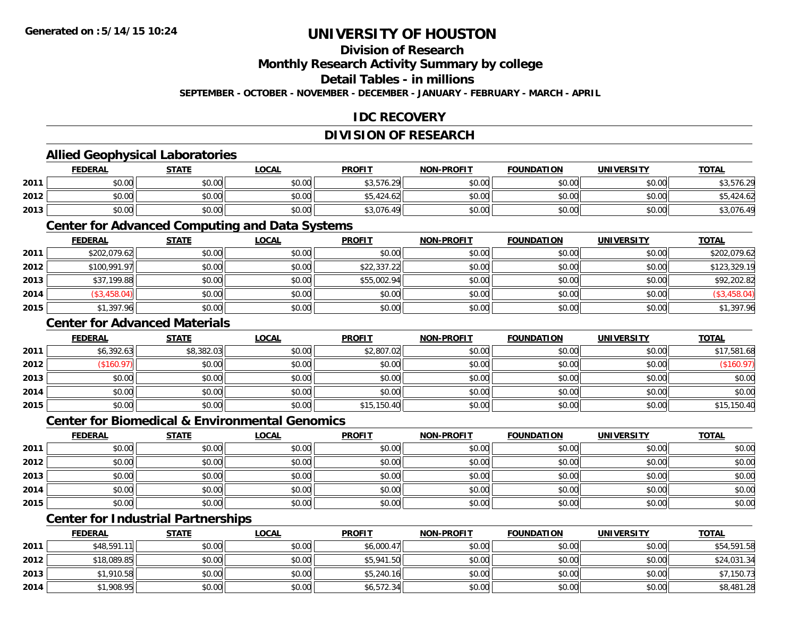### **Division of Research**

**Monthly Research Activity Summary by college**

**Detail Tables - in millions**

**SEPTEMBER - OCTOBER - NOVEMBER - DECEMBER - JANUARY - FEBRUARY - MARCH - APRIL**

### **IDC RECOVERY**

### **DIVISION OF RESEARCH**

### **Allied Geophysical Laboratories**

|      | <b>FEDERAL</b> | <b>STATE</b> | <u>LOCAL</u> | <b>PROFIT</b>                             | <b>NON-PROFIT</b> | <b>FOUNDATION</b> | <b>UNIVERSITY</b> | <u>TOTAL</u> |
|------|----------------|--------------|--------------|-------------------------------------------|-------------------|-------------------|-------------------|--------------|
| 2011 | \$0.00         | \$0.00       | \$0.00       | \$3,576.29                                | \$0.00            | \$0.00            | \$0.00            | \$3,576.29   |
| 2012 | \$0.00         | \$0.00       | \$0.00       | $+$ $ A$ $2$ $A$ $L$ $2$ $+$<br>10.424 OZ | \$0.00            | \$0.00            | \$0.00            | .424.62      |
| 2013 | \$0.00         | \$0.00       | \$0.00       | \$3,076.49                                | \$0.00            | \$0.00            | \$0.00            | \$3,076.49   |

#### **Center for Advanced Computing and Data Systems**

|      | <u>FEDERAL</u> | <b>STATE</b> | <u>LOCAL</u> | <b>PROFIT</b> | <b>NON-PROFIT</b> | <b>FOUNDATION</b> | <b>UNIVERSITY</b> | <b>TOTAL</b>   |
|------|----------------|--------------|--------------|---------------|-------------------|-------------------|-------------------|----------------|
| 2011 | \$202,079.62   | \$0.00       | \$0.00       | \$0.00        | \$0.00            | \$0.00            | \$0.00            | \$202.079.62   |
| 2012 | \$100,991.97   | \$0.00       | \$0.00       | \$22,337.22   | \$0.00            | \$0.00            | \$0.00            | \$123,329.19   |
| 2013 | \$37,199.88    | \$0.00       | \$0.00       | \$55,002.94   | \$0.00            | \$0.00            | \$0.00            | \$92,202.82    |
| 2014 | (\$3,458.04)   | \$0.00       | \$0.00       | \$0.00        | \$0.00            | \$0.00            | \$0.00            | $(\$3,458.04]$ |
| 2015 | \$1,397.96     | \$0.00       | \$0.00       | \$0.00        | \$0.00            | \$0.00            | \$0.00            | \$1,397.96     |

#### **Center for Advanced Materials**

|      | <b>FEDERAL</b> | <b>STATE</b> | <u>LOCAL</u> | <b>PROFIT</b> | <b>NON-PROFIT</b> | <b>FOUNDATION</b> | <b>UNIVERSITY</b> | <b>TOTAL</b> |
|------|----------------|--------------|--------------|---------------|-------------------|-------------------|-------------------|--------------|
| 2011 | \$6,392.63     | \$8,382.03   | \$0.00       | \$2,807.02    | \$0.00            | \$0.00            | \$0.00            | \$17,581.68  |
| 2012 | \$160.97)      | \$0.00       | \$0.00       | \$0.00        | \$0.00            | \$0.00            | \$0.00            | (\$160.97)   |
| 2013 | \$0.00         | \$0.00       | \$0.00       | \$0.00        | \$0.00            | \$0.00            | \$0.00            | \$0.00       |
| 2014 | \$0.00         | \$0.00       | \$0.00       | \$0.00        | \$0.00            | \$0.00            | \$0.00            | \$0.00       |
| 2015 | \$0.00         | \$0.00       | \$0.00       | \$15,150.40   | \$0.00            | \$0.00            | \$0.00            | \$15,150.40  |

#### **Center for Biomedical & Environmental Genomics**

|      | <u>FEDERAL</u> | <u>STATE</u> | <b>LOCAL</b> | <b>PROFIT</b> | <b>NON-PROFIT</b> | <b>FOUNDATION</b> | <b>UNIVERSITY</b> | <b>TOTAL</b> |
|------|----------------|--------------|--------------|---------------|-------------------|-------------------|-------------------|--------------|
| 2011 | \$0.00         | \$0.00       | \$0.00       | \$0.00        | \$0.00            | \$0.00            | \$0.00            | \$0.00       |
| 2012 | \$0.00         | \$0.00       | \$0.00       | \$0.00        | \$0.00            | \$0.00            | \$0.00            | \$0.00       |
| 2013 | \$0.00         | \$0.00       | \$0.00       | \$0.00        | \$0.00            | \$0.00            | \$0.00            | \$0.00       |
| 2014 | \$0.00         | \$0.00       | \$0.00       | \$0.00        | \$0.00            | \$0.00            | \$0.00            | \$0.00       |
| 2015 | \$0.00         | \$0.00       | \$0.00       | \$0.00        | \$0.00            | \$0.00            | \$0.00            | \$0.00       |

### **Center for Industrial Partnerships**

|      | <b>FEDERAL</b> | <b>STATE</b> | <u>LOCAL</u> | <b>PROFIT</b> | <b>NON-PROFIT</b> | <b>FOUNDATION</b> | <b>UNIVERSITY</b> | <b>TOTAL</b> |
|------|----------------|--------------|--------------|---------------|-------------------|-------------------|-------------------|--------------|
| 2011 | \$48,591.11    | \$0.00       | \$0.00       | \$6,000.47    | \$0.00            | \$0.00            | \$0.00            | \$54,591.58  |
| 2012 | \$18,089.85    | \$0.00       | \$0.00       | \$5,941.50    | \$0.00            | \$0.00            | \$0.00            | \$24,031.34  |
| 2013 | \$1,910.58     | \$0.00       | \$0.00       | \$5,240.16    | \$0.00            | \$0.00            | \$0.00            | \$7,150.73   |
| 2014 | \$1,908.95     | \$0.00       | \$0.00       | \$6,572.34    | \$0.00            | \$0.00            | \$0.00            | \$8,481.28   |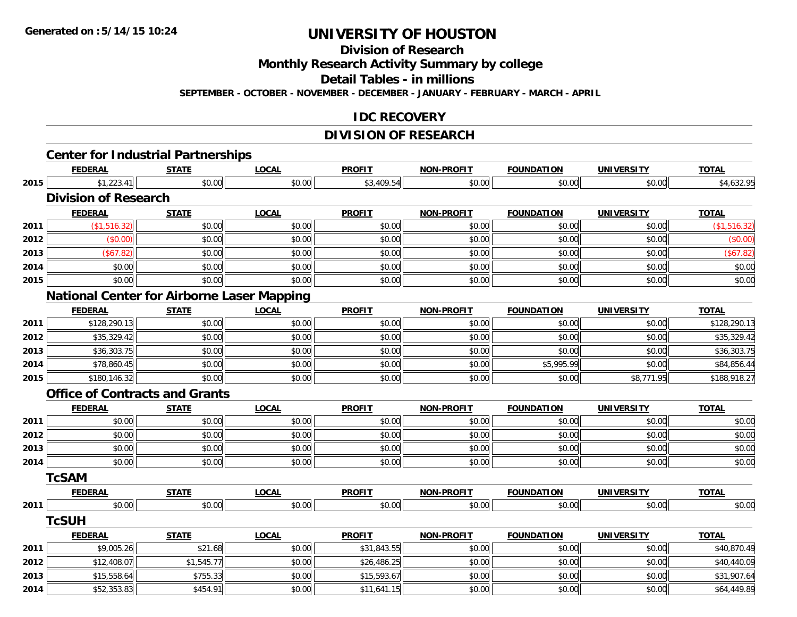**Division of Research**

**Monthly Research Activity Summary by college**

**Detail Tables - in millions**

**SEPTEMBER - OCTOBER - NOVEMBER - DECEMBER - JANUARY - FEBRUARY - MARCH - APRIL**

#### **IDC RECOVERY**

# **DIVISION OF RESEARCH**

|      |                                                   |              |              | <b>DIVISIUN UF RESEARUM</b> |                   |                   |                   |                        |
|------|---------------------------------------------------|--------------|--------------|-----------------------------|-------------------|-------------------|-------------------|------------------------|
|      | <b>Center for Industrial Partnerships</b>         |              |              |                             |                   |                   |                   |                        |
|      | <b>FEDERAL</b>                                    | <b>STATE</b> | <b>LOCAL</b> | <b>PROFIT</b>               | <b>NON-PROFIT</b> | <b>FOUNDATION</b> | <b>UNIVERSITY</b> | <b>TOTAL</b>           |
| 2015 | \$1,223.41                                        | \$0.00       | \$0.00       | \$3,409.54                  | \$0.00            | \$0.00            | \$0.00            | $\overline{$4,632.95}$ |
|      | <b>Division of Research</b>                       |              |              |                             |                   |                   |                   |                        |
|      | <b>FEDERAL</b>                                    | <b>STATE</b> | <b>LOCAL</b> | <b>PROFIT</b>               | <b>NON-PROFIT</b> | <b>FOUNDATION</b> | <b>UNIVERSITY</b> | <b>TOTAL</b>           |
| 2011 | (\$1,516.32)                                      | \$0.00       | \$0.00       | \$0.00                      | \$0.00            | \$0.00            | \$0.00            | (\$1,516.32)           |
| 2012 | (\$0.00)                                          | \$0.00       | \$0.00       | \$0.00                      | \$0.00            | \$0.00            | \$0.00            | (\$0.00)               |
| 2013 | (\$67.82)                                         | \$0.00       | \$0.00       | \$0.00                      | \$0.00            | \$0.00            | \$0.00            | (\$67.82)              |
| 2014 | \$0.00                                            | \$0.00       | \$0.00       | \$0.00                      | \$0.00            | \$0.00            | \$0.00            | \$0.00                 |
| 2015 | \$0.00                                            | \$0.00       | \$0.00       | \$0.00                      | \$0.00            | \$0.00            | \$0.00            | \$0.00                 |
|      | <b>National Center for Airborne Laser Mapping</b> |              |              |                             |                   |                   |                   |                        |
|      | <b>FEDERAL</b>                                    | <b>STATE</b> | <b>LOCAL</b> | <b>PROFIT</b>               | NON-PROFIT        | <b>FOUNDATION</b> | <b>UNIVERSITY</b> | <b>TOTAL</b>           |
| 2011 | \$128,290.13                                      | \$0.00       | \$0.00       | \$0.00                      | \$0.00            | \$0.00            | \$0.00            | \$128,290.13           |
| 2012 | $\overline{$35,329.42}$                           | \$0.00       | \$0.00       | \$0.00                      | \$0.00            | \$0.00            | \$0.00            | \$35,329.42            |
| 2013 | \$36,303.75                                       | \$0.00       | \$0.00       | \$0.00                      | \$0.00            | \$0.00            | \$0.00            | \$36,303.75            |
| 2014 | \$78,860.45                                       | \$0.00       | \$0.00       | \$0.00                      | \$0.00            | \$5,995.99        | \$0.00            | \$84,856.44            |
| 2015 | \$180,146.32                                      | \$0.00       | \$0.00       | \$0.00                      | \$0.00            | \$0.00            | \$8,771.95        | \$188,918.27           |
|      | <b>Office of Contracts and Grants</b>             |              |              |                             |                   |                   |                   |                        |
|      | <b>FEDERAL</b>                                    | <b>STATE</b> | <b>LOCAL</b> | <b>PROFIT</b>               | <b>NON-PROFIT</b> | <b>FOUNDATION</b> | <b>UNIVERSITY</b> | <b>TOTAL</b>           |
| 2011 | \$0.00                                            | \$0.00       | \$0.00       | \$0.00                      | \$0.00            | \$0.00            | \$0.00            | \$0.00                 |
| 2012 | \$0.00                                            | \$0.00       | \$0.00       | \$0.00                      | \$0.00            | \$0.00            | \$0.00            | \$0.00                 |
| 2013 | \$0.00                                            | \$0.00       | \$0.00       | \$0.00                      | \$0.00            | \$0.00            | \$0.00            | \$0.00                 |
| 2014 | \$0.00                                            | \$0.00       | \$0.00       | \$0.00                      | \$0.00            | \$0.00            | \$0.00            | \$0.00                 |
|      | <b>TcSAM</b>                                      |              |              |                             |                   |                   |                   |                        |
|      | <b>FEDERAL</b>                                    | <b>STATE</b> | <b>LOCAL</b> | <b>PROFIT</b>               | <b>NON-PROFIT</b> | <b>FOUNDATION</b> | <b>UNIVERSITY</b> | <b>TOTAL</b>           |
| 2011 | \$0.00                                            | \$0.00       | \$0.00       | \$0.00                      | \$0.00            | \$0.00            | \$0.00            | \$0.00                 |
|      | <b>TcSUH</b>                                      |              |              |                             |                   |                   |                   |                        |
|      | <b>FEDERAL</b>                                    | <b>STATE</b> | <b>LOCAL</b> | <b>PROFIT</b>               | <b>NON-PROFIT</b> | <b>FOUNDATION</b> | <b>UNIVERSITY</b> | <b>TOTAL</b>           |
| 2011 | \$9,005.26                                        | \$21.68      | \$0.00       | \$31,843.55                 | \$0.00            | \$0.00            | \$0.00            | \$40,870.49            |
| 2012 | \$12,408.07                                       | \$1,545.77   | \$0.00       | \$26,486.25                 | \$0.00            | \$0.00            | \$0.00            | \$40,440.09            |
| 2013 | \$15,558.64                                       | \$755.33     | \$0.00       | \$15,593.67                 | \$0.00            | \$0.00            | \$0.00            | \$31,907.64            |
| 2014 | \$52,353.83                                       | \$454.91     | \$0.00       | \$11,641.15                 | \$0.00            | \$0.00            | \$0.00            | \$64,449.89            |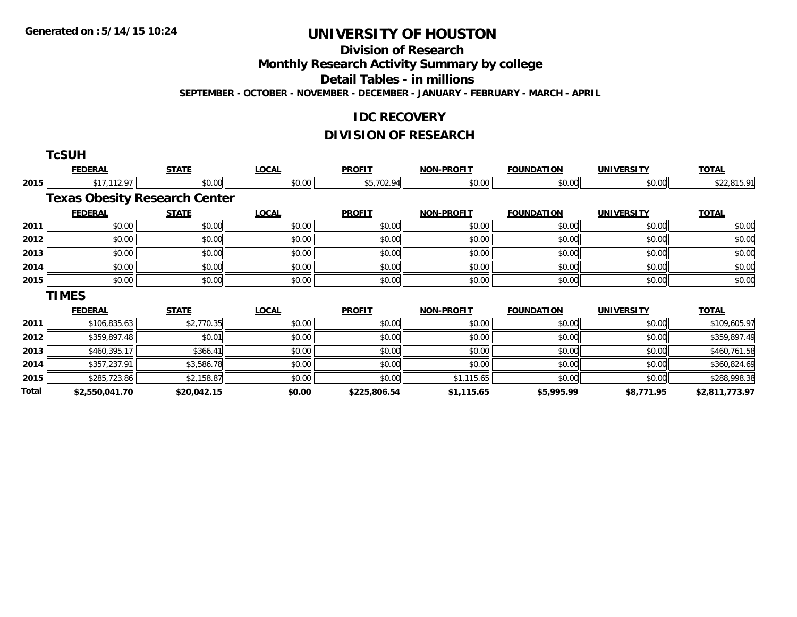**Division of Research**

**Monthly Research Activity Summary by college**

**Detail Tables - in millions**

**SEPTEMBER - OCTOBER - NOVEMBER - DECEMBER - JANUARY - FEBRUARY - MARCH - APRIL**

#### **IDC RECOVERY**

### **DIVISION OF RESEARCH**

|       | <b>TcSUH</b>                         |              |              |               |                   |                   |                   |                |
|-------|--------------------------------------|--------------|--------------|---------------|-------------------|-------------------|-------------------|----------------|
|       | <b>FEDERAL</b>                       | <b>STATE</b> | <b>LOCAL</b> | <b>PROFIT</b> | <b>NON-PROFIT</b> | <b>FOUNDATION</b> | <b>UNIVERSITY</b> | <b>TOTAL</b>   |
| 2015  | \$17,112.97                          | \$0.00       | \$0.00       | \$5,702.94    | \$0.00            | \$0.00            | \$0.00            | \$22,815.91    |
|       | <b>Texas Obesity Research Center</b> |              |              |               |                   |                   |                   |                |
|       | <b>FEDERAL</b>                       | <b>STATE</b> | <b>LOCAL</b> | <b>PROFIT</b> | <b>NON-PROFIT</b> | <b>FOUNDATION</b> | <b>UNIVERSITY</b> | <b>TOTAL</b>   |
| 2011  | \$0.00                               | \$0.00       | \$0.00       | \$0.00        | \$0.00            | \$0.00            | \$0.00            | \$0.00         |
| 2012  | \$0.00                               | \$0.00       | \$0.00       | \$0.00        | \$0.00            | \$0.00            | \$0.00            | \$0.00         |
| 2013  | \$0.00                               | \$0.00       | \$0.00       | \$0.00        | \$0.00            | \$0.00            | \$0.00            | \$0.00         |
| 2014  | \$0.00                               | \$0.00       | \$0.00       | \$0.00        | \$0.00            | \$0.00            | \$0.00            | \$0.00         |
| 2015  | \$0.00                               | \$0.00       | \$0.00       | \$0.00        | \$0.00            | \$0.00            | \$0.00            | \$0.00         |
|       | <b>TIMES</b>                         |              |              |               |                   |                   |                   |                |
|       | <b>FEDERAL</b>                       | <b>STATE</b> | <b>LOCAL</b> | <b>PROFIT</b> | <b>NON-PROFIT</b> | <b>FOUNDATION</b> | <b>UNIVERSITY</b> | <b>TOTAL</b>   |
| 2011  | \$106,835.63                         | \$2,770.35   | \$0.00       | \$0.00        | \$0.00            | \$0.00            | \$0.00            | \$109,605.97   |
| 2012  | \$359,897.48                         | \$0.01       | \$0.00       | \$0.00        | \$0.00            | \$0.00            | \$0.00            | \$359,897.49   |
| 2013  | \$460,395.17                         | \$366.41     | \$0.00       | \$0.00        | \$0.00            | \$0.00            | \$0.00            | \$460,761.58   |
| 2014  | \$357,237.91                         | \$3,586.78   | \$0.00       | \$0.00        | \$0.00            | \$0.00            | \$0.00            | \$360,824.69   |
| 2015  | \$285,723.86                         | \$2,158.87   | \$0.00       | \$0.00        | \$1,115.65        | \$0.00            | \$0.00            | \$288,998.38   |
| Total | \$2,550,041.70                       | \$20,042.15  | \$0.00       | \$225,806.54  | \$1,115.65        | \$5,995.99        | \$8,771.95        | \$2,811,773.97 |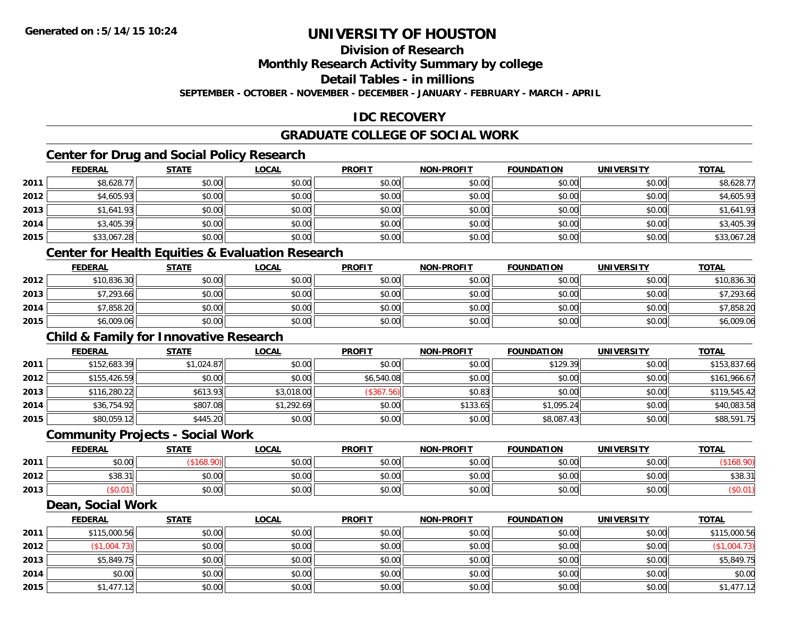### **Division of Research**

**Monthly Research Activity Summary by college**

**Detail Tables - in millions**

**SEPTEMBER - OCTOBER - NOVEMBER - DECEMBER - JANUARY - FEBRUARY - MARCH - APRIL**

### **IDC RECOVERY**

### **GRADUATE COLLEGE OF SOCIAL WORK**

### **Center for Drug and Social Policy Research**

|      | <b>FEDERAL</b> | <b>STATE</b> | <b>LOCAL</b> | <b>PROFIT</b> | <b>NON-PROFIT</b> | <b>FOUNDATION</b> | <b>UNIVERSITY</b> | <b>TOTAL</b> |
|------|----------------|--------------|--------------|---------------|-------------------|-------------------|-------------------|--------------|
| 2011 | \$8,628.77     | \$0.00       | \$0.00       | \$0.00        | \$0.00            | \$0.00            | \$0.00            | \$8,628.77   |
| 2012 | \$4,605.93     | \$0.00       | \$0.00       | \$0.00        | \$0.00            | \$0.00            | \$0.00            | \$4,605.93   |
| 2013 | \$1,641.93     | \$0.00       | \$0.00       | \$0.00        | \$0.00            | \$0.00            | \$0.00            | \$1,641.93   |
| 2014 | \$3,405.39     | \$0.00       | \$0.00       | \$0.00        | \$0.00            | \$0.00            | \$0.00            | \$3,405.39   |
| 2015 | \$33,067.28    | \$0.00       | \$0.00       | \$0.00        | \$0.00            | \$0.00            | \$0.00            | \$33,067.28  |

#### **Center for Health Equities & Evaluation Research**

|      | <u>FEDERAL</u> | <b>STATE</b> | <u>LOCAL</u> | <b>PROFIT</b> | <b>NON-PROFIT</b> | <b>FOUNDATION</b> | <b>UNIVERSITY</b> | <b>TOTAL</b> |
|------|----------------|--------------|--------------|---------------|-------------------|-------------------|-------------------|--------------|
| 2012 | \$10,836.30    | \$0.00       | \$0.00       | \$0.00        | \$0.00            | \$0.00            | \$0.00            | \$10,836.30  |
| 2013 | \$7,293.66     | \$0.00       | \$0.00       | \$0.00        | \$0.00            | \$0.00            | \$0.00            | \$7,293.66   |
| 2014 | \$7,858.20     | \$0.00       | \$0.00       | \$0.00        | \$0.00            | \$0.00            | \$0.00            | \$7,858.20   |
| 2015 | \$6,009.06     | \$0.00       | \$0.00       | \$0.00        | \$0.00            | \$0.00            | \$0.00            | \$6,009.06   |

#### **Child & Family for Innovative Research**

|      | <b>FEDERAL</b> | <b>STATE</b> | <u>LOCAL</u> | <b>PROFIT</b> | <b>NON-PROFIT</b> | <b>FOUNDATION</b> | <b>UNIVERSITY</b> | <b>TOTAL</b> |
|------|----------------|--------------|--------------|---------------|-------------------|-------------------|-------------------|--------------|
| 2011 | \$152,683.39   | \$1,024.87   | \$0.00       | \$0.00        | \$0.00            | \$129.39          | \$0.00            | \$153,837.66 |
| 2012 | \$155,426.59   | \$0.00       | \$0.00       | \$6,540.08    | \$0.00            | \$0.00            | \$0.00            | \$161,966.67 |
| 2013 | \$116,280.22   | \$613.93     | \$3,018.00   | (\$367.56)    | \$0.83            | \$0.00            | \$0.00            | \$119,545.42 |
| 2014 | \$36,754.92    | \$807.08     | \$1,292.69   | \$0.00        | \$133.65          | \$1,095.24        | \$0.00            | \$40,083.58  |
| 2015 | \$80,059.12    | \$445.20     | \$0.00       | \$0.00        | \$0.00            | \$8,087.43        | \$0.00            | \$88,591.75  |

#### **Community Projects - Social Work**

|      | <b>FEDERAL</b> | <b>STATE</b> | <u>LOCAL</u>          | <b>PROFIT</b> | <b>NON-PROFIT</b> | <b>FOUNDATION</b> | <b>UNIVERSITY</b> | <u>TOTAL</u> |
|------|----------------|--------------|-----------------------|---------------|-------------------|-------------------|-------------------|--------------|
| 2011 | \$0.00         |              | \$0.00                | \$0.00        | \$0.00            | \$0.00            | \$0.00            |              |
| 2012 | \$38.31        | \$0.00       | nn on<br><b>DU.UG</b> | \$0.00        | \$0.00            | \$0.00            | \$0.00            | \$38.31      |
| 2013 | \$U.U I I      | \$0.00       | \$0.00                | \$0.00        | \$0.00            | \$0.00            | \$0.00            |              |

#### **Dean, Social Work**

|      | <b>FEDERAL</b> | <b>STATE</b> | <u>LOCAL</u> | <b>PROFIT</b> | <b>NON-PROFIT</b> | <b>FOUNDATION</b> | <b>UNIVERSITY</b> | <b>TOTAL</b> |
|------|----------------|--------------|--------------|---------------|-------------------|-------------------|-------------------|--------------|
| 2011 | \$115,000.56   | \$0.00       | \$0.00       | \$0.00        | \$0.00            | \$0.00            | \$0.00            | \$115,000.56 |
| 2012 | \$1,004.73]    | \$0.00       | \$0.00       | \$0.00        | \$0.00            | \$0.00            | \$0.00            | \$1,004.73   |
| 2013 | \$5,849.75     | \$0.00       | \$0.00       | \$0.00        | \$0.00            | \$0.00            | \$0.00            | \$5,849.75   |
| 2014 | \$0.00         | \$0.00       | \$0.00       | \$0.00        | \$0.00            | \$0.00            | \$0.00            | \$0.00       |
| 2015 | \$1,477.12     | \$0.00       | \$0.00       | \$0.00        | \$0.00            | \$0.00            | \$0.00            | \$1,477.12   |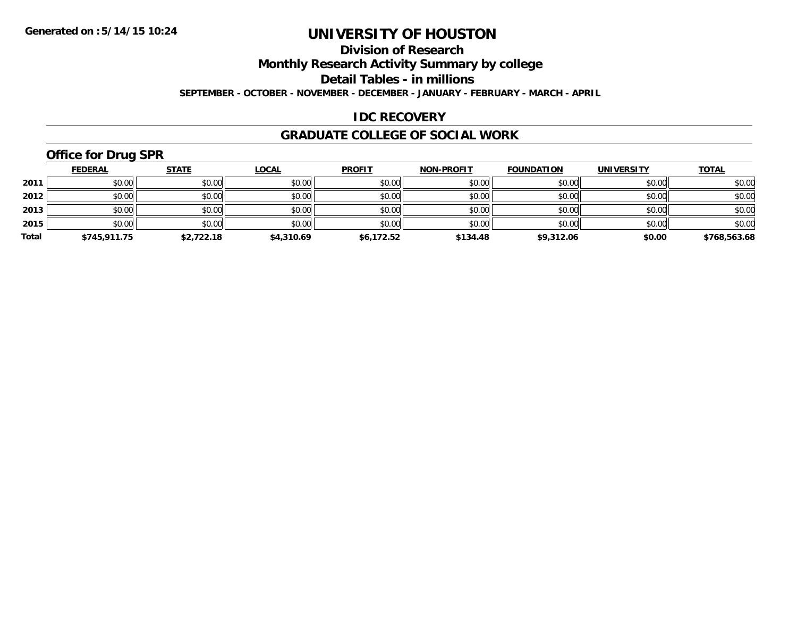### **Division of Research**

**Monthly Research Activity Summary by college**

**Detail Tables - in millions**

**SEPTEMBER - OCTOBER - NOVEMBER - DECEMBER - JANUARY - FEBRUARY - MARCH - APRIL**

#### **IDC RECOVERY**

#### **GRADUATE COLLEGE OF SOCIAL WORK**

## **Office for Drug SPR**

|       | <b>FEDERAL</b> | <u>STATE</u> | <b>LOCAL</b> | <b>PROFIT</b> | <b>NON-PROFIT</b> | <b>FOUNDATION</b> | <b>UNIVERSITY</b> | <b>TOTAL</b> |
|-------|----------------|--------------|--------------|---------------|-------------------|-------------------|-------------------|--------------|
| 2011  | \$0.00         | \$0.00       | \$0.00       | \$0.00        | \$0.00            | \$0.00            | \$0.00            | \$0.00       |
| 2012  | \$0.00         | \$0.00       | \$0.00       | \$0.00        | \$0.00            | \$0.00            | \$0.00            | \$0.00       |
| 2013  | \$0.00         | \$0.00       | \$0.00       | \$0.00        | \$0.00            | \$0.00            | \$0.00            | \$0.00       |
| 2015  | \$0.00         | \$0.00       | \$0.00       | \$0.00        | \$0.00            | \$0.00            | \$0.00            | \$0.00       |
| Total | \$745,911.75   | \$2,722.18   | \$4,310.69   | \$6,172.52    | \$134.48          | \$9,312.06        | \$0.00            | \$768,563.68 |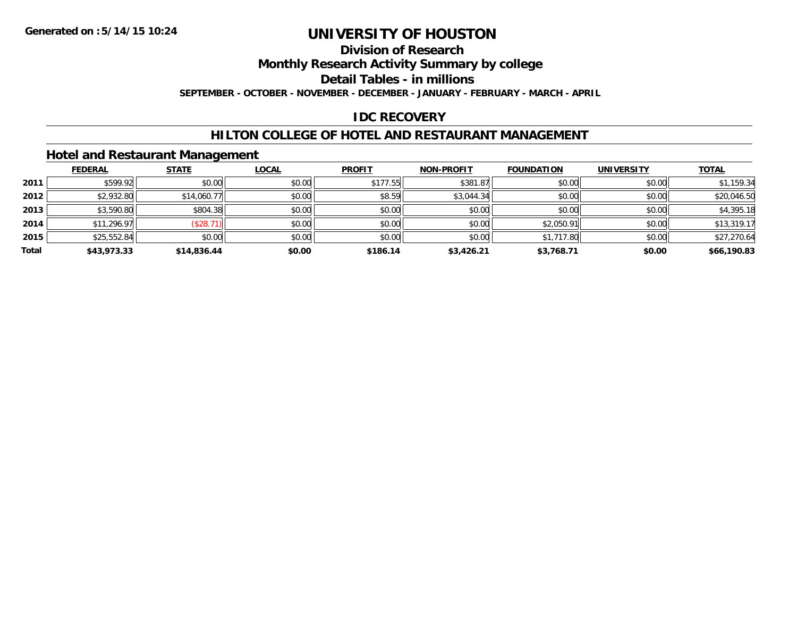### **Division of Research**

**Monthly Research Activity Summary by college**

**Detail Tables - in millions**

**SEPTEMBER - OCTOBER - NOVEMBER - DECEMBER - JANUARY - FEBRUARY - MARCH - APRIL**

#### **IDC RECOVERY**

#### **HILTON COLLEGE OF HOTEL AND RESTAURANT MANAGEMENT**

#### **Hotel and Restaurant Management**

|       | <b>FEDERAL</b> | <b>STATE</b> | <b>LOCAL</b> | <b>PROFIT</b> | <b>NON-PROFIT</b> | <b>FOUNDATION</b> | <b>UNIVERSITY</b> | <b>TOTAL</b> |
|-------|----------------|--------------|--------------|---------------|-------------------|-------------------|-------------------|--------------|
| 2011  | \$599.92       | \$0.00       | \$0.00       | \$177.55      | \$381.87          | \$0.00            | \$0.00            | \$1,159.34   |
| 2012  | \$2,932.80     | \$14,060.77  | \$0.00       | \$8.59        | \$3,044.34        | \$0.00            | \$0.00            | \$20,046.50  |
| 2013  | \$3,590.80     | \$804.38     | \$0.00       | \$0.00        | \$0.00            | \$0.00            | \$0.00            | \$4,395.18   |
| 2014  | \$11,296.97    | (\$28.71)    | \$0.00       | \$0.00        | \$0.00            | \$2,050.91        | \$0.00            | \$13,319.17  |
| 2015  | \$25,552.84    | \$0.00       | \$0.00       | \$0.00        | \$0.00            | \$1,717.80        | \$0.00            | \$27,270.64  |
| Total | \$43,973.33    | \$14,836.44  | \$0.00       | \$186.14      | \$3,426.21        | \$3,768.71        | \$0.00            | \$66,190.83  |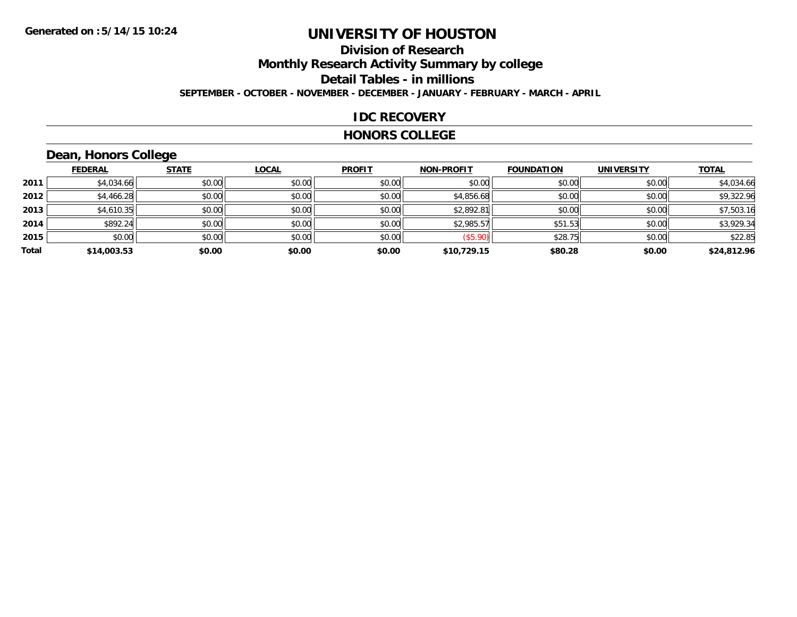## **Division of ResearchMonthly Research Activity Summary by college**

**Detail Tables - in millions**

**SEPTEMBER - OCTOBER - NOVEMBER - DECEMBER - JANUARY - FEBRUARY - MARCH - APRIL**

### **IDC RECOVERY**

#### **HONORS COLLEGE**

## **Dean, Honors College**

|       |                | $\sim$       |              |               |                   |                   |                   |              |
|-------|----------------|--------------|--------------|---------------|-------------------|-------------------|-------------------|--------------|
|       | <b>FEDERAL</b> | <b>STATE</b> | <u>LOCAL</u> | <b>PROFIT</b> | <b>NON-PROFIT</b> | <b>FOUNDATION</b> | <b>UNIVERSITY</b> | <b>TOTAL</b> |
| 2011  | \$4,034.66     | \$0.00       | \$0.00       | \$0.00        | \$0.00            | \$0.00            | \$0.00            | \$4,034.66   |
| 2012  | \$4,466.28     | \$0.00       | \$0.00       | \$0.00        | \$4,856.68        | \$0.00            | \$0.00            | \$9,322.96   |
| 2013  | \$4,610.35     | \$0.00       | \$0.00       | \$0.00        | \$2,892.81        | \$0.00            | \$0.00            | \$7,503.16   |
| 2014  | \$892.24       | \$0.00       | \$0.00       | \$0.00        | \$2,985.57        | \$51.53           | \$0.00            | \$3,929.34   |
| 2015  | \$0.00         | \$0.00       | \$0.00       | \$0.00        | (\$5.90)          | \$28.75           | \$0.00            | \$22.85      |
| Total | \$14,003.53    | \$0.00       | \$0.00       | \$0.00        | \$10,729.15       | \$80.28           | \$0.00            | \$24,812.96  |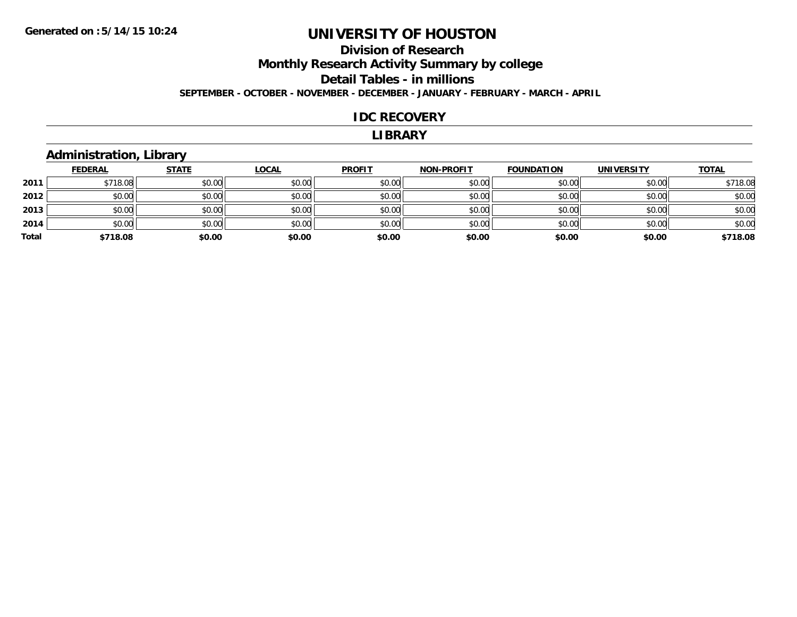#### **Division of Research Monthly Research Activity Summary by college Detail Tables - in millions SEPTEMBER - OCTOBER - NOVEMBER - DECEMBER - JANUARY - FEBRUARY - MARCH - APRIL**

#### **IDC RECOVERY**

#### **LIBRARY**

#### **Administration, Library**

|       | <b>FEDERAL</b> | <b>STATE</b> | <u>LOCAL</u> | <b>PROFIT</b> | <b>NON-PROFIT</b> | <b>FOUNDATION</b> | <b>UNIVERSITY</b> | <b>TOTAL</b> |
|-------|----------------|--------------|--------------|---------------|-------------------|-------------------|-------------------|--------------|
| 2011  | \$718.08       | \$0.00       | \$0.00       | \$0.00        | \$0.00            | \$0.00            | \$0.00            | \$718.08     |
| 2012  | \$0.00         | \$0.00       | \$0.00       | \$0.00        | \$0.00            | \$0.00            | \$0.00            | \$0.00       |
| 2013  | \$0.00         | \$0.00       | \$0.00       | \$0.00        | \$0.00            | \$0.00            | \$0.00            | \$0.00       |
| 2014  | \$0.00         | \$0.00       | \$0.00       | \$0.00        | \$0.00            | \$0.00            | \$0.00            | \$0.00       |
| Total | \$718.08       | \$0.00       | \$0.00       | \$0.00        | \$0.00            | \$0.00            | \$0.00            | \$718.08     |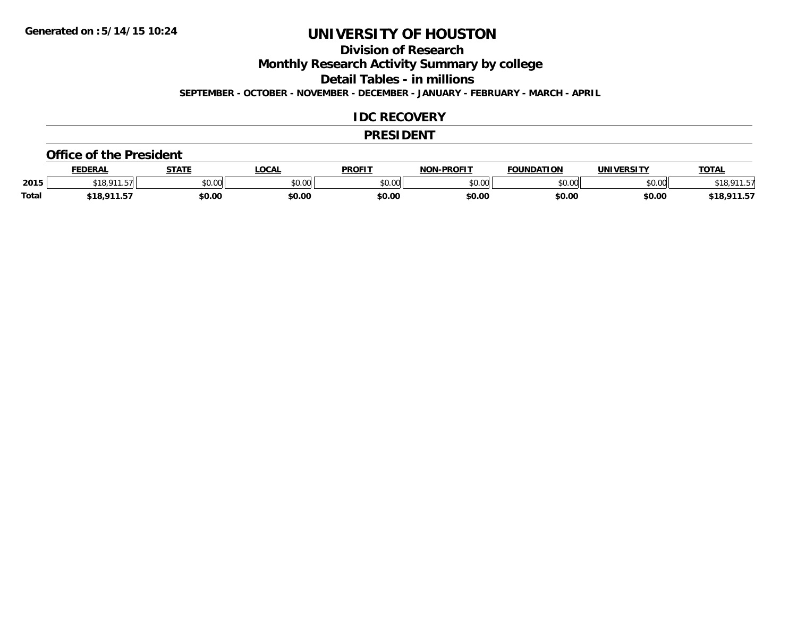**Division of Research**

**Monthly Research Activity Summary by college**

**Detail Tables - in millions**

**SEPTEMBER - OCTOBER - NOVEMBER - DECEMBER - JANUARY - FEBRUARY - MARCH - APRIL**

#### **IDC RECOVERY**

#### **PRESIDENT**

#### **Office of the President**

|       | <b>FEDERAL</b>       | <b>STATE</b> | <b>OCAL</b>   | <b>PROFIT</b> | <b>J-PROFIT</b><br>חרות | <b>FOUNDATION</b> | UNIVERSITY | <b>TOTAL</b>                    |
|-------|----------------------|--------------|---------------|---------------|-------------------------|-------------------|------------|---------------------------------|
| 2015  | 011<br>$- -$<br>- 10 | \$0.00       | 0000<br>vu.vu | 0000<br>JU.UU | 0000<br>DU.UU           | \$0.00            | \$0.00     |                                 |
| Total | \$18.911.57          | \$0.00       | \$0.00        | \$0.00        | \$0.00                  | \$0.00            | \$0.00     | <b>011 EJ</b><br>\$18.<br>711.9 |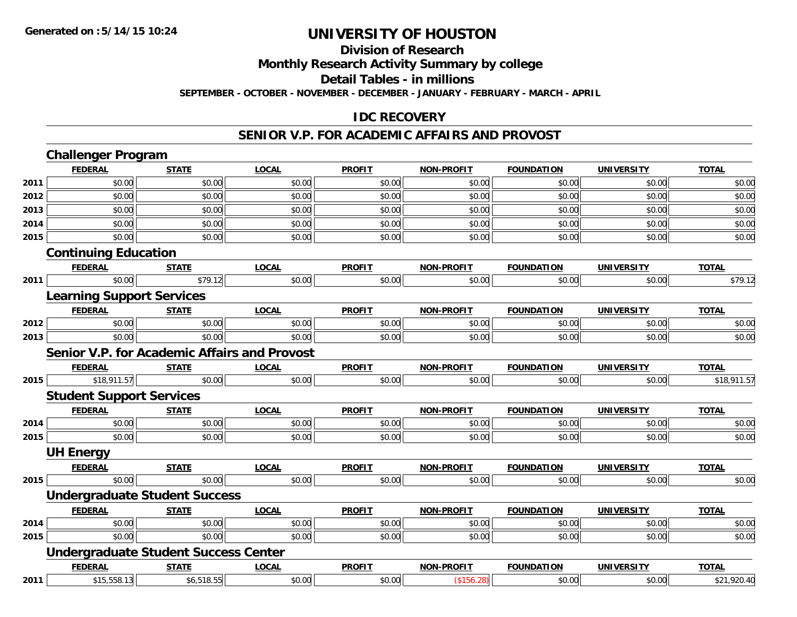#### **Division of Research**

**Monthly Research Activity Summary by college**

**Detail Tables - in millions**

**SEPTEMBER - OCTOBER - NOVEMBER - DECEMBER - JANUARY - FEBRUARY - MARCH - APRIL**

#### **IDC RECOVERY**

#### **SENIOR V.P. FOR ACADEMIC AFFAIRS AND PROVOST**

|      | <b>Challenger Program</b>                           |              |              |               |                   |                   |                   |              |
|------|-----------------------------------------------------|--------------|--------------|---------------|-------------------|-------------------|-------------------|--------------|
|      | <b>FEDERAL</b>                                      | <b>STATE</b> | <b>LOCAL</b> | <b>PROFIT</b> | <b>NON-PROFIT</b> | <b>FOUNDATION</b> | <b>UNIVERSITY</b> | <b>TOTAL</b> |
| 2011 | \$0.00                                              | \$0.00       | \$0.00       | \$0.00        | \$0.00            | \$0.00            | \$0.00            | \$0.00       |
| 2012 | \$0.00                                              | \$0.00       | \$0.00       | \$0.00        | \$0.00            | \$0.00            | \$0.00            | \$0.00       |
| 2013 | \$0.00                                              | \$0.00       | \$0.00       | \$0.00        | \$0.00            | \$0.00            | \$0.00            | \$0.00       |
| 2014 | \$0.00                                              | \$0.00       | \$0.00       | \$0.00        | \$0.00            | \$0.00            | \$0.00            | \$0.00       |
| 2015 | \$0.00                                              | \$0.00       | \$0.00       | \$0.00        | \$0.00            | \$0.00            | \$0.00            | \$0.00       |
|      | <b>Continuing Education</b>                         |              |              |               |                   |                   |                   |              |
|      | <b>FEDERAL</b>                                      | <b>STATE</b> | <b>LOCAL</b> | <b>PROFIT</b> | <b>NON-PROFIT</b> | <b>FOUNDATION</b> | <b>UNIVERSITY</b> | <b>TOTAL</b> |
| 2011 | \$0.00                                              | \$79.12      | \$0.00       | \$0.00        | \$0.00            | \$0.00            | \$0.00            | \$79.12      |
|      | <b>Learning Support Services</b>                    |              |              |               |                   |                   |                   |              |
|      | <b>FEDERAL</b>                                      | <b>STATE</b> | <b>LOCAL</b> | <b>PROFIT</b> | <b>NON-PROFIT</b> | <b>FOUNDATION</b> | <b>UNIVERSITY</b> | <b>TOTAL</b> |
| 2012 | \$0.00                                              | \$0.00       | \$0.00       | \$0.00        | \$0.00            | \$0.00            | \$0.00            | \$0.00       |
| 2013 | \$0.00                                              | \$0.00       | \$0.00       | \$0.00        | \$0.00            | \$0.00            | \$0.00            | \$0.00       |
|      | <b>Senior V.P. for Academic Affairs and Provost</b> |              |              |               |                   |                   |                   |              |
|      | <b>FEDERAL</b>                                      | <b>STATE</b> | <b>LOCAL</b> | <b>PROFIT</b> | <b>NON-PROFIT</b> | <b>FOUNDATION</b> | <b>UNIVERSITY</b> | <b>TOTAL</b> |
| 2015 | \$18,911.57                                         | \$0.00       | \$0.00       | \$0.00        | \$0.00            | \$0.00            | \$0.00            | \$18,911.57  |
|      | <b>Student Support Services</b>                     |              |              |               |                   |                   |                   |              |
|      | <b>FEDERAL</b>                                      | <b>STATE</b> | <b>LOCAL</b> | <b>PROFIT</b> | <b>NON-PROFIT</b> | <b>FOUNDATION</b> | <b>UNIVERSITY</b> | <b>TOTAL</b> |
| 2014 | \$0.00                                              | \$0.00       | \$0.00       | \$0.00        | \$0.00            | \$0.00            | \$0.00            | \$0.00       |
| 2015 | \$0.00                                              | \$0.00       | \$0.00       | \$0.00        | \$0.00            | \$0.00            | \$0.00            | \$0.00       |
|      | <b>UH Energy</b>                                    |              |              |               |                   |                   |                   |              |
|      | <b>FEDERAL</b>                                      | <b>STATE</b> | <b>LOCAL</b> | <b>PROFIT</b> | <b>NON-PROFIT</b> | <b>FOUNDATION</b> | <b>UNIVERSITY</b> | <b>TOTAL</b> |
| 2015 | \$0.00                                              | \$0.00       | \$0.00       | \$0.00        | \$0.00            | \$0.00            | \$0.00            | \$0.00       |
|      | <b>Undergraduate Student Success</b>                |              |              |               |                   |                   |                   |              |
|      | <b>FEDERAL</b>                                      | <b>STATE</b> | <b>LOCAL</b> | <b>PROFIT</b> | <b>NON-PROFIT</b> | <b>FOUNDATION</b> | <b>UNIVERSITY</b> | <b>TOTAL</b> |
| 2014 | \$0.00                                              | \$0.00       | \$0.00       | \$0.00        | \$0.00            | \$0.00            | \$0.00            | \$0.00       |
| 2015 | \$0.00                                              | \$0.00       | \$0.00       | \$0.00        | \$0.00            | \$0.00            | \$0.00            | \$0.00       |
|      | <b>Undergraduate Student Success Center</b>         |              |              |               |                   |                   |                   |              |
|      | <b>FEDERAL</b>                                      | <b>STATE</b> | <b>LOCAL</b> | <b>PROFIT</b> | <b>NON-PROFIT</b> | <b>FOUNDATION</b> | <b>UNIVERSITY</b> | <b>TOTAL</b> |
| 2011 | \$15,558.13                                         | \$6,518.55   | \$0.00       | \$0.00        | (\$156.28)        | \$0.00            | \$0.00            | \$21,920.40  |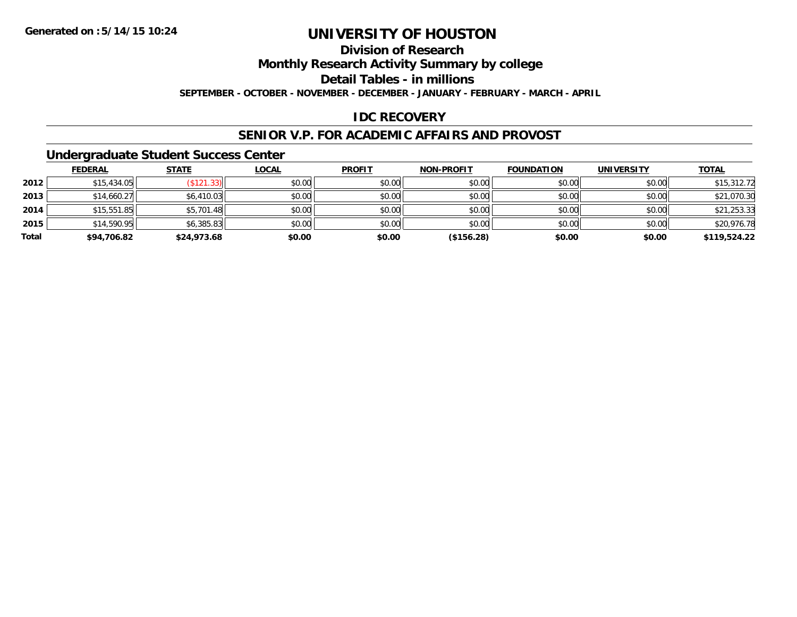**Division of Research**

**Monthly Research Activity Summary by college**

**Detail Tables - in millions**

**SEPTEMBER - OCTOBER - NOVEMBER - DECEMBER - JANUARY - FEBRUARY - MARCH - APRIL**

### **IDC RECOVERY**

#### **SENIOR V.P. FOR ACADEMIC AFFAIRS AND PROVOST**

#### **Undergraduate Student Success Center**

|       | <b>FEDERAL</b> | <u>STATE</u> | <b>LOCAL</b> | <b>PROFIT</b> | <b>NON-PROFIT</b> | <b>FOUNDATION</b> | <b>UNIVERSITY</b> | <b>TOTAL</b> |
|-------|----------------|--------------|--------------|---------------|-------------------|-------------------|-------------------|--------------|
| 2012  | \$15,434.05    | (\$121.33)   | \$0.00       | \$0.00        | \$0.00            | \$0.00            | \$0.00            | \$15,312.72  |
| 2013  | \$14,660.27    | \$6,410.03   | \$0.00       | \$0.00        | \$0.00            | \$0.00            | \$0.00            | \$21,070.30  |
| 2014  | \$15,551.85    | \$5,701.48   | \$0.00       | \$0.00        | \$0.00            | \$0.00            | \$0.00            | \$21,253.33  |
| 2015  | \$14,590.95    | \$6,385.83   | \$0.00       | \$0.00        | \$0.00            | \$0.00            | \$0.00            | \$20,976.78  |
| Total | \$94,706.82    | \$24,973.68  | \$0.00       | \$0.00        | (\$156.28)        | \$0.00            | \$0.00            | \$119,524.22 |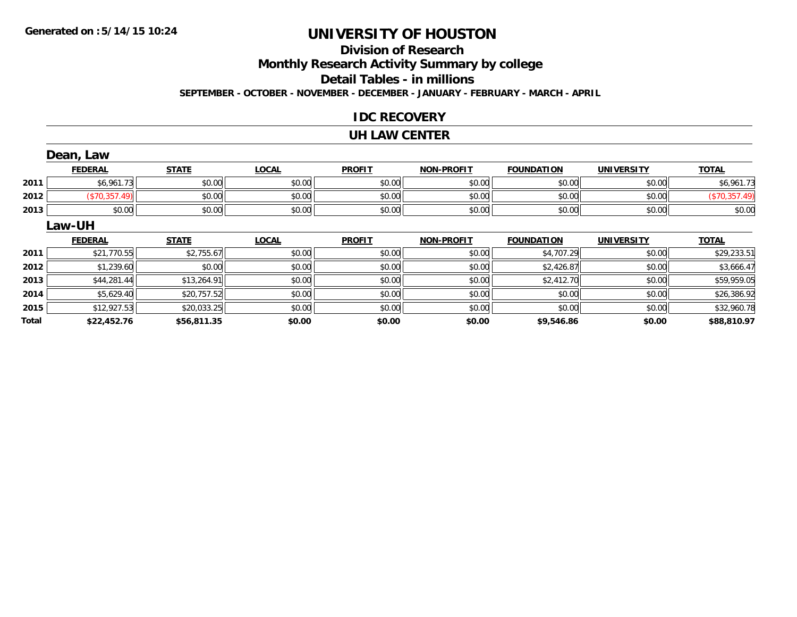# **Division of Research**

**Monthly Research Activity Summary by college**

**Detail Tables - in millions**

**SEPTEMBER - OCTOBER - NOVEMBER - DECEMBER - JANUARY - FEBRUARY - MARCH - APRIL**

### **IDC RECOVERY**

#### **UH LAW CENTER**

|              | Dean, Law      |              |              |               |                   |                   |                   |               |
|--------------|----------------|--------------|--------------|---------------|-------------------|-------------------|-------------------|---------------|
|              | <b>FEDERAL</b> | <b>STATE</b> | <b>LOCAL</b> | <b>PROFIT</b> | <b>NON-PROFIT</b> | <b>FOUNDATION</b> | <b>UNIVERSITY</b> | <b>TOTAL</b>  |
| 2011         | \$6,961.73     | \$0.00       | \$0.00       | \$0.00        | \$0.00            | \$0.00            | \$0.00            | \$6,961.73    |
| 2012         | (\$70,357.49)  | \$0.00       | \$0.00       | \$0.00        | \$0.00            | \$0.00            | \$0.00            | (\$70,357.49) |
| 2013         | \$0.00         | \$0.00       | \$0.00       | \$0.00        | \$0.00            | \$0.00            | \$0.00            | \$0.00        |
|              | Law-UH         |              |              |               |                   |                   |                   |               |
|              | <b>FEDERAL</b> | <b>STATE</b> | <b>LOCAL</b> | <b>PROFIT</b> | NON-PROFIT        | <b>FOUNDATION</b> | <b>UNIVERSITY</b> | <b>TOTAL</b>  |
| 2011         | \$21,770.55    | \$2,755.67   | \$0.00       | \$0.00        | \$0.00            | \$4,707.29        | \$0.00            | \$29,233.51   |
| 2012         | \$1,239.60     | \$0.00       | \$0.00       | \$0.00        | \$0.00            | \$2,426.87        | \$0.00            | \$3,666.47    |
| 2013         | \$44,281.44    | \$13,264.91  | \$0.00       | \$0.00        | \$0.00            | \$2,412.70        | \$0.00            | \$59,959.05   |
| 2014         | \$5,629.40     | \$20,757.52  | \$0.00       | \$0.00        | \$0.00            | \$0.00            | \$0.00            | \$26,386.92   |
| 2015         | \$12,927.53    | \$20,033.25  | \$0.00       | \$0.00        | \$0.00            | \$0.00            | \$0.00            | \$32,960.78   |
| <b>Total</b> | \$22,452.76    | \$56,811.35  | \$0.00       | \$0.00        | \$0.00            | \$9,546.86        | \$0.00            | \$88,810.97   |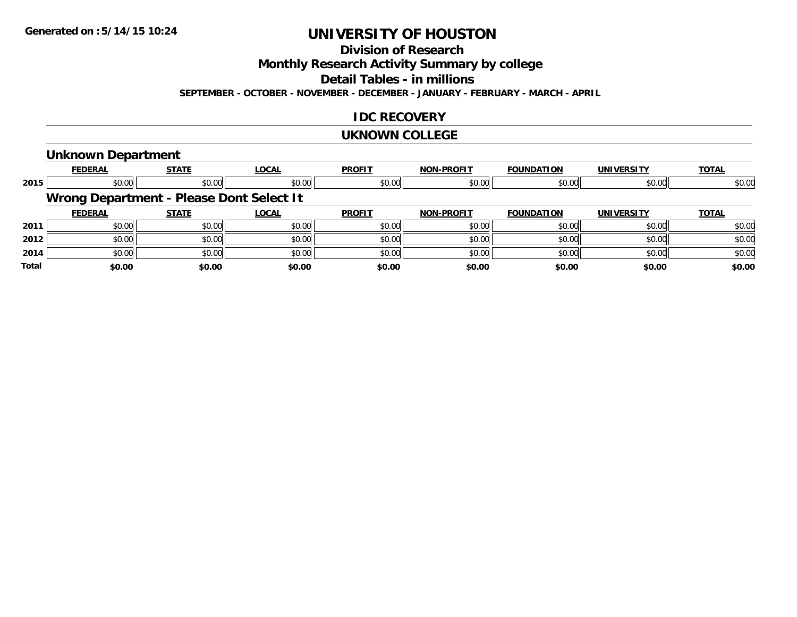**Division of Research**

**Monthly Research Activity Summary by college**

**Detail Tables - in millions**

**SEPTEMBER - OCTOBER - NOVEMBER - DECEMBER - JANUARY - FEBRUARY - MARCH - APRIL**

### **IDC RECOVERY**

#### **UKNOWN COLLEGE**

#### **Unknown Department**

|              | <b>FEDERAL</b> | <b>STATE</b>                             | <b>LOCAL</b> | <b>PROFIT</b> | <b>NON-PROFIT</b> | <b>FOUNDATION</b> | <b>UNIVERSITY</b> | <b>TOTAL</b> |
|--------------|----------------|------------------------------------------|--------------|---------------|-------------------|-------------------|-------------------|--------------|
| 2015         | \$0.00         | \$0.00                                   | \$0.00       | \$0.00        | \$0.00            | \$0.00            | \$0.00            | \$0.00       |
|              |                | Wrong Department - Please Dont Select It |              |               |                   |                   |                   |              |
|              | <b>FEDERAL</b> | <b>STATE</b>                             | <b>LOCAL</b> | <b>PROFIT</b> | <b>NON-PROFIT</b> | <b>FOUNDATION</b> | UNIVERSITY        | <b>TOTAL</b> |
| 2011         | \$0.00         | \$0.00                                   | \$0.00       | \$0.00        | \$0.00            | \$0.00            | \$0.00            | \$0.00       |
| 2012         | \$0.00         | \$0.00                                   | \$0.00       | \$0.00        | \$0.00            | \$0.00            | \$0.00            | \$0.00       |
| 2014         | \$0.00         | \$0.00                                   | \$0.00       | \$0.00        | \$0.00            | \$0.00            | \$0.00            | \$0.00       |
| <b>Total</b> | \$0.00         | \$0.00                                   | \$0.00       | \$0.00        | \$0.00            | \$0.00            | \$0.00            | \$0.00       |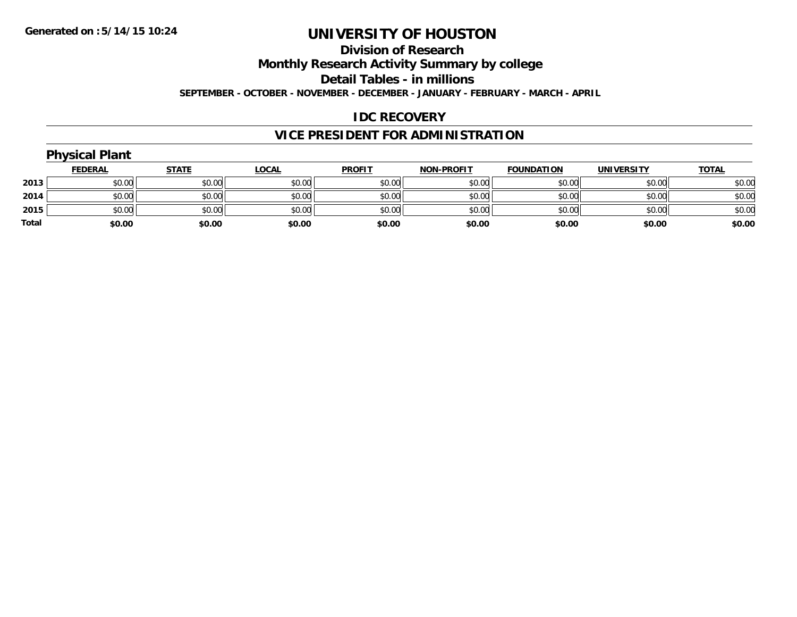#### **Division of Research**

**Monthly Research Activity Summary by college**

**Detail Tables - in millions**

**SEPTEMBER - OCTOBER - NOVEMBER - DECEMBER - JANUARY - FEBRUARY - MARCH - APRIL**

#### **IDC RECOVERY**

### **VICE PRESIDENT FOR ADMINISTRATION**

|       | <b>Physical Plant</b> |              |              |               |                   |                   |                   |              |  |  |  |  |
|-------|-----------------------|--------------|--------------|---------------|-------------------|-------------------|-------------------|--------------|--|--|--|--|
|       | <b>FEDERAL</b>        | <b>STATE</b> | <b>LOCAL</b> | <b>PROFIT</b> | <b>NON-PROFIT</b> | <b>FOUNDATION</b> | <b>UNIVERSITY</b> | <b>TOTAL</b> |  |  |  |  |
| 2013  | \$0.00                | \$0.00       | \$0.00       | \$0.00        | \$0.00            | \$0.00            | \$0.00            | \$0.00       |  |  |  |  |
| 2014  | \$0.00                | \$0.00       | \$0.00       | \$0.00        | \$0.00            | \$0.00            | \$0.00            | \$0.00       |  |  |  |  |
| 2015  | \$0.00                | \$0.00       | \$0.00       | \$0.00        | \$0.00            | \$0.00            | \$0.00            | \$0.00       |  |  |  |  |
| Total | \$0.00                | \$0.00       | \$0.00       | \$0.00        | \$0.00            | \$0.00            | \$0.00            | \$0.00       |  |  |  |  |